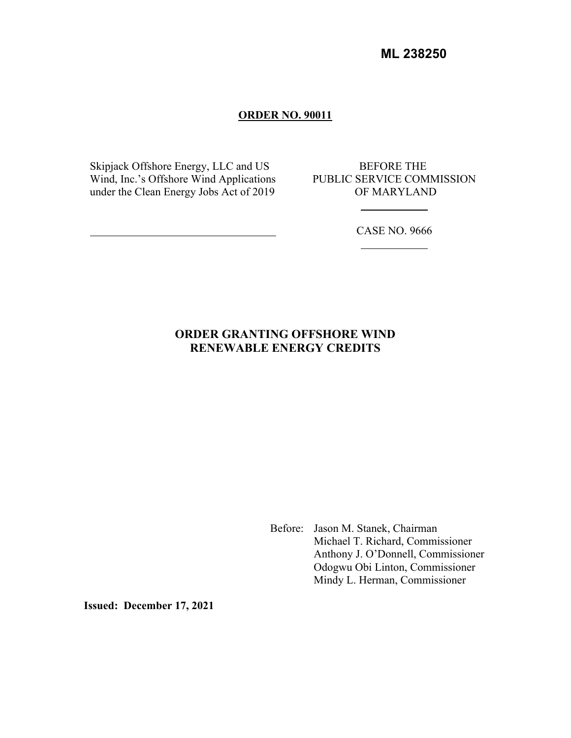**ML 238250**

### **ORDER NO. 90011**

Skipjack Offshore Energy, LLC and US Wind, Inc.'s Offshore Wind Applications under the Clean Energy Jobs Act of 2019

BEFORE THE PUBLIC SERVICE COMMISSION OF MARYLAND

CASE NO. 9666

# **ORDER GRANTING OFFSHORE WIND RENEWABLE ENERGY CREDITS**

Before: Jason M. Stanek, Chairman Michael T. Richard, Commissioner Anthony J. O'Donnell, Commissioner Odogwu Obi Linton, Commissioner Mindy L. Herman, Commissioner

**Issued: December 17, 2021**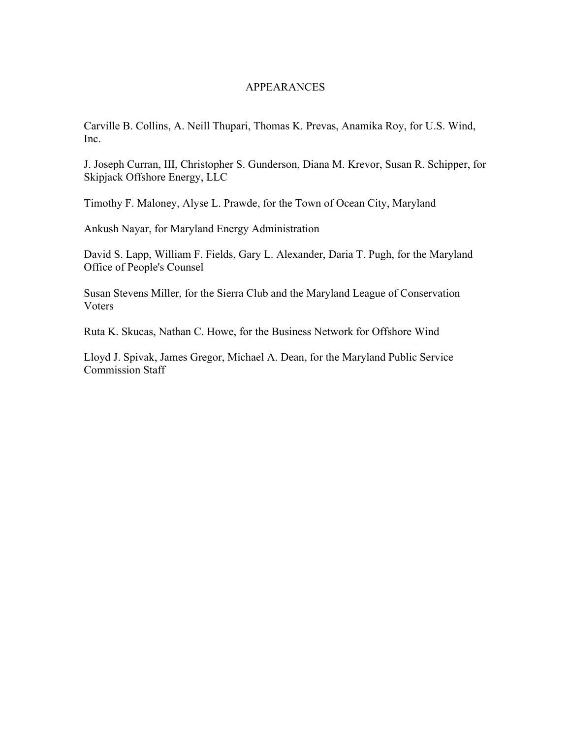#### APPEARANCES

Carville B. Collins, A. Neill Thupari, Thomas K. Prevas, Anamika Roy, for U.S. Wind, Inc.

J. Joseph Curran, III, Christopher S. Gunderson, Diana M. Krevor, Susan R. Schipper, for Skipjack Offshore Energy, LLC

Timothy F. Maloney, Alyse L. Prawde, for the Town of Ocean City, Maryland

Ankush Nayar, for Maryland Energy Administration

David S. Lapp, William F. Fields, Gary L. Alexander, Daria T. Pugh, for the Maryland Office of People's Counsel

Susan Stevens Miller, for the Sierra Club and the Maryland League of Conservation Voters

Ruta K. Skucas, Nathan C. Howe, for the Business Network for Offshore Wind

Lloyd J. Spivak, James Gregor, Michael A. Dean, for the Maryland Public Service Commission Staff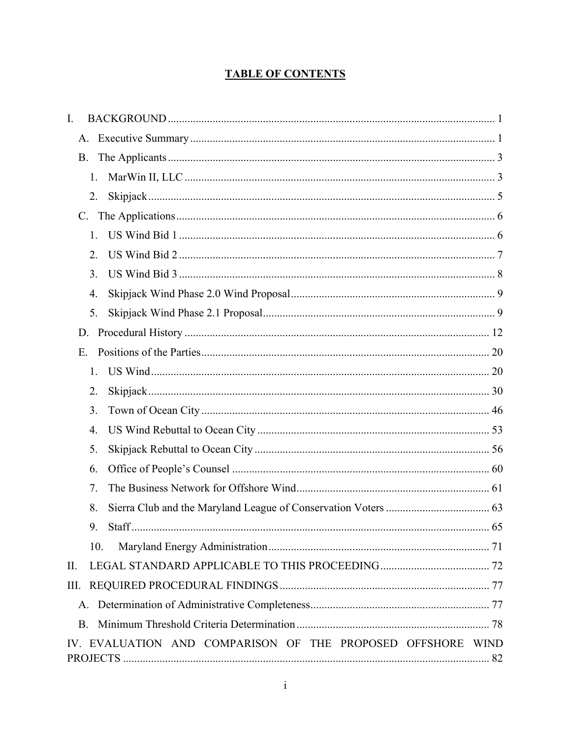# **TABLE OF CONTENTS**

| I.                                                          |  |
|-------------------------------------------------------------|--|
| A.                                                          |  |
| <b>B.</b>                                                   |  |
| 1.                                                          |  |
| 2.                                                          |  |
| $C_{\cdot}$                                                 |  |
| 1.                                                          |  |
| 2.                                                          |  |
| 3.                                                          |  |
| 4.                                                          |  |
| 5.                                                          |  |
| D.                                                          |  |
| E.                                                          |  |
| 1.                                                          |  |
| 2.                                                          |  |
| 3.                                                          |  |
| 4.                                                          |  |
| 5.                                                          |  |
| 6.                                                          |  |
| 7.                                                          |  |
| 8.                                                          |  |
| 9.<br><b>Staff</b><br>$\ldots$ 65                           |  |
| 10.                                                         |  |
| Π.                                                          |  |
| III.                                                        |  |
|                                                             |  |
| <b>B.</b>                                                   |  |
| IV. EVALUATION AND COMPARISON OF THE PROPOSED OFFSHORE WIND |  |
|                                                             |  |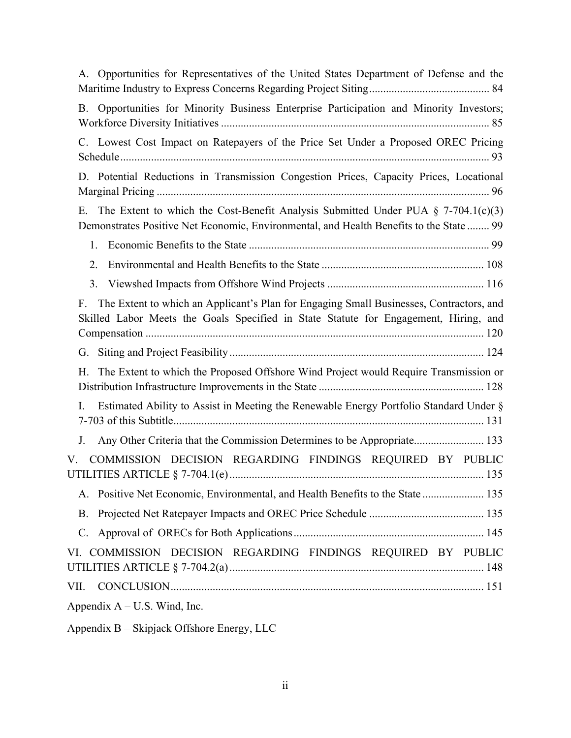| A. Opportunities for Representatives of the United States Department of Defense and the                                                                                               |
|---------------------------------------------------------------------------------------------------------------------------------------------------------------------------------------|
| Opportunities for Minority Business Enterprise Participation and Minority Investors;<br>B.                                                                                            |
| C. Lowest Cost Impact on Ratepayers of the Price Set Under a Proposed OREC Pricing                                                                                                    |
| D. Potential Reductions in Transmission Congestion Prices, Capacity Prices, Locational                                                                                                |
| The Extent to which the Cost-Benefit Analysis Submitted Under PUA $\S$ 7-704.1(c)(3)<br>Ε.<br>Demonstrates Positive Net Economic, Environmental, and Health Benefits to the State  99 |
| 1.                                                                                                                                                                                    |
| 2.                                                                                                                                                                                    |
| 3.                                                                                                                                                                                    |
| The Extent to which an Applicant's Plan for Engaging Small Businesses, Contractors, and<br>F.<br>Skilled Labor Meets the Goals Specified in State Statute for Engagement, Hiring, and |
| G.                                                                                                                                                                                    |
| The Extent to which the Proposed Offshore Wind Project would Require Transmission or<br>Η.                                                                                            |
| Estimated Ability to Assist in Meeting the Renewable Energy Portfolio Standard Under §<br>I.                                                                                          |
| Any Other Criteria that the Commission Determines to be Appropriate 133<br>J.                                                                                                         |
| COMMISSION DECISION REGARDING FINDINGS REQUIRED BY PUBLIC<br>V.                                                                                                                       |
| Positive Net Economic, Environmental, and Health Benefits to the State  135<br>A.                                                                                                     |
| B.                                                                                                                                                                                    |
| $C_{\cdot}$                                                                                                                                                                           |
| VI. COMMISSION DECISION REGARDING FINDINGS REQUIRED BY PUBLIC                                                                                                                         |
| VII.                                                                                                                                                                                  |
| Appendix $A - U.S.$ Wind, Inc.                                                                                                                                                        |

Appendix B – Skipjack Offshore Energy, LLC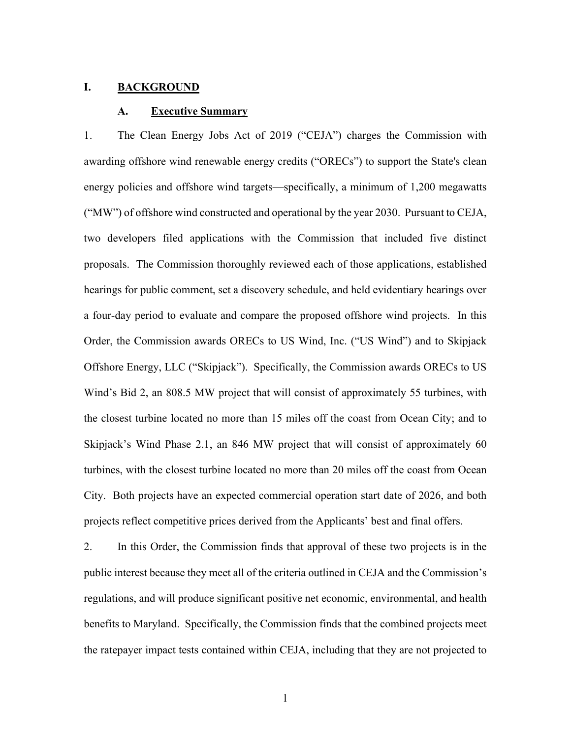#### **I. BACKGROUND**

#### **A. Executive Summary**

1. The Clean Energy Jobs Act of 2019 ("CEJA") charges the Commission with awarding offshore wind renewable energy credits ("ORECs") to support the State's clean energy policies and offshore wind targets—specifically, a minimum of 1,200 megawatts ("MW") of offshore wind constructed and operational by the year 2030. Pursuant to CEJA, two developers filed applications with the Commission that included five distinct proposals. The Commission thoroughly reviewed each of those applications, established hearings for public comment, set a discovery schedule, and held evidentiary hearings over a four-day period to evaluate and compare the proposed offshore wind projects. In this Order, the Commission awards ORECs to US Wind, Inc. ("US Wind") and to Skipjack Offshore Energy, LLC ("Skipjack"). Specifically, the Commission awards ORECs to US Wind's Bid 2, an 808.5 MW project that will consist of approximately 55 turbines, with the closest turbine located no more than 15 miles off the coast from Ocean City; and to Skipjack's Wind Phase 2.1, an 846 MW project that will consist of approximately 60 turbines, with the closest turbine located no more than 20 miles off the coast from Ocean City. Both projects have an expected commercial operation start date of 2026, and both projects reflect competitive prices derived from the Applicants' best and final offers.

2. In this Order, the Commission finds that approval of these two projects is in the public interest because they meet all of the criteria outlined in CEJA and the Commission's regulations, and will produce significant positive net economic, environmental, and health benefits to Maryland. Specifically, the Commission finds that the combined projects meet the ratepayer impact tests contained within CEJA, including that they are not projected to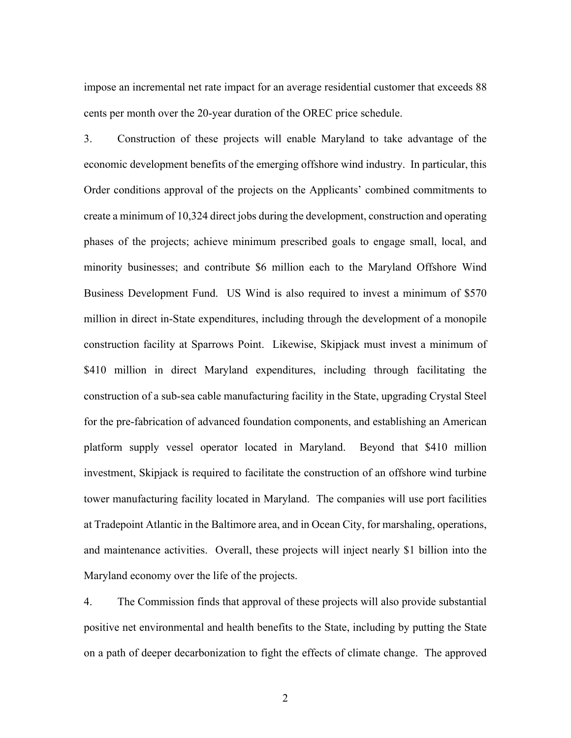impose an incremental net rate impact for an average residential customer that exceeds 88 cents per month over the 20-year duration of the OREC price schedule.

3. Construction of these projects will enable Maryland to take advantage of the economic development benefits of the emerging offshore wind industry. In particular, this Order conditions approval of the projects on the Applicants' combined commitments to create a minimum of 10,324 direct jobs during the development, construction and operating phases of the projects; achieve minimum prescribed goals to engage small, local, and minority businesses; and contribute \$6 million each to the Maryland Offshore Wind Business Development Fund. US Wind is also required to invest a minimum of \$570 million in direct in-State expenditures, including through the development of a monopile construction facility at Sparrows Point. Likewise, Skipjack must invest a minimum of \$410 million in direct Maryland expenditures, including through facilitating the construction of a sub-sea cable manufacturing facility in the State, upgrading Crystal Steel for the pre-fabrication of advanced foundation components, and establishing an American platform supply vessel operator located in Maryland. Beyond that \$410 million investment, Skipjack is required to facilitate the construction of an offshore wind turbine tower manufacturing facility located in Maryland. The companies will use port facilities at Tradepoint Atlantic in the Baltimore area, and in Ocean City, for marshaling, operations, and maintenance activities. Overall, these projects will inject nearly \$1 billion into the Maryland economy over the life of the projects.

4. The Commission finds that approval of these projects will also provide substantial positive net environmental and health benefits to the State, including by putting the State on a path of deeper decarbonization to fight the effects of climate change. The approved

2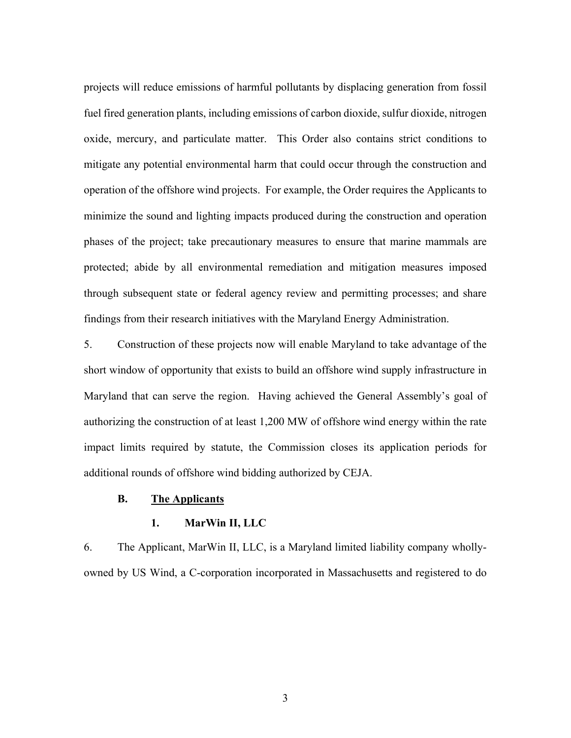projects will reduce emissions of harmful pollutants by displacing generation from fossil fuel fired generation plants, including emissions of carbon dioxide, sulfur dioxide, nitrogen oxide, mercury, and particulate matter. This Order also contains strict conditions to mitigate any potential environmental harm that could occur through the construction and operation of the offshore wind projects. For example, the Order requires the Applicants to minimize the sound and lighting impacts produced during the construction and operation phases of the project; take precautionary measures to ensure that marine mammals are protected; abide by all environmental remediation and mitigation measures imposed through subsequent state or federal agency review and permitting processes; and share findings from their research initiatives with the Maryland Energy Administration.

5. Construction of these projects now will enable Maryland to take advantage of the short window of opportunity that exists to build an offshore wind supply infrastructure in Maryland that can serve the region. Having achieved the General Assembly's goal of authorizing the construction of at least 1,200 MW of offshore wind energy within the rate impact limits required by statute, the Commission closes its application periods for additional rounds of offshore wind bidding authorized by CEJA.

### **B. The Applicants**

### **1. MarWin II, LLC**

6. The Applicant, MarWin II, LLC, is a Maryland limited liability company whollyowned by US Wind, a C-corporation incorporated in Massachusetts and registered to do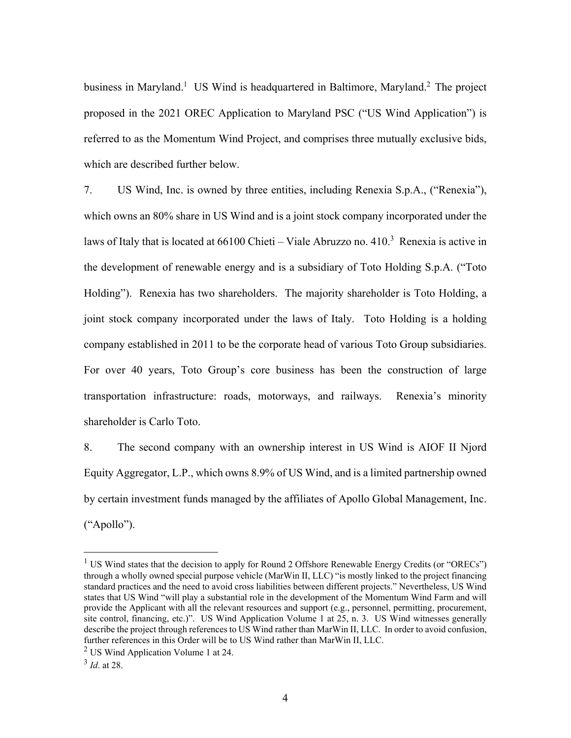business in Maryland.<sup>1</sup> US Wind is headquartered in Baltimore, Maryland.<sup>2</sup> The project proposed in the 2021 OREC Application to Maryland PSC ("US Wind Application") is referred to as the Momentum Wind Project, and comprises three mutually exclusive bids, which are described further below.

7. US Wind, Inc. is owned by three entities, including Renexia S.p.A., ("Renexia"), which owns an 80% share in US Wind and is a joint stock company incorporated under the laws of Italy that is located at  $66100$  Chieti – Viale Abruzzo no.  $410<sup>3</sup>$  Renexia is active in the development of renewable energy and is a subsidiary of Toto Holding S.p.A. ("Toto Holding"). Renexia has two shareholders. The majority shareholder is Toto Holding, a joint stock company incorporated under the laws of Italy. Toto Holding is a holding company established in 2011 to be the corporate head of various Toto Group subsidiaries. For over 40 years, Toto Group's core business has been the construction of large transportation infrastructure: roads, motorways, and railways. Renexia's minority shareholder is Carlo Toto.

8. The second company with an ownership interest in US Wind is AIOF II Njord Equity Aggregator, L.P., which owns 8.9% of US Wind, and is a limited partnership owned by certain investment funds managed by the affiliates of Apollo Global Management, Inc. ("Apollo").

<sup>&</sup>lt;sup>1</sup> US Wind states that the decision to apply for Round 2 Offshore Renewable Energy Credits (or "ORECs") through a wholly owned special purpose vehicle (MarWin II, LLC) "is mostly linked to the project financing standard practices and the need to avoid cross liabilities between different projects." Nevertheless, US Wind states that US Wind "will play a substantial role in the development of the Momentum Wind Farm and will provide the Applicant with all the relevant resources and support (e.g., personnel, permitting, procurement, site control, financing, etc.)". US Wind Application Volume 1 at 25, n. 3. US Wind witnesses generally describe the project through references to US Wind rather than MarWin II, LLC. In order to avoid confusion, further references in this Order will be to US Wind rather than MarWin II, LLC.

 $2$  US Wind Application Volume 1 at 24.

<sup>3</sup>  *Id*. at 28.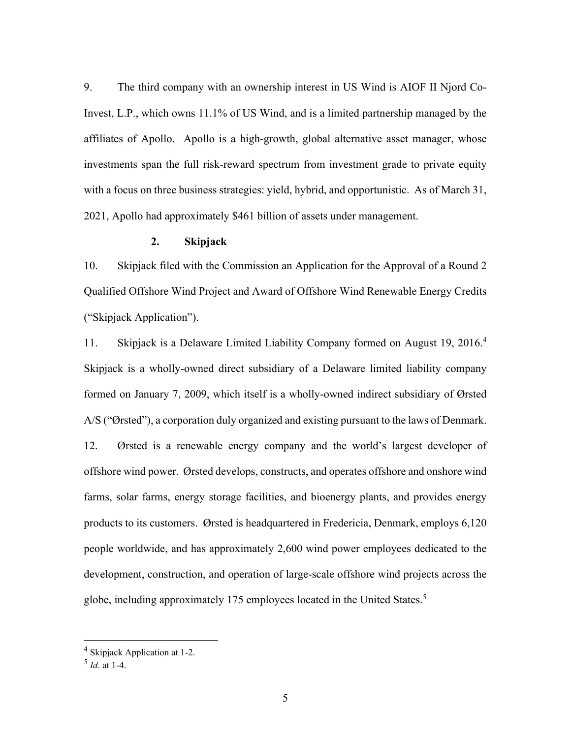9. The third company with an ownership interest in US Wind is AIOF II Njord Co-Invest, L.P., which owns 11.1% of US Wind, and is a limited partnership managed by the affiliates of Apollo. Apollo is a high-growth, global alternative asset manager, whose investments span the full risk-reward spectrum from investment grade to private equity with a focus on three business strategies: yield, hybrid, and opportunistic. As of March 31, 2021, Apollo had approximately \$461 billion of assets under management.

#### **2. Skipjack**

10. Skipjack filed with the Commission an Application for the Approval of a Round 2 Qualified Offshore Wind Project and Award of Offshore Wind Renewable Energy Credits ("Skipjack Application").

11. Skipjack is a Delaware Limited Liability Company formed on August 19, 2016.<sup>4</sup> Skipjack is a wholly-owned direct subsidiary of a Delaware limited liability company formed on January 7, 2009, which itself is a wholly-owned indirect subsidiary of Ørsted A/S ("Ørsted"), a corporation duly organized and existing pursuant to the laws of Denmark. 12. Ørsted is a renewable energy company and the world's largest developer of offshore wind power. Ørsted develops, constructs, and operates offshore and onshore wind farms, solar farms, energy storage facilities, and bioenergy plants, and provides energy products to its customers. Ørsted is headquartered in Fredericia, Denmark, employs 6,120 people worldwide, and has approximately 2,600 wind power employees dedicated to the development, construction, and operation of large-scale offshore wind projects across the globe, including approximately 175 employees located in the United States.<sup>5</sup>

<sup>&</sup>lt;sup>4</sup> Skipjack Application at 1-2.

<sup>5</sup>  *Id*. at 1-4.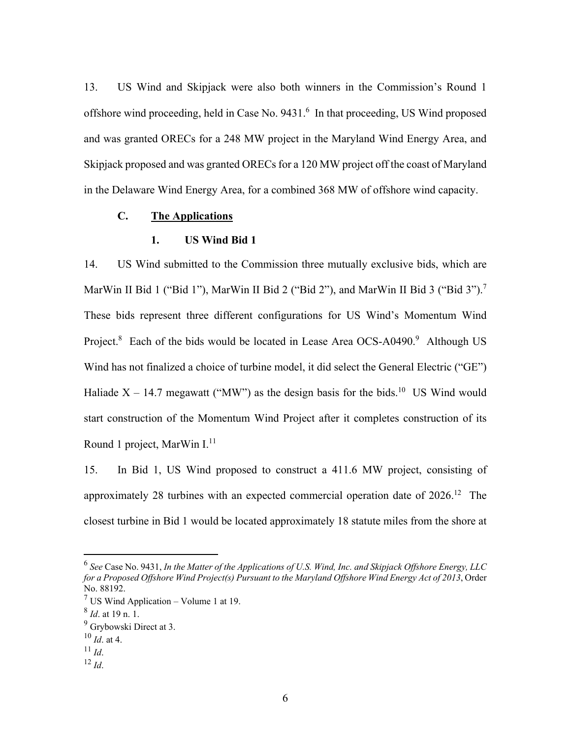13. US Wind and Skipjack were also both winners in the Commission's Round 1 offshore wind proceeding, held in Case No. 9431.<sup>6</sup> In that proceeding, US Wind proposed and was granted ORECs for a 248 MW project in the Maryland Wind Energy Area, and Skipjack proposed and was granted ORECs for a 120 MW project off the coast of Maryland in the Delaware Wind Energy Area, for a combined 368 MW of offshore wind capacity.

### **C. The Applications**

#### **1. US Wind Bid 1**

14. US Wind submitted to the Commission three mutually exclusive bids, which are MarWin II Bid 1 ("Bid 1"), MarWin II Bid 2 ("Bid 2"), and MarWin II Bid 3 ("Bid 3").<sup>7</sup> These bids represent three different configurations for US Wind's Momentum Wind Project.<sup>8</sup> Each of the bids would be located in Lease Area OCS-A0490.<sup>9</sup> Although US Wind has not finalized a choice of turbine model, it did select the General Electric ("GE") Haliade  $X - 14.7$  megawatt ("MW") as the design basis for the bids.<sup>10</sup> US Wind would start construction of the Momentum Wind Project after it completes construction of its Round 1 project, MarWin  $I<sup>11</sup>$ 

15. In Bid 1, US Wind proposed to construct a 411.6 MW project, consisting of approximately 28 turbines with an expected commercial operation date of 2026.12 The closest turbine in Bid 1 would be located approximately 18 statute miles from the shore at

- 
- $^{12}$  *Id*.

<sup>6</sup> *See* Case No. 9431, *In the Matter of the Applications of U.S. Wind, Inc. and Skipjack Offshore Energy, LLC for a Proposed Offshore Wind Project(s) Pursuant to the Maryland Offshore Wind Energy Act of 2013*, Order No. 88192.

<sup>&</sup>lt;sup>7</sup> US Wind Application – Volume 1 at 19.

<sup>8</sup> *Id*. at 19 n. 1.

<sup>&</sup>lt;sup>9</sup> Grybowski Direct at 3.

 $\frac{10}{11}$ *Id.* at 4.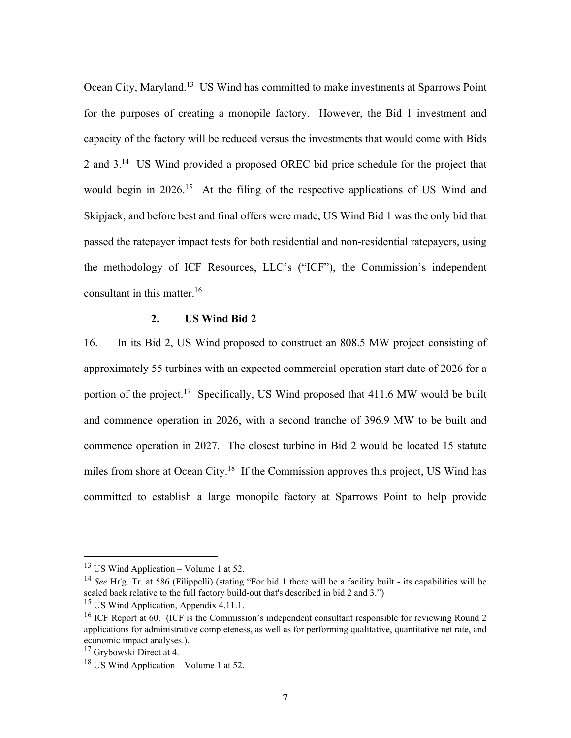Ocean City, Maryland.13 US Wind has committed to make investments at Sparrows Point for the purposes of creating a monopile factory. However, the Bid 1 investment and capacity of the factory will be reduced versus the investments that would come with Bids 2 and 3.14 US Wind provided a proposed OREC bid price schedule for the project that would begin in 2026.<sup>15</sup> At the filing of the respective applications of US Wind and Skipjack, and before best and final offers were made, US Wind Bid 1 was the only bid that passed the ratepayer impact tests for both residential and non-residential ratepayers, using the methodology of ICF Resources, LLC's ("ICF"), the Commission's independent consultant in this matter.16

#### **2. US Wind Bid 2**

16. In its Bid 2, US Wind proposed to construct an 808.5 MW project consisting of approximately 55 turbines with an expected commercial operation start date of 2026 for a portion of the project.<sup>17</sup> Specifically, US Wind proposed that 411.6 MW would be built and commence operation in 2026, with a second tranche of 396.9 MW to be built and commence operation in 2027. The closest turbine in Bid 2 would be located 15 statute miles from shore at Ocean City.<sup>18</sup> If the Commission approves this project, US Wind has committed to establish a large monopile factory at Sparrows Point to help provide

<sup>13</sup> US Wind Application – Volume 1 at 52.

<sup>14</sup> *See* Hr'g. Tr. at 586 (Filippelli) (stating "For bid 1 there will be a facility built - its capabilities will be scaled back relative to the full factory build-out that's described in bid 2 and 3.")

<sup>&</sup>lt;sup>15</sup> US Wind Application, Appendix 4.11.1.

<sup>&</sup>lt;sup>16</sup> ICF Report at 60. (ICF is the Commission's independent consultant responsible for reviewing Round 2 applications for administrative completeness, as well as for performing qualitative, quantitative net rate, and economic impact analyses.).

<sup>17</sup> Grybowski Direct at 4.

 $18$  US Wind Application – Volume 1 at 52.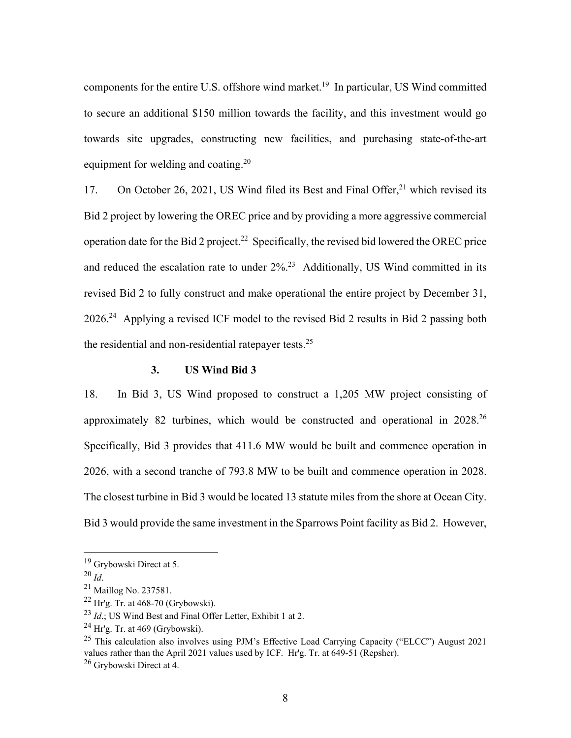components for the entire U.S. offshore wind market.<sup>19</sup> In particular, US Wind committed to secure an additional \$150 million towards the facility, and this investment would go towards site upgrades, constructing new facilities, and purchasing state-of-the-art equipment for welding and coating.<sup>20</sup>

17. On October 26, 2021, US Wind filed its Best and Final Offer,<sup>21</sup> which revised its Bid 2 project by lowering the OREC price and by providing a more aggressive commercial operation date for the Bid 2 project.<sup>22</sup> Specifically, the revised bid lowered the OREC price and reduced the escalation rate to under  $2\%$ <sup>23</sup> Additionally, US Wind committed in its revised Bid 2 to fully construct and make operational the entire project by December 31, 2026.24 Applying a revised ICF model to the revised Bid 2 results in Bid 2 passing both the residential and non-residential ratepayer tests.<sup>25</sup>

#### **3. US Wind Bid 3**

18. In Bid 3, US Wind proposed to construct a 1,205 MW project consisting of approximately 82 turbines, which would be constructed and operational in 2028.26 Specifically, Bid 3 provides that 411.6 MW would be built and commence operation in 2026, with a second tranche of 793.8 MW to be built and commence operation in 2028. The closest turbine in Bid 3 would be located 13 statute miles from the shore at Ocean City. Bid 3 would provide the same investment in the Sparrows Point facility as Bid 2. However,

<sup>19</sup> Grybowski Direct at 5.

<sup>&</sup>lt;sup>20</sup> *Id*.<br><sup>21</sup> Maillog No. 237581.

<sup>22</sup> Hr'g. Tr. at 468-70 (Grybowski).

<sup>23</sup> *Id*.; US Wind Best and Final Offer Letter, Exhibit 1 at 2.

 $^{24}$  Hr'g. Tr. at 469 (Grybowski).

<sup>&</sup>lt;sup>25</sup> This calculation also involves using PJM's Effective Load Carrying Capacity ("ELCC") August 2021 values rather than the April 2021 values used by ICF. Hr'g. Tr. at 649-51 (Repsher).

<sup>26</sup> Grybowski Direct at 4.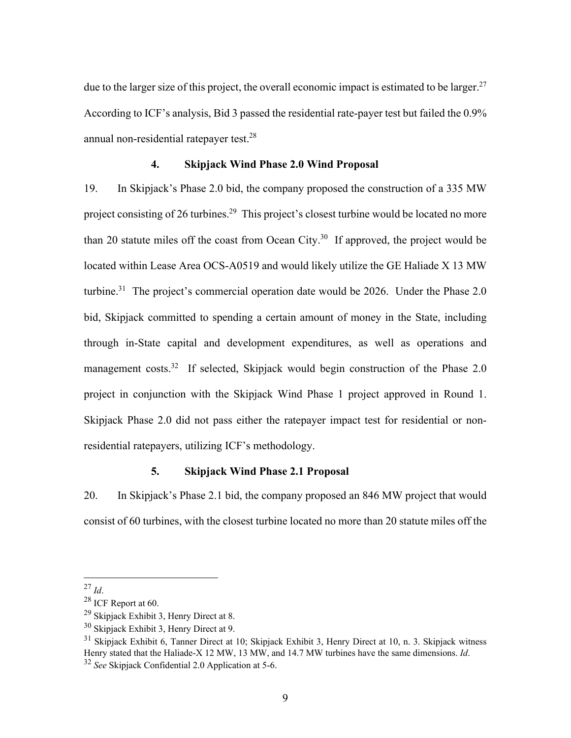due to the larger size of this project, the overall economic impact is estimated to be larger.<sup>27</sup> According to ICF's analysis, Bid 3 passed the residential rate-payer test but failed the 0.9% annual non-residential ratepayer test.<sup>28</sup>

### **4. Skipjack Wind Phase 2.0 Wind Proposal**

19. In Skipjack's Phase 2.0 bid, the company proposed the construction of a 335 MW project consisting of 26 turbines.<sup>29</sup> This project's closest turbine would be located no more than 20 statute miles off the coast from Ocean City.<sup>30</sup> If approved, the project would be located within Lease Area OCS-A0519 and would likely utilize the GE Haliade X 13 MW turbine.<sup>31</sup> The project's commercial operation date would be 2026. Under the Phase 2.0 bid, Skipjack committed to spending a certain amount of money in the State, including through in-State capital and development expenditures, as well as operations and management costs.<sup>32</sup> If selected, Skipjack would begin construction of the Phase 2.0 project in conjunction with the Skipjack Wind Phase 1 project approved in Round 1. Skipjack Phase 2.0 did not pass either the ratepayer impact test for residential or nonresidential ratepayers, utilizing ICF's methodology.

### **5. Skipjack Wind Phase 2.1 Proposal**

20. In Skipjack's Phase 2.1 bid, the company proposed an 846 MW project that would consist of 60 turbines, with the closest turbine located no more than 20 statute miles off the

<sup>&</sup>lt;sup>27</sup> *Id*.<br><sup>28</sup> ICF Report at 60.

 $29$  Skipjack Exhibit 3, Henry Direct at 8.

 $30$  Skipjack Exhibit 3, Henry Direct at 9.

 $31$  Skipjack Exhibit 6, Tanner Direct at 10; Skipjack Exhibit 3, Henry Direct at 10, n. 3. Skipjack witness Henry stated that the Haliade-X 12 MW, 13 MW, and 14.7 MW turbines have the same dimensions. *Id*. 32 *See* Skipjack Confidential 2.0 Application at 5-6.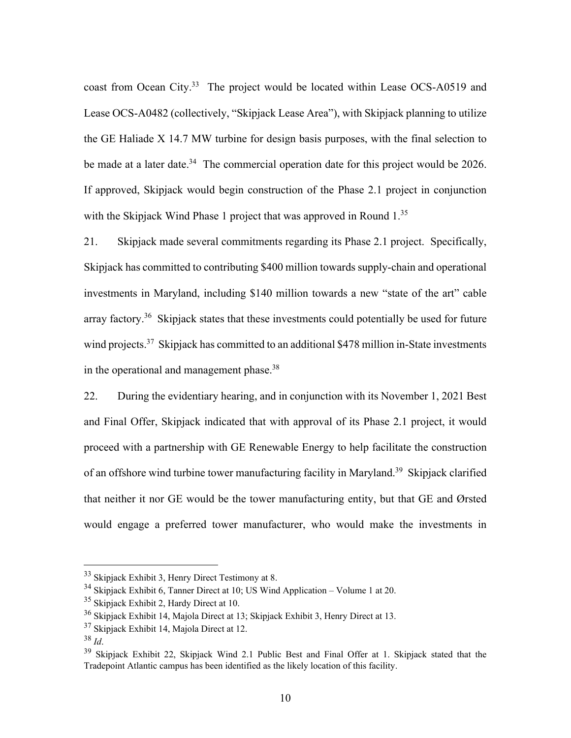coast from Ocean City.<sup>33</sup> The project would be located within Lease OCS-A0519 and Lease OCS-A0482 (collectively, "Skipjack Lease Area"), with Skipjack planning to utilize the GE Haliade X 14.7 MW turbine for design basis purposes, with the final selection to be made at a later date.<sup>34</sup> The commercial operation date for this project would be 2026. If approved, Skipjack would begin construction of the Phase 2.1 project in conjunction with the Skipjack Wind Phase 1 project that was approved in Round 1.<sup>35</sup>

21. Skipjack made several commitments regarding its Phase 2.1 project. Specifically, Skipjack has committed to contributing \$400 million towards supply-chain and operational investments in Maryland, including \$140 million towards a new "state of the art" cable array factory.<sup>36</sup> Skipjack states that these investments could potentially be used for future wind projects.<sup>37</sup> Skipjack has committed to an additional \$478 million in-State investments in the operational and management phase.<sup>38</sup>

22. During the evidentiary hearing, and in conjunction with its November 1, 2021 Best and Final Offer, Skipjack indicated that with approval of its Phase 2.1 project, it would proceed with a partnership with GE Renewable Energy to help facilitate the construction of an offshore wind turbine tower manufacturing facility in Maryland.<sup>39</sup> Skipjack clarified that neither it nor GE would be the tower manufacturing entity, but that GE and Ørsted would engage a preferred tower manufacturer, who would make the investments in

<sup>33</sup> Skipjack Exhibit 3, Henry Direct Testimony at 8.

 $34$  Skipjack Exhibit 6, Tanner Direct at 10; US Wind Application – Volume 1 at 20.

<sup>&</sup>lt;sup>35</sup> Skipjack Exhibit 2, Hardy Direct at 10.

<sup>36</sup> Skipjack Exhibit 14, Majola Direct at 13; Skipjack Exhibit 3, Henry Direct at 13.

<sup>&</sup>lt;sup>37</sup> Skipjack Exhibit 14, Majola Direct at 12.

<sup>&</sup>lt;sup>38</sup> *Id*.<br><sup>39</sup> Skipjack Exhibit 22, Skipjack Wind 2.1 Public Best and Final Offer at 1. Skipjack stated that the Tradepoint Atlantic campus has been identified as the likely location of this facility.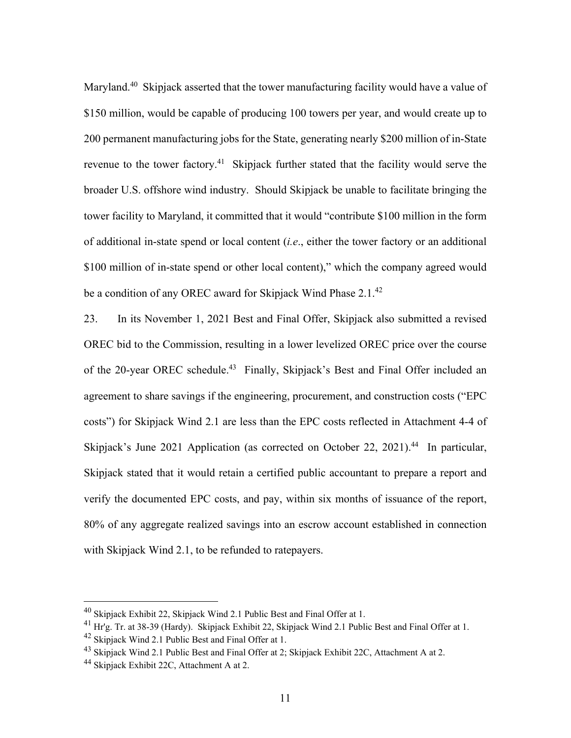Maryland.<sup>40</sup> Skipjack asserted that the tower manufacturing facility would have a value of \$150 million, would be capable of producing 100 towers per year, and would create up to 200 permanent manufacturing jobs for the State, generating nearly \$200 million of in-State revenue to the tower factory.<sup>41</sup> Skipjack further stated that the facility would serve the broader U.S. offshore wind industry. Should Skipjack be unable to facilitate bringing the tower facility to Maryland, it committed that it would "contribute \$100 million in the form of additional in-state spend or local content (*i.e*., either the tower factory or an additional \$100 million of in-state spend or other local content)," which the company agreed would be a condition of any OREC award for Skipjack Wind Phase 2.1.<sup>42</sup>

23. In its November 1, 2021 Best and Final Offer, Skipjack also submitted a revised OREC bid to the Commission, resulting in a lower levelized OREC price over the course of the 20-year OREC schedule.<sup>43</sup> Finally, Skipjack's Best and Final Offer included an agreement to share savings if the engineering, procurement, and construction costs ("EPC costs") for Skipjack Wind 2.1 are less than the EPC costs reflected in Attachment 4-4 of Skipjack's June 2021 Application (as corrected on October 22, 2021).<sup>44</sup> In particular, Skipjack stated that it would retain a certified public accountant to prepare a report and verify the documented EPC costs, and pay, within six months of issuance of the report, 80% of any aggregate realized savings into an escrow account established in connection with Skipjack Wind 2.1, to be refunded to ratepayers.

 $^{40}$  Skipjack Exhibit 22, Skipjack Wind 2.1 Public Best and Final Offer at 1.

 $^{41}$  Hr'g. Tr. at 38-39 (Hardy). Skipjack Exhibit 22, Skipjack Wind 2.1 Public Best and Final Offer at 1.

<sup>&</sup>lt;sup>42</sup> Skipjack Wind 2.1 Public Best and Final Offer at 1.

<sup>&</sup>lt;sup>43</sup> Skipjack Wind 2.1 Public Best and Final Offer at 2; Skipjack Exhibit 22C, Attachment A at 2.

 $44$  Skipjack Exhibit 22C, Attachment A at 2.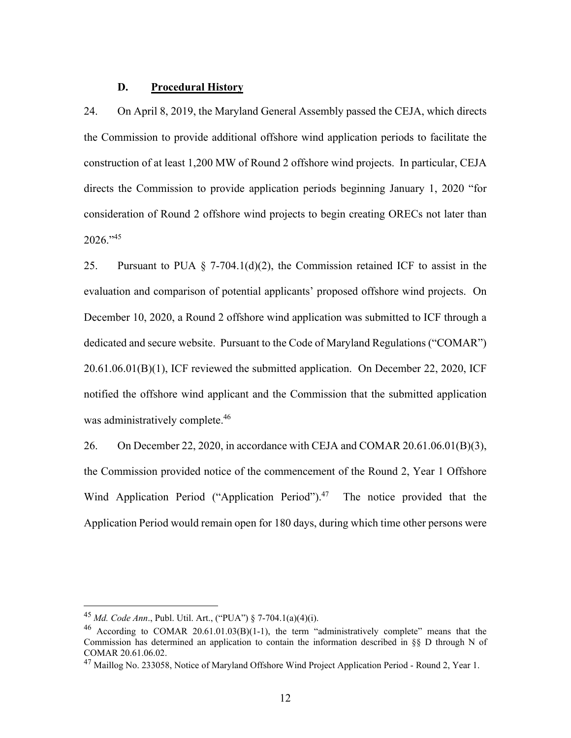#### **D. Procedural History**

24. On April 8, 2019, the Maryland General Assembly passed the CEJA, which directs the Commission to provide additional offshore wind application periods to facilitate the construction of at least 1,200 MW of Round 2 offshore wind projects. In particular, CEJA directs the Commission to provide application periods beginning January 1, 2020 "for consideration of Round 2 offshore wind projects to begin creating ORECs not later than  $2026$ ."<sup>45</sup>

25. Pursuant to PUA  $\S$  7-704.1(d)(2), the Commission retained ICF to assist in the evaluation and comparison of potential applicants' proposed offshore wind projects. On December 10, 2020, a Round 2 offshore wind application was submitted to ICF through a dedicated and secure website. Pursuant to the Code of Maryland Regulations ("COMAR") 20.61.06.01(B)(1), ICF reviewed the submitted application. On December 22, 2020, ICF notified the offshore wind applicant and the Commission that the submitted application was administratively complete.<sup>46</sup>

26. On December 22, 2020, in accordance with CEJA and COMAR 20.61.06.01(B)(3), the Commission provided notice of the commencement of the Round 2, Year 1 Offshore Wind Application Period ("Application Period"). $47$  The notice provided that the Application Period would remain open for 180 days, during which time other persons were

<sup>45</sup> *Md. Code Ann*., Publ. Util. Art., ("PUA") § 7-704.1(a)(4)(i).

<sup>&</sup>lt;sup>46</sup> According to COMAR 20.61.01.03(B)(1-1), the term "administratively complete" means that the Commission has determined an application to contain the information described in §§ D through N of COMAR 20.61.06.02.

<sup>47</sup> Maillog No. 233058, Notice of Maryland Offshore Wind Project Application Period - Round 2, Year 1.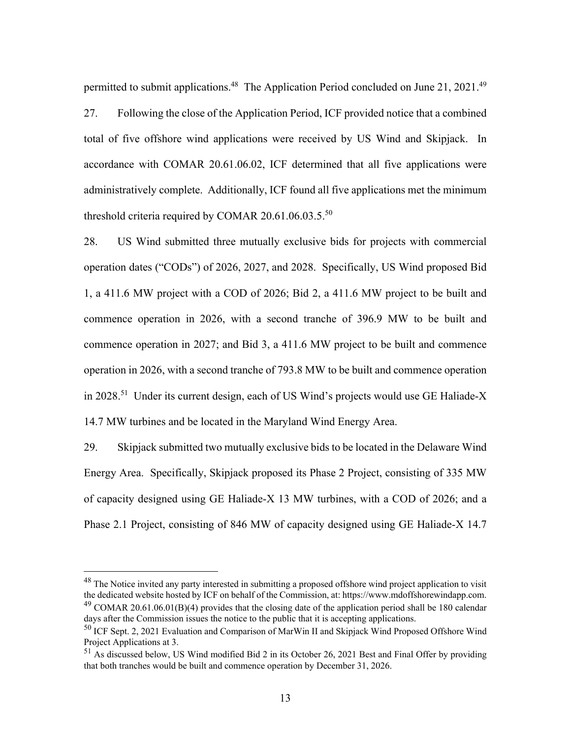permitted to submit applications.<sup>48</sup> The Application Period concluded on June 21, 2021.<sup>49</sup> 27. Following the close of the Application Period, ICF provided notice that a combined total of five offshore wind applications were received by US Wind and Skipjack. In accordance with COMAR 20.61.06.02, ICF determined that all five applications were administratively complete. Additionally, ICF found all five applications met the minimum threshold criteria required by COMAR 20.61.06.03.5. $^{50}$ 

28. US Wind submitted three mutually exclusive bids for projects with commercial operation dates ("CODs") of 2026, 2027, and 2028. Specifically, US Wind proposed Bid 1, a 411.6 MW project with a COD of 2026; Bid 2, a 411.6 MW project to be built and commence operation in 2026, with a second tranche of 396.9 MW to be built and commence operation in 2027; and Bid 3, a 411.6 MW project to be built and commence operation in 2026, with a second tranche of 793.8 MW to be built and commence operation in 2028.<sup>51</sup> Under its current design, each of US Wind's projects would use GE Haliade-X 14.7 MW turbines and be located in the Maryland Wind Energy Area.

29. Skipjack submitted two mutually exclusive bids to be located in the Delaware Wind Energy Area. Specifically, Skipjack proposed its Phase 2 Project, consisting of 335 MW of capacity designed using GE Haliade-X 13 MW turbines, with a COD of 2026; and a Phase 2.1 Project, consisting of 846 MW of capacity designed using GE Haliade-X 14.7

<sup>&</sup>lt;sup>48</sup> The Notice invited any party interested in submitting a proposed offshore wind project application to visit the dedicated website hosted by ICF on behalf of the Commission, at: https://www.mdoffshorewindapp.com. <sup>49</sup> COMAR 20.61.06.01(B)(4) provides that the closing date of the application period shall be 180 calendar

days after the Commission issues the notice to the public that it is accepting applications.

<sup>50</sup> ICF Sept. 2, 2021 Evaluation and Comparison of MarWin II and Skipjack Wind Proposed Offshore Wind Project Applications at 3.

<sup>51</sup> As discussed below, US Wind modified Bid 2 in its October 26, 2021 Best and Final Offer by providing that both tranches would be built and commence operation by December 31, 2026.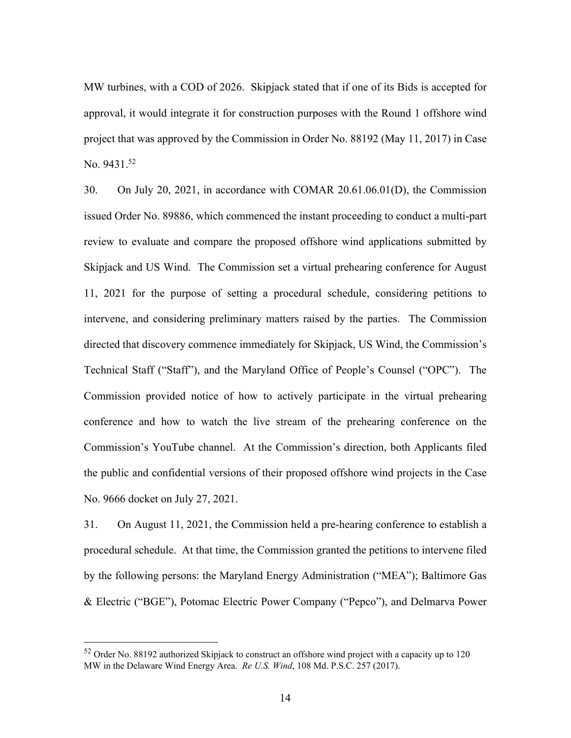MW turbines, with a COD of 2026. Skipjack stated that if one of its Bids is accepted for approval, it would integrate it for construction purposes with the Round 1 offshore wind project that was approved by the Commission in Order No. 88192 (May 11, 2017) in Case No.  $9431.^{52}$ 

30. On July 20, 2021, in accordance with COMAR 20.61.06.01(D), the Commission issued Order No. 89886, which commenced the instant proceeding to conduct a multi-part review to evaluate and compare the proposed offshore wind applications submitted by Skipjack and US Wind. The Commission set a virtual prehearing conference for August 11, 2021 for the purpose of setting a procedural schedule, considering petitions to intervene, and considering preliminary matters raised by the parties. The Commission directed that discovery commence immediately for Skipjack, US Wind, the Commission's Technical Staff ("Staff"), and the Maryland Office of People's Counsel ("OPC"). The Commission provided notice of how to actively participate in the virtual prehearing conference and how to watch the live stream of the prehearing conference on the Commission's YouTube channel. At the Commission's direction, both Applicants filed the public and confidential versions of their proposed offshore wind projects in the Case No. 9666 docket on July 27, 2021.

31. On August 11, 2021, the Commission held a pre-hearing conference to establish a procedural schedule. At that time, the Commission granted the petitions to intervene filed by the following persons: the Maryland Energy Administration ("MEA"); Baltimore Gas & Electric ("BGE"), Potomac Electric Power Company ("Pepco"), and Delmarva Power

<sup>52</sup> Order No. 88192 authorized Skipjack to construct an offshore wind project with a capacity up to 120 MW in the Delaware Wind Energy Area. *Re U.S. Wind*, 108 Md. P.S.C. 257 (2017).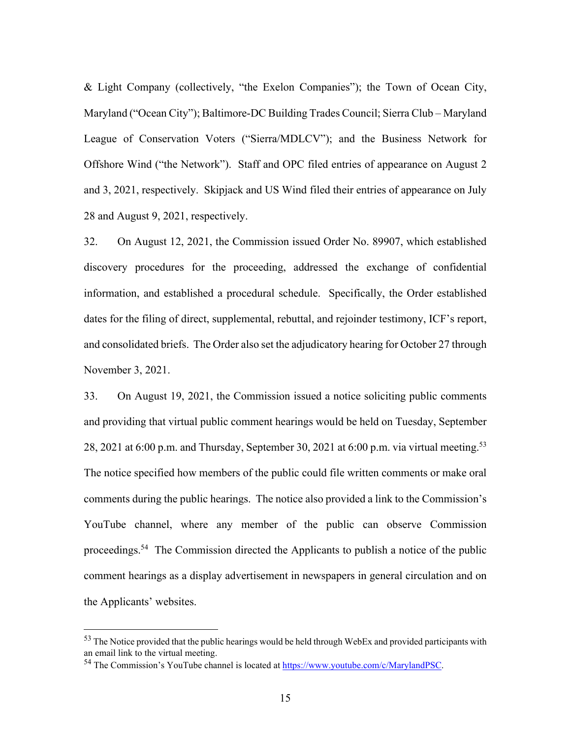& Light Company (collectively, "the Exelon Companies"); the Town of Ocean City, Maryland ("Ocean City"); Baltimore-DC Building Trades Council; Sierra Club – Maryland League of Conservation Voters ("Sierra/MDLCV"); and the Business Network for Offshore Wind ("the Network"). Staff and OPC filed entries of appearance on August 2 and 3, 2021, respectively. Skipjack and US Wind filed their entries of appearance on July 28 and August 9, 2021, respectively.

32. On August 12, 2021, the Commission issued Order No. 89907, which established discovery procedures for the proceeding, addressed the exchange of confidential information, and established a procedural schedule. Specifically, the Order established dates for the filing of direct, supplemental, rebuttal, and rejoinder testimony, ICF's report, and consolidated briefs. The Order also set the adjudicatory hearing for October 27 through November 3, 2021.

33. On August 19, 2021, the Commission issued a notice soliciting public comments and providing that virtual public comment hearings would be held on Tuesday, September 28, 2021 at 6:00 p.m. and Thursday, September 30, 2021 at 6:00 p.m. via virtual meeting.<sup>53</sup> The notice specified how members of the public could file written comments or make oral comments during the public hearings. The notice also provided a link to the Commission's YouTube channel, where any member of the public can observe Commission proceedings.<sup>54</sup> The Commission directed the Applicants to publish a notice of the public comment hearings as a display advertisement in newspapers in general circulation and on the Applicants' websites.

<sup>&</sup>lt;sup>53</sup> The Notice provided that the public hearings would be held through WebEx and provided participants with an email link to the virtual meeting.

<sup>&</sup>lt;sup>54</sup> The Commission's YouTube channel is located at https://www.youtube.com/c/MarylandPSC.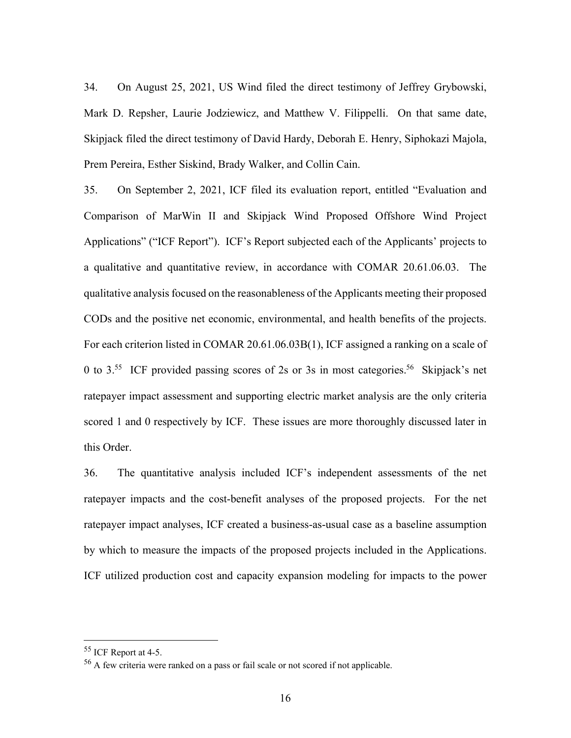34. On August 25, 2021, US Wind filed the direct testimony of Jeffrey Grybowski, Mark D. Repsher, Laurie Jodziewicz, and Matthew V. Filippelli. On that same date, Skipjack filed the direct testimony of David Hardy, Deborah E. Henry, Siphokazi Majola, Prem Pereira, Esther Siskind, Brady Walker, and Collin Cain.

35. On September 2, 2021, ICF filed its evaluation report, entitled "Evaluation and Comparison of MarWin II and Skipjack Wind Proposed Offshore Wind Project Applications" ("ICF Report"). ICF's Report subjected each of the Applicants' projects to a qualitative and quantitative review, in accordance with COMAR 20.61.06.03. The qualitative analysis focused on the reasonableness of the Applicants meeting their proposed CODs and the positive net economic, environmental, and health benefits of the projects. For each criterion listed in COMAR 20.61.06.03B(1), ICF assigned a ranking on a scale of 0 to  $3.55$  ICF provided passing scores of 2s or 3s in most categories.<sup>56</sup> Skipjack's net ratepayer impact assessment and supporting electric market analysis are the only criteria scored 1 and 0 respectively by ICF. These issues are more thoroughly discussed later in this Order.

36. The quantitative analysis included ICF's independent assessments of the net ratepayer impacts and the cost-benefit analyses of the proposed projects. For the net ratepayer impact analyses, ICF created a business-as-usual case as a baseline assumption by which to measure the impacts of the proposed projects included in the Applications. ICF utilized production cost and capacity expansion modeling for impacts to the power

<sup>55</sup> ICF Report at 4-5.

<sup>&</sup>lt;sup>56</sup> A few criteria were ranked on a pass or fail scale or not scored if not applicable.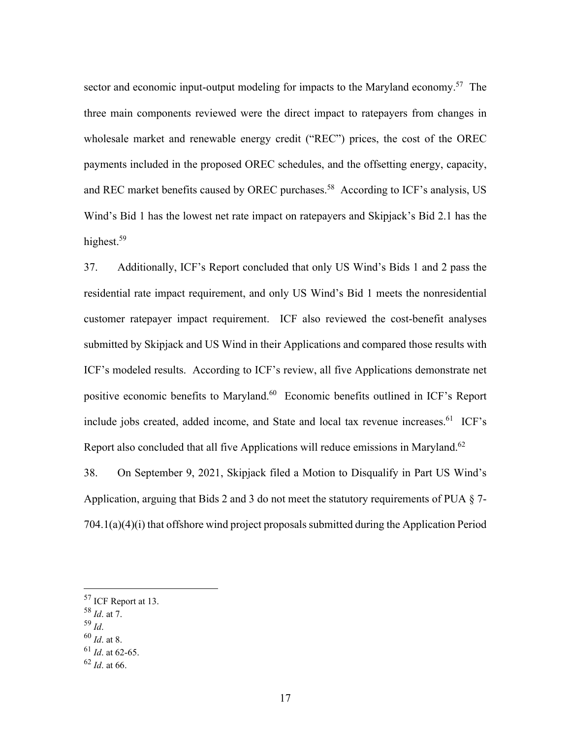sector and economic input-output modeling for impacts to the Maryland economy.<sup>57</sup> The three main components reviewed were the direct impact to ratepayers from changes in wholesale market and renewable energy credit ("REC") prices, the cost of the OREC payments included in the proposed OREC schedules, and the offsetting energy, capacity, and REC market benefits caused by OREC purchases.<sup>58</sup> According to ICF's analysis, US Wind's Bid 1 has the lowest net rate impact on ratepayers and Skipjack's Bid 2.1 has the highest.<sup>59</sup>

37. Additionally, ICF's Report concluded that only US Wind's Bids 1 and 2 pass the residential rate impact requirement, and only US Wind's Bid 1 meets the nonresidential customer ratepayer impact requirement. ICF also reviewed the cost-benefit analyses submitted by Skipjack and US Wind in their Applications and compared those results with ICF's modeled results. According to ICF's review, all five Applications demonstrate net positive economic benefits to Maryland.<sup>60</sup> Economic benefits outlined in ICF's Report include jobs created, added income, and State and local tax revenue increases. $61$  ICF's Report also concluded that all five Applications will reduce emissions in Maryland.<sup>62</sup>

38. On September 9, 2021, Skipjack filed a Motion to Disqualify in Part US Wind's Application, arguing that Bids 2 and 3 do not meet the statutory requirements of PUA § 7- 704.1(a)(4)(i) that offshore wind project proposals submitted during the Application Period

- <sup>58</sup> *Id*. at 7.
- 
- <sup>59</sup> *Id*. 60 *Id*. at 8.

<sup>57</sup> ICF Report at 13.

<sup>61</sup> *Id*. at 62-65.

<sup>62</sup> *Id*. at 66.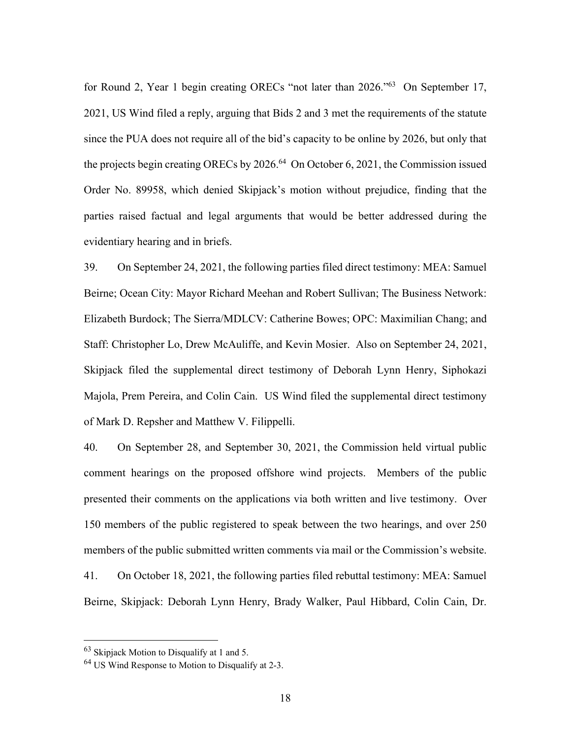for Round 2, Year 1 begin creating ORECs "not later than 2026."63 On September 17, 2021, US Wind filed a reply, arguing that Bids 2 and 3 met the requirements of the statute since the PUA does not require all of the bid's capacity to be online by 2026, but only that the projects begin creating ORECs by  $2026<sup>64</sup>$  On October 6, 2021, the Commission issued Order No. 89958, which denied Skipjack's motion without prejudice, finding that the parties raised factual and legal arguments that would be better addressed during the evidentiary hearing and in briefs.

39. On September 24, 2021, the following parties filed direct testimony: MEA: Samuel Beirne; Ocean City: Mayor Richard Meehan and Robert Sullivan; The Business Network: Elizabeth Burdock; The Sierra/MDLCV: Catherine Bowes; OPC: Maximilian Chang; and Staff: Christopher Lo, Drew McAuliffe, and Kevin Mosier. Also on September 24, 2021, Skipjack filed the supplemental direct testimony of Deborah Lynn Henry, Siphokazi Majola, Prem Pereira, and Colin Cain. US Wind filed the supplemental direct testimony of Mark D. Repsher and Matthew V. Filippelli.

40. On September 28, and September 30, 2021, the Commission held virtual public comment hearings on the proposed offshore wind projects. Members of the public presented their comments on the applications via both written and live testimony. Over 150 members of the public registered to speak between the two hearings, and over 250 members of the public submitted written comments via mail or the Commission's website. 41. On October 18, 2021, the following parties filed rebuttal testimony: MEA: Samuel Beirne, Skipjack: Deborah Lynn Henry, Brady Walker, Paul Hibbard, Colin Cain, Dr.

 $63$  Skipjack Motion to Disqualify at 1 and 5.

<sup>64</sup> US Wind Response to Motion to Disqualify at 2-3.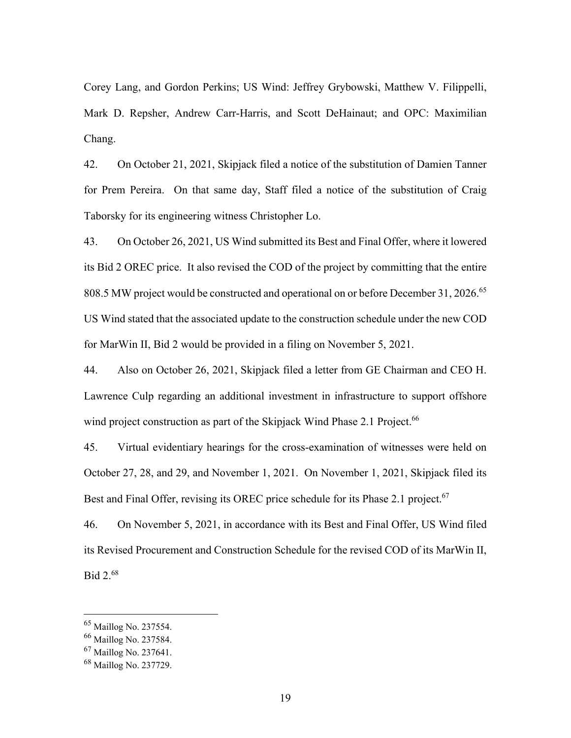Corey Lang, and Gordon Perkins; US Wind: Jeffrey Grybowski, Matthew V. Filippelli, Mark D. Repsher, Andrew Carr-Harris, and Scott DeHainaut; and OPC: Maximilian Chang.

42. On October 21, 2021, Skipjack filed a notice of the substitution of Damien Tanner for Prem Pereira. On that same day, Staff filed a notice of the substitution of Craig Taborsky for its engineering witness Christopher Lo.

43. On October 26, 2021, US Wind submitted its Best and Final Offer, where it lowered its Bid 2 OREC price. It also revised the COD of the project by committing that the entire 808.5 MW project would be constructed and operational on or before December 31, 2026.<sup>65</sup> US Wind stated that the associated update to the construction schedule under the new COD for MarWin II, Bid 2 would be provided in a filing on November 5, 2021.

44. Also on October 26, 2021, Skipjack filed a letter from GE Chairman and CEO H. Lawrence Culp regarding an additional investment in infrastructure to support offshore wind project construction as part of the Skipjack Wind Phase 2.1 Project.<sup>66</sup>

45. Virtual evidentiary hearings for the cross-examination of witnesses were held on October 27, 28, and 29, and November 1, 2021. On November 1, 2021, Skipjack filed its Best and Final Offer, revising its OREC price schedule for its Phase 2.1 project.<sup>67</sup>

46. On November 5, 2021, in accordance with its Best and Final Offer, US Wind filed its Revised Procurement and Construction Schedule for the revised COD of its MarWin II, Bid 2.68

<sup>65</sup> Maillog No. 237554.

<sup>66</sup> Maillog No. 237584.

<sup>67</sup> Maillog No. 237641.

<sup>68</sup> Maillog No. 237729.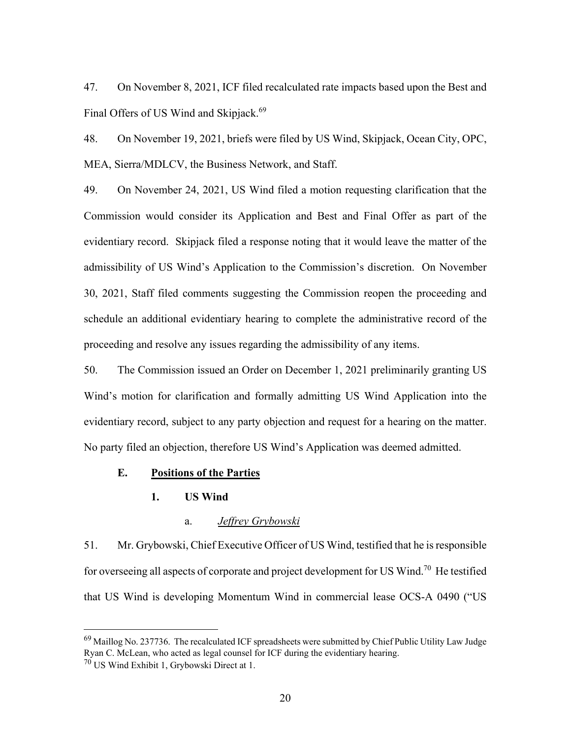47. On November 8, 2021, ICF filed recalculated rate impacts based upon the Best and Final Offers of US Wind and Skipjack.<sup>69</sup>

48. On November 19, 2021, briefs were filed by US Wind, Skipjack, Ocean City, OPC, MEA, Sierra/MDLCV, the Business Network, and Staff.

49. On November 24, 2021, US Wind filed a motion requesting clarification that the Commission would consider its Application and Best and Final Offer as part of the evidentiary record. Skipjack filed a response noting that it would leave the matter of the admissibility of US Wind's Application to the Commission's discretion. On November 30, 2021, Staff filed comments suggesting the Commission reopen the proceeding and schedule an additional evidentiary hearing to complete the administrative record of the proceeding and resolve any issues regarding the admissibility of any items.

50. The Commission issued an Order on December 1, 2021 preliminarily granting US Wind's motion for clarification and formally admitting US Wind Application into the evidentiary record, subject to any party objection and request for a hearing on the matter. No party filed an objection, therefore US Wind's Application was deemed admitted.

### **E. Positions of the Parties**

### **1. US Wind**

#### a. *Jeffrey Grybowski*

51. Mr. Grybowski, Chief Executive Officer of US Wind, testified that he is responsible for overseeing all aspects of corporate and project development for US Wind.<sup>70</sup> He testified that US Wind is developing Momentum Wind in commercial lease OCS-A 0490 ("US

 $^{69}$  Maillog No. 237736. The recalculated ICF spreadsheets were submitted by Chief Public Utility Law Judge Ryan C. McLean, who acted as legal counsel for ICF during the evidentiary hearing.

<sup>70</sup> US Wind Exhibit 1, Grybowski Direct at 1.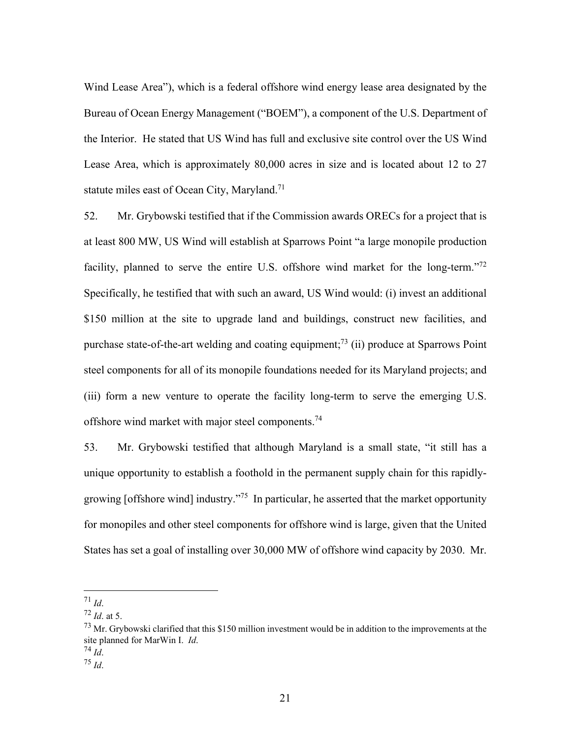Wind Lease Area"), which is a federal offshore wind energy lease area designated by the Bureau of Ocean Energy Management ("BOEM"), a component of the U.S. Department of the Interior. He stated that US Wind has full and exclusive site control over the US Wind Lease Area, which is approximately 80,000 acres in size and is located about 12 to 27 statute miles east of Ocean City, Maryland.<sup>71</sup>

52. Mr. Grybowski testified that if the Commission awards ORECs for a project that is at least 800 MW, US Wind will establish at Sparrows Point "a large monopile production facility, planned to serve the entire U.S. offshore wind market for the long-term."<sup>72</sup> Specifically, he testified that with such an award, US Wind would: (i) invest an additional \$150 million at the site to upgrade land and buildings, construct new facilities, and purchase state-of-the-art welding and coating equipment;<sup>73</sup> (ii) produce at Sparrows Point steel components for all of its monopile foundations needed for its Maryland projects; and (iii) form a new venture to operate the facility long-term to serve the emerging U.S. offshore wind market with major steel components.<sup>74</sup>

53. Mr. Grybowski testified that although Maryland is a small state, "it still has a unique opportunity to establish a foothold in the permanent supply chain for this rapidlygrowing [offshore wind] industry."75 In particular, he asserted that the market opportunity for monopiles and other steel components for offshore wind is large, given that the United States has set a goal of installing over 30,000 MW of offshore wind capacity by 2030. Mr.

 $\frac{71}{72}$  *Id.* at 5.

 $^{73}$  Mr. Grybowski clarified that this \$150 million investment would be in addition to the improvements at the site planned for MarWin I. *Id*. 74 *Id*. 75 *Id*.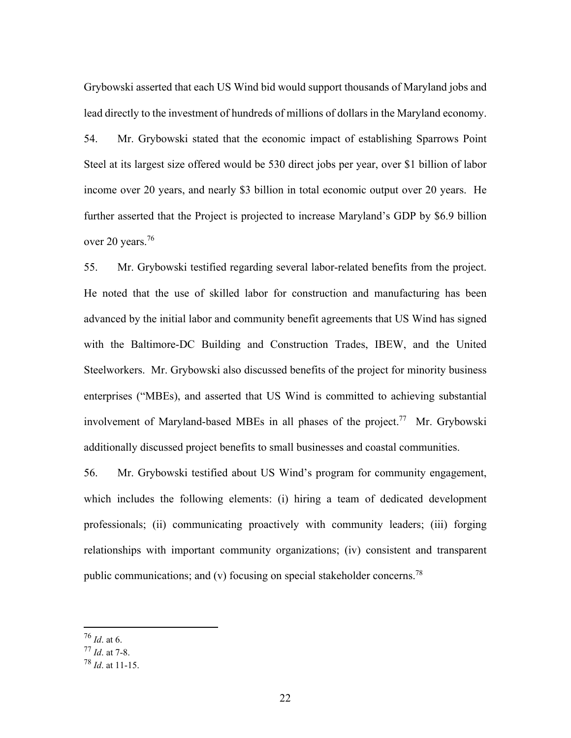Grybowski asserted that each US Wind bid would support thousands of Maryland jobs and lead directly to the investment of hundreds of millions of dollars in the Maryland economy.

54. Mr. Grybowski stated that the economic impact of establishing Sparrows Point Steel at its largest size offered would be 530 direct jobs per year, over \$1 billion of labor income over 20 years, and nearly \$3 billion in total economic output over 20 years. He further asserted that the Project is projected to increase Maryland's GDP by \$6.9 billion over 20 years.<sup>76</sup>

55. Mr. Grybowski testified regarding several labor-related benefits from the project. He noted that the use of skilled labor for construction and manufacturing has been advanced by the initial labor and community benefit agreements that US Wind has signed with the Baltimore-DC Building and Construction Trades, IBEW, and the United Steelworkers. Mr. Grybowski also discussed benefits of the project for minority business enterprises ("MBEs), and asserted that US Wind is committed to achieving substantial involvement of Maryland-based MBEs in all phases of the project.<sup>77</sup> Mr. Grybowski additionally discussed project benefits to small businesses and coastal communities.

56. Mr. Grybowski testified about US Wind's program for community engagement, which includes the following elements: (i) hiring a team of dedicated development professionals; (ii) communicating proactively with community leaders; (iii) forging relationships with important community organizations; (iv) consistent and transparent public communications; and (v) focusing on special stakeholder concerns.<sup>78</sup>

<sup>76</sup> *Id*. at 6.

<sup>77</sup> *Id*. at 7-8.

<sup>78</sup> *Id*. at 11-15.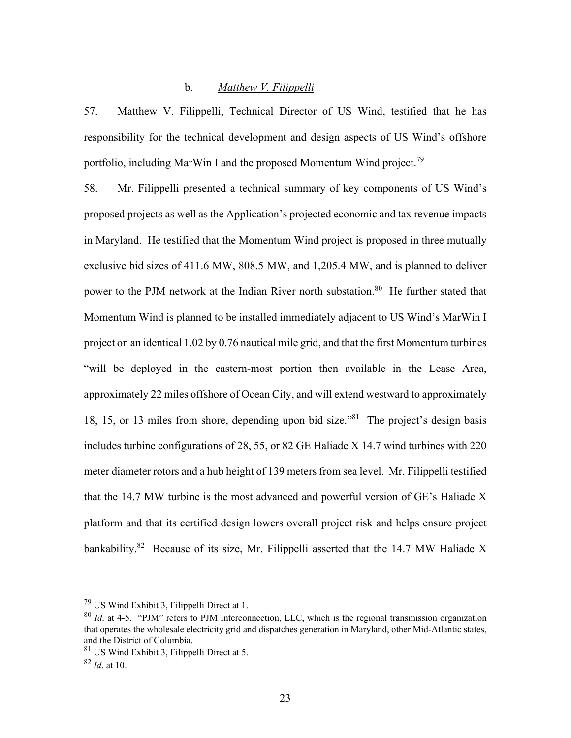### b. *Matthew V. Filippelli*

57. Matthew V. Filippelli, Technical Director of US Wind, testified that he has responsibility for the technical development and design aspects of US Wind's offshore portfolio, including MarWin I and the proposed Momentum Wind project.<sup>79</sup>

58. Mr. Filippelli presented a technical summary of key components of US Wind's proposed projects as well as the Application's projected economic and tax revenue impacts in Maryland. He testified that the Momentum Wind project is proposed in three mutually exclusive bid sizes of 411.6 MW, 808.5 MW, and 1,205.4 MW, and is planned to deliver power to the PJM network at the Indian River north substation.<sup>80</sup> He further stated that Momentum Wind is planned to be installed immediately adjacent to US Wind's MarWin I project on an identical 1.02 by 0.76 nautical mile grid, and that the first Momentum turbines "will be deployed in the eastern-most portion then available in the Lease Area, approximately 22 miles offshore of Ocean City, and will extend westward to approximately 18, 15, or 13 miles from shore, depending upon bid size."81 The project's design basis includes turbine configurations of 28, 55, or 82 GE Haliade X 14.7 wind turbines with 220 meter diameter rotors and a hub height of 139 meters from sea level. Mr. Filippelli testified that the 14.7 MW turbine is the most advanced and powerful version of GE's Haliade X platform and that its certified design lowers overall project risk and helps ensure project bankability.<sup>82</sup> Because of its size, Mr. Filippelli asserted that the 14.7 MW Haliade X

 $^{79}$  US Wind Exhibit 3, Filippelli Direct at 1.

<sup>80</sup> *Id*. at 4-5. "PJM" refers to PJM Interconnection, LLC, which is the regional transmission organization that operates the wholesale electricity grid and dispatches generation in Maryland, other Mid-Atlantic states, and the District of Columbia.

<sup>81</sup> US Wind Exhibit 3, Filippelli Direct at 5.

<sup>82</sup> *Id*. at 10.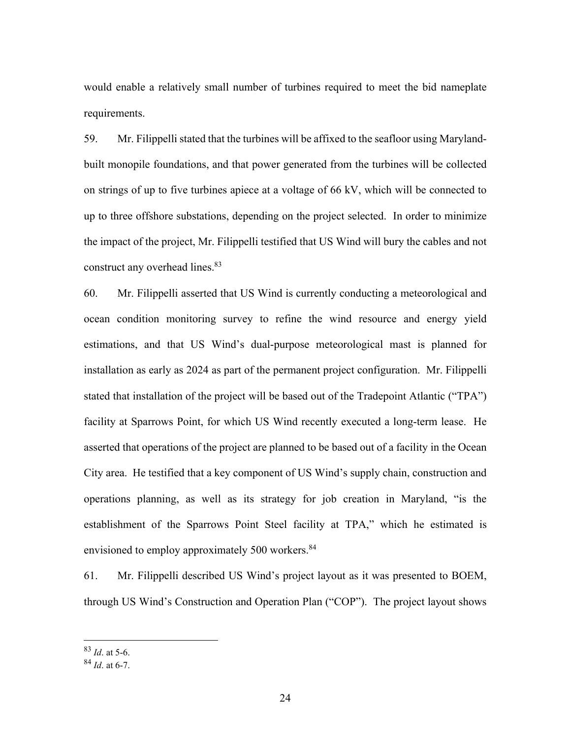would enable a relatively small number of turbines required to meet the bid nameplate requirements.

59. Mr. Filippelli stated that the turbines will be affixed to the seafloor using Marylandbuilt monopile foundations, and that power generated from the turbines will be collected on strings of up to five turbines apiece at a voltage of 66 kV, which will be connected to up to three offshore substations, depending on the project selected. In order to minimize the impact of the project, Mr. Filippelli testified that US Wind will bury the cables and not construct any overhead lines.<sup>83</sup>

60. Mr. Filippelli asserted that US Wind is currently conducting a meteorological and ocean condition monitoring survey to refine the wind resource and energy yield estimations, and that US Wind's dual-purpose meteorological mast is planned for installation as early as 2024 as part of the permanent project configuration. Mr. Filippelli stated that installation of the project will be based out of the Tradepoint Atlantic ("TPA") facility at Sparrows Point, for which US Wind recently executed a long-term lease. He asserted that operations of the project are planned to be based out of a facility in the Ocean City area. He testified that a key component of US Wind's supply chain, construction and operations planning, as well as its strategy for job creation in Maryland, "is the establishment of the Sparrows Point Steel facility at TPA," which he estimated is envisioned to employ approximately 500 workers.<sup>84</sup>

61. Mr. Filippelli described US Wind's project layout as it was presented to BOEM, through US Wind's Construction and Operation Plan ("COP"). The project layout shows

<sup>83</sup> *Id*. at 5-6.

<sup>84</sup> *Id*. at 6-7.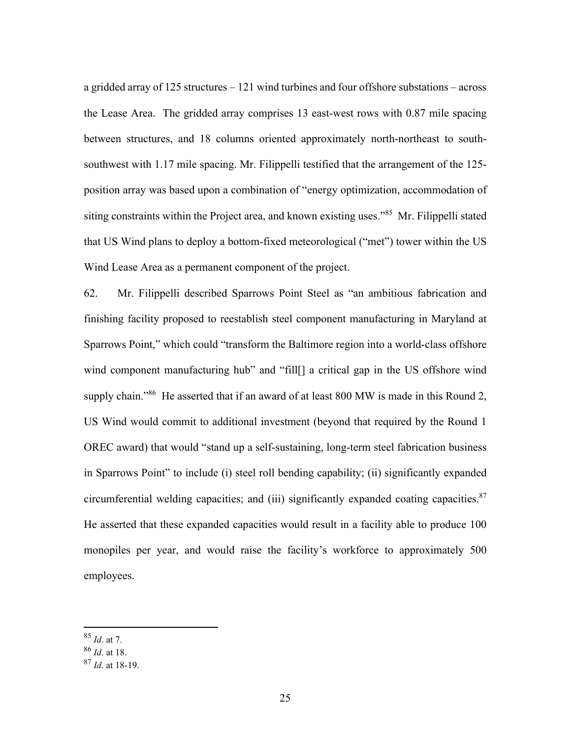a gridded array of 125 structures – 121 wind turbines and four offshore substations – across the Lease Area. The gridded array comprises 13 east-west rows with 0.87 mile spacing between structures, and 18 columns oriented approximately north-northeast to southsouthwest with 1.17 mile spacing. Mr. Filippelli testified that the arrangement of the 125 position array was based upon a combination of "energy optimization, accommodation of siting constraints within the Project area, and known existing uses."<sup>85</sup> Mr. Filippelli stated that US Wind plans to deploy a bottom-fixed meteorological ("met") tower within the US Wind Lease Area as a permanent component of the project.

62. Mr. Filippelli described Sparrows Point Steel as "an ambitious fabrication and finishing facility proposed to reestablish steel component manufacturing in Maryland at Sparrows Point," which could "transform the Baltimore region into a world-class offshore wind component manufacturing hub" and "fill[] a critical gap in the US offshore wind supply chain."<sup>86</sup> He asserted that if an award of at least 800 MW is made in this Round 2, US Wind would commit to additional investment (beyond that required by the Round 1 OREC award) that would "stand up a self-sustaining, long-term steel fabrication business in Sparrows Point" to include (i) steel roll bending capability; (ii) significantly expanded circumferential welding capacities; and (iii) significantly expanded coating capacities. $87$ He asserted that these expanded capacities would result in a facility able to produce 100 monopiles per year, and would raise the facility's workforce to approximately 500 employees.

<sup>85</sup> *Id*. at 7.

<sup>86</sup> *Id*. at 18.

<sup>87</sup> *Id*. at 18-19.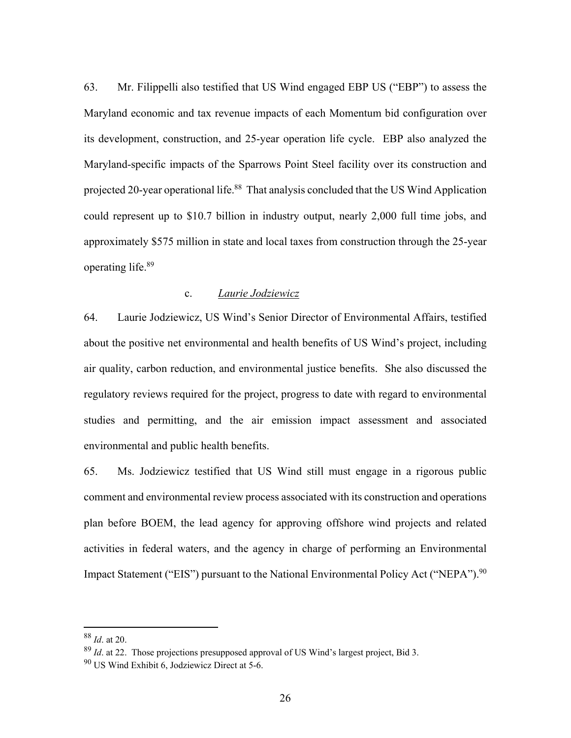63. Mr. Filippelli also testified that US Wind engaged EBP US ("EBP") to assess the Maryland economic and tax revenue impacts of each Momentum bid configuration over its development, construction, and 25-year operation life cycle. EBP also analyzed the Maryland-specific impacts of the Sparrows Point Steel facility over its construction and projected 20-year operational life.<sup>88</sup> That analysis concluded that the US Wind Application could represent up to \$10.7 billion in industry output, nearly 2,000 full time jobs, and approximately \$575 million in state and local taxes from construction through the 25-year operating life.89

#### c. *Laurie Jodziewicz*

64. Laurie Jodziewicz, US Wind's Senior Director of Environmental Affairs, testified about the positive net environmental and health benefits of US Wind's project, including air quality, carbon reduction, and environmental justice benefits. She also discussed the regulatory reviews required for the project, progress to date with regard to environmental studies and permitting, and the air emission impact assessment and associated environmental and public health benefits.

65. Ms. Jodziewicz testified that US Wind still must engage in a rigorous public comment and environmental review process associated with its construction and operations plan before BOEM, the lead agency for approving offshore wind projects and related activities in federal waters, and the agency in charge of performing an Environmental Impact Statement ("EIS") pursuant to the National Environmental Policy Act ("NEPA"). <sup>90</sup>

<sup>88</sup> *Id*. at 20.

<sup>89</sup> *Id*. at 22. Those projections presupposed approval of US Wind's largest project, Bid 3.

<sup>90</sup> US Wind Exhibit 6, Jodziewicz Direct at 5-6.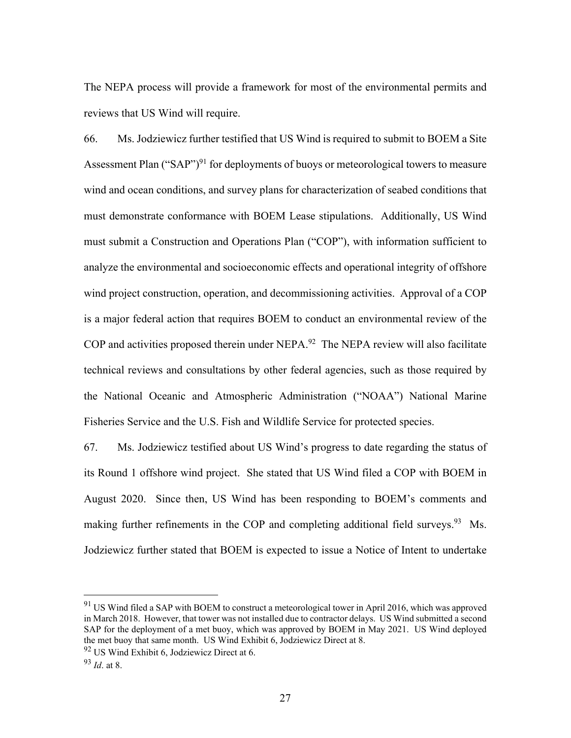The NEPA process will provide a framework for most of the environmental permits and reviews that US Wind will require.

66. Ms. Jodziewicz further testified that US Wind is required to submit to BOEM a Site Assessment Plan ("SAP")<sup>91</sup> for deployments of buoys or meteorological towers to measure wind and ocean conditions, and survey plans for characterization of seabed conditions that must demonstrate conformance with BOEM Lease stipulations. Additionally, US Wind must submit a Construction and Operations Plan ("COP"), with information sufficient to analyze the environmental and socioeconomic effects and operational integrity of offshore wind project construction, operation, and decommissioning activities. Approval of a COP is a major federal action that requires BOEM to conduct an environmental review of the COP and activities proposed therein under NEPA.<sup>92</sup> The NEPA review will also facilitate technical reviews and consultations by other federal agencies, such as those required by the National Oceanic and Atmospheric Administration ("NOAA") National Marine Fisheries Service and the U.S. Fish and Wildlife Service for protected species.

67. Ms. Jodziewicz testified about US Wind's progress to date regarding the status of its Round 1 offshore wind project. She stated that US Wind filed a COP with BOEM in August 2020. Since then, US Wind has been responding to BOEM's comments and making further refinements in the COP and completing additional field surveys.<sup>93</sup> Ms. Jodziewicz further stated that BOEM is expected to issue a Notice of Intent to undertake

 $91$  US Wind filed a SAP with BOEM to construct a meteorological tower in April 2016, which was approved in March 2018. However, that tower was not installed due to contractor delays. US Wind submitted a second SAP for the deployment of a met buoy, which was approved by BOEM in May 2021. US Wind deployed the met buoy that same month. US Wind Exhibit 6, Jodziewicz Direct at 8.

<sup>92</sup> US Wind Exhibit 6, Jodziewicz Direct at 6.

<sup>93</sup> *Id*. at 8.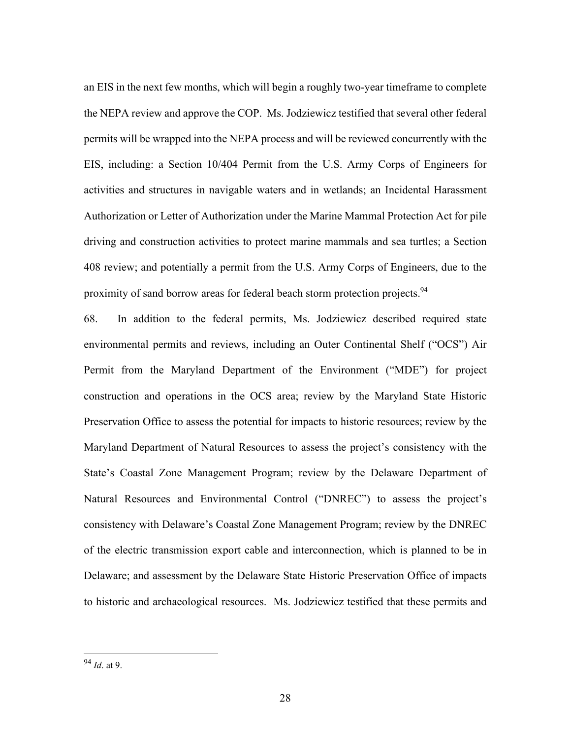an EIS in the next few months, which will begin a roughly two-year timeframe to complete the NEPA review and approve the COP. Ms. Jodziewicz testified that several other federal permits will be wrapped into the NEPA process and will be reviewed concurrently with the EIS, including: a Section 10/404 Permit from the U.S. Army Corps of Engineers for activities and structures in navigable waters and in wetlands; an Incidental Harassment Authorization or Letter of Authorization under the Marine Mammal Protection Act for pile driving and construction activities to protect marine mammals and sea turtles; a Section 408 review; and potentially a permit from the U.S. Army Corps of Engineers, due to the proximity of sand borrow areas for federal beach storm protection projects.<sup>94</sup>

68. In addition to the federal permits, Ms. Jodziewicz described required state environmental permits and reviews, including an Outer Continental Shelf ("OCS") Air Permit from the Maryland Department of the Environment ("MDE") for project construction and operations in the OCS area; review by the Maryland State Historic Preservation Office to assess the potential for impacts to historic resources; review by the Maryland Department of Natural Resources to assess the project's consistency with the State's Coastal Zone Management Program; review by the Delaware Department of Natural Resources and Environmental Control ("DNREC") to assess the project's consistency with Delaware's Coastal Zone Management Program; review by the DNREC of the electric transmission export cable and interconnection, which is planned to be in Delaware; and assessment by the Delaware State Historic Preservation Office of impacts to historic and archaeological resources. Ms. Jodziewicz testified that these permits and

<sup>94</sup> *Id*. at 9.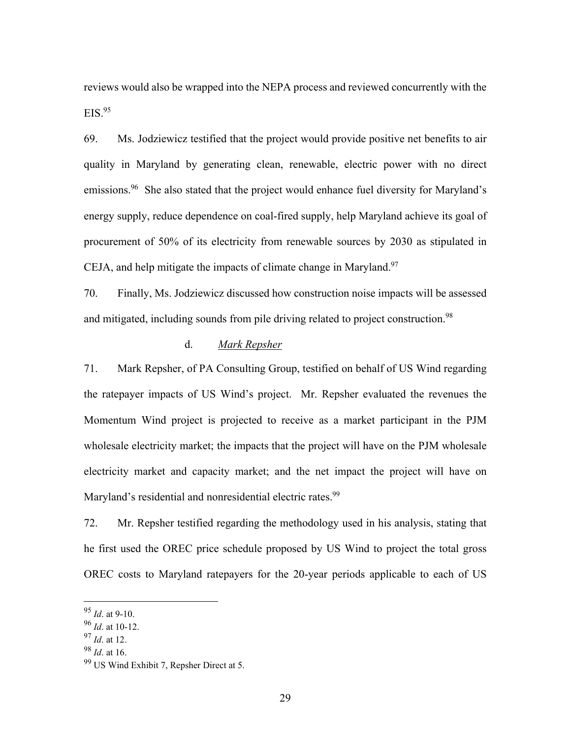reviews would also be wrapped into the NEPA process and reviewed concurrently with the  $EIS.<sup>95</sup>$ 

69. Ms. Jodziewicz testified that the project would provide positive net benefits to air quality in Maryland by generating clean, renewable, electric power with no direct emissions.<sup>96</sup> She also stated that the project would enhance fuel diversity for Maryland's energy supply, reduce dependence on coal-fired supply, help Maryland achieve its goal of procurement of 50% of its electricity from renewable sources by 2030 as stipulated in CEJA, and help mitigate the impacts of climate change in Maryland.<sup>97</sup>

70. Finally, Ms. Jodziewicz discussed how construction noise impacts will be assessed and mitigated, including sounds from pile driving related to project construction.<sup>98</sup>

## d. *Mark Repsher*

71. Mark Repsher, of PA Consulting Group, testified on behalf of US Wind regarding the ratepayer impacts of US Wind's project. Mr. Repsher evaluated the revenues the Momentum Wind project is projected to receive as a market participant in the PJM wholesale electricity market; the impacts that the project will have on the PJM wholesale electricity market and capacity market; and the net impact the project will have on Maryland's residential and nonresidential electric rates.<sup>99</sup>

72. Mr. Repsher testified regarding the methodology used in his analysis, stating that he first used the OREC price schedule proposed by US Wind to project the total gross OREC costs to Maryland ratepayers for the 20-year periods applicable to each of US

<sup>95</sup> *Id*. at 9-10.

<sup>96</sup> *Id*. at 10-12.

<sup>97</sup> *Id*. at 12.

<sup>98</sup> *Id*. at 16.

<sup>99</sup> US Wind Exhibit 7, Repsher Direct at 5.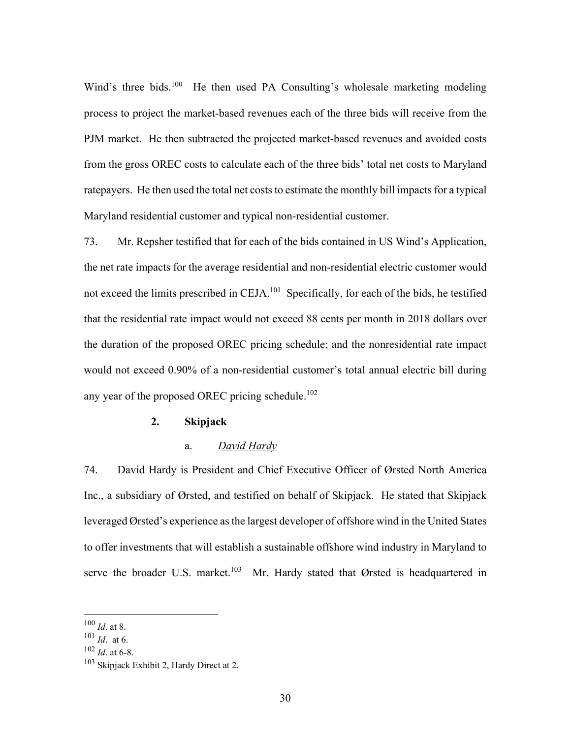Wind's three bids.<sup>100</sup> He then used PA Consulting's wholesale marketing modeling process to project the market-based revenues each of the three bids will receive from the PJM market. He then subtracted the projected market-based revenues and avoided costs from the gross OREC costs to calculate each of the three bids' total net costs to Maryland ratepayers. He then used the total net costs to estimate the monthly bill impacts for a typical Maryland residential customer and typical non-residential customer.

73. Mr. Repsher testified that for each of the bids contained in US Wind's Application, the net rate impacts for the average residential and non-residential electric customer would not exceed the limits prescribed in CEJA.<sup>101</sup> Specifically, for each of the bids, he testified that the residential rate impact would not exceed 88 cents per month in 2018 dollars over the duration of the proposed OREC pricing schedule; and the nonresidential rate impact would not exceed 0.90% of a non-residential customer's total annual electric bill during any year of the proposed OREC pricing schedule.<sup>102</sup>

### **2. Skipjack**

#### a. *David Hardy*

74. David Hardy is President and Chief Executive Officer of Ørsted North America Inc., a subsidiary of Ørsted, and testified on behalf of Skipjack. He stated that Skipjack leveraged Ørsted's experience as the largest developer of offshore wind in the United States to offer investments that will establish a sustainable offshore wind industry in Maryland to serve the broader U.S. market.<sup>103</sup> Mr. Hardy stated that Ørsted is headquartered in

<sup>100</sup> *Id*. at 8.

<sup>101</sup> *Id*. at 6.

<sup>102</sup> *Id*. at 6-8.

<sup>&</sup>lt;sup>103</sup> Skipjack Exhibit 2, Hardy Direct at 2.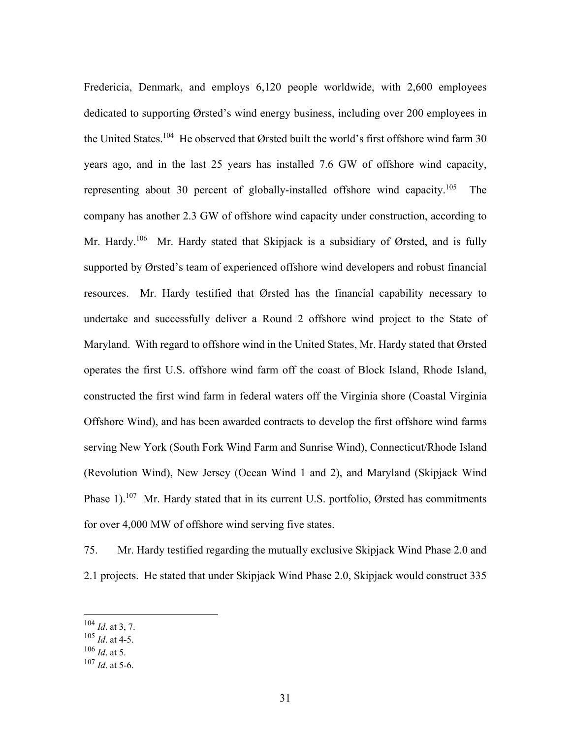Fredericia, Denmark, and employs 6,120 people worldwide, with 2,600 employees dedicated to supporting Ørsted's wind energy business, including over 200 employees in the United States.<sup>104</sup> He observed that Ørsted built the world's first offshore wind farm 30 years ago, and in the last 25 years has installed 7.6 GW of offshore wind capacity, representing about 30 percent of globally-installed offshore wind capacity.<sup>105</sup> The company has another 2.3 GW of offshore wind capacity under construction, according to Mr. Hardy.<sup>106</sup> Mr. Hardy stated that Skipjack is a subsidiary of Ørsted, and is fully supported by Ørsted's team of experienced offshore wind developers and robust financial resources. Mr. Hardy testified that Ørsted has the financial capability necessary to undertake and successfully deliver a Round 2 offshore wind project to the State of Maryland. With regard to offshore wind in the United States, Mr. Hardy stated that Ørsted operates the first U.S. offshore wind farm off the coast of Block Island, Rhode Island, constructed the first wind farm in federal waters off the Virginia shore (Coastal Virginia Offshore Wind), and has been awarded contracts to develop the first offshore wind farms serving New York (South Fork Wind Farm and Sunrise Wind), Connecticut/Rhode Island (Revolution Wind), New Jersey (Ocean Wind 1 and 2), and Maryland (Skipjack Wind Phase 1).<sup>107</sup> Mr. Hardy stated that in its current U.S. portfolio, Ørsted has commitments for over 4,000 MW of offshore wind serving five states.

75. Mr. Hardy testified regarding the mutually exclusive Skipjack Wind Phase 2.0 and 2.1 projects. He stated that under Skipjack Wind Phase 2.0, Skipjack would construct 335

<sup>104</sup> *Id*. at 3, 7.

<sup>105</sup> *Id*. at 4-5.

<sup>106</sup> *Id*. at 5.

<sup>107</sup> *Id*. at 5-6.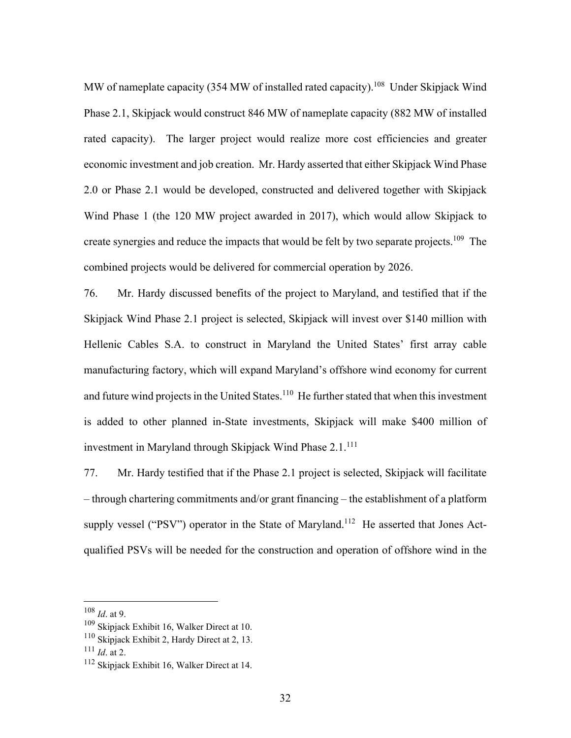MW of nameplate capacity (354 MW of installed rated capacity).<sup>108</sup> Under Skipjack Wind Phase 2.1, Skipjack would construct 846 MW of nameplate capacity (882 MW of installed rated capacity). The larger project would realize more cost efficiencies and greater economic investment and job creation. Mr. Hardy asserted that either Skipjack Wind Phase 2.0 or Phase 2.1 would be developed, constructed and delivered together with Skipjack Wind Phase 1 (the 120 MW project awarded in 2017), which would allow Skipjack to create synergies and reduce the impacts that would be felt by two separate projects.<sup>109</sup> The combined projects would be delivered for commercial operation by 2026.

76. Mr. Hardy discussed benefits of the project to Maryland, and testified that if the Skipjack Wind Phase 2.1 project is selected, Skipjack will invest over \$140 million with Hellenic Cables S.A. to construct in Maryland the United States' first array cable manufacturing factory, which will expand Maryland's offshore wind economy for current and future wind projects in the United States.<sup>110</sup> He further stated that when this investment is added to other planned in-State investments, Skipjack will make \$400 million of investment in Maryland through Skipjack Wind Phase 2.1.<sup>111</sup>

77. Mr. Hardy testified that if the Phase 2.1 project is selected, Skipjack will facilitate – through chartering commitments and/or grant financing – the establishment of a platform supply vessel ("PSV") operator in the State of Maryland.<sup>112</sup> He asserted that Jones Actqualified PSVs will be needed for the construction and operation of offshore wind in the

<sup>108</sup> *Id*. at 9.

<sup>109</sup> Skipjack Exhibit 16, Walker Direct at 10.

<sup>110</sup> Skipjack Exhibit 2, Hardy Direct at 2, 13.

<sup>111</sup> *Id*. at 2.

<sup>112</sup> Skipjack Exhibit 16, Walker Direct at 14.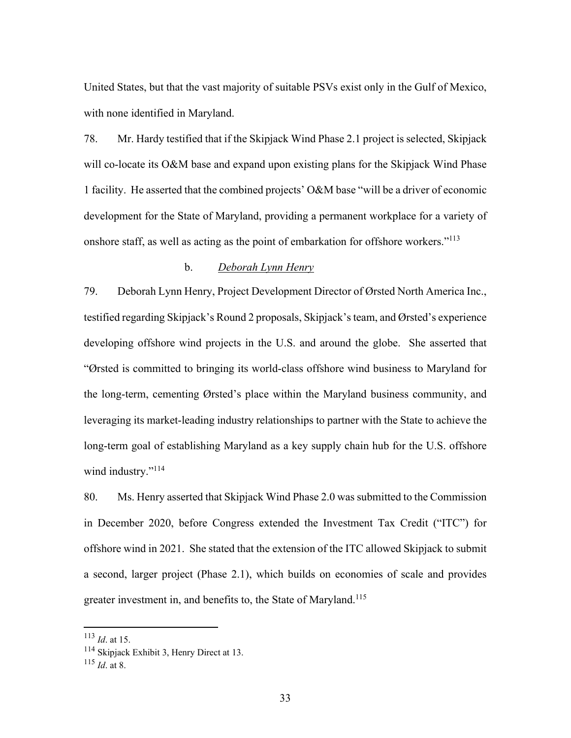United States, but that the vast majority of suitable PSVs exist only in the Gulf of Mexico, with none identified in Maryland.

78. Mr. Hardy testified that if the Skipjack Wind Phase 2.1 project is selected, Skipjack will co-locate its O&M base and expand upon existing plans for the Skipjack Wind Phase 1 facility. He asserted that the combined projects' O&M base "will be a driver of economic development for the State of Maryland, providing a permanent workplace for a variety of onshore staff, as well as acting as the point of embarkation for offshore workers."<sup>113</sup>

## b. *Deborah Lynn Henry*

79. Deborah Lynn Henry, Project Development Director of Ørsted North America Inc., testified regarding Skipjack's Round 2 proposals, Skipjack's team, and Ørsted's experience developing offshore wind projects in the U.S. and around the globe. She asserted that "Ørsted is committed to bringing its world-class offshore wind business to Maryland for the long-term, cementing Ørsted's place within the Maryland business community, and leveraging its market-leading industry relationships to partner with the State to achieve the long-term goal of establishing Maryland as a key supply chain hub for the U.S. offshore wind industry."<sup>114</sup>

80. Ms. Henry asserted that Skipjack Wind Phase 2.0 was submitted to the Commission in December 2020, before Congress extended the Investment Tax Credit ("ITC") for offshore wind in 2021. She stated that the extension of the ITC allowed Skipjack to submit a second, larger project (Phase 2.1), which builds on economies of scale and provides greater investment in, and benefits to, the State of Maryland.<sup>115</sup>

<sup>113</sup> *Id*. at 15.

<sup>114</sup> Skipjack Exhibit 3, Henry Direct at 13.

<sup>115</sup> *Id*. at 8.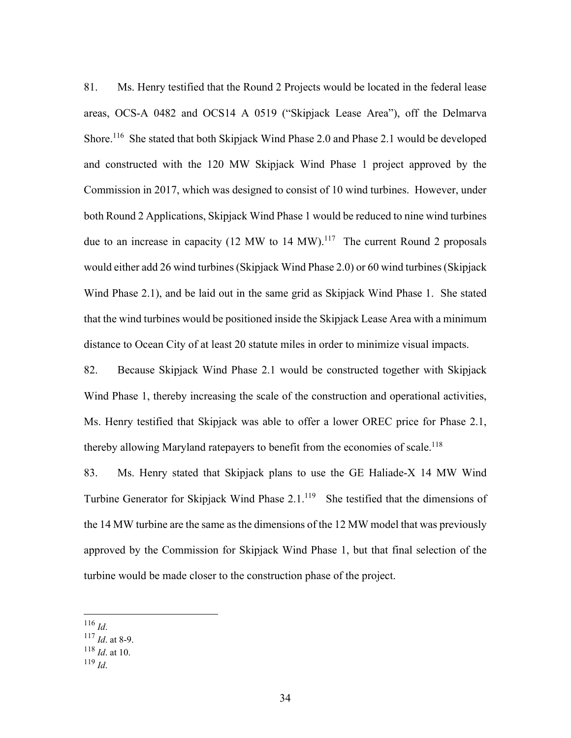81. Ms. Henry testified that the Round 2 Projects would be located in the federal lease areas, OCS-A 0482 and OCS14 A 0519 ("Skipjack Lease Area"), off the Delmarva Shore.<sup>116</sup> She stated that both Skipjack Wind Phase 2.0 and Phase 2.1 would be developed and constructed with the 120 MW Skipjack Wind Phase 1 project approved by the Commission in 2017, which was designed to consist of 10 wind turbines. However, under both Round 2 Applications, Skipjack Wind Phase 1 would be reduced to nine wind turbines due to an increase in capacity (12 MW to 14 MW).<sup>117</sup> The current Round 2 proposals would either add 26 wind turbines (Skipjack Wind Phase 2.0) or 60 wind turbines (Skipjack Wind Phase 2.1), and be laid out in the same grid as Skipjack Wind Phase 1. She stated that the wind turbines would be positioned inside the Skipjack Lease Area with a minimum distance to Ocean City of at least 20 statute miles in order to minimize visual impacts.

82. Because Skipjack Wind Phase 2.1 would be constructed together with Skipjack Wind Phase 1, thereby increasing the scale of the construction and operational activities, Ms. Henry testified that Skipjack was able to offer a lower OREC price for Phase 2.1, thereby allowing Maryland ratepayers to benefit from the economies of scale.<sup>118</sup>

83. Ms. Henry stated that Skipjack plans to use the GE Haliade-X 14 MW Wind Turbine Generator for Skipjack Wind Phase  $2.1^{119}$  She testified that the dimensions of the 14 MW turbine are the same as the dimensions of the 12 MW model that was previously approved by the Commission for Skipjack Wind Phase 1, but that final selection of the turbine would be made closer to the construction phase of the project.

<sup>116</sup> *Id*. 117 *Id*. at 8-9.

<sup>118</sup> *Id*. at 10.

<sup>119</sup> *Id*.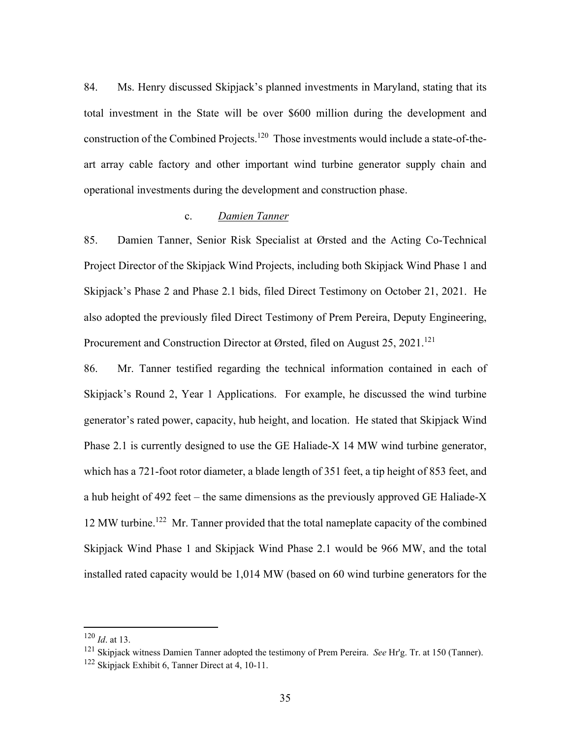84. Ms. Henry discussed Skipjack's planned investments in Maryland, stating that its total investment in the State will be over \$600 million during the development and construction of the Combined Projects.<sup>120</sup> Those investments would include a state-of-theart array cable factory and other important wind turbine generator supply chain and operational investments during the development and construction phase.

## c. *Damien Tanner*

85. Damien Tanner, Senior Risk Specialist at Ørsted and the Acting Co-Technical Project Director of the Skipjack Wind Projects, including both Skipjack Wind Phase 1 and Skipjack's Phase 2 and Phase 2.1 bids, filed Direct Testimony on October 21, 2021. He also adopted the previously filed Direct Testimony of Prem Pereira, Deputy Engineering, Procurement and Construction Director at Ørsted, filed on August 25, 2021.<sup>121</sup>

86. Mr. Tanner testified regarding the technical information contained in each of Skipjack's Round 2, Year 1 Applications. For example, he discussed the wind turbine generator's rated power, capacity, hub height, and location. He stated that Skipjack Wind Phase 2.1 is currently designed to use the GE Haliade-X 14 MW wind turbine generator, which has a 721-foot rotor diameter, a blade length of 351 feet, a tip height of 853 feet, and a hub height of 492 feet – the same dimensions as the previously approved GE Haliade-X 12 MW turbine.122 Mr. Tanner provided that the total nameplate capacity of the combined Skipjack Wind Phase 1 and Skipjack Wind Phase 2.1 would be 966 MW, and the total installed rated capacity would be 1,014 MW (based on 60 wind turbine generators for the

<sup>120</sup> *Id*. at 13.

<sup>121</sup> Skipjack witness Damien Tanner adopted the testimony of Prem Pereira. *See* Hr'g. Tr. at 150 (Tanner).  $122$  Skipjack Exhibit 6, Tanner Direct at 4, 10-11.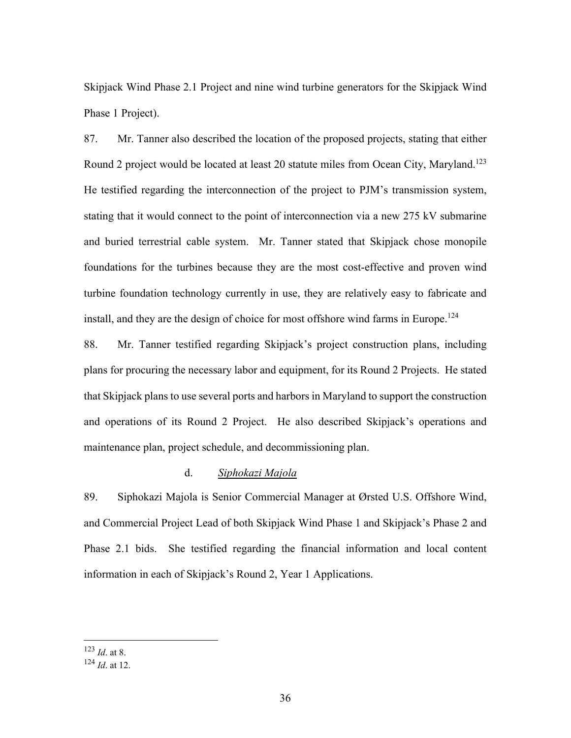Skipjack Wind Phase 2.1 Project and nine wind turbine generators for the Skipjack Wind Phase 1 Project).

87. Mr. Tanner also described the location of the proposed projects, stating that either Round 2 project would be located at least 20 statute miles from Ocean City, Maryland.<sup>123</sup> He testified regarding the interconnection of the project to PJM's transmission system, stating that it would connect to the point of interconnection via a new 275 kV submarine and buried terrestrial cable system. Mr. Tanner stated that Skipjack chose monopile foundations for the turbines because they are the most cost-effective and proven wind turbine foundation technology currently in use, they are relatively easy to fabricate and install, and they are the design of choice for most offshore wind farms in Europe.<sup>124</sup>

88. Mr. Tanner testified regarding Skipjack's project construction plans, including plans for procuring the necessary labor and equipment, for its Round 2 Projects. He stated that Skipjack plans to use several ports and harbors in Maryland to support the construction and operations of its Round 2 Project. He also described Skipjack's operations and maintenance plan, project schedule, and decommissioning plan.

## d. *Siphokazi Majola*

89. Siphokazi Majola is Senior Commercial Manager at Ørsted U.S. Offshore Wind, and Commercial Project Lead of both Skipjack Wind Phase 1 and Skipjack's Phase 2 and Phase 2.1 bids. She testified regarding the financial information and local content information in each of Skipjack's Round 2, Year 1 Applications.

<sup>123</sup> *Id*. at 8.

<sup>124</sup> *Id*. at 12.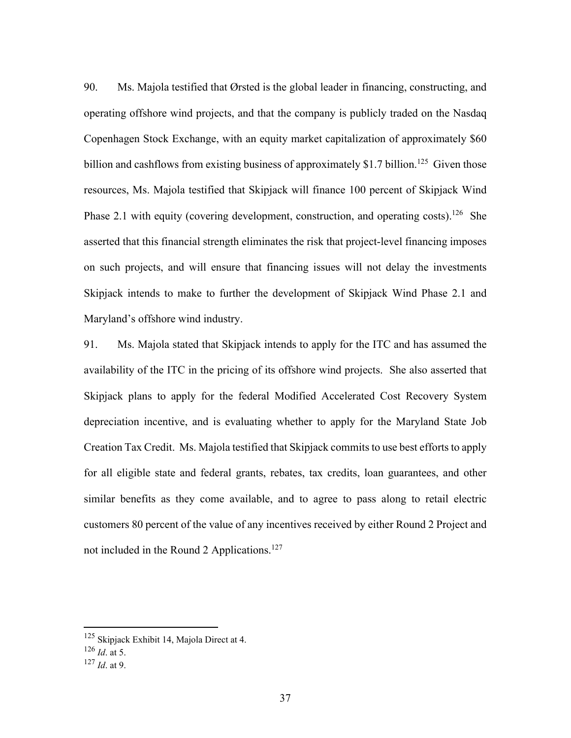90. Ms. Majola testified that Ørsted is the global leader in financing, constructing, and operating offshore wind projects, and that the company is publicly traded on the Nasdaq Copenhagen Stock Exchange, with an equity market capitalization of approximately \$60 billion and cashflows from existing business of approximately \$1.7 billion.<sup>125</sup> Given those resources, Ms. Majola testified that Skipjack will finance 100 percent of Skipjack Wind Phase 2.1 with equity (covering development, construction, and operating costs).<sup>126</sup> She asserted that this financial strength eliminates the risk that project-level financing imposes on such projects, and will ensure that financing issues will not delay the investments Skipjack intends to make to further the development of Skipjack Wind Phase 2.1 and Maryland's offshore wind industry.

91. Ms. Majola stated that Skipjack intends to apply for the ITC and has assumed the availability of the ITC in the pricing of its offshore wind projects. She also asserted that Skipjack plans to apply for the federal Modified Accelerated Cost Recovery System depreciation incentive, and is evaluating whether to apply for the Maryland State Job Creation Tax Credit. Ms. Majola testified that Skipjack commits to use best efforts to apply for all eligible state and federal grants, rebates, tax credits, loan guarantees, and other similar benefits as they come available, and to agree to pass along to retail electric customers 80 percent of the value of any incentives received by either Round 2 Project and not included in the Round 2 Applications.<sup>127</sup>

<sup>&</sup>lt;sup>125</sup> Skipjack Exhibit 14, Majola Direct at 4.

<sup>126</sup> *Id*. at 5.

<sup>127</sup> *Id*. at 9.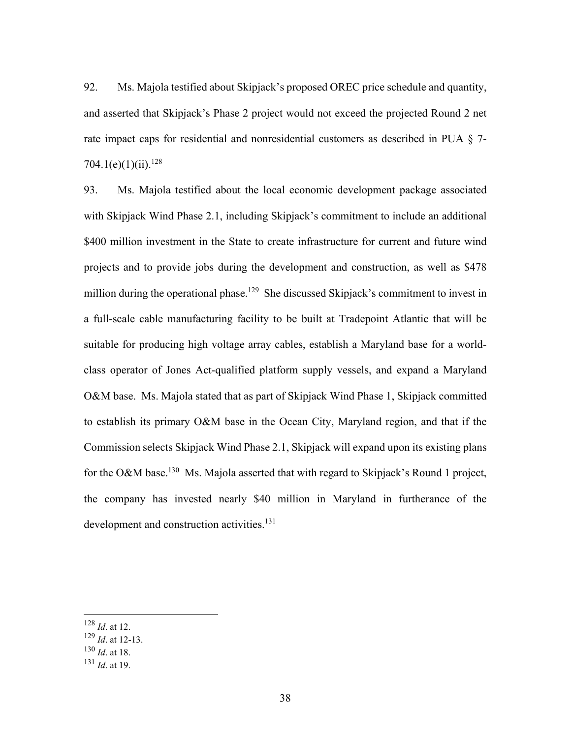92. Ms. Majola testified about Skipjack's proposed OREC price schedule and quantity, and asserted that Skipjack's Phase 2 project would not exceed the projected Round 2 net rate impact caps for residential and nonresidential customers as described in PUA § 7- 704.1(e)(1)(ii).<sup>128</sup>

93. Ms. Majola testified about the local economic development package associated with Skipjack Wind Phase 2.1, including Skipjack's commitment to include an additional \$400 million investment in the State to create infrastructure for current and future wind projects and to provide jobs during the development and construction, as well as \$478 million during the operational phase.<sup>129</sup> She discussed Skipjack's commitment to invest in a full-scale cable manufacturing facility to be built at Tradepoint Atlantic that will be suitable for producing high voltage array cables, establish a Maryland base for a worldclass operator of Jones Act-qualified platform supply vessels, and expand a Maryland O&M base. Ms. Majola stated that as part of Skipjack Wind Phase 1, Skipjack committed to establish its primary O&M base in the Ocean City, Maryland region, and that if the Commission selects Skipjack Wind Phase 2.1, Skipjack will expand upon its existing plans for the O&M base.<sup>130</sup> Ms. Majola asserted that with regard to Skipjack's Round 1 project, the company has invested nearly \$40 million in Maryland in furtherance of the development and construction activities.<sup>131</sup>

<sup>128</sup> *Id*. at 12.

<sup>129</sup> *Id*. at 12-13.

<sup>130</sup> *Id*. at 18.

<sup>131</sup> *Id*. at 19.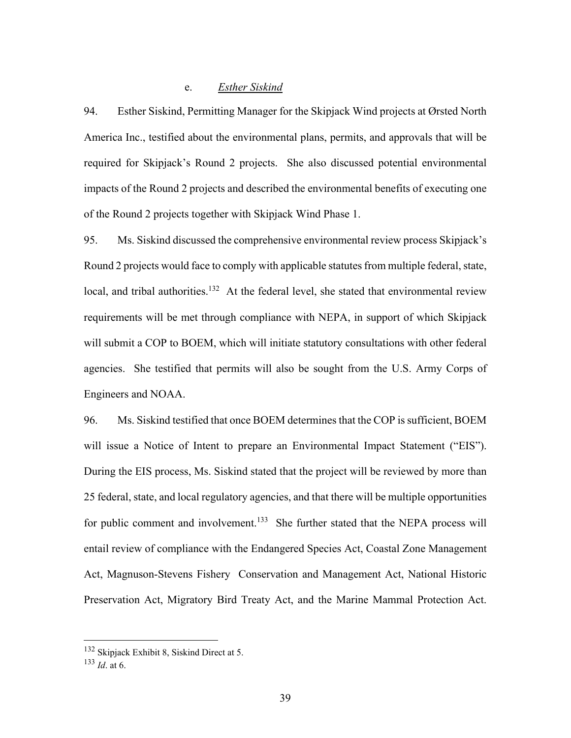## e. *Esther Siskind*

94. Esther Siskind, Permitting Manager for the Skipjack Wind projects at Ørsted North America Inc., testified about the environmental plans, permits, and approvals that will be required for Skipjack's Round 2 projects. She also discussed potential environmental impacts of the Round 2 projects and described the environmental benefits of executing one of the Round 2 projects together with Skipjack Wind Phase 1.

95. Ms. Siskind discussed the comprehensive environmental review process Skipjack's Round 2 projects would face to comply with applicable statutes from multiple federal, state, local, and tribal authorities.<sup>132</sup> At the federal level, she stated that environmental review requirements will be met through compliance with NEPA, in support of which Skipjack will submit a COP to BOEM, which will initiate statutory consultations with other federal agencies. She testified that permits will also be sought from the U.S. Army Corps of Engineers and NOAA.

96. Ms. Siskind testified that once BOEM determines that the COP is sufficient, BOEM will issue a Notice of Intent to prepare an Environmental Impact Statement ("EIS"). During the EIS process, Ms. Siskind stated that the project will be reviewed by more than 25 federal, state, and local regulatory agencies, and that there will be multiple opportunities for public comment and involvement.<sup>133</sup> She further stated that the NEPA process will entail review of compliance with the Endangered Species Act, Coastal Zone Management Act, Magnuson-Stevens Fishery Conservation and Management Act, National Historic Preservation Act, Migratory Bird Treaty Act, and the Marine Mammal Protection Act.

<sup>132</sup> Skipjack Exhibit 8, Siskind Direct at 5.

<sup>133</sup> *Id*. at 6.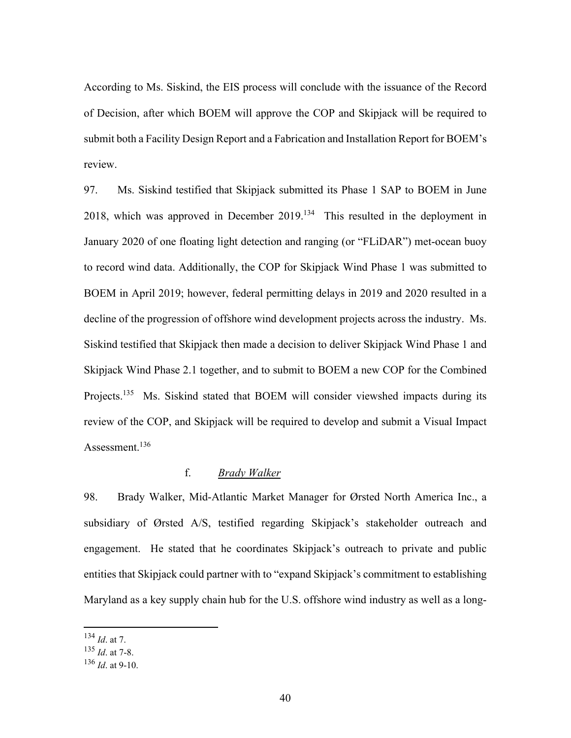According to Ms. Siskind, the EIS process will conclude with the issuance of the Record of Decision, after which BOEM will approve the COP and Skipjack will be required to submit both a Facility Design Report and a Fabrication and Installation Report for BOEM's review.

97. Ms. Siskind testified that Skipjack submitted its Phase 1 SAP to BOEM in June 2018, which was approved in December 2019.134 This resulted in the deployment in January 2020 of one floating light detection and ranging (or "FLiDAR") met-ocean buoy to record wind data. Additionally, the COP for Skipjack Wind Phase 1 was submitted to BOEM in April 2019; however, federal permitting delays in 2019 and 2020 resulted in a decline of the progression of offshore wind development projects across the industry. Ms. Siskind testified that Skipjack then made a decision to deliver Skipjack Wind Phase 1 and Skipjack Wind Phase 2.1 together, and to submit to BOEM a new COP for the Combined Projects.<sup>135</sup> Ms. Siskind stated that BOEM will consider viewshed impacts during its review of the COP, and Skipjack will be required to develop and submit a Visual Impact Assessment.<sup>136</sup>

# f. *Brady Walker*

98. Brady Walker, Mid-Atlantic Market Manager for Ørsted North America Inc., a subsidiary of Ørsted A/S, testified regarding Skipjack's stakeholder outreach and engagement. He stated that he coordinates Skipjack's outreach to private and public entities that Skipjack could partner with to "expand Skipjack's commitment to establishing Maryland as a key supply chain hub for the U.S. offshore wind industry as well as a long-

<sup>134</sup> *Id*. at 7.

<sup>135</sup> *Id*. at 7-8.

<sup>136</sup> *Id*. at 9-10.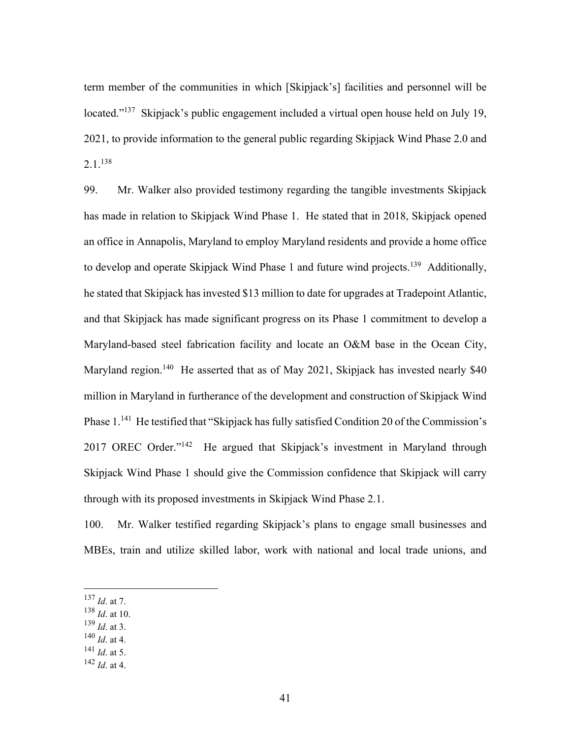term member of the communities in which [Skipjack's] facilities and personnel will be located."<sup>137</sup> Skipjack's public engagement included a virtual open house held on July 19, 2021, to provide information to the general public regarding Skipjack Wind Phase 2.0 and 2.1.138

99. Mr. Walker also provided testimony regarding the tangible investments Skipjack has made in relation to Skipjack Wind Phase 1. He stated that in 2018, Skipjack opened an office in Annapolis, Maryland to employ Maryland residents and provide a home office to develop and operate Skipjack Wind Phase 1 and future wind projects.<sup>139</sup> Additionally, he stated that Skipjack has invested \$13 million to date for upgrades at Tradepoint Atlantic, and that Skipjack has made significant progress on its Phase 1 commitment to develop a Maryland-based steel fabrication facility and locate an O&M base in the Ocean City, Maryland region.<sup>140</sup> He asserted that as of May 2021, Skipjack has invested nearly \$40 million in Maryland in furtherance of the development and construction of Skipjack Wind Phase 1.<sup>141</sup> He testified that "Skipjack has fully satisfied Condition 20 of the Commission's 2017 OREC Order."<sup>142</sup> He argued that Skipjack's investment in Maryland through Skipjack Wind Phase 1 should give the Commission confidence that Skipjack will carry through with its proposed investments in Skipjack Wind Phase 2.1.

100. Mr. Walker testified regarding Skipjack's plans to engage small businesses and MBEs, train and utilize skilled labor, work with national and local trade unions, and

- <sup>138</sup> *Id*. at 10.
- <sup>139</sup> *Id*. at 3.
- <sup>140</sup> *Id*. at 4.
- <sup>141</sup> *Id*. at 5.
- <sup>142</sup> *Id*. at 4.

<sup>137</sup> *Id*. at 7.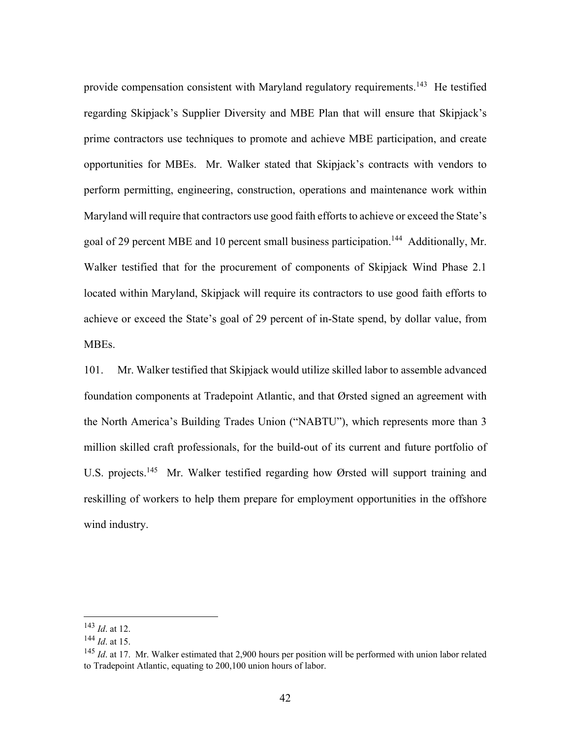provide compensation consistent with Maryland regulatory requirements.<sup>143</sup> He testified regarding Skipjack's Supplier Diversity and MBE Plan that will ensure that Skipjack's prime contractors use techniques to promote and achieve MBE participation, and create opportunities for MBEs. Mr. Walker stated that Skipjack's contracts with vendors to perform permitting, engineering, construction, operations and maintenance work within Maryland will require that contractors use good faith efforts to achieve or exceed the State's goal of 29 percent MBE and 10 percent small business participation.<sup>144</sup> Additionally, Mr. Walker testified that for the procurement of components of Skipjack Wind Phase 2.1 located within Maryland, Skipjack will require its contractors to use good faith efforts to achieve or exceed the State's goal of 29 percent of in-State spend, by dollar value, from MBEs.

101. Mr. Walker testified that Skipjack would utilize skilled labor to assemble advanced foundation components at Tradepoint Atlantic, and that Ørsted signed an agreement with the North America's Building Trades Union ("NABTU"), which represents more than 3 million skilled craft professionals, for the build-out of its current and future portfolio of U.S. projects.<sup>145</sup> Mr. Walker testified regarding how Ørsted will support training and reskilling of workers to help them prepare for employment opportunities in the offshore wind industry.

<sup>143</sup> *Id*. at 12.

<sup>144</sup> *Id*. at 15.

<sup>&</sup>lt;sup>145</sup> *Id.* at 17. Mr. Walker estimated that 2,900 hours per position will be performed with union labor related to Tradepoint Atlantic, equating to 200,100 union hours of labor.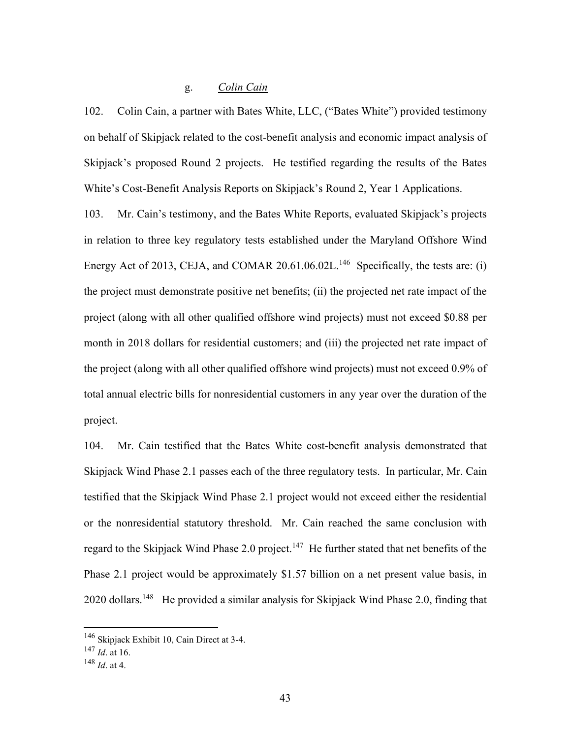# g. *Colin Cain*

102. Colin Cain, a partner with Bates White, LLC, ("Bates White") provided testimony on behalf of Skipjack related to the cost-benefit analysis and economic impact analysis of Skipjack's proposed Round 2 projects. He testified regarding the results of the Bates White's Cost-Benefit Analysis Reports on Skipjack's Round 2, Year 1 Applications.

103. Mr. Cain's testimony, and the Bates White Reports, evaluated Skipjack's projects in relation to three key regulatory tests established under the Maryland Offshore Wind Energy Act of 2013, CEJA, and COMAR 20.61.06.02L.<sup>146</sup> Specifically, the tests are: (i) the project must demonstrate positive net benefits; (ii) the projected net rate impact of the project (along with all other qualified offshore wind projects) must not exceed \$0.88 per month in 2018 dollars for residential customers; and (iii) the projected net rate impact of the project (along with all other qualified offshore wind projects) must not exceed 0.9% of total annual electric bills for nonresidential customers in any year over the duration of the project.

104. Mr. Cain testified that the Bates White cost-benefit analysis demonstrated that Skipjack Wind Phase 2.1 passes each of the three regulatory tests. In particular, Mr. Cain testified that the Skipjack Wind Phase 2.1 project would not exceed either the residential or the nonresidential statutory threshold. Mr. Cain reached the same conclusion with regard to the Skipjack Wind Phase 2.0 project.<sup>147</sup> He further stated that net benefits of the Phase 2.1 project would be approximately \$1.57 billion on a net present value basis, in 2020 dollars.<sup>148</sup> He provided a similar analysis for Skipjack Wind Phase 2.0, finding that

<sup>146</sup> Skipjack Exhibit 10, Cain Direct at 3-4.

<sup>147</sup> *Id*. at 16.

<sup>148</sup> *Id*. at 4.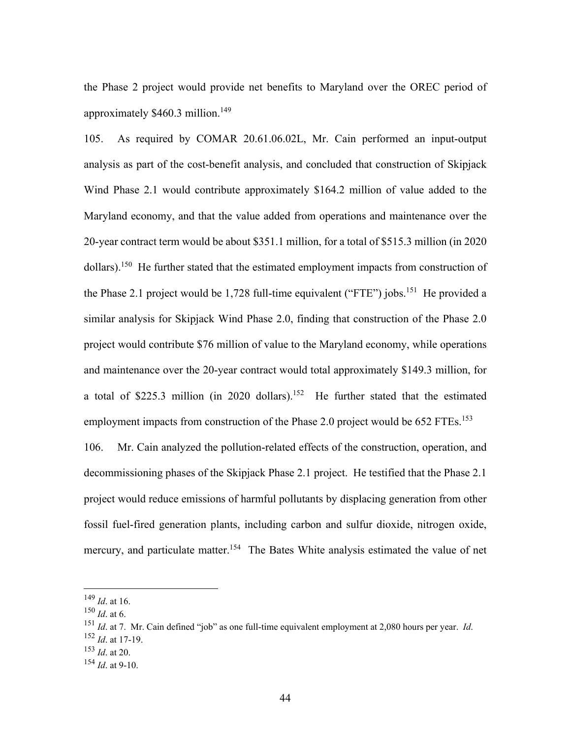the Phase 2 project would provide net benefits to Maryland over the OREC period of approximately \$460.3 million.149

105. As required by COMAR 20.61.06.02L, Mr. Cain performed an input-output analysis as part of the cost-benefit analysis, and concluded that construction of Skipjack Wind Phase 2.1 would contribute approximately \$164.2 million of value added to the Maryland economy, and that the value added from operations and maintenance over the 20-year contract term would be about \$351.1 million, for a total of \$515.3 million (in 2020 dollars).<sup>150</sup> He further stated that the estimated employment impacts from construction of the Phase 2.1 project would be 1,728 full-time equivalent ("FTE") jobs.<sup>151</sup> He provided a similar analysis for Skipjack Wind Phase 2.0, finding that construction of the Phase 2.0 project would contribute \$76 million of value to the Maryland economy, while operations and maintenance over the 20-year contract would total approximately \$149.3 million, for a total of \$225.3 million (in 2020 dollars).152 He further stated that the estimated employment impacts from construction of the Phase 2.0 project would be 652 FTEs.<sup>153</sup> 106. Mr. Cain analyzed the pollution-related effects of the construction, operation, and decommissioning phases of the Skipjack Phase 2.1 project. He testified that the Phase 2.1 project would reduce emissions of harmful pollutants by displacing generation from other fossil fuel-fired generation plants, including carbon and sulfur dioxide, nitrogen oxide, mercury, and particulate matter.<sup>154</sup> The Bates White analysis estimated the value of net

<sup>149</sup> *Id*. at 16.

<sup>150</sup> *Id*. at 6.

<sup>151</sup> *Id*. at 7. Mr. Cain defined "job" as one full-time equivalent employment at 2,080 hours per year. *Id*. 152 *Id*. at 17-19.

<sup>153</sup> *Id*. at 20.

<sup>154</sup> *Id*. at 9-10.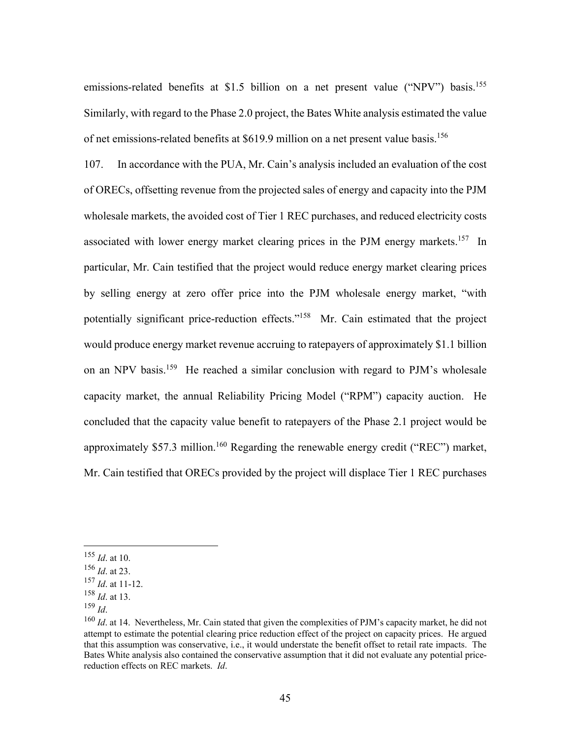emissions-related benefits at \$1.5 billion on a net present value ("NPV") basis.<sup>155</sup> Similarly, with regard to the Phase 2.0 project, the Bates White analysis estimated the value of net emissions-related benefits at \$619.9 million on a net present value basis.<sup>156</sup>

107. In accordance with the PUA, Mr. Cain's analysis included an evaluation of the cost of ORECs, offsetting revenue from the projected sales of energy and capacity into the PJM wholesale markets, the avoided cost of Tier 1 REC purchases, and reduced electricity costs associated with lower energy market clearing prices in the PJM energy markets.<sup>157</sup> In particular, Mr. Cain testified that the project would reduce energy market clearing prices by selling energy at zero offer price into the PJM wholesale energy market, "with potentially significant price-reduction effects."<sup>158</sup> Mr. Cain estimated that the project would produce energy market revenue accruing to ratepayers of approximately \$1.1 billion on an NPV basis.159 He reached a similar conclusion with regard to PJM's wholesale capacity market, the annual Reliability Pricing Model ("RPM") capacity auction. He concluded that the capacity value benefit to ratepayers of the Phase 2.1 project would be approximately \$57.3 million.<sup>160</sup> Regarding the renewable energy credit ("REC") market, Mr. Cain testified that ORECs provided by the project will displace Tier 1 REC purchases

<sup>155</sup> *Id*. at 10.

<sup>156</sup> *Id*. at 23.

<sup>157</sup> *Id*. at 11-12.

<sup>&</sup>lt;sup>158</sup> *Id.* at 13.<br><sup>159</sup> *Id.* 

<sup>&</sup>lt;sup>160</sup> *Id.* at 14. Nevertheless, Mr. Cain stated that given the complexities of PJM's capacity market, he did not attempt to estimate the potential clearing price reduction effect of the project on capacity prices. He argued that this assumption was conservative, i.e., it would understate the benefit offset to retail rate impacts. The Bates White analysis also contained the conservative assumption that it did not evaluate any potential pricereduction effects on REC markets. *Id*.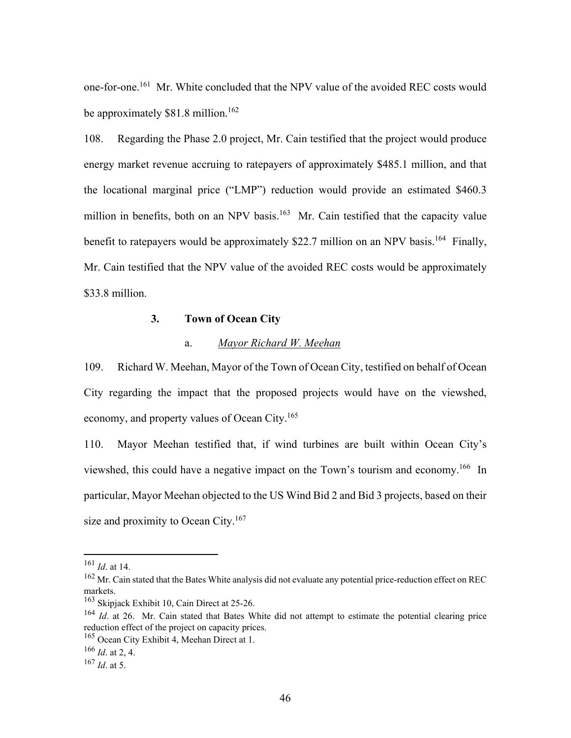one-for-one.161 Mr. White concluded that the NPV value of the avoided REC costs would be approximately  $$81.8$  million.<sup>162</sup>

108. Regarding the Phase 2.0 project, Mr. Cain testified that the project would produce energy market revenue accruing to ratepayers of approximately \$485.1 million, and that the locational marginal price ("LMP") reduction would provide an estimated \$460.3 million in benefits, both on an NPV basis.<sup>163</sup> Mr. Cain testified that the capacity value benefit to ratepayers would be approximately \$22.7 million on an NPV basis.<sup>164</sup> Finally, Mr. Cain testified that the NPV value of the avoided REC costs would be approximately \$33.8 million.

### **3. Town of Ocean City**

#### a. *Mayor Richard W. Meehan*

109. Richard W. Meehan, Mayor of the Town of Ocean City, testified on behalf of Ocean City regarding the impact that the proposed projects would have on the viewshed, economy, and property values of Ocean City.165

110. Mayor Meehan testified that, if wind turbines are built within Ocean City's viewshed, this could have a negative impact on the Town's tourism and economy.166 In particular, Mayor Meehan objected to the US Wind Bid 2 and Bid 3 projects, based on their size and proximity to Ocean City.<sup>167</sup>

<sup>161</sup> *Id*. at 14.

<sup>&</sup>lt;sup>162</sup> Mr. Cain stated that the Bates White analysis did not evaluate any potential price-reduction effect on REC markets.

<sup>&</sup>lt;sup>163</sup> Skipjack Exhibit 10, Cain Direct at 25-26.

<sup>&</sup>lt;sup>164</sup> *Id.* at 26. Mr. Cain stated that Bates White did not attempt to estimate the potential clearing price reduction effect of the project on capacity prices.

<sup>&</sup>lt;sup>165</sup> Ocean City Exhibit 4, Meehan Direct at 1.

<sup>166</sup> *Id*. at 2, 4.

<sup>167</sup> *Id*. at 5.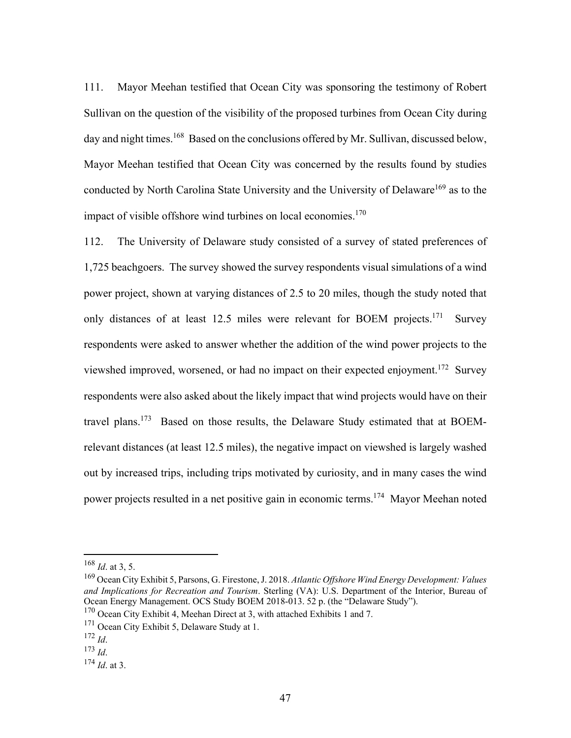111. Mayor Meehan testified that Ocean City was sponsoring the testimony of Robert Sullivan on the question of the visibility of the proposed turbines from Ocean City during day and night times.<sup>168</sup> Based on the conclusions offered by Mr. Sullivan, discussed below, Mayor Meehan testified that Ocean City was concerned by the results found by studies conducted by North Carolina State University and the University of Delaware<sup>169</sup> as to the impact of visible offshore wind turbines on local economies.<sup>170</sup>

112. The University of Delaware study consisted of a survey of stated preferences of 1,725 beachgoers. The survey showed the survey respondents visual simulations of a wind power project, shown at varying distances of 2.5 to 20 miles, though the study noted that only distances of at least 12.5 miles were relevant for BOEM projects.<sup>171</sup> Survey respondents were asked to answer whether the addition of the wind power projects to the viewshed improved, worsened, or had no impact on their expected enjoyment.172 Survey respondents were also asked about the likely impact that wind projects would have on their travel plans.173 Based on those results, the Delaware Study estimated that at BOEMrelevant distances (at least 12.5 miles), the negative impact on viewshed is largely washed out by increased trips, including trips motivated by curiosity, and in many cases the wind power projects resulted in a net positive gain in economic terms.174 Mayor Meehan noted

<sup>168</sup> *Id*. at 3, 5.

<sup>169</sup> Ocean City Exhibit 5, Parsons, G. Firestone, J. 2018. *Atlantic Offshore Wind Energy Development: Values and Implications for Recreation and Tourism*. Sterling (VA): U.S. Department of the Interior, Bureau of Ocean Energy Management. OCS Study BOEM 2018-013. 52 p. (the "Delaware Study").

 $170$  Ocean City Exhibit 4, Meehan Direct at 3, with attached Exhibits 1 and 7.

<sup>&</sup>lt;sup>171</sup> Ocean City Exhibit 5, Delaware Study at 1.

<sup>172</sup> *Id*. 173 *Id*. 174 *Id*. at 3.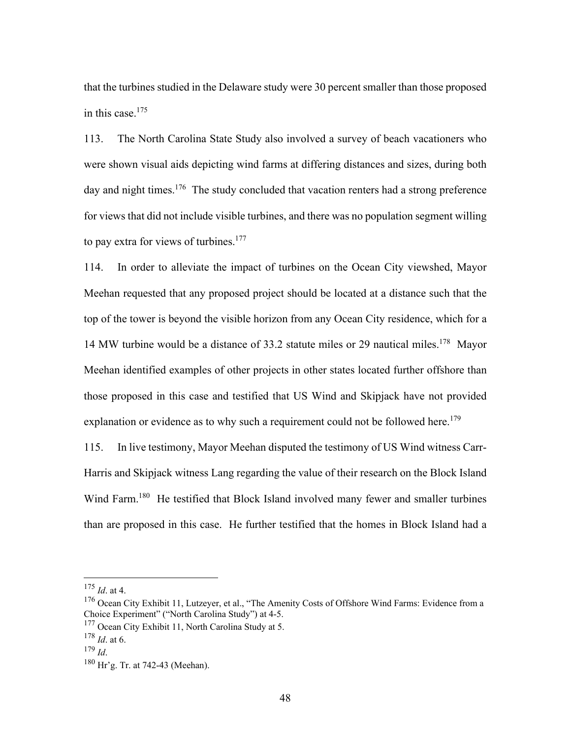that the turbines studied in the Delaware study were 30 percent smaller than those proposed in this case. $175$ 

113. The North Carolina State Study also involved a survey of beach vacationers who were shown visual aids depicting wind farms at differing distances and sizes, during both day and night times.<sup>176</sup> The study concluded that vacation renters had a strong preference for views that did not include visible turbines, and there was no population segment willing to pay extra for views of turbines. $177$ 

114. In order to alleviate the impact of turbines on the Ocean City viewshed, Mayor Meehan requested that any proposed project should be located at a distance such that the top of the tower is beyond the visible horizon from any Ocean City residence, which for a 14 MW turbine would be a distance of 33.2 statute miles or 29 nautical miles.<sup>178</sup> Mayor Meehan identified examples of other projects in other states located further offshore than those proposed in this case and testified that US Wind and Skipjack have not provided explanation or evidence as to why such a requirement could not be followed here.<sup>179</sup>

115. In live testimony, Mayor Meehan disputed the testimony of US Wind witness Carr-Harris and Skipjack witness Lang regarding the value of their research on the Block Island Wind Farm.<sup>180</sup> He testified that Block Island involved many fewer and smaller turbines than are proposed in this case. He further testified that the homes in Block Island had a

<sup>175</sup> *Id*. at 4.

<sup>&</sup>lt;sup>176</sup> Ocean City Exhibit 11, Lutzeyer, et al., "The Amenity Costs of Offshore Wind Farms: Evidence from a Choice Experiment" ("North Carolina Study") at 4-5.

<sup>&</sup>lt;sup>177</sup> Ocean City Exhibit 11, North Carolina Study at 5.

 $\frac{178}{179}$  *Id.* at 6.

<sup>&</sup>lt;sup>180</sup> Hr'g. Tr. at 742-43 (Meehan).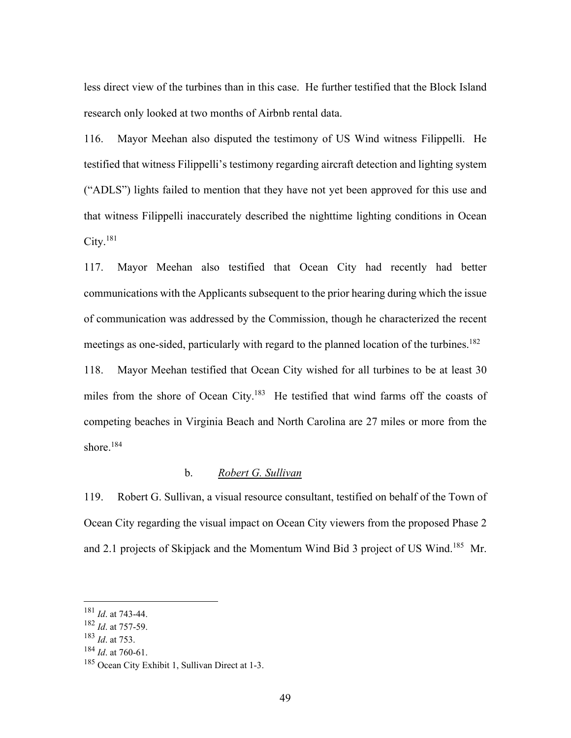less direct view of the turbines than in this case. He further testified that the Block Island research only looked at two months of Airbnb rental data.

116. Mayor Meehan also disputed the testimony of US Wind witness Filippelli. He testified that witness Filippelli's testimony regarding aircraft detection and lighting system ("ADLS") lights failed to mention that they have not yet been approved for this use and that witness Filippelli inaccurately described the nighttime lighting conditions in Ocean  $City.<sup>181</sup>$ 

117. Mayor Meehan also testified that Ocean City had recently had better communications with the Applicants subsequent to the prior hearing during which the issue of communication was addressed by the Commission, though he characterized the recent meetings as one-sided, particularly with regard to the planned location of the turbines.<sup>182</sup> 118. Mayor Meehan testified that Ocean City wished for all turbines to be at least 30 miles from the shore of Ocean City.<sup>183</sup> He testified that wind farms off the coasts of competing beaches in Virginia Beach and North Carolina are 27 miles or more from the shore.<sup>184</sup>

## b. *Robert G. Sullivan*

119. Robert G. Sullivan, a visual resource consultant, testified on behalf of the Town of Ocean City regarding the visual impact on Ocean City viewers from the proposed Phase 2 and 2.1 projects of Skipjack and the Momentum Wind Bid 3 project of US Wind.185 Mr.

<sup>181</sup> *Id*. at 743-44.

<sup>182</sup> *Id*. at 757-59.

<sup>183</sup> *Id*. at 753.

<sup>184</sup> *Id*. at 760-61.

<sup>185</sup> Ocean City Exhibit 1, Sullivan Direct at 1-3.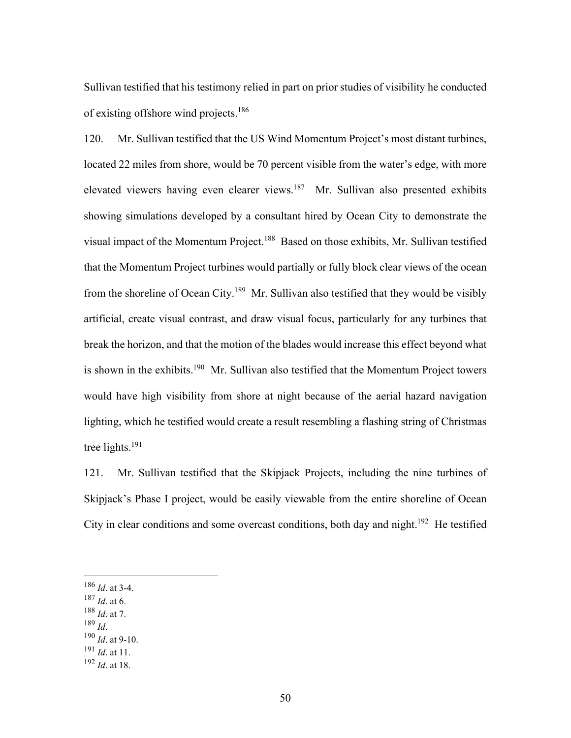Sullivan testified that his testimony relied in part on prior studies of visibility he conducted of existing offshore wind projects.186

120. Mr. Sullivan testified that the US Wind Momentum Project's most distant turbines, located 22 miles from shore, would be 70 percent visible from the water's edge, with more elevated viewers having even clearer views.187 Mr. Sullivan also presented exhibits showing simulations developed by a consultant hired by Ocean City to demonstrate the visual impact of the Momentum Project.<sup>188</sup> Based on those exhibits, Mr. Sullivan testified that the Momentum Project turbines would partially or fully block clear views of the ocean from the shoreline of Ocean City.189 Mr. Sullivan also testified that they would be visibly artificial, create visual contrast, and draw visual focus, particularly for any turbines that break the horizon, and that the motion of the blades would increase this effect beyond what is shown in the exhibits.<sup>190</sup> Mr. Sullivan also testified that the Momentum Project towers would have high visibility from shore at night because of the aerial hazard navigation lighting, which he testified would create a result resembling a flashing string of Christmas tree lights. $191$ 

121. Mr. Sullivan testified that the Skipjack Projects, including the nine turbines of Skipjack's Phase I project, would be easily viewable from the entire shoreline of Ocean City in clear conditions and some overcast conditions, both day and night.<sup>192</sup> He testified

- <sup>187</sup> *Id*. at 6.
- $\frac{188}{189}$  *Id.* at 7.
- 
- <sup>190</sup> *Id.* at 9-10.
- <sup>191</sup> *Id*. at 11.
- <sup>192</sup> *Id*. at 18.

<sup>186</sup> *Id*. at 3-4.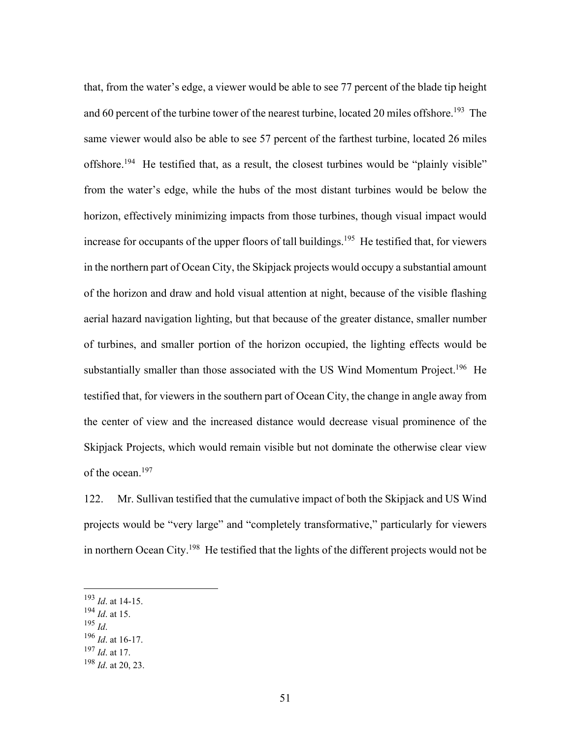that, from the water's edge, a viewer would be able to see 77 percent of the blade tip height and 60 percent of the turbine tower of the nearest turbine, located 20 miles offshore.<sup>193</sup> The same viewer would also be able to see 57 percent of the farthest turbine, located 26 miles offshore.<sup>194</sup> He testified that, as a result, the closest turbines would be "plainly visible" from the water's edge, while the hubs of the most distant turbines would be below the horizon, effectively minimizing impacts from those turbines, though visual impact would increase for occupants of the upper floors of tall buildings.<sup>195</sup> He testified that, for viewers in the northern part of Ocean City, the Skipjack projects would occupy a substantial amount of the horizon and draw and hold visual attention at night, because of the visible flashing aerial hazard navigation lighting, but that because of the greater distance, smaller number of turbines, and smaller portion of the horizon occupied, the lighting effects would be substantially smaller than those associated with the US Wind Momentum Project.<sup>196</sup> He testified that, for viewers in the southern part of Ocean City, the change in angle away from the center of view and the increased distance would decrease visual prominence of the Skipjack Projects, which would remain visible but not dominate the otherwise clear view of the ocean.197

122. Mr. Sullivan testified that the cumulative impact of both the Skipjack and US Wind projects would be "very large" and "completely transformative," particularly for viewers in northern Ocean City.<sup>198</sup> He testified that the lights of the different projects would not be

- $\frac{194}{105}$  *Id.* at 15.
- 
- <sup>196</sup> *Id.* at 16-17.
- <sup>197</sup> *Id*. at 17.

<sup>193</sup> *Id*. at 14-15.

<sup>198</sup> *Id*. at 20, 23.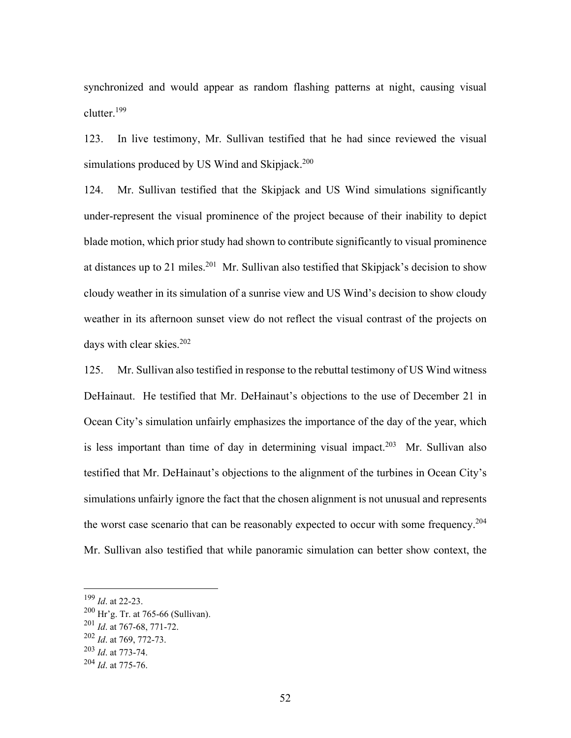synchronized and would appear as random flashing patterns at night, causing visual clutter.199

123. In live testimony, Mr. Sullivan testified that he had since reviewed the visual simulations produced by US Wind and Skipjack. $200$ 

124. Mr. Sullivan testified that the Skipjack and US Wind simulations significantly under-represent the visual prominence of the project because of their inability to depict blade motion, which prior study had shown to contribute significantly to visual prominence at distances up to 21 miles.<sup>201</sup> Mr. Sullivan also testified that Skipjack's decision to show cloudy weather in its simulation of a sunrise view and US Wind's decision to show cloudy weather in its afternoon sunset view do not reflect the visual contrast of the projects on days with clear skies.<sup>202</sup>

125. Mr. Sullivan also testified in response to the rebuttal testimony of US Wind witness DeHainaut. He testified that Mr. DeHainaut's objections to the use of December 21 in Ocean City's simulation unfairly emphasizes the importance of the day of the year, which is less important than time of day in determining visual impact.<sup>203</sup> Mr. Sullivan also testified that Mr. DeHainaut's objections to the alignment of the turbines in Ocean City's simulations unfairly ignore the fact that the chosen alignment is not unusual and represents the worst case scenario that can be reasonably expected to occur with some frequency.<sup>204</sup> Mr. Sullivan also testified that while panoramic simulation can better show context, the

<sup>199</sup> *Id*. at 22-23.

<sup>200</sup> Hr'g. Tr. at 765-66 (Sullivan).

<sup>201</sup> *Id*. at 767-68, 771-72.

<sup>202</sup> *Id*. at 769, 772-73.

<sup>203</sup> *Id*. at 773-74.

<sup>204</sup> *Id*. at 775-76.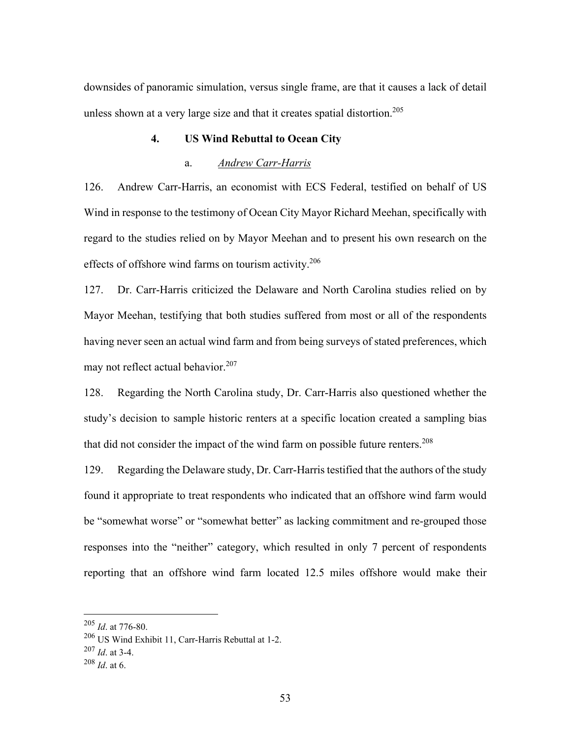downsides of panoramic simulation, versus single frame, are that it causes a lack of detail unless shown at a very large size and that it creates spatial distortion.<sup>205</sup>

### **4. US Wind Rebuttal to Ocean City**

#### a. *Andrew Carr-Harris*

126. Andrew Carr-Harris, an economist with ECS Federal, testified on behalf of US Wind in response to the testimony of Ocean City Mayor Richard Meehan, specifically with regard to the studies relied on by Mayor Meehan and to present his own research on the effects of offshore wind farms on tourism activity.<sup>206</sup>

127. Dr. Carr-Harris criticized the Delaware and North Carolina studies relied on by Mayor Meehan, testifying that both studies suffered from most or all of the respondents having never seen an actual wind farm and from being surveys of stated preferences, which may not reflect actual behavior. $207$ 

128. Regarding the North Carolina study, Dr. Carr-Harris also questioned whether the study's decision to sample historic renters at a specific location created a sampling bias that did not consider the impact of the wind farm on possible future renters.<sup>208</sup>

129. Regarding the Delaware study, Dr. Carr-Harris testified that the authors of the study found it appropriate to treat respondents who indicated that an offshore wind farm would be "somewhat worse" or "somewhat better" as lacking commitment and re-grouped those responses into the "neither" category, which resulted in only 7 percent of respondents reporting that an offshore wind farm located 12.5 miles offshore would make their

<sup>205</sup> *Id*. at 776-80.

<sup>206</sup> US Wind Exhibit 11, Carr-Harris Rebuttal at 1-2.

<sup>207</sup> *Id*. at 3-4.

<sup>208</sup> *Id*. at 6.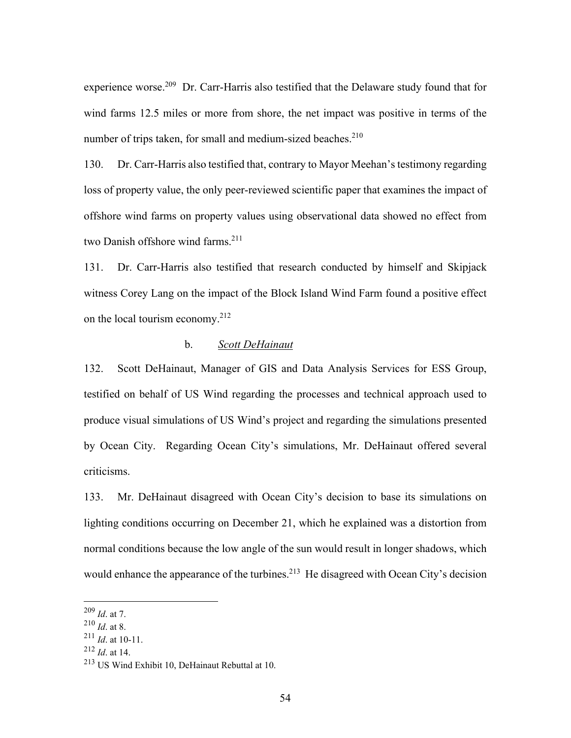experience worse.209 Dr. Carr-Harris also testified that the Delaware study found that for wind farms 12.5 miles or more from shore, the net impact was positive in terms of the number of trips taken, for small and medium-sized beaches. $210$ 

130. Dr. Carr-Harris also testified that, contrary to Mayor Meehan's testimony regarding loss of property value, the only peer-reviewed scientific paper that examines the impact of offshore wind farms on property values using observational data showed no effect from two Danish offshore wind farms.<sup>211</sup>

131. Dr. Carr-Harris also testified that research conducted by himself and Skipjack witness Corey Lang on the impact of the Block Island Wind Farm found a positive effect on the local tourism economy.212

#### b. *Scott DeHainaut*

132. Scott DeHainaut, Manager of GIS and Data Analysis Services for ESS Group, testified on behalf of US Wind regarding the processes and technical approach used to produce visual simulations of US Wind's project and regarding the simulations presented by Ocean City. Regarding Ocean City's simulations, Mr. DeHainaut offered several criticisms.

133. Mr. DeHainaut disagreed with Ocean City's decision to base its simulations on lighting conditions occurring on December 21, which he explained was a distortion from normal conditions because the low angle of the sun would result in longer shadows, which would enhance the appearance of the turbines.<sup>213</sup> He disagreed with Ocean City's decision

<sup>209</sup> *Id*. at 7.

<sup>210</sup> *Id*. at 8.

<sup>211</sup> *Id*. at 10-11.

<sup>212</sup> *Id*. at 14.

<sup>213</sup> US Wind Exhibit 10, DeHainaut Rebuttal at 10.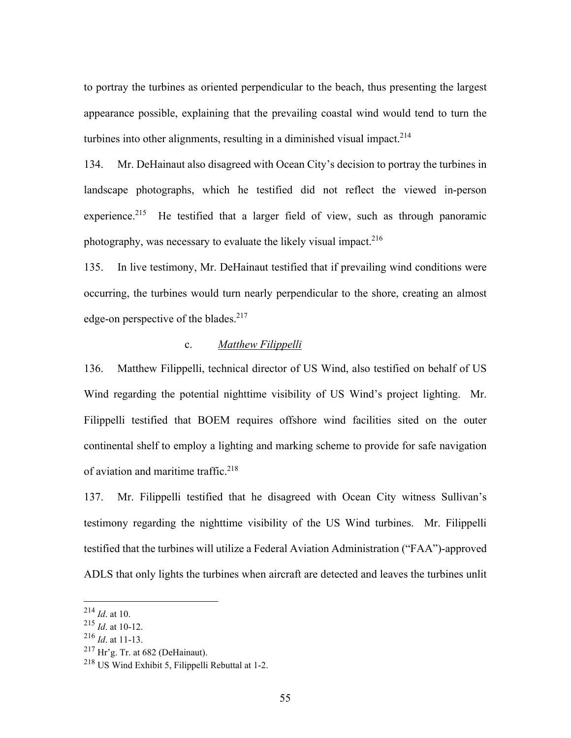to portray the turbines as oriented perpendicular to the beach, thus presenting the largest appearance possible, explaining that the prevailing coastal wind would tend to turn the turbines into other alignments, resulting in a diminished visual impact.<sup>214</sup>

134. Mr. DeHainaut also disagreed with Ocean City's decision to portray the turbines in landscape photographs, which he testified did not reflect the viewed in-person experience.<sup>215</sup> He testified that a larger field of view, such as through panoramic photography, was necessary to evaluate the likely visual impact.<sup>216</sup>

135. In live testimony, Mr. DeHainaut testified that if prevailing wind conditions were occurring, the turbines would turn nearly perpendicular to the shore, creating an almost edge-on perspective of the blades. $217$ 

# c. *Matthew Filippelli*

136. Matthew Filippelli, technical director of US Wind, also testified on behalf of US Wind regarding the potential nighttime visibility of US Wind's project lighting. Mr. Filippelli testified that BOEM requires offshore wind facilities sited on the outer continental shelf to employ a lighting and marking scheme to provide for safe navigation of aviation and maritime traffic.<sup>218</sup>

137. Mr. Filippelli testified that he disagreed with Ocean City witness Sullivan's testimony regarding the nighttime visibility of the US Wind turbines. Mr. Filippelli testified that the turbines will utilize a Federal Aviation Administration ("FAA")-approved ADLS that only lights the turbines when aircraft are detected and leaves the turbines unlit

 $^{214}$  *Id.* at 10.

<sup>215</sup> *Id*. at 10-12.

<sup>216</sup> *Id*. at 11-13.

 $217$  Hr'g. Tr. at 682 (DeHainaut).

<sup>218</sup> US Wind Exhibit 5, Filippelli Rebuttal at 1-2.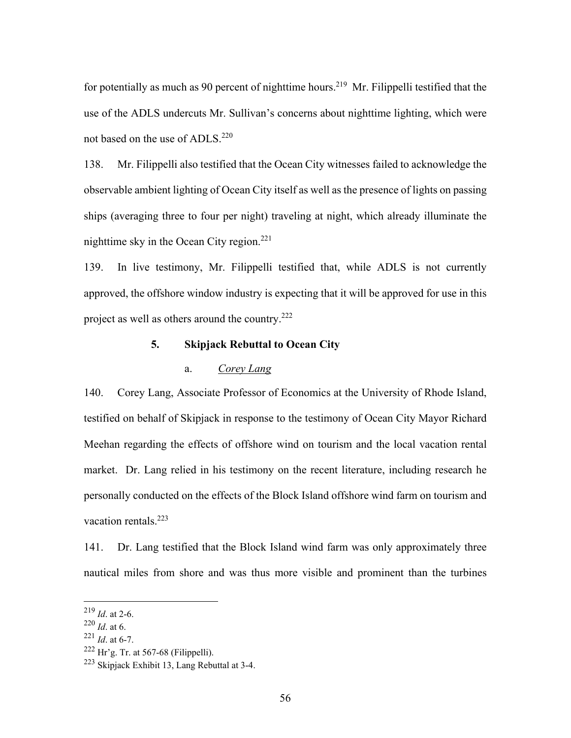for potentially as much as 90 percent of nighttime hours.<sup>219</sup> Mr. Filippelli testified that the use of the ADLS undercuts Mr. Sullivan's concerns about nighttime lighting, which were not based on the use of ADLS.<sup>220</sup>

138. Mr. Filippelli also testified that the Ocean City witnesses failed to acknowledge the observable ambient lighting of Ocean City itself as well as the presence of lights on passing ships (averaging three to four per night) traveling at night, which already illuminate the nighttime sky in the Ocean City region.<sup>221</sup>

139. In live testimony, Mr. Filippelli testified that, while ADLS is not currently approved, the offshore window industry is expecting that it will be approved for use in this project as well as others around the country.222

## **5. Skipjack Rebuttal to Ocean City**

## a. *Corey Lang*

140. Corey Lang, Associate Professor of Economics at the University of Rhode Island, testified on behalf of Skipjack in response to the testimony of Ocean City Mayor Richard Meehan regarding the effects of offshore wind on tourism and the local vacation rental market. Dr. Lang relied in his testimony on the recent literature, including research he personally conducted on the effects of the Block Island offshore wind farm on tourism and vacation rentals.<sup>223</sup>

141. Dr. Lang testified that the Block Island wind farm was only approximately three nautical miles from shore and was thus more visible and prominent than the turbines

 $^{219}$  *Id.* at 2-6.

<sup>220</sup> *Id*. at 6.

 $^{221}$  *Id.* at 6-7.

 $222$  Hr'g. Tr. at 567-68 (Filippelli).

<sup>&</sup>lt;sup>223</sup> Skipjack Exhibit 13, Lang Rebuttal at 3-4.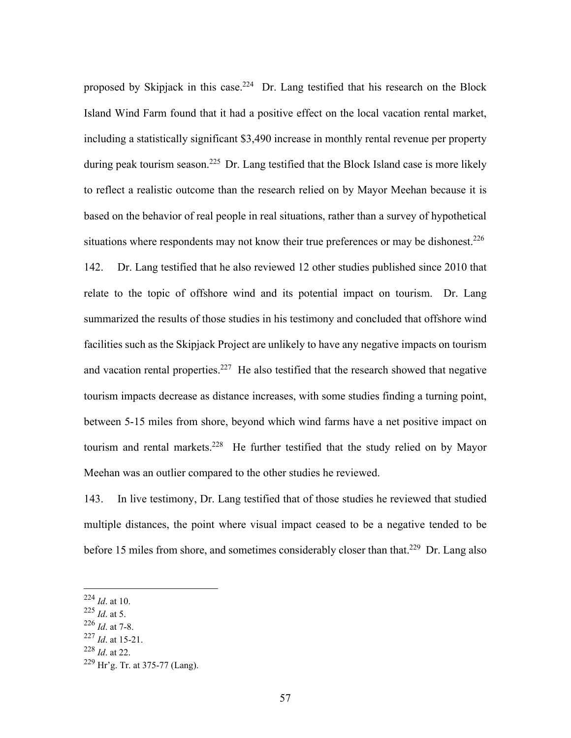proposed by Skipjack in this case.<sup>224</sup> Dr. Lang testified that his research on the Block Island Wind Farm found that it had a positive effect on the local vacation rental market, including a statistically significant \$3,490 increase in monthly rental revenue per property during peak tourism season.<sup>225</sup> Dr. Lang testified that the Block Island case is more likely to reflect a realistic outcome than the research relied on by Mayor Meehan because it is based on the behavior of real people in real situations, rather than a survey of hypothetical situations where respondents may not know their true preferences or may be dishonest.<sup>226</sup> 142. Dr. Lang testified that he also reviewed 12 other studies published since 2010 that relate to the topic of offshore wind and its potential impact on tourism. Dr. Lang summarized the results of those studies in his testimony and concluded that offshore wind facilities such as the Skipjack Project are unlikely to have any negative impacts on tourism and vacation rental properties.<sup>227</sup> He also testified that the research showed that negative tourism impacts decrease as distance increases, with some studies finding a turning point, between 5-15 miles from shore, beyond which wind farms have a net positive impact on tourism and rental markets.<sup>228</sup> He further testified that the study relied on by Mayor Meehan was an outlier compared to the other studies he reviewed.

143. In live testimony, Dr. Lang testified that of those studies he reviewed that studied multiple distances, the point where visual impact ceased to be a negative tended to be before 15 miles from shore, and sometimes considerably closer than that.<sup>229</sup> Dr. Lang also

- <sup>225</sup> *Id*. at 5.
- <sup>226</sup> *Id*. at 7-8.
- <sup>227</sup> *Id*. at 15-21.
- <sup>228</sup> *Id*. at 22.

<sup>224</sup> *Id*. at 10.

 $229$  Hr'g. Tr. at 375-77 (Lang).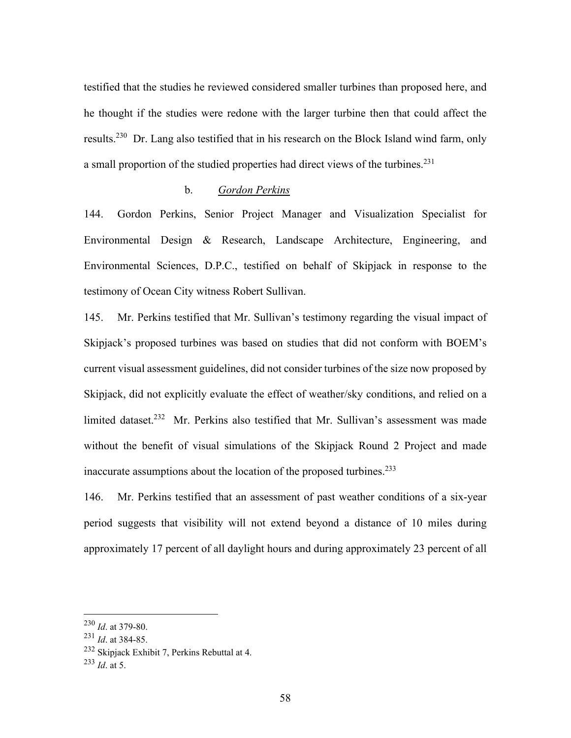testified that the studies he reviewed considered smaller turbines than proposed here, and he thought if the studies were redone with the larger turbine then that could affect the results.<sup>230</sup> Dr. Lang also testified that in his research on the Block Island wind farm, only a small proportion of the studied properties had direct views of the turbines.<sup>231</sup>

#### b. *Gordon Perkins*

144. Gordon Perkins, Senior Project Manager and Visualization Specialist for Environmental Design & Research, Landscape Architecture, Engineering, and Environmental Sciences, D.P.C., testified on behalf of Skipjack in response to the testimony of Ocean City witness Robert Sullivan.

145. Mr. Perkins testified that Mr. Sullivan's testimony regarding the visual impact of Skipjack's proposed turbines was based on studies that did not conform with BOEM's current visual assessment guidelines, did not consider turbines of the size now proposed by Skipjack, did not explicitly evaluate the effect of weather/sky conditions, and relied on a limited dataset.<sup>232</sup> Mr. Perkins also testified that Mr. Sullivan's assessment was made without the benefit of visual simulations of the Skipjack Round 2 Project and made inaccurate assumptions about the location of the proposed turbines.<sup>233</sup>

146. Mr. Perkins testified that an assessment of past weather conditions of a six-year period suggests that visibility will not extend beyond a distance of 10 miles during approximately 17 percent of all daylight hours and during approximately 23 percent of all

<sup>230</sup> *Id*. at 379-80.

<sup>231</sup> *Id*. at 384-85.

<sup>232</sup> Skipjack Exhibit 7, Perkins Rebuttal at 4.

<sup>233</sup> *Id*. at 5.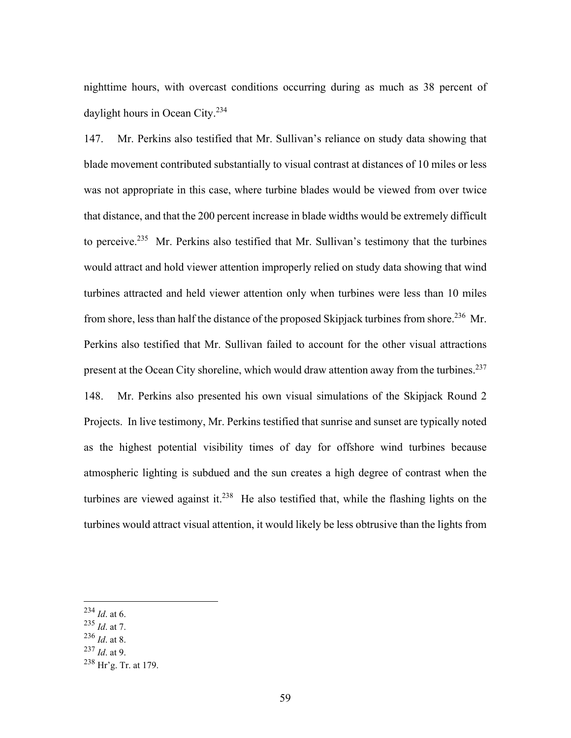nighttime hours, with overcast conditions occurring during as much as 38 percent of daylight hours in Ocean City.<sup>234</sup>

147. Mr. Perkins also testified that Mr. Sullivan's reliance on study data showing that blade movement contributed substantially to visual contrast at distances of 10 miles or less was not appropriate in this case, where turbine blades would be viewed from over twice that distance, and that the 200 percent increase in blade widths would be extremely difficult to perceive.<sup>235</sup> Mr. Perkins also testified that Mr. Sullivan's testimony that the turbines would attract and hold viewer attention improperly relied on study data showing that wind turbines attracted and held viewer attention only when turbines were less than 10 miles from shore, less than half the distance of the proposed Skipjack turbines from shore.<sup>236</sup> Mr. Perkins also testified that Mr. Sullivan failed to account for the other visual attractions present at the Ocean City shoreline, which would draw attention away from the turbines.<sup>237</sup> 148. Mr. Perkins also presented his own visual simulations of the Skipjack Round 2 Projects. In live testimony, Mr. Perkins testified that sunrise and sunset are typically noted as the highest potential visibility times of day for offshore wind turbines because atmospheric lighting is subdued and the sun creates a high degree of contrast when the turbines are viewed against it.<sup>238</sup> He also testified that, while the flashing lights on the

turbines would attract visual attention, it would likely be less obtrusive than the lights from

- <sup>235</sup> *Id*. at 7.
- <sup>236</sup> *Id*. at 8.
- <sup>237</sup> *Id*. at 9.

<sup>234</sup> *Id*. at 6.

<sup>238</sup> Hr'g. Tr. at 179.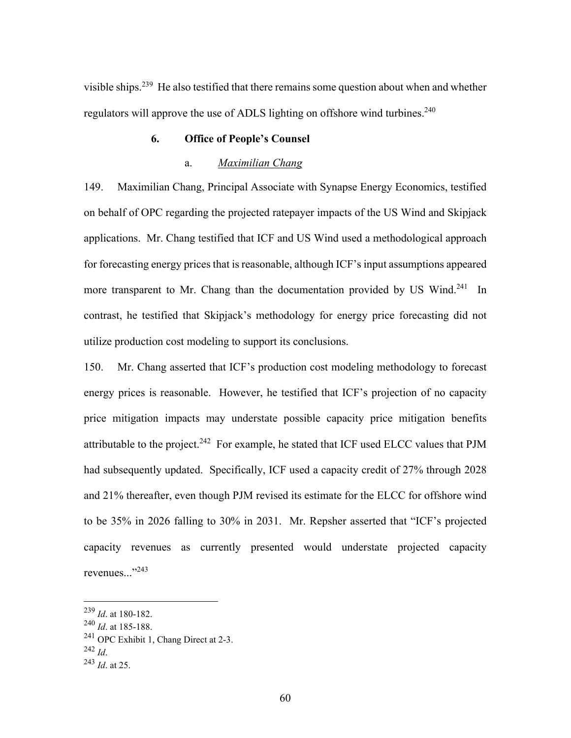visible ships.<sup>239</sup> He also testified that there remains some question about when and whether regulators will approve the use of ADLS lighting on offshore wind turbines.<sup>240</sup>

## **6. Office of People's Counsel**

## a. *Maximilian Chang*

149. Maximilian Chang, Principal Associate with Synapse Energy Economics, testified on behalf of OPC regarding the projected ratepayer impacts of the US Wind and Skipjack applications. Mr. Chang testified that ICF and US Wind used a methodological approach for forecasting energy prices that is reasonable, although ICF's input assumptions appeared more transparent to Mr. Chang than the documentation provided by US Wind.<sup>241</sup> In contrast, he testified that Skipjack's methodology for energy price forecasting did not utilize production cost modeling to support its conclusions.

150. Mr. Chang asserted that ICF's production cost modeling methodology to forecast energy prices is reasonable. However, he testified that ICF's projection of no capacity price mitigation impacts may understate possible capacity price mitigation benefits attributable to the project.<sup>242</sup> For example, he stated that ICF used ELCC values that PJM had subsequently updated. Specifically, ICF used a capacity credit of 27% through 2028 and 21% thereafter, even though PJM revised its estimate for the ELCC for offshore wind to be 35% in 2026 falling to 30% in 2031. Mr. Repsher asserted that "ICF's projected capacity revenues as currently presented would understate projected capacity revenues..."<sup>243</sup>

<sup>239</sup> *Id*. at 180-182.

<sup>240</sup> *Id*. at 185-188.

<sup>&</sup>lt;sup>241</sup> OPC Exhibit 1, Chang Direct at 2-3.<br><sup>242</sup> Id

<sup>242</sup> *Id*. 243 *Id*. at 25.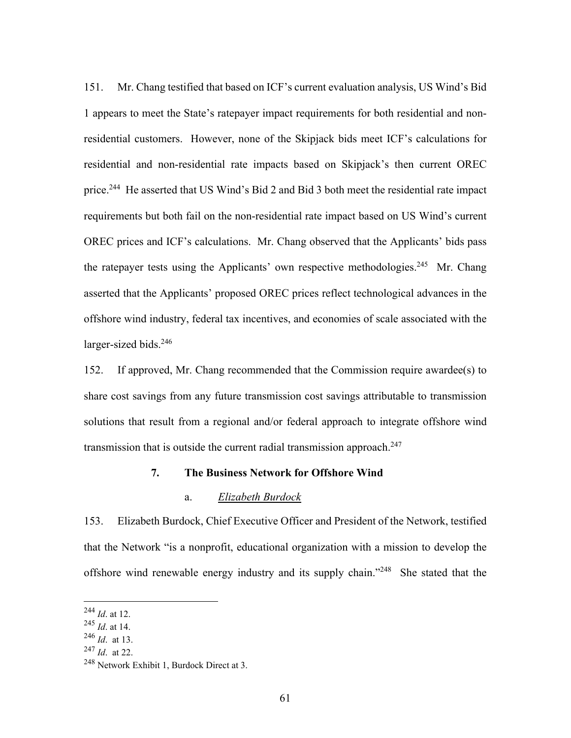151. Mr. Chang testified that based on ICF's current evaluation analysis, US Wind's Bid 1 appears to meet the State's ratepayer impact requirements for both residential and nonresidential customers. However, none of the Skipjack bids meet ICF's calculations for residential and non-residential rate impacts based on Skipjack's then current OREC price.<sup>244</sup> He asserted that US Wind's Bid 2 and Bid 3 both meet the residential rate impact requirements but both fail on the non-residential rate impact based on US Wind's current OREC prices and ICF's calculations. Mr. Chang observed that the Applicants' bids pass the ratepayer tests using the Applicants' own respective methodologies.<sup>245</sup> Mr. Chang asserted that the Applicants' proposed OREC prices reflect technological advances in the offshore wind industry, federal tax incentives, and economies of scale associated with the larger-sized bids.<sup>246</sup>

152. If approved, Mr. Chang recommended that the Commission require awardee(s) to share cost savings from any future transmission cost savings attributable to transmission solutions that result from a regional and/or federal approach to integrate offshore wind transmission that is outside the current radial transmission approach.<sup>247</sup>

#### **7. The Business Network for Offshore Wind**

#### a. *Elizabeth Burdock*

153. Elizabeth Burdock, Chief Executive Officer and President of the Network, testified that the Network "is a nonprofit, educational organization with a mission to develop the offshore wind renewable energy industry and its supply chain."248 She stated that the

<sup>244</sup> *Id*. at 12.

<sup>245</sup> *Id*. at 14.

<sup>246</sup> *Id*. at 13.

<sup>247</sup> *Id*. at 22.

<sup>248</sup> Network Exhibit 1, Burdock Direct at 3.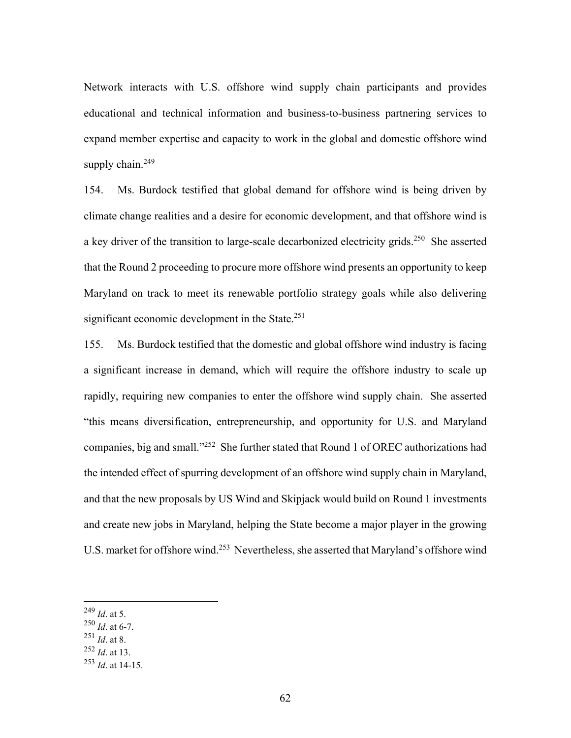Network interacts with U.S. offshore wind supply chain participants and provides educational and technical information and business-to-business partnering services to expand member expertise and capacity to work in the global and domestic offshore wind supply chain. $249$ 

154. Ms. Burdock testified that global demand for offshore wind is being driven by climate change realities and a desire for economic development, and that offshore wind is a key driver of the transition to large-scale decarbonized electricity grids.<sup>250</sup> She asserted that the Round 2 proceeding to procure more offshore wind presents an opportunity to keep Maryland on track to meet its renewable portfolio strategy goals while also delivering significant economic development in the State.<sup>251</sup>

155. Ms. Burdock testified that the domestic and global offshore wind industry is facing a significant increase in demand, which will require the offshore industry to scale up rapidly, requiring new companies to enter the offshore wind supply chain. She asserted "this means diversification, entrepreneurship, and opportunity for U.S. and Maryland companies, big and small."252 She further stated that Round 1 of OREC authorizations had the intended effect of spurring development of an offshore wind supply chain in Maryland, and that the new proposals by US Wind and Skipjack would build on Round 1 investments and create new jobs in Maryland, helping the State become a major player in the growing U.S. market for offshore wind.<sup>253</sup> Nevertheless, she asserted that Maryland's offshore wind

<sup>249</sup> *Id*. at 5.

<sup>250</sup> *Id*. at 6-7.

<sup>251</sup> *Id*. at 8.

<sup>252</sup> *Id*. at 13.

<sup>253</sup> *Id*. at 14-15.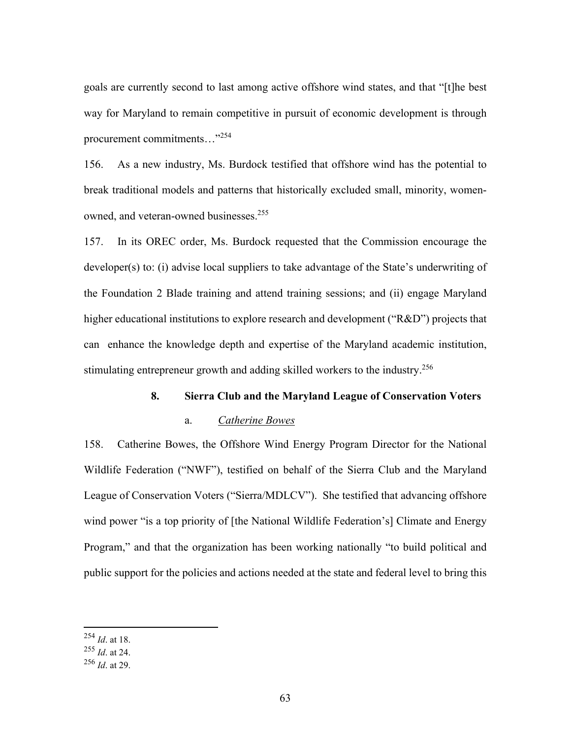goals are currently second to last among active offshore wind states, and that "[t]he best way for Maryland to remain competitive in pursuit of economic development is through procurement commitments…"254

156. As a new industry, Ms. Burdock testified that offshore wind has the potential to break traditional models and patterns that historically excluded small, minority, womenowned, and veteran-owned businesses.<sup>255</sup>

157. In its OREC order, Ms. Burdock requested that the Commission encourage the developer(s) to: (i) advise local suppliers to take advantage of the State's underwriting of the Foundation 2 Blade training and attend training sessions; and (ii) engage Maryland higher educational institutions to explore research and development ("R&D") projects that can enhance the knowledge depth and expertise of the Maryland academic institution, stimulating entrepreneur growth and adding skilled workers to the industry.<sup>256</sup>

### **8. Sierra Club and the Maryland League of Conservation Voters**

#### a. *Catherine Bowes*

158. Catherine Bowes, the Offshore Wind Energy Program Director for the National Wildlife Federation ("NWF"), testified on behalf of the Sierra Club and the Maryland League of Conservation Voters ("Sierra/MDLCV"). She testified that advancing offshore wind power "is a top priority of [the National Wildlife Federation's] Climate and Energy Program," and that the organization has been working nationally "to build political and public support for the policies and actions needed at the state and federal level to bring this

<sup>254</sup> *Id*. at 18.

<sup>255</sup> *Id*. at 24.

<sup>256</sup> *Id*. at 29.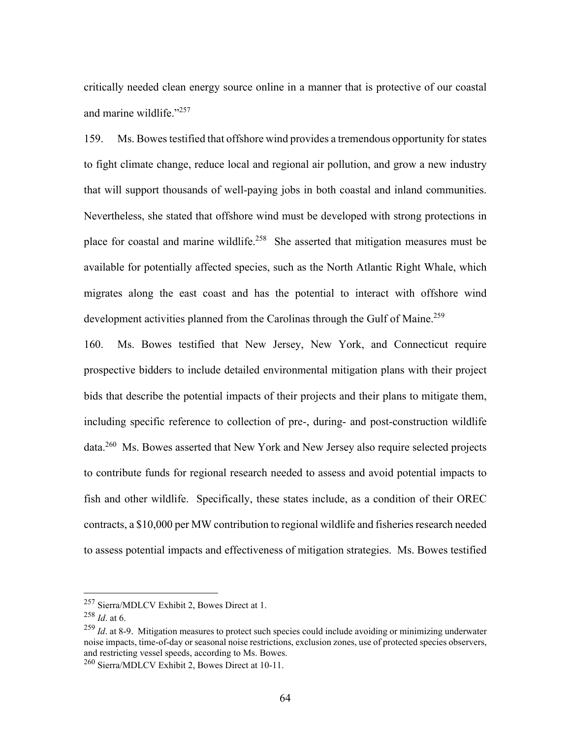critically needed clean energy source online in a manner that is protective of our coastal and marine wildlife."<sup>257</sup>

159. Ms. Bowes testified that offshore wind provides a tremendous opportunity for states to fight climate change, reduce local and regional air pollution, and grow a new industry that will support thousands of well-paying jobs in both coastal and inland communities. Nevertheless, she stated that offshore wind must be developed with strong protections in place for coastal and marine wildlife.<sup>258</sup> She asserted that mitigation measures must be available for potentially affected species, such as the North Atlantic Right Whale, which migrates along the east coast and has the potential to interact with offshore wind development activities planned from the Carolinas through the Gulf of Maine.<sup>259</sup>

160. Ms. Bowes testified that New Jersey, New York, and Connecticut require prospective bidders to include detailed environmental mitigation plans with their project bids that describe the potential impacts of their projects and their plans to mitigate them, including specific reference to collection of pre-, during- and post-construction wildlife data.<sup>260</sup> Ms. Bowes asserted that New York and New Jersey also require selected projects to contribute funds for regional research needed to assess and avoid potential impacts to fish and other wildlife. Specifically, these states include, as a condition of their OREC contracts, a \$10,000 per MW contribution to regional wildlife and fisheries research needed to assess potential impacts and effectiveness of mitigation strategies. Ms. Bowes testified

<sup>257</sup> Sierra/MDLCV Exhibit 2, Bowes Direct at 1.

<sup>258</sup> *Id*. at 6.

<sup>&</sup>lt;sup>259</sup> *Id.* at 8-9. Mitigation measures to protect such species could include avoiding or minimizing underwater noise impacts, time-of-day or seasonal noise restrictions, exclusion zones, use of protected species observers, and restricting vessel speeds, according to Ms. Bowes.

<sup>260</sup> Sierra/MDLCV Exhibit 2, Bowes Direct at 10-11.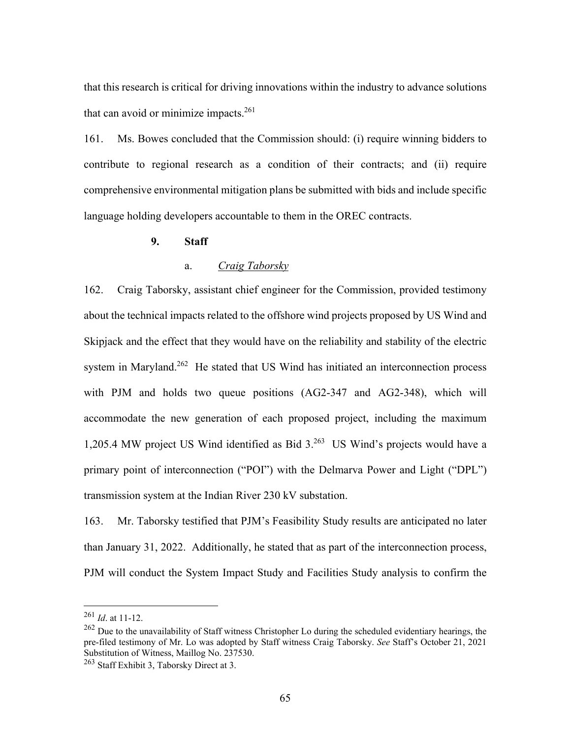that this research is critical for driving innovations within the industry to advance solutions that can avoid or minimize impacts. $261$ 

161. Ms. Bowes concluded that the Commission should: (i) require winning bidders to contribute to regional research as a condition of their contracts; and (ii) require comprehensive environmental mitigation plans be submitted with bids and include specific language holding developers accountable to them in the OREC contracts.

#### **9. Staff**

#### a. *Craig Taborsky*

162. Craig Taborsky, assistant chief engineer for the Commission, provided testimony about the technical impacts related to the offshore wind projects proposed by US Wind and Skipjack and the effect that they would have on the reliability and stability of the electric system in Maryland.<sup>262</sup> He stated that US Wind has initiated an interconnection process with PJM and holds two queue positions (AG2-347 and AG2-348), which will accommodate the new generation of each proposed project, including the maximum 1,205.4 MW project US Wind identified as Bid 3.263 US Wind's projects would have a primary point of interconnection ("POI") with the Delmarva Power and Light ("DPL") transmission system at the Indian River 230 kV substation.

163. Mr. Taborsky testified that PJM's Feasibility Study results are anticipated no later than January 31, 2022. Additionally, he stated that as part of the interconnection process, PJM will conduct the System Impact Study and Facilities Study analysis to confirm the

<sup>261</sup> *Id*. at 11-12.

 $262$  Due to the unavailability of Staff witness Christopher Lo during the scheduled evidentiary hearings, the pre-filed testimony of Mr. Lo was adopted by Staff witness Craig Taborsky. *See* Staff's October 21, 2021 Substitution of Witness, Maillog No. 237530.

<sup>&</sup>lt;sup>263</sup> Staff Exhibit 3, Taborsky Direct at 3.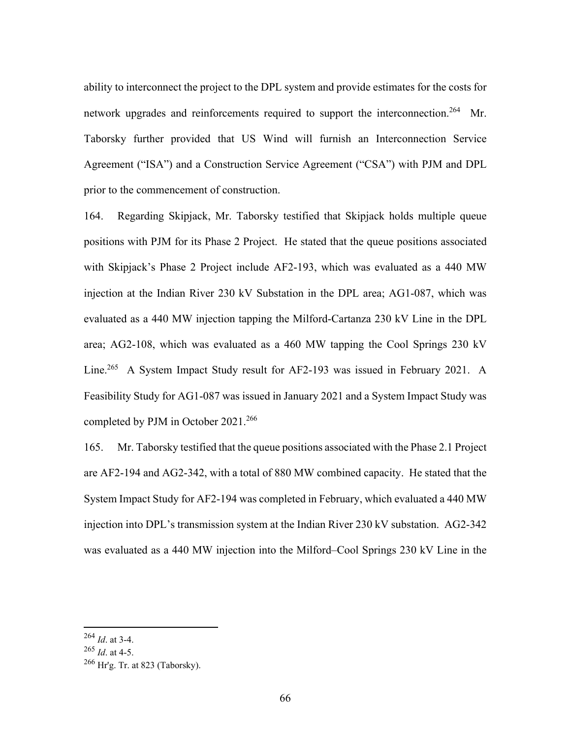ability to interconnect the project to the DPL system and provide estimates for the costs for network upgrades and reinforcements required to support the interconnection.<sup>264</sup> Mr. Taborsky further provided that US Wind will furnish an Interconnection Service Agreement ("ISA") and a Construction Service Agreement ("CSA") with PJM and DPL prior to the commencement of construction.

164. Regarding Skipjack, Mr. Taborsky testified that Skipjack holds multiple queue positions with PJM for its Phase 2 Project. He stated that the queue positions associated with Skipjack's Phase 2 Project include AF2-193, which was evaluated as a 440 MW injection at the Indian River 230 kV Substation in the DPL area; AG1-087, which was evaluated as a 440 MW injection tapping the Milford-Cartanza 230 kV Line in the DPL area; AG2-108, which was evaluated as a 460 MW tapping the Cool Springs 230 kV Line.<sup>265</sup> A System Impact Study result for AF2-193 was issued in February 2021. A Feasibility Study for AG1-087 was issued in January 2021 and a System Impact Study was completed by PJM in October 2021.<sup>266</sup>

165. Mr. Taborsky testified that the queue positions associated with the Phase 2.1 Project are AF2-194 and AG2-342, with a total of 880 MW combined capacity. He stated that the System Impact Study for AF2-194 was completed in February, which evaluated a 440 MW injection into DPL's transmission system at the Indian River 230 kV substation. AG2-342 was evaluated as a 440 MW injection into the Milford–Cool Springs 230 kV Line in the

<sup>264</sup> *Id*. at 3-4.

<sup>265</sup> *Id*. at 4-5.

 $266$  Hr'g. Tr. at 823 (Taborsky).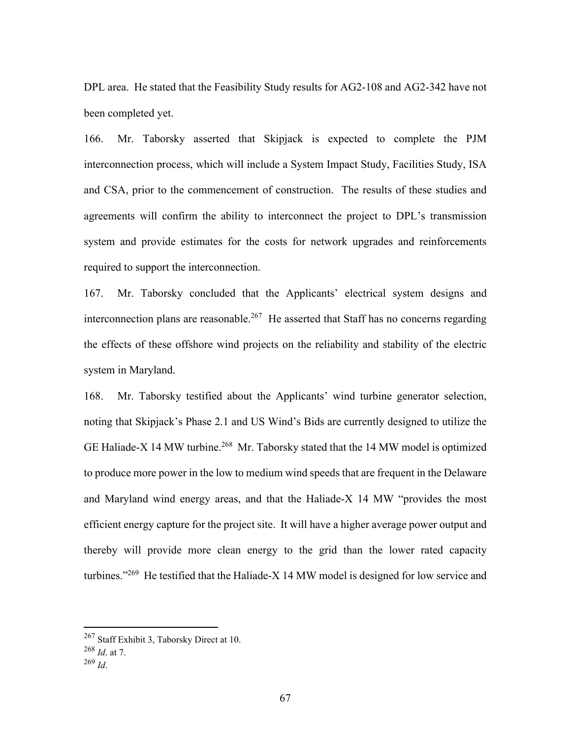DPL area. He stated that the Feasibility Study results for AG2-108 and AG2-342 have not been completed yet.

166. Mr. Taborsky asserted that Skipjack is expected to complete the PJM interconnection process, which will include a System Impact Study, Facilities Study, ISA and CSA, prior to the commencement of construction. The results of these studies and agreements will confirm the ability to interconnect the project to DPL's transmission system and provide estimates for the costs for network upgrades and reinforcements required to support the interconnection.

167. Mr. Taborsky concluded that the Applicants' electrical system designs and interconnection plans are reasonable.<sup>267</sup> He asserted that Staff has no concerns regarding the effects of these offshore wind projects on the reliability and stability of the electric system in Maryland.

168. Mr. Taborsky testified about the Applicants' wind turbine generator selection, noting that Skipjack's Phase 2.1 and US Wind's Bids are currently designed to utilize the GE Haliade-X 14 MW turbine.<sup>268</sup> Mr. Taborsky stated that the 14 MW model is optimized to produce more power in the low to medium wind speeds that are frequent in the Delaware and Maryland wind energy areas, and that the Haliade-X 14 MW "provides the most efficient energy capture for the project site. It will have a higher average power output and thereby will provide more clean energy to the grid than the lower rated capacity turbines."<sup>269</sup> He testified that the Haliade-X 14 MW model is designed for low service and

<sup>267</sup> Staff Exhibit 3, Taborsky Direct at 10.

<sup>268</sup> *Id*. at 7.

<sup>269</sup> *Id*.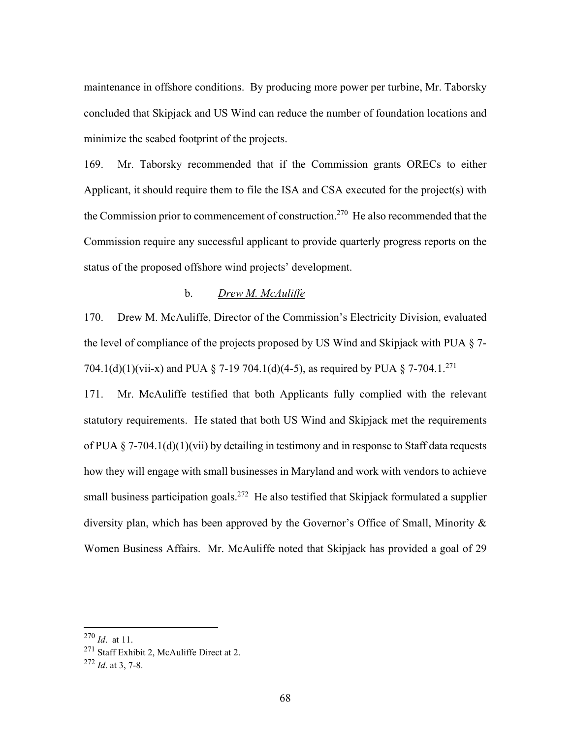maintenance in offshore conditions. By producing more power per turbine, Mr. Taborsky concluded that Skipjack and US Wind can reduce the number of foundation locations and minimize the seabed footprint of the projects.

169. Mr. Taborsky recommended that if the Commission grants ORECs to either Applicant, it should require them to file the ISA and CSA executed for the project(s) with the Commission prior to commencement of construction.<sup>270</sup> He also recommended that the Commission require any successful applicant to provide quarterly progress reports on the status of the proposed offshore wind projects' development.

# b. *Drew M. McAuliffe*

170. Drew M. McAuliffe, Director of the Commission's Electricity Division, evaluated the level of compliance of the projects proposed by US Wind and Skipjack with PUA § 7- 704.1(d)(1)(vii-x) and PUA § 7-19 704.1(d)(4-5), as required by PUA § 7-704.1.<sup>271</sup>

171. Mr. McAuliffe testified that both Applicants fully complied with the relevant statutory requirements. He stated that both US Wind and Skipjack met the requirements of PUA § 7-704.1(d)(1)(vii) by detailing in testimony and in response to Staff data requests how they will engage with small businesses in Maryland and work with vendors to achieve small business participation goals.<sup>272</sup> He also testified that Skipjack formulated a supplier diversity plan, which has been approved by the Governor's Office of Small, Minority & Women Business Affairs. Mr. McAuliffe noted that Skipjack has provided a goal of 29

<sup>270</sup> *Id*. at 11.

<sup>&</sup>lt;sup>271</sup> Staff Exhibit 2, McAuliffe Direct at 2.

<sup>272</sup> *Id*. at 3, 7-8.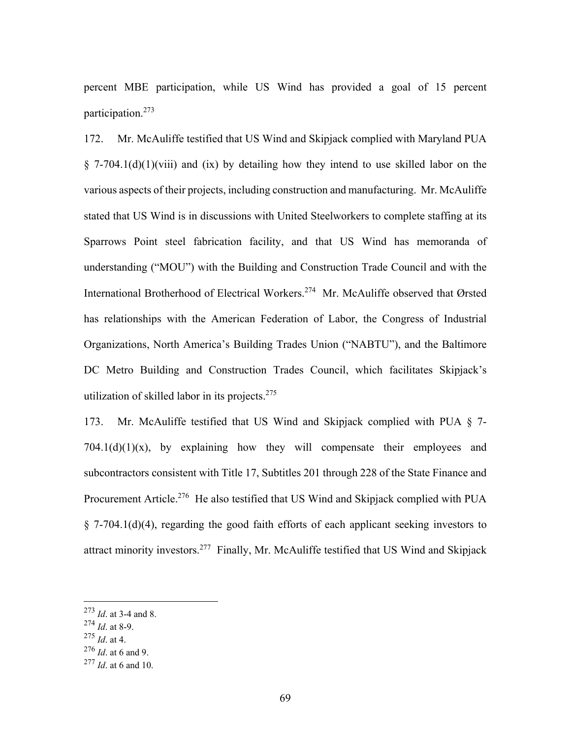percent MBE participation, while US Wind has provided a goal of 15 percent participation.273

172. Mr. McAuliffe testified that US Wind and Skipjack complied with Maryland PUA  $\S$  7-704.1(d)(1)(viii) and (ix) by detailing how they intend to use skilled labor on the various aspects of their projects, including construction and manufacturing. Mr. McAuliffe stated that US Wind is in discussions with United Steelworkers to complete staffing at its Sparrows Point steel fabrication facility, and that US Wind has memoranda of understanding ("MOU") with the Building and Construction Trade Council and with the International Brotherhood of Electrical Workers.274 Mr. McAuliffe observed that Ørsted has relationships with the American Federation of Labor, the Congress of Industrial Organizations, North America's Building Trades Union ("NABTU"), and the Baltimore DC Metro Building and Construction Trades Council, which facilitates Skipjack's utilization of skilled labor in its projects. $275$ 

173. Mr. McAuliffe testified that US Wind and Skipjack complied with PUA § 7-  $704.1(d)(1)(x)$ , by explaining how they will compensate their employees and subcontractors consistent with Title 17, Subtitles 201 through 228 of the State Finance and Procurement Article.<sup>276</sup> He also testified that US Wind and Skipjack complied with PUA § 7-704.1(d)(4), regarding the good faith efforts of each applicant seeking investors to attract minority investors.277 Finally, Mr. McAuliffe testified that US Wind and Skipjack

<sup>275</sup> *Id*. at 4.

<sup>273</sup> *Id*. at 3-4 and 8.

<sup>274</sup> *Id*. at 8-9.

<sup>276</sup> *Id*. at 6 and 9.

<sup>277</sup> *Id*. at 6 and 10.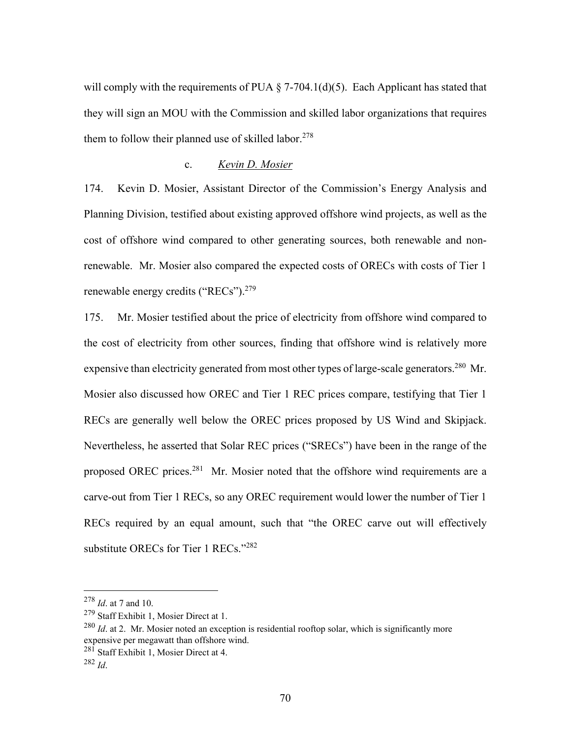will comply with the requirements of PUA  $\S$  7-704.1(d)(5). Each Applicant has stated that they will sign an MOU with the Commission and skilled labor organizations that requires them to follow their planned use of skilled labor.<sup>278</sup>

#### c. *Kevin D. Mosier*

174. Kevin D. Mosier, Assistant Director of the Commission's Energy Analysis and Planning Division, testified about existing approved offshore wind projects, as well as the cost of offshore wind compared to other generating sources, both renewable and nonrenewable. Mr. Mosier also compared the expected costs of ORECs with costs of Tier 1 renewable energy credits ("RECs").<sup>279</sup>

175. Mr. Mosier testified about the price of electricity from offshore wind compared to the cost of electricity from other sources, finding that offshore wind is relatively more expensive than electricity generated from most other types of large-scale generators.<sup>280</sup> Mr. Mosier also discussed how OREC and Tier 1 REC prices compare, testifying that Tier 1 RECs are generally well below the OREC prices proposed by US Wind and Skipjack. Nevertheless, he asserted that Solar REC prices ("SRECs") have been in the range of the proposed OREC prices.<sup>281</sup> Mr. Mosier noted that the offshore wind requirements are a carve-out from Tier 1 RECs, so any OREC requirement would lower the number of Tier 1 RECs required by an equal amount, such that "the OREC carve out will effectively substitute ORECs for Tier 1 RECs."282

<sup>278</sup> *Id*. at 7 and 10.

<sup>279</sup> Staff Exhibit 1, Mosier Direct at 1.

<sup>280</sup> *Id*. at 2. Mr. Mosier noted an exception is residential rooftop solar, which is significantly more expensive per megawatt than offshore wind.

<sup>281</sup> Staff Exhibit 1, Mosier Direct at 4.

<sup>282</sup> *Id*.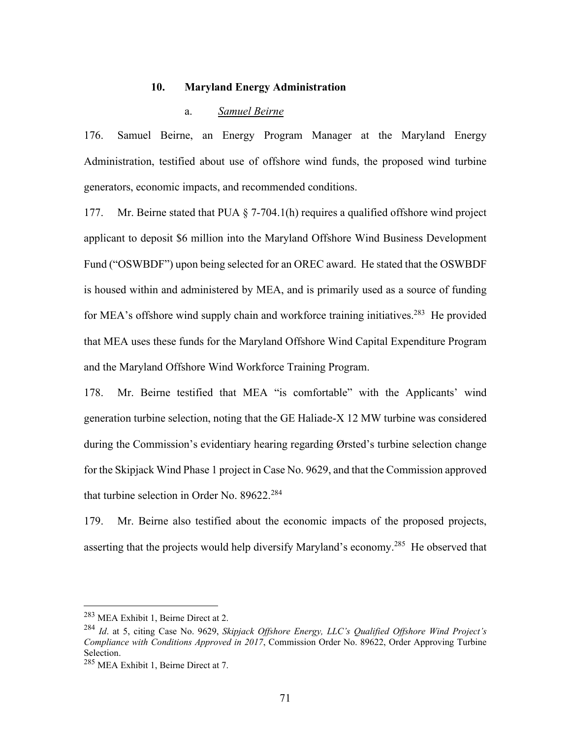### **10. Maryland Energy Administration**

### a. *Samuel Beirne*

176. Samuel Beirne, an Energy Program Manager at the Maryland Energy Administration, testified about use of offshore wind funds, the proposed wind turbine generators, economic impacts, and recommended conditions.

177. Mr. Beirne stated that PUA § 7-704.1(h) requires a qualified offshore wind project applicant to deposit \$6 million into the Maryland Offshore Wind Business Development Fund ("OSWBDF") upon being selected for an OREC award. He stated that the OSWBDF is housed within and administered by MEA, and is primarily used as a source of funding for MEA's offshore wind supply chain and workforce training initiatives.<sup>283</sup> He provided that MEA uses these funds for the Maryland Offshore Wind Capital Expenditure Program and the Maryland Offshore Wind Workforce Training Program.

178. Mr. Beirne testified that MEA "is comfortable" with the Applicants' wind generation turbine selection, noting that the GE Haliade-X 12 MW turbine was considered during the Commission's evidentiary hearing regarding Ørsted's turbine selection change for the Skipjack Wind Phase 1 project in Case No. 9629, and that the Commission approved that turbine selection in Order No. 89622.<sup>284</sup>

179. Mr. Beirne also testified about the economic impacts of the proposed projects, asserting that the projects would help diversify Maryland's economy.285 He observed that

<sup>283</sup> MEA Exhibit 1, Beirne Direct at 2.

<sup>284</sup> *Id*. at 5, citing Case No. 9629, *Skipjack Offshore Energy, LLC's Qualified Offshore Wind Project's Compliance with Conditions Approved in 2017*, Commission Order No. 89622, Order Approving Turbine Selection.

<sup>285</sup> MEA Exhibit 1, Beirne Direct at 7.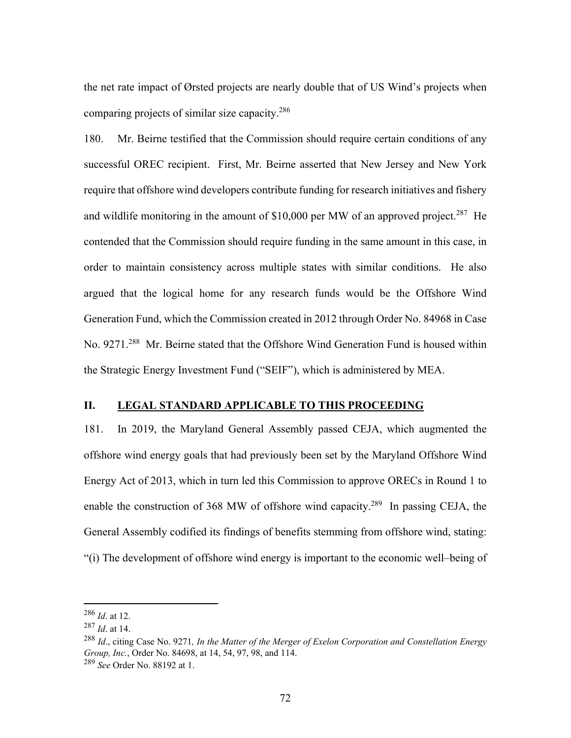the net rate impact of Ørsted projects are nearly double that of US Wind's projects when comparing projects of similar size capacity.286

180. Mr. Beirne testified that the Commission should require certain conditions of any successful OREC recipient. First, Mr. Beirne asserted that New Jersey and New York require that offshore wind developers contribute funding for research initiatives and fishery and wildlife monitoring in the amount of  $$10,000$  per MW of an approved project.<sup>287</sup> He contended that the Commission should require funding in the same amount in this case, in order to maintain consistency across multiple states with similar conditions. He also argued that the logical home for any research funds would be the Offshore Wind Generation Fund, which the Commission created in 2012 through Order No. 84968 in Case No. 9271.288 Mr. Beirne stated that the Offshore Wind Generation Fund is housed within the Strategic Energy Investment Fund ("SEIF"), which is administered by MEA.

## **II. LEGAL STANDARD APPLICABLE TO THIS PROCEEDING**

181. In 2019, the Maryland General Assembly passed CEJA, which augmented the offshore wind energy goals that had previously been set by the Maryland Offshore Wind Energy Act of 2013, which in turn led this Commission to approve ORECs in Round 1 to enable the construction of 368 MW of offshore wind capacity.<sup>289</sup> In passing CEJA, the General Assembly codified its findings of benefits stemming from offshore wind, stating: "(i) The development of offshore wind energy is important to the economic well–being of

<sup>286</sup> *Id*. at 12.

<sup>287</sup> *Id*. at 14.

<sup>288</sup> *Id*., citing Case No. 9271*, In the Matter of the Merger of Exelon Corporation and Constellation Energy Group, Inc.*, Order No. 84698, at 14, 54, 97, 98, and 114.

<sup>289</sup> *See* Order No. 88192 at 1.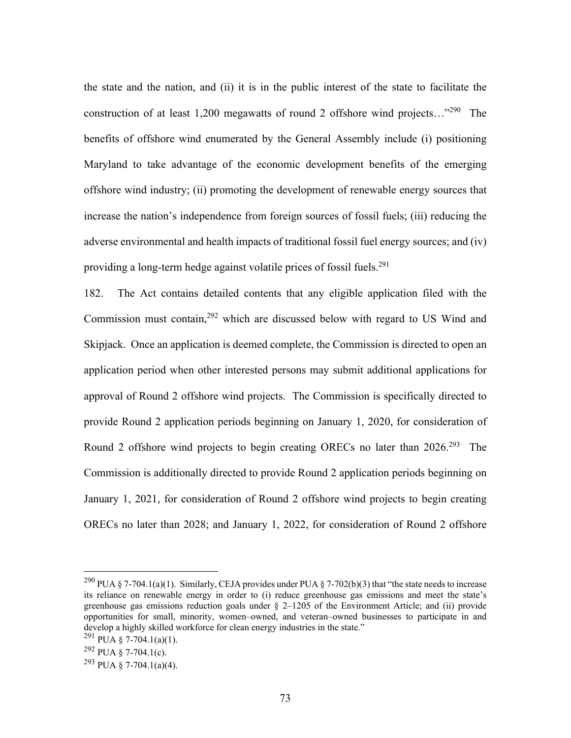the state and the nation, and (ii) it is in the public interest of the state to facilitate the construction of at least 1,200 megawatts of round 2 offshore wind projects..."<sup>290</sup> The benefits of offshore wind enumerated by the General Assembly include (i) positioning Maryland to take advantage of the economic development benefits of the emerging offshore wind industry; (ii) promoting the development of renewable energy sources that increase the nation's independence from foreign sources of fossil fuels; (iii) reducing the adverse environmental and health impacts of traditional fossil fuel energy sources; and (iv) providing a long-term hedge against volatile prices of fossil fuels.<sup>291</sup>

182. The Act contains detailed contents that any eligible application filed with the Commission must contain,  $292$  which are discussed below with regard to US Wind and Skipjack. Once an application is deemed complete, the Commission is directed to open an application period when other interested persons may submit additional applications for approval of Round 2 offshore wind projects. The Commission is specifically directed to provide Round 2 application periods beginning on January 1, 2020, for consideration of Round 2 offshore wind projects to begin creating ORECs no later than 2026.<sup>293</sup> The Commission is additionally directed to provide Round 2 application periods beginning on January 1, 2021, for consideration of Round 2 offshore wind projects to begin creating ORECs no later than 2028; and January 1, 2022, for consideration of Round 2 offshore

<sup>&</sup>lt;sup>290</sup> PUA § 7-704.1(a)(1). Similarly, CEJA provides under PUA § 7-702(b)(3) that "the state needs to increase its reliance on renewable energy in order to (i) reduce greenhouse gas emissions and meet the state's greenhouse gas emissions reduction goals under  $\S$  2–1205 of the Environment Article; and (ii) provide opportunities for small, minority, women–owned, and veteran–owned businesses to participate in and develop a highly skilled workforce for clean energy industries in the state."

<sup>&</sup>lt;sup>291</sup> PUA § 7-704.1(a)(1).

 $292$  PUA § 7-704.1(c).

<sup>&</sup>lt;sup>293</sup> PUA § 7-704.1(a)(4).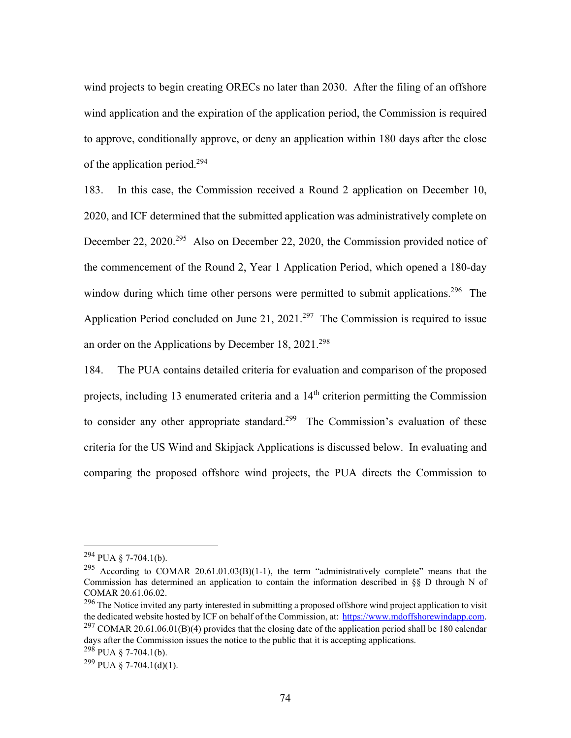wind projects to begin creating ORECs no later than 2030. After the filing of an offshore wind application and the expiration of the application period, the Commission is required to approve, conditionally approve, or deny an application within 180 days after the close of the application period.<sup>294</sup>

183. In this case, the Commission received a Round 2 application on December 10, 2020, and ICF determined that the submitted application was administratively complete on December 22, 2020.<sup>295</sup> Also on December 22, 2020, the Commission provided notice of the commencement of the Round 2, Year 1 Application Period, which opened a 180-day window during which time other persons were permitted to submit applications.<sup>296</sup> The Application Period concluded on June 21, 2021.<sup>297</sup> The Commission is required to issue an order on the Applications by December 18,  $2021.^{298}$ 

184. The PUA contains detailed criteria for evaluation and comparison of the proposed projects, including 13 enumerated criteria and a 14th criterion permitting the Commission to consider any other appropriate standard.<sup>299</sup> The Commission's evaluation of these criteria for the US Wind and Skipjack Applications is discussed below. In evaluating and comparing the proposed offshore wind projects, the PUA directs the Commission to

 $294$  PUA § 7-704.1(b).

<sup>&</sup>lt;sup>295</sup> According to COMAR 20.61.01.03(B)(1-1), the term "administratively complete" means that the Commission has determined an application to contain the information described in §§ D through N of COMAR 20.61.06.02.

<sup>&</sup>lt;sup>296</sup> The Notice invited any party interested in submitting a proposed offshore wind project application to visit the dedicated website hosted by ICF on behalf of the Commission, at: https://www.mdoffshorewindapp.com. <sup>297</sup> COMAR 20.61.06.01(B)(4) provides that the closing date of the application period shall be 180 calendar days after the Commission issues the notice to the public that it is accepting applications.

 $^{298}$  PUA § 7-704.1(b).

 $299$  PUA § 7-704.1(d)(1).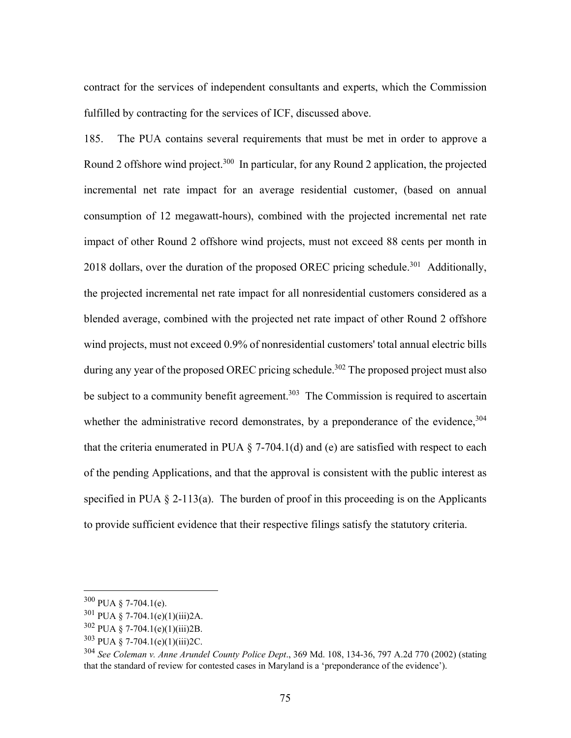contract for the services of independent consultants and experts, which the Commission fulfilled by contracting for the services of ICF, discussed above.

185. The PUA contains several requirements that must be met in order to approve a Round 2 offshore wind project.<sup>300</sup> In particular, for any Round 2 application, the projected incremental net rate impact for an average residential customer, (based on annual consumption of 12 megawatt-hours), combined with the projected incremental net rate impact of other Round 2 offshore wind projects, must not exceed 88 cents per month in 2018 dollars, over the duration of the proposed OREC pricing schedule.<sup>301</sup> Additionally, the projected incremental net rate impact for all nonresidential customers considered as a blended average, combined with the projected net rate impact of other Round 2 offshore wind projects, must not exceed 0.9% of nonresidential customers' total annual electric bills during any year of the proposed OREC pricing schedule.<sup>302</sup> The proposed project must also be subject to a community benefit agreement.<sup>303</sup> The Commission is required to ascertain whether the administrative record demonstrates, by a preponderance of the evidence,  $304$ that the criteria enumerated in PUA  $\S$  7-704.1(d) and (e) are satisfied with respect to each of the pending Applications, and that the approval is consistent with the public interest as specified in PUA  $\S$  2-113(a). The burden of proof in this proceeding is on the Applicants to provide sufficient evidence that their respective filings satisfy the statutory criteria.

<sup>300</sup> PUA § 7-704.1(e).

 $301$  PUA § 7-704.1(e)(1)(iii)2A.

 $302$  PUA § 7-704.1(e)(1)(iii)2B.

<sup>303</sup> PUA § 7-704.1(e)(1)(iii)2C.

<sup>304</sup> *See Coleman v. Anne Arundel County Police Dept*., 369 Md. 108, 134-36, 797 A.2d 770 (2002) (stating that the standard of review for contested cases in Maryland is a 'preponderance of the evidence').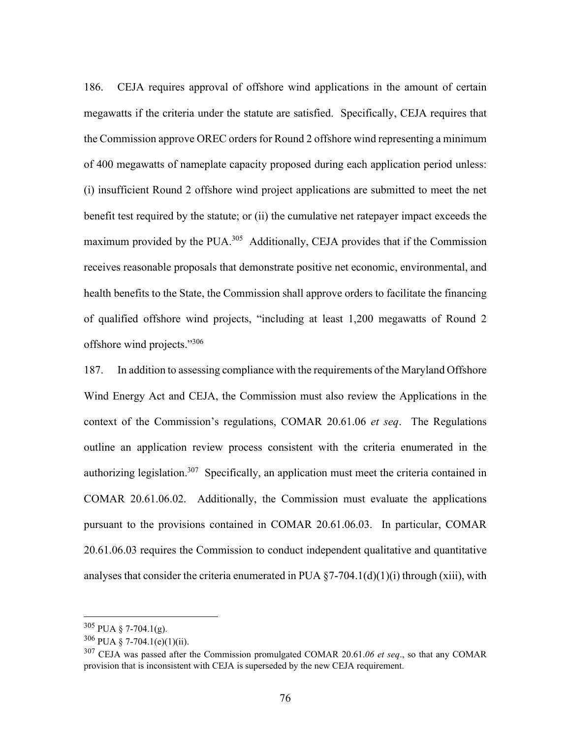186. CEJA requires approval of offshore wind applications in the amount of certain megawatts if the criteria under the statute are satisfied. Specifically, CEJA requires that the Commission approve OREC orders for Round 2 offshore wind representing a minimum of 400 megawatts of nameplate capacity proposed during each application period unless: (i) insufficient Round 2 offshore wind project applications are submitted to meet the net benefit test required by the statute; or (ii) the cumulative net ratepayer impact exceeds the maximum provided by the PUA.<sup>305</sup> Additionally, CEJA provides that if the Commission receives reasonable proposals that demonstrate positive net economic, environmental, and health benefits to the State, the Commission shall approve orders to facilitate the financing of qualified offshore wind projects, "including at least 1,200 megawatts of Round 2 offshore wind projects."306

187. In addition to assessing compliance with the requirements of the Maryland Offshore Wind Energy Act and CEJA, the Commission must also review the Applications in the context of the Commission's regulations, COMAR 20.61.06 *et seq*. The Regulations outline an application review process consistent with the criteria enumerated in the authorizing legislation.<sup>307</sup> Specifically, an application must meet the criteria contained in COMAR 20.61.06.02. Additionally, the Commission must evaluate the applications pursuant to the provisions contained in COMAR 20.61.06.03. In particular, COMAR 20.61.06.03 requires the Commission to conduct independent qualitative and quantitative analyses that consider the criteria enumerated in PUA  $\S$ 7-704.1(d)(1)(i) through (xiii), with

 $305$  PUA § 7-704.1(g).

 $306$  PUA § 7-704.1(e)(1)(ii).

<sup>307</sup> CEJA was passed after the Commission promulgated COMAR 20.61.*06 et seq*., so that any COMAR provision that is inconsistent with CEJA is superseded by the new CEJA requirement.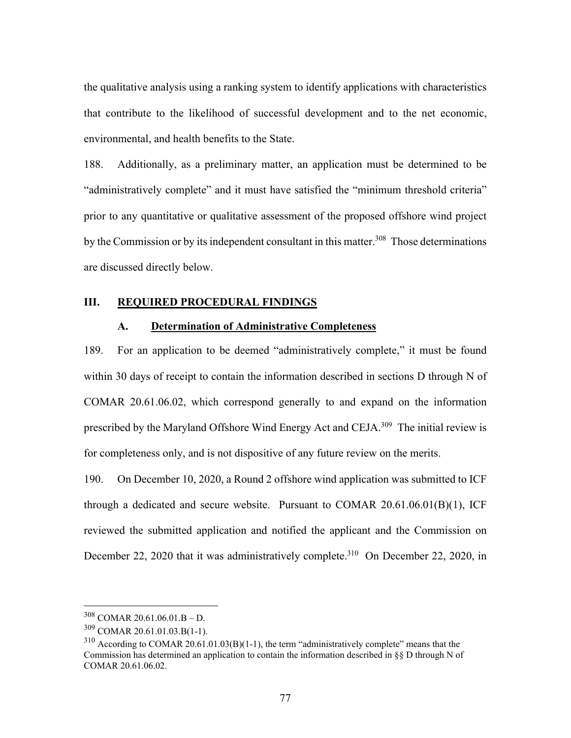the qualitative analysis using a ranking system to identify applications with characteristics that contribute to the likelihood of successful development and to the net economic, environmental, and health benefits to the State.

188. Additionally, as a preliminary matter, an application must be determined to be "administratively complete" and it must have satisfied the "minimum threshold criteria" prior to any quantitative or qualitative assessment of the proposed offshore wind project by the Commission or by its independent consultant in this matter.<sup>308</sup> Those determinations are discussed directly below.

## **III. REQUIRED PROCEDURAL FINDINGS**

#### **A. Determination of Administrative Completeness**

189. For an application to be deemed "administratively complete," it must be found within 30 days of receipt to contain the information described in sections D through N of COMAR 20.61.06.02, which correspond generally to and expand on the information prescribed by the Maryland Offshore Wind Energy Act and CEJA.309 The initial review is for completeness only, and is not dispositive of any future review on the merits.

190. On December 10, 2020, a Round 2 offshore wind application was submitted to ICF through a dedicated and secure website. Pursuant to COMAR  $20.61.06.01(B)(1)$ , ICF reviewed the submitted application and notified the applicant and the Commission on December 22, 2020 that it was administratively complete.<sup>310</sup> On December 22, 2020, in

<sup>308</sup> COMAR 20.61.06.01.B – D.

<sup>309</sup> COMAR 20.61.01.03.B(1-1).

 $310$  According to COMAR 20.61.01.03(B)(1-1), the term "administratively complete" means that the Commission has determined an application to contain the information described in  $\S$  D through N of COMAR 20.61.06.02.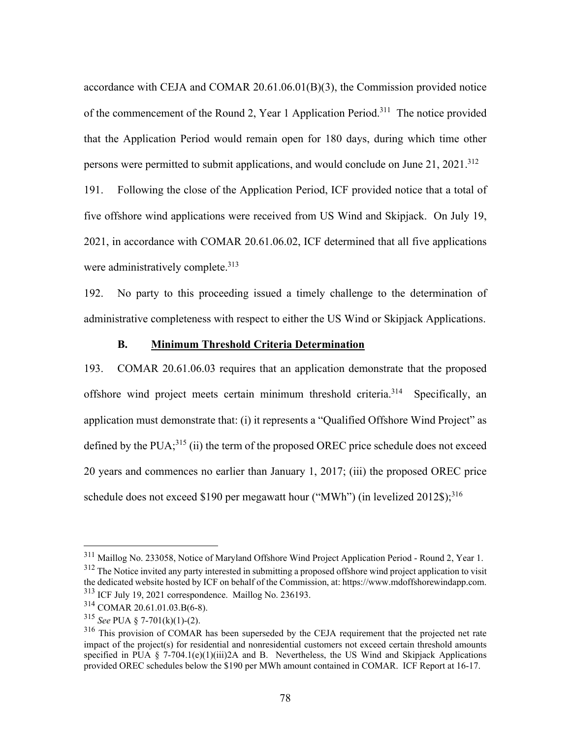accordance with CEJA and COMAR 20.61.06.01(B)(3), the Commission provided notice of the commencement of the Round 2, Year 1 Application Period.311 The notice provided that the Application Period would remain open for 180 days, during which time other persons were permitted to submit applications, and would conclude on June  $21$ ,  $2021$ <sup>312</sup> 191. Following the close of the Application Period, ICF provided notice that a total of five offshore wind applications were received from US Wind and Skipjack. On July 19, 2021, in accordance with COMAR 20.61.06.02, ICF determined that all five applications were administratively complete.<sup>313</sup>

192. No party to this proceeding issued a timely challenge to the determination of administrative completeness with respect to either the US Wind or Skipjack Applications.

## **B. Minimum Threshold Criteria Determination**

193. COMAR 20.61.06.03 requires that an application demonstrate that the proposed offshore wind project meets certain minimum threshold criteria.314 Specifically, an application must demonstrate that: (i) it represents a "Qualified Offshore Wind Project" as defined by the PUA;<sup>315</sup> (ii) the term of the proposed OREC price schedule does not exceed 20 years and commences no earlier than January 1, 2017; (iii) the proposed OREC price schedule does not exceed \$190 per megawatt hour ("MWh") (in levelized  $2012\$ );<sup>316</sup>

<sup>311</sup> Maillog No. 233058, Notice of Maryland Offshore Wind Project Application Period - Round 2, Year 1.

<sup>&</sup>lt;sup>312</sup> The Notice invited any party interested in submitting a proposed offshore wind project application to visit the dedicated website hosted by ICF on behalf of the Commission, at: https://www.mdoffshorewindapp.com. 313 ICF July 19, 2021 correspondence. Maillog No. 236193.

<sup>314</sup> COMAR 20.61.01.03.B(6-8).

<sup>315</sup> *See* PUA § 7-701(k)(1)-(2).

<sup>&</sup>lt;sup>316</sup> This provision of COMAR has been superseded by the CEJA requirement that the projected net rate impact of the project(s) for residential and nonresidential customers not exceed certain threshold amounts specified in PUA § 7-704.1(e)(1)(iii)2A and B. Nevertheless, the US Wind and Skipjack Applications provided OREC schedules below the \$190 per MWh amount contained in COMAR. ICF Report at 16-17.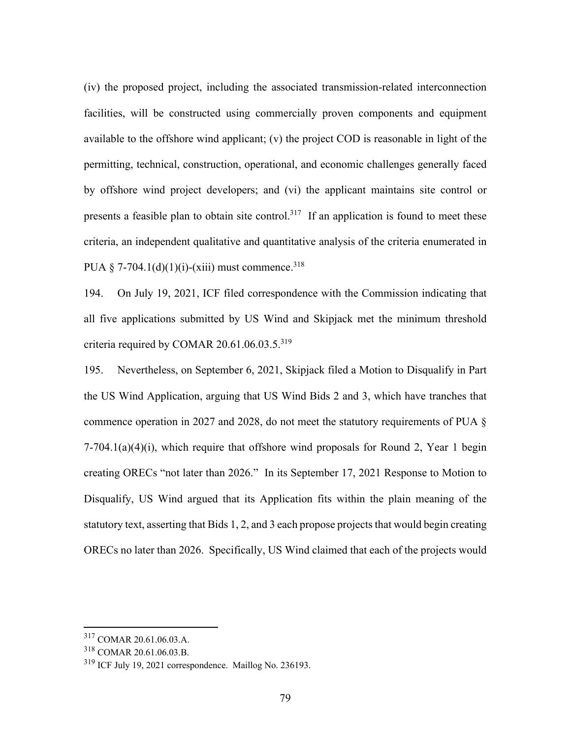(iv) the proposed project, including the associated transmission-related interconnection facilities, will be constructed using commercially proven components and equipment available to the offshore wind applicant; (v) the project COD is reasonable in light of the permitting, technical, construction, operational, and economic challenges generally faced by offshore wind project developers; and (vi) the applicant maintains site control or presents a feasible plan to obtain site control.<sup>317</sup> If an application is found to meet these criteria, an independent qualitative and quantitative analysis of the criteria enumerated in PUA  $\S$  7-704.1(d)(1)(i)-(xiii) must commence.<sup>318</sup>

194. On July 19, 2021, ICF filed correspondence with the Commission indicating that all five applications submitted by US Wind and Skipjack met the minimum threshold criteria required by COMAR 20.61.06.03.5.319

195. Nevertheless, on September 6, 2021, Skipjack filed a Motion to Disqualify in Part the US Wind Application, arguing that US Wind Bids 2 and 3, which have tranches that commence operation in 2027 and 2028, do not meet the statutory requirements of PUA §  $7-704.1(a)(4)(i)$ , which require that offshore wind proposals for Round 2, Year 1 begin creating ORECs "not later than 2026." In its September 17, 2021 Response to Motion to Disqualify, US Wind argued that its Application fits within the plain meaning of the statutory text, asserting that Bids 1, 2, and 3 each propose projects that would begin creating ORECs no later than 2026. Specifically, US Wind claimed that each of the projects would

<sup>317</sup> COMAR 20.61.06.03.A.

<sup>318</sup> COMAR 20.61.06.03.B.

<sup>&</sup>lt;sup>319</sup> ICF July 19, 2021 correspondence. Maillog No. 236193.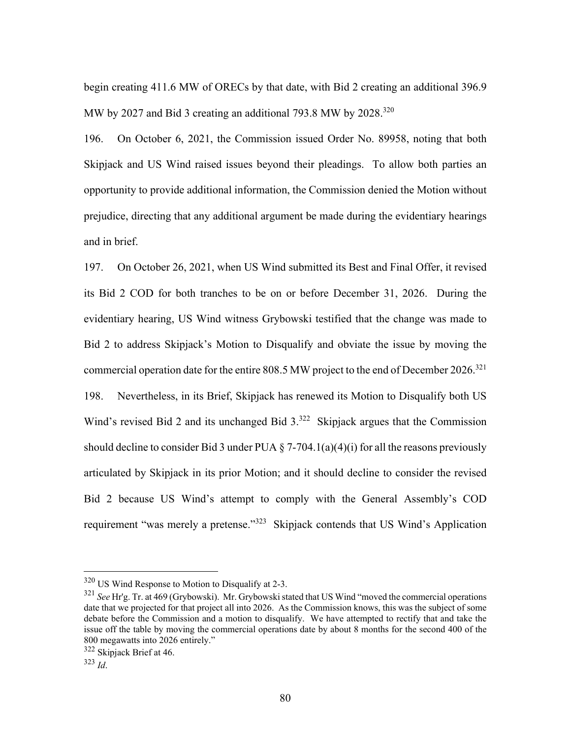begin creating 411.6 MW of ORECs by that date, with Bid 2 creating an additional 396.9 MW by 2027 and Bid 3 creating an additional 793.8 MW by  $2028^{320}$ 

196. On October 6, 2021, the Commission issued Order No. 89958, noting that both Skipjack and US Wind raised issues beyond their pleadings. To allow both parties an opportunity to provide additional information, the Commission denied the Motion without prejudice, directing that any additional argument be made during the evidentiary hearings and in brief.

197. On October 26, 2021, when US Wind submitted its Best and Final Offer, it revised its Bid 2 COD for both tranches to be on or before December 31, 2026. During the evidentiary hearing, US Wind witness Grybowski testified that the change was made to Bid 2 to address Skipjack's Motion to Disqualify and obviate the issue by moving the commercial operation date for the entire 808.5 MW project to the end of December 2026.<sup>321</sup> 198. Nevertheless, in its Brief, Skipjack has renewed its Motion to Disqualify both US Wind's revised Bid 2 and its unchanged Bid 3.<sup>322</sup> Skipjack argues that the Commission should decline to consider Bid 3 under PUA  $\S$  7-704.1(a)(4)(i) for all the reasons previously articulated by Skipjack in its prior Motion; and it should decline to consider the revised Bid 2 because US Wind's attempt to comply with the General Assembly's COD requirement "was merely a pretense."<sup>323</sup> Skipjack contends that US Wind's Application

<sup>320</sup> US Wind Response to Motion to Disqualify at 2-3.

<sup>321</sup> *See* Hr'g. Tr. at 469 (Grybowski). Mr. Grybowski stated that US Wind "moved the commercial operations date that we projected for that project all into 2026. As the Commission knows, this was the subject of some debate before the Commission and a motion to disqualify. We have attempted to rectify that and take the issue off the table by moving the commercial operations date by about 8 months for the second 400 of the 800 megawatts into 2026 entirely."

<sup>322</sup> Skipjack Brief at 46.

<sup>323</sup> *Id*.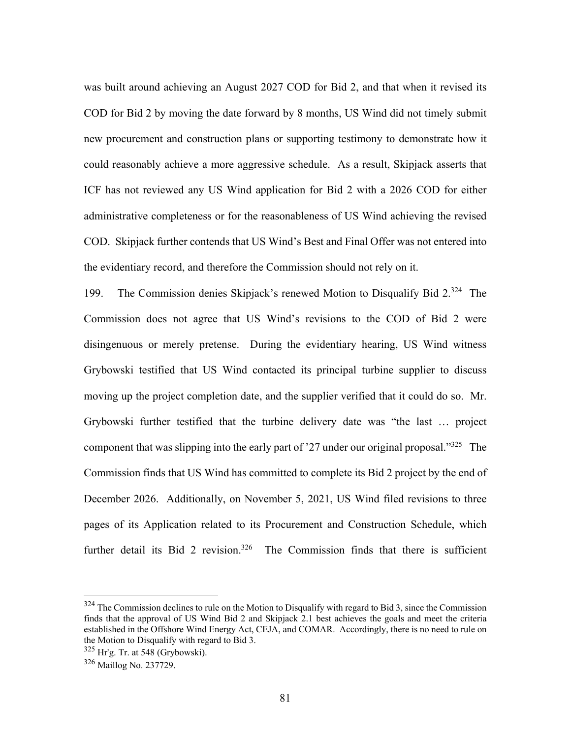was built around achieving an August 2027 COD for Bid 2, and that when it revised its COD for Bid 2 by moving the date forward by 8 months, US Wind did not timely submit new procurement and construction plans or supporting testimony to demonstrate how it could reasonably achieve a more aggressive schedule. As a result, Skipjack asserts that ICF has not reviewed any US Wind application for Bid 2 with a 2026 COD for either administrative completeness or for the reasonableness of US Wind achieving the revised COD. Skipjack further contends that US Wind's Best and Final Offer was not entered into the evidentiary record, and therefore the Commission should not rely on it.

199. The Commission denies Skipjack's renewed Motion to Disqualify Bid 2.324 The Commission does not agree that US Wind's revisions to the COD of Bid 2 were disingenuous or merely pretense. During the evidentiary hearing, US Wind witness Grybowski testified that US Wind contacted its principal turbine supplier to discuss moving up the project completion date, and the supplier verified that it could do so. Mr. Grybowski further testified that the turbine delivery date was "the last … project component that was slipping into the early part of '27 under our original proposal."<sup>325</sup> The Commission finds that US Wind has committed to complete its Bid 2 project by the end of December 2026. Additionally, on November 5, 2021, US Wind filed revisions to three pages of its Application related to its Procurement and Construction Schedule, which further detail its Bid 2 revision.<sup>326</sup> The Commission finds that there is sufficient

 $324$  The Commission declines to rule on the Motion to Disqualify with regard to Bid 3, since the Commission finds that the approval of US Wind Bid 2 and Skipjack 2.1 best achieves the goals and meet the criteria established in the Offshore Wind Energy Act, CEJA, and COMAR. Accordingly, there is no need to rule on the Motion to Disqualify with regard to Bid 3.

 $325$  Hr'g. Tr. at 548 (Grybowski).

<sup>326</sup> Maillog No. 237729.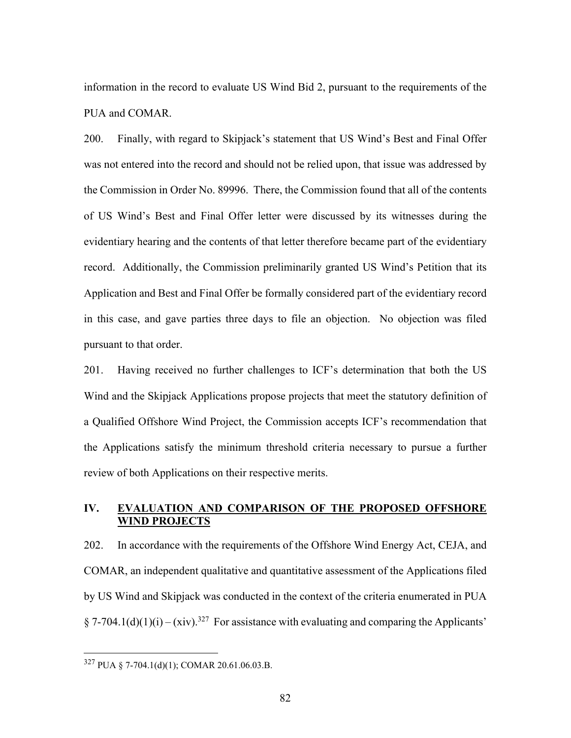information in the record to evaluate US Wind Bid 2, pursuant to the requirements of the PUA and COMAR.

200. Finally, with regard to Skipjack's statement that US Wind's Best and Final Offer was not entered into the record and should not be relied upon, that issue was addressed by the Commission in Order No. 89996. There, the Commission found that all of the contents of US Wind's Best and Final Offer letter were discussed by its witnesses during the evidentiary hearing and the contents of that letter therefore became part of the evidentiary record. Additionally, the Commission preliminarily granted US Wind's Petition that its Application and Best and Final Offer be formally considered part of the evidentiary record in this case, and gave parties three days to file an objection. No objection was filed pursuant to that order.

201. Having received no further challenges to ICF's determination that both the US Wind and the Skipjack Applications propose projects that meet the statutory definition of a Qualified Offshore Wind Project, the Commission accepts ICF's recommendation that the Applications satisfy the minimum threshold criteria necessary to pursue a further review of both Applications on their respective merits.

## **IV. EVALUATION AND COMPARISON OF THE PROPOSED OFFSHORE WIND PROJECTS**

202. In accordance with the requirements of the Offshore Wind Energy Act, CEJA, and COMAR, an independent qualitative and quantitative assessment of the Applications filed by US Wind and Skipjack was conducted in the context of the criteria enumerated in PUA § 7-704.1(d)(1)(i) – (xiv).<sup>327</sup> For assistance with evaluating and comparing the Applicants'

<sup>327</sup> PUA § 7-704.1(d)(1); COMAR 20.61.06.03.B.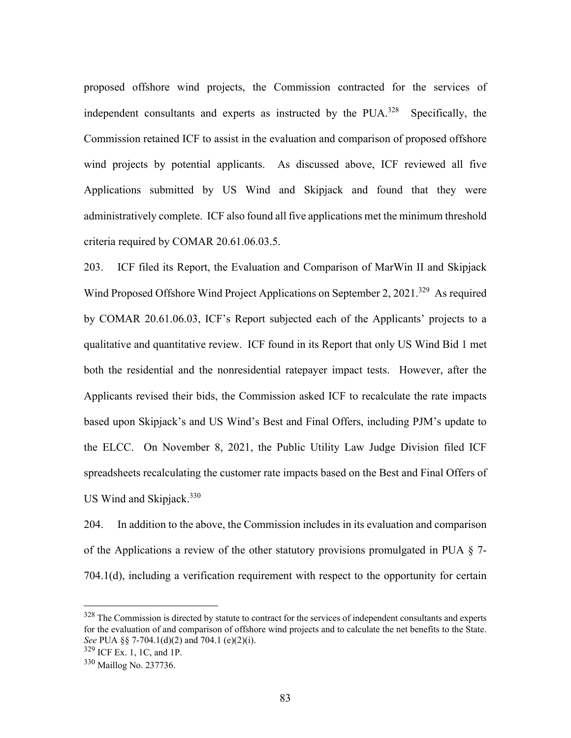proposed offshore wind projects, the Commission contracted for the services of independent consultants and experts as instructed by the  $PUA<sup>328</sup>$  Specifically, the Commission retained ICF to assist in the evaluation and comparison of proposed offshore wind projects by potential applicants. As discussed above, ICF reviewed all five Applications submitted by US Wind and Skipjack and found that they were administratively complete. ICF also found all five applications met the minimum threshold criteria required by COMAR 20.61.06.03.5.

203. ICF filed its Report, the Evaluation and Comparison of MarWin II and Skipjack Wind Proposed Offshore Wind Project Applications on September 2, 2021.<sup>329</sup> As required by COMAR 20.61.06.03, ICF's Report subjected each of the Applicants' projects to a qualitative and quantitative review. ICF found in its Report that only US Wind Bid 1 met both the residential and the nonresidential ratepayer impact tests. However, after the Applicants revised their bids, the Commission asked ICF to recalculate the rate impacts based upon Skipjack's and US Wind's Best and Final Offers, including PJM's update to the ELCC. On November 8, 2021, the Public Utility Law Judge Division filed ICF spreadsheets recalculating the customer rate impacts based on the Best and Final Offers of US Wind and Skipjack.<sup>330</sup>

204. In addition to the above, the Commission includes in its evaluation and comparison of the Applications a review of the other statutory provisions promulgated in PUA  $\S$  7-704.1(d), including a verification requirement with respect to the opportunity for certain

<sup>&</sup>lt;sup>328</sup> The Commission is directed by statute to contract for the services of independent consultants and experts for the evaluation of and comparison of offshore wind projects and to calculate the net benefits to the State. *See* PUA §§ 7-704.1(d)(2) and 704.1 (e)(2)(i).

<sup>329</sup> ICF Ex. 1, 1C, and 1P.

<sup>330</sup> Maillog No. 237736.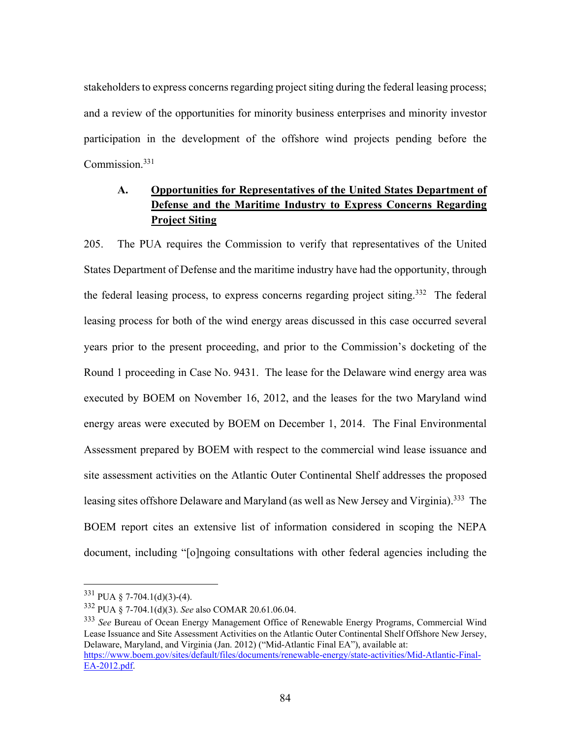stakeholders to express concerns regarding project siting during the federal leasing process; and a review of the opportunities for minority business enterprises and minority investor participation in the development of the offshore wind projects pending before the Commission.<sup>331</sup>

# **A. Opportunities for Representatives of the United States Department of Defense and the Maritime Industry to Express Concerns Regarding Project Siting**

205. The PUA requires the Commission to verify that representatives of the United States Department of Defense and the maritime industry have had the opportunity, through the federal leasing process, to express concerns regarding project siting.<sup>332</sup> The federal leasing process for both of the wind energy areas discussed in this case occurred several years prior to the present proceeding, and prior to the Commission's docketing of the Round 1 proceeding in Case No. 9431. The lease for the Delaware wind energy area was executed by BOEM on November 16, 2012, and the leases for the two Maryland wind energy areas were executed by BOEM on December 1, 2014. The Final Environmental Assessment prepared by BOEM with respect to the commercial wind lease issuance and site assessment activities on the Atlantic Outer Continental Shelf addresses the proposed leasing sites offshore Delaware and Maryland (as well as New Jersey and Virginia).<sup>333</sup> The BOEM report cites an extensive list of information considered in scoping the NEPA document, including "[o]ngoing consultations with other federal agencies including the

 $331$  PUA § 7-704.1(d)(3)-(4).

<sup>332</sup> PUA § 7-704.1(d)(3). *See* also COMAR 20.61.06.04.

<sup>333</sup> *See* Bureau of Ocean Energy Management Office of Renewable Energy Programs, Commercial Wind Lease Issuance and Site Assessment Activities on the Atlantic Outer Continental Shelf Offshore New Jersey, Delaware, Maryland, and Virginia (Jan. 2012) ("Mid-Atlantic Final EA"), available at: https://www.boem.gov/sites/default/files/documents/renewable-energy/state-activities/Mid-Atlantic-Final-EA-2012.pdf.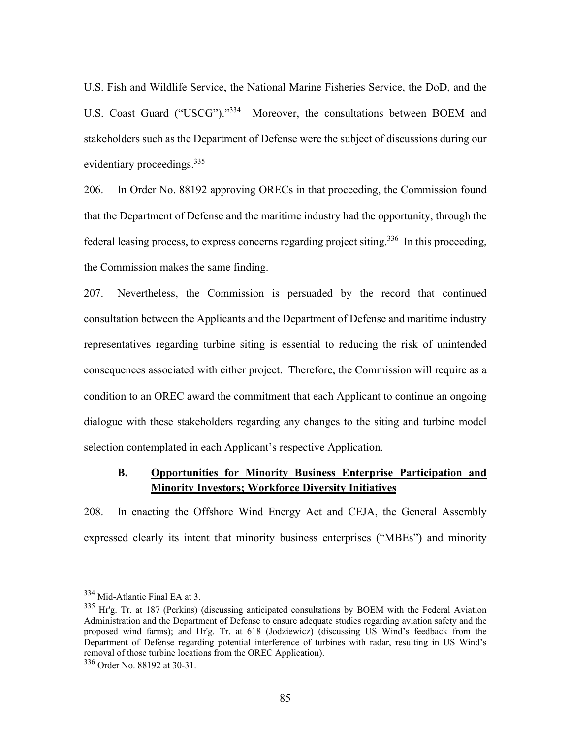U.S. Fish and Wildlife Service, the National Marine Fisheries Service, the DoD, and the U.S. Coast Guard ("USCG")."334 Moreover, the consultations between BOEM and stakeholders such as the Department of Defense were the subject of discussions during our evidentiary proceedings.<sup>335</sup>

206. In Order No. 88192 approving ORECs in that proceeding, the Commission found that the Department of Defense and the maritime industry had the opportunity, through the federal leasing process, to express concerns regarding project siting.336 In this proceeding, the Commission makes the same finding.

207. Nevertheless, the Commission is persuaded by the record that continued consultation between the Applicants and the Department of Defense and maritime industry representatives regarding turbine siting is essential to reducing the risk of unintended consequences associated with either project. Therefore, the Commission will require as a condition to an OREC award the commitment that each Applicant to continue an ongoing dialogue with these stakeholders regarding any changes to the siting and turbine model selection contemplated in each Applicant's respective Application.

## **B. Opportunities for Minority Business Enterprise Participation and Minority Investors; Workforce Diversity Initiatives**

208. In enacting the Offshore Wind Energy Act and CEJA, the General Assembly expressed clearly its intent that minority business enterprises ("MBEs") and minority

<sup>334</sup> Mid-Atlantic Final EA at 3.

 $335$  Hr'g. Tr. at 187 (Perkins) (discussing anticipated consultations by BOEM with the Federal Aviation Administration and the Department of Defense to ensure adequate studies regarding aviation safety and the proposed wind farms); and Hr'g. Tr. at 618 (Jodziewicz) (discussing US Wind's feedback from the Department of Defense regarding potential interference of turbines with radar, resulting in US Wind's removal of those turbine locations from the OREC Application).

<sup>336</sup> Order No. 88192 at 30-31.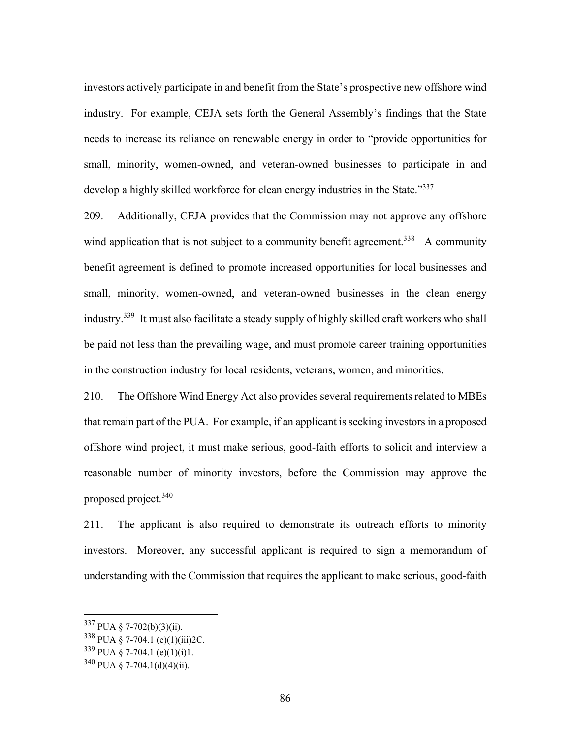investors actively participate in and benefit from the State's prospective new offshore wind industry. For example, CEJA sets forth the General Assembly's findings that the State needs to increase its reliance on renewable energy in order to "provide opportunities for small, minority, women-owned, and veteran-owned businesses to participate in and develop a highly skilled workforce for clean energy industries in the State."<sup>337</sup>

209. Additionally, CEJA provides that the Commission may not approve any offshore wind application that is not subject to a community benefit agreement.<sup>338</sup> A community benefit agreement is defined to promote increased opportunities for local businesses and small, minority, women-owned, and veteran-owned businesses in the clean energy industry.<sup>339</sup> It must also facilitate a steady supply of highly skilled craft workers who shall be paid not less than the prevailing wage, and must promote career training opportunities in the construction industry for local residents, veterans, women, and minorities.

210. The Offshore Wind Energy Act also provides several requirements related to MBEs that remain part of the PUA. For example, if an applicant is seeking investors in a proposed offshore wind project, it must make serious, good-faith efforts to solicit and interview a reasonable number of minority investors, before the Commission may approve the proposed project.<sup>340</sup>

211. The applicant is also required to demonstrate its outreach efforts to minority investors. Moreover, any successful applicant is required to sign a memorandum of understanding with the Commission that requires the applicant to make serious, good-faith

<sup>337</sup> PUA § 7-702(b)(3)(ii).

 $338$  PUA § 7-704.1 (e)(1)(iii)2C.

 $339$  PUA § 7-704.1 (e)(1)(i)1.

 $340$  PUA § 7-704.1(d)(4)(ii).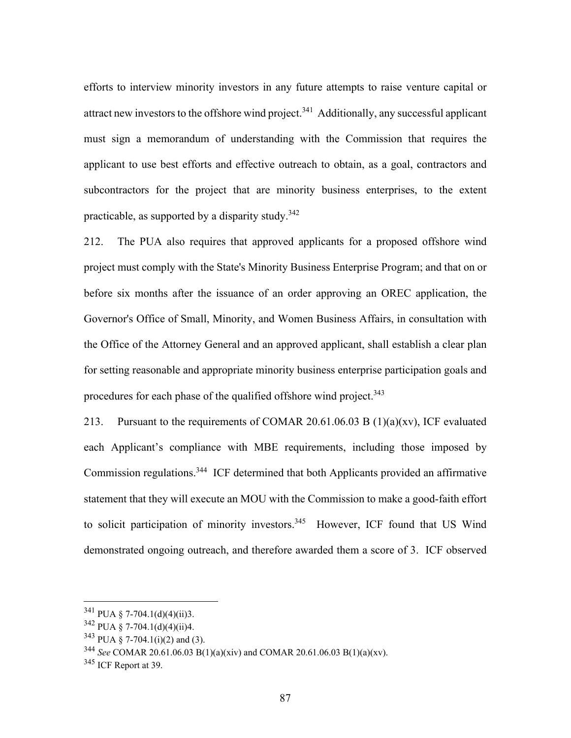efforts to interview minority investors in any future attempts to raise venture capital or attract new investors to the offshore wind project.<sup>341</sup> Additionally, any successful applicant must sign a memorandum of understanding with the Commission that requires the applicant to use best efforts and effective outreach to obtain, as a goal, contractors and subcontractors for the project that are minority business enterprises, to the extent practicable, as supported by a disparity study.  $342$ 

212. The PUA also requires that approved applicants for a proposed offshore wind project must comply with the State's Minority Business Enterprise Program; and that on or before six months after the issuance of an order approving an OREC application, the Governor's Office of Small, Minority, and Women Business Affairs, in consultation with the Office of the Attorney General and an approved applicant, shall establish a clear plan for setting reasonable and appropriate minority business enterprise participation goals and procedures for each phase of the qualified offshore wind project.<sup>343</sup>

213. Pursuant to the requirements of COMAR 20.61.06.03 B  $(1)(a)(xv)$ , ICF evaluated each Applicant's compliance with MBE requirements, including those imposed by Commission regulations.344 ICF determined that both Applicants provided an affirmative statement that they will execute an MOU with the Commission to make a good-faith effort to solicit participation of minority investors.<sup>345</sup> However, ICF found that US Wind demonstrated ongoing outreach, and therefore awarded them a score of 3. ICF observed

 $341$  PUA § 7-704.1(d)(4)(ii)3.

 $342$  PUA § 7-704.1(d)(4)(ii)4.

 $343$  PUA § 7-704.1(i)(2) and (3).

<sup>344</sup> *See* COMAR 20.61.06.03 B(1)(a)(xiv) and COMAR 20.61.06.03 B(1)(a)(xv).

<sup>&</sup>lt;sup>345</sup> ICF Report at 39.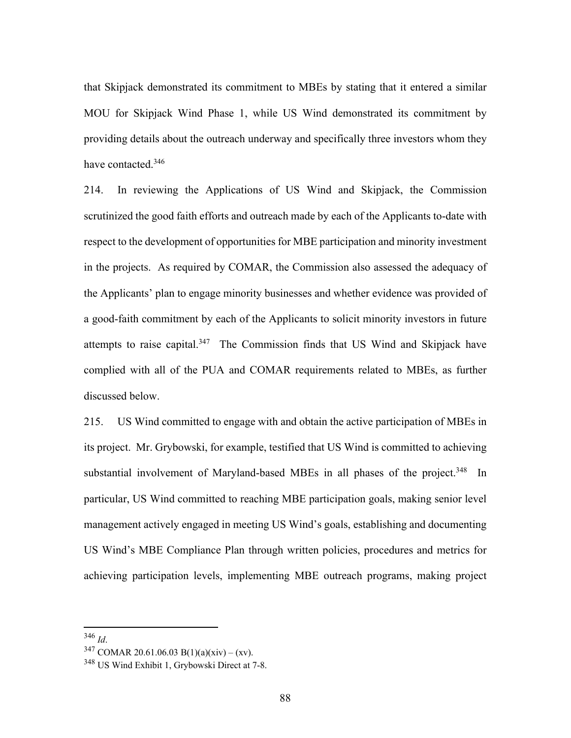that Skipjack demonstrated its commitment to MBEs by stating that it entered a similar MOU for Skipjack Wind Phase 1, while US Wind demonstrated its commitment by providing details about the outreach underway and specifically three investors whom they have contacted.<sup>346</sup>

214. In reviewing the Applications of US Wind and Skipjack, the Commission scrutinized the good faith efforts and outreach made by each of the Applicants to-date with respect to the development of opportunities for MBE participation and minority investment in the projects. As required by COMAR, the Commission also assessed the adequacy of the Applicants' plan to engage minority businesses and whether evidence was provided of a good-faith commitment by each of the Applicants to solicit minority investors in future attempts to raise capital.<sup>347</sup> The Commission finds that US Wind and Skipjack have complied with all of the PUA and COMAR requirements related to MBEs, as further discussed below.

215. US Wind committed to engage with and obtain the active participation of MBEs in its project. Mr. Grybowski, for example, testified that US Wind is committed to achieving substantial involvement of Maryland-based MBEs in all phases of the project.<sup>348</sup> In particular, US Wind committed to reaching MBE participation goals, making senior level management actively engaged in meeting US Wind's goals, establishing and documenting US Wind's MBE Compliance Plan through written policies, procedures and metrics for achieving participation levels, implementing MBE outreach programs, making project

<sup>346</sup> *Id*. 347 COMAR 20.61.06.03 B(1)(a)(xiv) – (xv).

<sup>348</sup> US Wind Exhibit 1, Grybowski Direct at 7-8.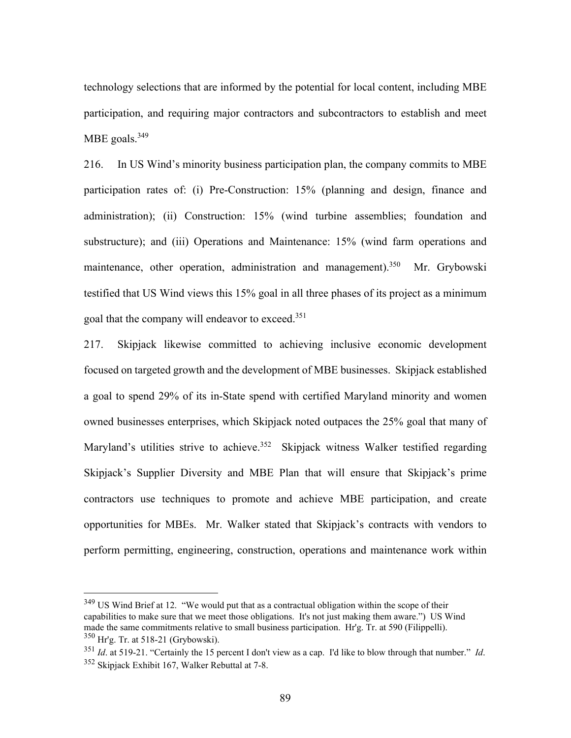technology selections that are informed by the potential for local content, including MBE participation, and requiring major contractors and subcontractors to establish and meet MBE goals. $349$ 

216. In US Wind's minority business participation plan, the company commits to MBE participation rates of: (i) Pre-Construction: 15% (planning and design, finance and administration); (ii) Construction: 15% (wind turbine assemblies; foundation and substructure); and (iii) Operations and Maintenance: 15% (wind farm operations and maintenance, other operation, administration and management).<sup>350</sup> Mr. Grybowski testified that US Wind views this 15% goal in all three phases of its project as a minimum goal that the company will endeavor to exceed.<sup>351</sup>

217. Skipjack likewise committed to achieving inclusive economic development focused on targeted growth and the development of MBE businesses. Skipjack established a goal to spend 29% of its in-State spend with certified Maryland minority and women owned businesses enterprises, which Skipjack noted outpaces the 25% goal that many of Maryland's utilities strive to achieve.<sup>352</sup> Skipjack witness Walker testified regarding Skipjack's Supplier Diversity and MBE Plan that will ensure that Skipjack's prime contractors use techniques to promote and achieve MBE participation, and create opportunities for MBEs. Mr. Walker stated that Skipjack's contracts with vendors to perform permitting, engineering, construction, operations and maintenance work within

<sup>&</sup>lt;sup>349</sup> US Wind Brief at 12. "We would put that as a contractual obligation within the scope of their capabilities to make sure that we meet those obligations. It's not just making them aware.") US Wind made the same commitments relative to small business participation. Hr'g. Tr. at 590 (Filippelli).  $350$  Hr'g. Tr. at 518-21 (Grybowski).

<sup>351</sup> *Id*. at 519-21. "Certainly the 15 percent I don't view as a cap. I'd like to blow through that number." *Id*. 352 Skipjack Exhibit 167, Walker Rebuttal at 7-8.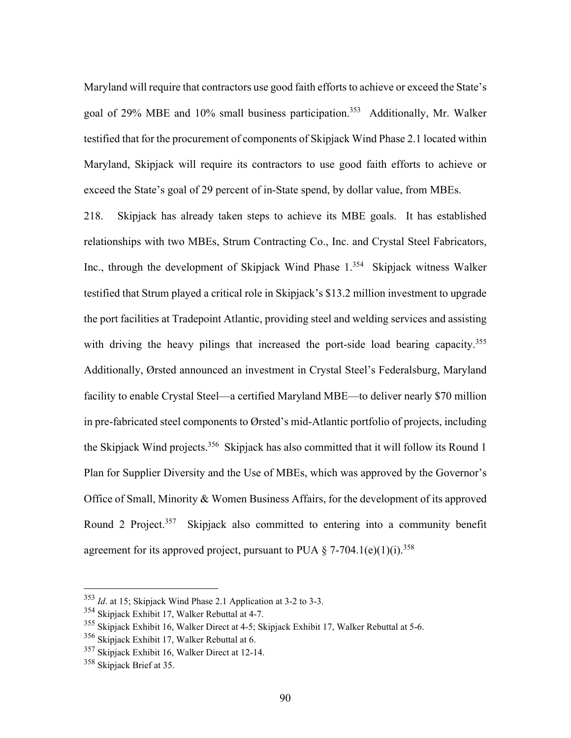Maryland will require that contractors use good faith efforts to achieve or exceed the State's goal of 29% MBE and 10% small business participation.<sup>353</sup> Additionally, Mr. Walker testified that for the procurement of components of Skipjack Wind Phase 2.1 located within Maryland, Skipjack will require its contractors to use good faith efforts to achieve or exceed the State's goal of 29 percent of in-State spend, by dollar value, from MBEs.

218. Skipjack has already taken steps to achieve its MBE goals. It has established relationships with two MBEs, Strum Contracting Co., Inc. and Crystal Steel Fabricators, Inc., through the development of Skipjack Wind Phase 1.<sup>354</sup> Skipjack witness Walker testified that Strum played a critical role in Skipjack's \$13.2 million investment to upgrade the port facilities at Tradepoint Atlantic, providing steel and welding services and assisting with driving the heavy pilings that increased the port-side load bearing capacity.<sup>355</sup> Additionally, Ørsted announced an investment in Crystal Steel's Federalsburg, Maryland facility to enable Crystal Steel—a certified Maryland MBE—to deliver nearly \$70 million in pre-fabricated steel components to Ørsted's mid-Atlantic portfolio of projects, including the Skipjack Wind projects.<sup>356</sup> Skipjack has also committed that it will follow its Round 1 Plan for Supplier Diversity and the Use of MBEs, which was approved by the Governor's Office of Small, Minority & Women Business Affairs, for the development of its approved Round 2 Project.<sup>357</sup> Skipjack also committed to entering into a community benefit agreement for its approved project, pursuant to PUA  $\S$  7-704.1(e)(1)(i).<sup>358</sup>

<sup>353</sup> *Id*. at 15; Skipjack Wind Phase 2.1 Application at 3-2 to 3-3.

<sup>354</sup> Skipjack Exhibit 17, Walker Rebuttal at 4-7.

<sup>355</sup> Skipjack Exhibit 16, Walker Direct at 4-5; Skipjack Exhibit 17, Walker Rebuttal at 5-6.

<sup>356</sup> Skipjack Exhibit 17, Walker Rebuttal at 6.

<sup>357</sup> Skipjack Exhibit 16, Walker Direct at 12-14.

<sup>&</sup>lt;sup>358</sup> Skipjack Brief at 35.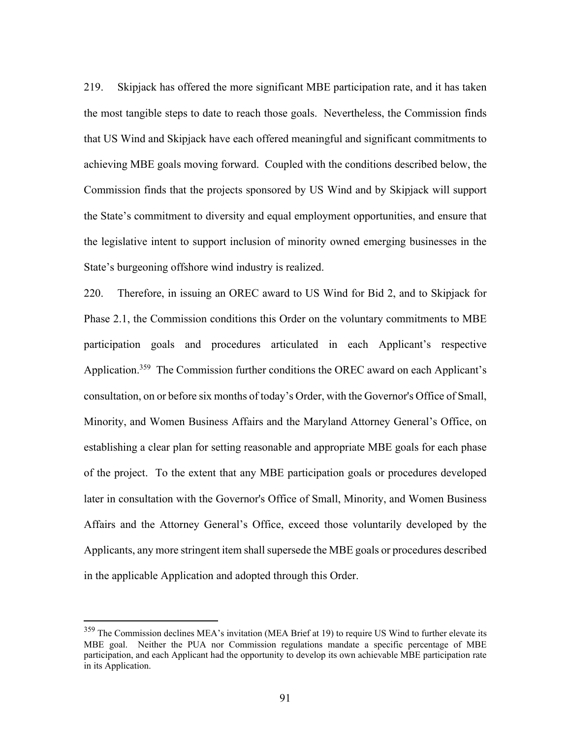219. Skipjack has offered the more significant MBE participation rate, and it has taken the most tangible steps to date to reach those goals. Nevertheless, the Commission finds that US Wind and Skipjack have each offered meaningful and significant commitments to achieving MBE goals moving forward. Coupled with the conditions described below, the Commission finds that the projects sponsored by US Wind and by Skipjack will support the State's commitment to diversity and equal employment opportunities, and ensure that the legislative intent to support inclusion of minority owned emerging businesses in the State's burgeoning offshore wind industry is realized.

220. Therefore, in issuing an OREC award to US Wind for Bid 2, and to Skipjack for Phase 2.1, the Commission conditions this Order on the voluntary commitments to MBE participation goals and procedures articulated in each Applicant's respective Application.<sup>359</sup> The Commission further conditions the OREC award on each Applicant's consultation, on or before six months of today's Order, with the Governor's Office of Small, Minority, and Women Business Affairs and the Maryland Attorney General's Office, on establishing a clear plan for setting reasonable and appropriate MBE goals for each phase of the project. To the extent that any MBE participation goals or procedures developed later in consultation with the Governor's Office of Small, Minority, and Women Business Affairs and the Attorney General's Office, exceed those voluntarily developed by the Applicants, any more stringent item shall supersede the MBE goals or procedures described in the applicable Application and adopted through this Order.

<sup>&</sup>lt;sup>359</sup> The Commission declines MEA's invitation (MEA Brief at 19) to require US Wind to further elevate its MBE goal. Neither the PUA nor Commission regulations mandate a specific percentage of MBE participation, and each Applicant had the opportunity to develop its own achievable MBE participation rate in its Application.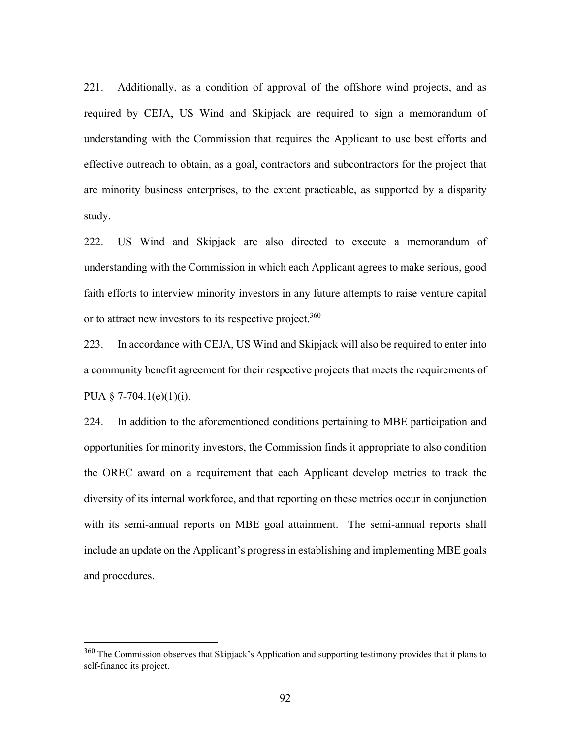221. Additionally, as a condition of approval of the offshore wind projects, and as required by CEJA, US Wind and Skipjack are required to sign a memorandum of understanding with the Commission that requires the Applicant to use best efforts and effective outreach to obtain, as a goal, contractors and subcontractors for the project that are minority business enterprises, to the extent practicable, as supported by a disparity study.

222. US Wind and Skipjack are also directed to execute a memorandum of understanding with the Commission in which each Applicant agrees to make serious, good faith efforts to interview minority investors in any future attempts to raise venture capital or to attract new investors to its respective project.<sup>360</sup>

223. In accordance with CEJA, US Wind and Skipjack will also be required to enter into a community benefit agreement for their respective projects that meets the requirements of PUA  $\S$  7-704.1(e)(1)(i).

224. In addition to the aforementioned conditions pertaining to MBE participation and opportunities for minority investors, the Commission finds it appropriate to also condition the OREC award on a requirement that each Applicant develop metrics to track the diversity of its internal workforce, and that reporting on these metrics occur in conjunction with its semi-annual reports on MBE goal attainment. The semi-annual reports shall include an update on the Applicant's progress in establishing and implementing MBE goals and procedures.

<sup>&</sup>lt;sup>360</sup> The Commission observes that Skipjack's Application and supporting testimony provides that it plans to self-finance its project.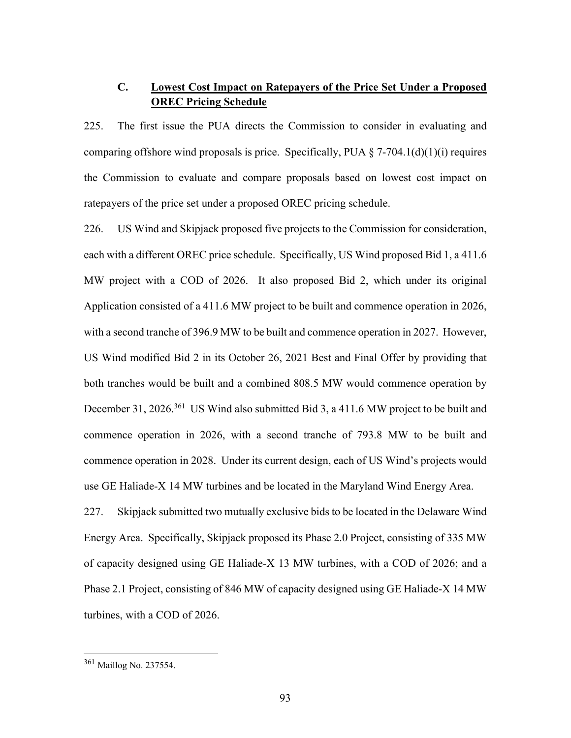# **C. Lowest Cost Impact on Ratepayers of the Price Set Under a Proposed OREC Pricing Schedule**

225. The first issue the PUA directs the Commission to consider in evaluating and comparing offshore wind proposals is price. Specifically, PUA  $\S$  7-704.1(d)(1)(i) requires the Commission to evaluate and compare proposals based on lowest cost impact on ratepayers of the price set under a proposed OREC pricing schedule.

226. US Wind and Skipjack proposed five projects to the Commission for consideration, each with a different OREC price schedule. Specifically, US Wind proposed Bid 1, a 411.6 MW project with a COD of 2026. It also proposed Bid 2, which under its original Application consisted of a 411.6 MW project to be built and commence operation in 2026, with a second tranche of 396.9 MW to be built and commence operation in 2027. However, US Wind modified Bid 2 in its October 26, 2021 Best and Final Offer by providing that both tranches would be built and a combined 808.5 MW would commence operation by December 31, 2026.<sup>361</sup> US Wind also submitted Bid 3, a 411.6 MW project to be built and commence operation in 2026, with a second tranche of 793.8 MW to be built and commence operation in 2028. Under its current design, each of US Wind's projects would use GE Haliade-X 14 MW turbines and be located in the Maryland Wind Energy Area.

227. Skipjack submitted two mutually exclusive bids to be located in the Delaware Wind Energy Area. Specifically, Skipjack proposed its Phase 2.0 Project, consisting of 335 MW of capacity designed using GE Haliade-X 13 MW turbines, with a COD of 2026; and a Phase 2.1 Project, consisting of 846 MW of capacity designed using GE Haliade-X 14 MW turbines, with a COD of 2026.

<sup>361</sup> Maillog No. 237554.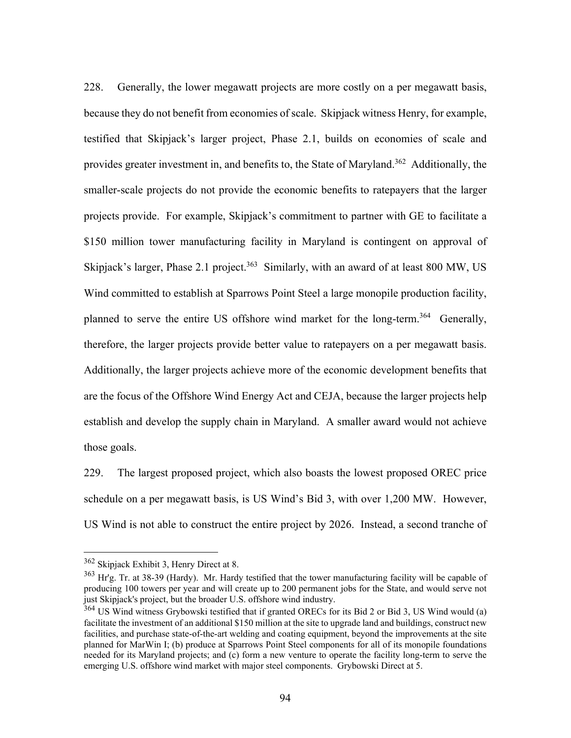228. Generally, the lower megawatt projects are more costly on a per megawatt basis, because they do not benefit from economies of scale. Skipjack witness Henry, for example, testified that Skipjack's larger project, Phase 2.1, builds on economies of scale and provides greater investment in, and benefits to, the State of Maryland.<sup>362</sup> Additionally, the smaller-scale projects do not provide the economic benefits to ratepayers that the larger projects provide. For example, Skipjack's commitment to partner with GE to facilitate a \$150 million tower manufacturing facility in Maryland is contingent on approval of Skipjack's larger, Phase 2.1 project.<sup>363</sup> Similarly, with an award of at least 800 MW, US Wind committed to establish at Sparrows Point Steel a large monopile production facility, planned to serve the entire US offshore wind market for the long-term.<sup>364</sup> Generally, therefore, the larger projects provide better value to ratepayers on a per megawatt basis. Additionally, the larger projects achieve more of the economic development benefits that are the focus of the Offshore Wind Energy Act and CEJA, because the larger projects help establish and develop the supply chain in Maryland. A smaller award would not achieve those goals.

229. The largest proposed project, which also boasts the lowest proposed OREC price schedule on a per megawatt basis, is US Wind's Bid 3, with over 1,200 MW. However, US Wind is not able to construct the entire project by 2026. Instead, a second tranche of

<sup>362</sup> Skipjack Exhibit 3, Henry Direct at 8.

 $363$  Hr'g. Tr. at 38-39 (Hardy). Mr. Hardy testified that the tower manufacturing facility will be capable of producing 100 towers per year and will create up to 200 permanent jobs for the State, and would serve not just Skipjack's project, but the broader U.S. offshore wind industry.

<sup>&</sup>lt;sup>364</sup> US Wind witness Grybowski testified that if granted ORECs for its Bid 2 or Bid 3, US Wind would (a) facilitate the investment of an additional \$150 million at the site to upgrade land and buildings, construct new facilities, and purchase state-of-the-art welding and coating equipment, beyond the improvements at the site planned for MarWin I; (b) produce at Sparrows Point Steel components for all of its monopile foundations needed for its Maryland projects; and (c) form a new venture to operate the facility long-term to serve the emerging U.S. offshore wind market with major steel components. Grybowski Direct at 5.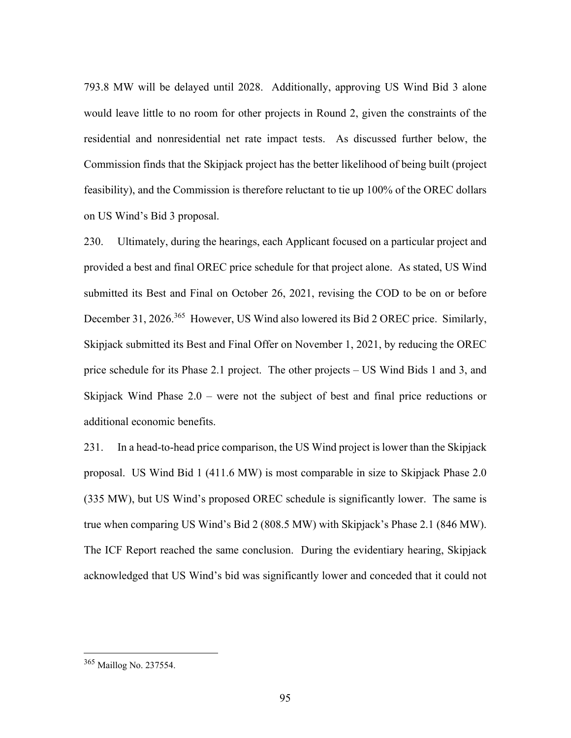793.8 MW will be delayed until 2028. Additionally, approving US Wind Bid 3 alone would leave little to no room for other projects in Round 2, given the constraints of the residential and nonresidential net rate impact tests. As discussed further below, the Commission finds that the Skipjack project has the better likelihood of being built (project feasibility), and the Commission is therefore reluctant to tie up 100% of the OREC dollars on US Wind's Bid 3 proposal.

230. Ultimately, during the hearings, each Applicant focused on a particular project and provided a best and final OREC price schedule for that project alone. As stated, US Wind submitted its Best and Final on October 26, 2021, revising the COD to be on or before December 31, 2026.<sup>365</sup> However, US Wind also lowered its Bid 2 OREC price. Similarly, Skipjack submitted its Best and Final Offer on November 1, 2021, by reducing the OREC price schedule for its Phase 2.1 project. The other projects – US Wind Bids 1 and 3, and Skipjack Wind Phase 2.0 – were not the subject of best and final price reductions or additional economic benefits.

231. In a head-to-head price comparison, the US Wind project is lower than the Skipjack proposal. US Wind Bid 1 (411.6 MW) is most comparable in size to Skipjack Phase 2.0 (335 MW), but US Wind's proposed OREC schedule is significantly lower. The same is true when comparing US Wind's Bid 2 (808.5 MW) with Skipjack's Phase 2.1 (846 MW). The ICF Report reached the same conclusion. During the evidentiary hearing, Skipjack acknowledged that US Wind's bid was significantly lower and conceded that it could not

<sup>365</sup> Maillog No. 237554.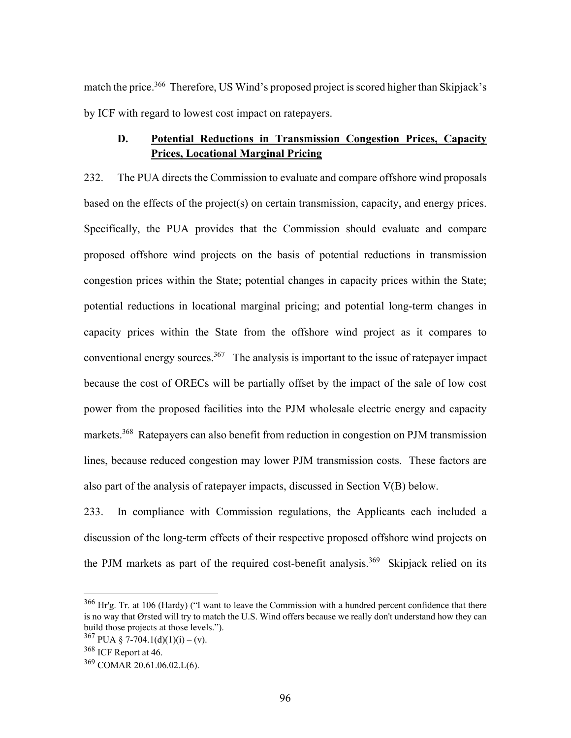match the price.<sup>366</sup> Therefore, US Wind's proposed project is scored higher than Skipjack's by ICF with regard to lowest cost impact on ratepayers.

## **D. Potential Reductions in Transmission Congestion Prices, Capacity Prices, Locational Marginal Pricing**

232. The PUA directs the Commission to evaluate and compare offshore wind proposals based on the effects of the project(s) on certain transmission, capacity, and energy prices. Specifically, the PUA provides that the Commission should evaluate and compare proposed offshore wind projects on the basis of potential reductions in transmission congestion prices within the State; potential changes in capacity prices within the State; potential reductions in locational marginal pricing; and potential long-term changes in capacity prices within the State from the offshore wind project as it compares to conventional energy sources.<sup>367</sup> The analysis is important to the issue of ratepayer impact because the cost of ORECs will be partially offset by the impact of the sale of low cost power from the proposed facilities into the PJM wholesale electric energy and capacity markets.<sup>368</sup> Ratepayers can also benefit from reduction in congestion on PJM transmission lines, because reduced congestion may lower PJM transmission costs. These factors are also part of the analysis of ratepayer impacts, discussed in Section V(B) below.

233. In compliance with Commission regulations, the Applicants each included a discussion of the long-term effects of their respective proposed offshore wind projects on the PJM markets as part of the required cost-benefit analysis.<sup>369</sup> Skipjack relied on its

<sup>&</sup>lt;sup>366</sup> Hr'g. Tr. at 106 (Hardy) ("I want to leave the Commission with a hundred percent confidence that there is no way that Ørsted will try to match the U.S. Wind offers because we really don't understand how they can build those projects at those levels.").

 $367$  PUA § 7-704.1(d)(1)(i) – (v).

<sup>368</sup> ICF Report at 46.

<sup>369</sup> COMAR 20.61.06.02.L(6).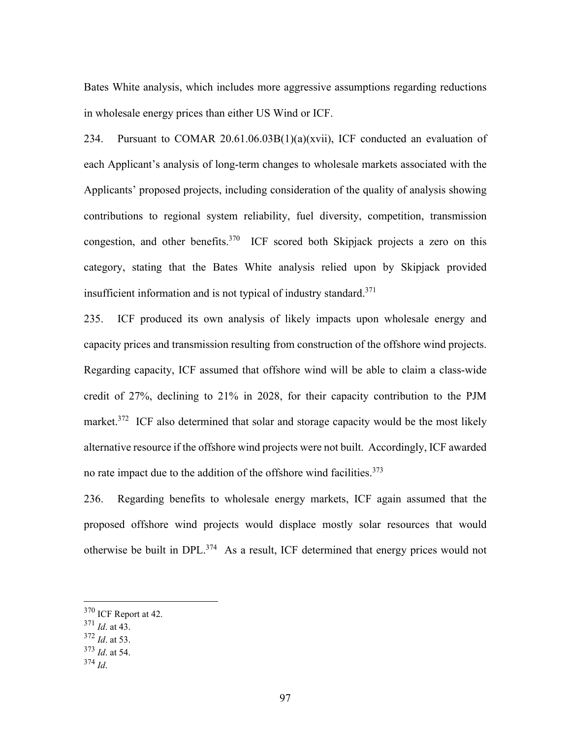Bates White analysis, which includes more aggressive assumptions regarding reductions in wholesale energy prices than either US Wind or ICF.

234. Pursuant to COMAR 20.61.06.03B(1)(a)(xvii), ICF conducted an evaluation of each Applicant's analysis of long-term changes to wholesale markets associated with the Applicants' proposed projects, including consideration of the quality of analysis showing contributions to regional system reliability, fuel diversity, competition, transmission congestion, and other benefits.<sup>370</sup> ICF scored both Skipjack projects a zero on this category, stating that the Bates White analysis relied upon by Skipjack provided insufficient information and is not typical of industry standard.<sup>371</sup>

235. ICF produced its own analysis of likely impacts upon wholesale energy and capacity prices and transmission resulting from construction of the offshore wind projects. Regarding capacity, ICF assumed that offshore wind will be able to claim a class-wide credit of 27%, declining to 21% in 2028, for their capacity contribution to the PJM market.<sup>372</sup> ICF also determined that solar and storage capacity would be the most likely alternative resource if the offshore wind projects were not built. Accordingly, ICF awarded no rate impact due to the addition of the offshore wind facilities.<sup>373</sup>

236. Regarding benefits to wholesale energy markets, ICF again assumed that the proposed offshore wind projects would displace mostly solar resources that would otherwise be built in DPL.374 As a result, ICF determined that energy prices would not

<sup>370</sup> ICF Report at 42.

<sup>371</sup> *Id*. at 43.

<sup>372</sup> *Id*. at 53.

<sup>373</sup> *Id*. at 54.

<sup>374</sup> *Id*.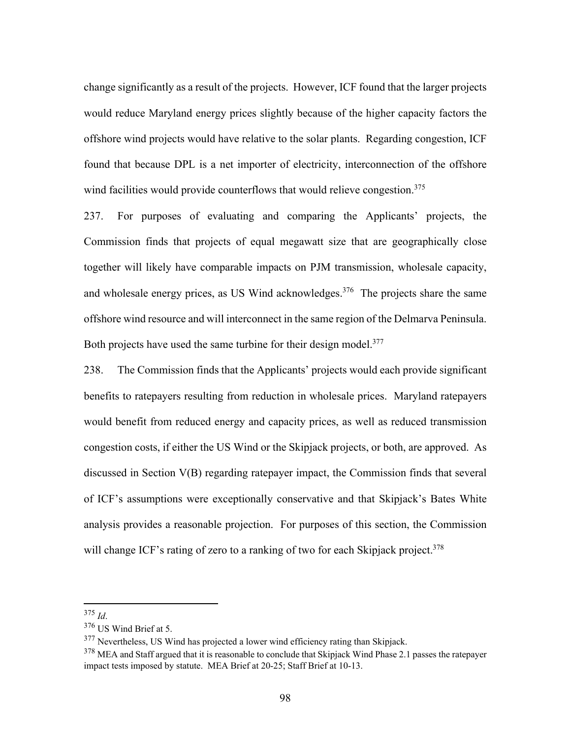change significantly as a result of the projects. However, ICF found that the larger projects would reduce Maryland energy prices slightly because of the higher capacity factors the offshore wind projects would have relative to the solar plants. Regarding congestion, ICF found that because DPL is a net importer of electricity, interconnection of the offshore wind facilities would provide counterflows that would relieve congestion.<sup>375</sup>

237. For purposes of evaluating and comparing the Applicants' projects, the Commission finds that projects of equal megawatt size that are geographically close together will likely have comparable impacts on PJM transmission, wholesale capacity, and wholesale energy prices, as US Wind acknowledges.<sup>376</sup> The projects share the same offshore wind resource and will interconnect in the same region of the Delmarva Peninsula. Both projects have used the same turbine for their design model.<sup>377</sup>

238. The Commission finds that the Applicants' projects would each provide significant benefits to ratepayers resulting from reduction in wholesale prices. Maryland ratepayers would benefit from reduced energy and capacity prices, as well as reduced transmission congestion costs, if either the US Wind or the Skipjack projects, or both, are approved. As discussed in Section V(B) regarding ratepayer impact, the Commission finds that several of ICF's assumptions were exceptionally conservative and that Skipjack's Bates White analysis provides a reasonable projection. For purposes of this section, the Commission will change ICF's rating of zero to a ranking of two for each Skipjack project.<sup>378</sup>

<sup>375</sup> *Id*. 376 US Wind Brief at 5.

<sup>&</sup>lt;sup>377</sup> Nevertheless, US Wind has projected a lower wind efficiency rating than Skipjack.

<sup>&</sup>lt;sup>378</sup> MEA and Staff argued that it is reasonable to conclude that Skipjack Wind Phase 2.1 passes the ratepayer impact tests imposed by statute. MEA Brief at 20-25; Staff Brief at 10-13.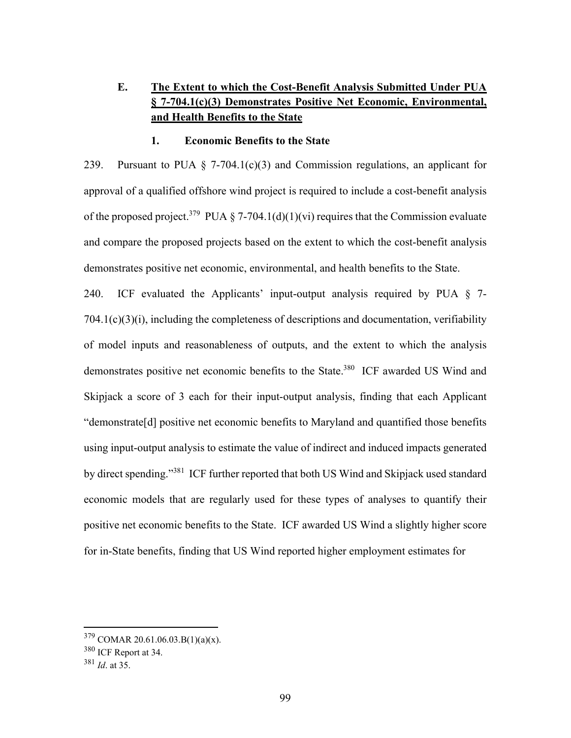# **E. The Extent to which the Cost-Benefit Analysis Submitted Under PUA § 7-704.1(c)(3) Demonstrates Positive Net Economic, Environmental, and Health Benefits to the State**

#### **1. Economic Benefits to the State**

239. Pursuant to PUA  $\S$  7-704.1(c)(3) and Commission regulations, an applicant for approval of a qualified offshore wind project is required to include a cost-benefit analysis of the proposed project.<sup>379</sup> PUA § 7-704.1(d)(1)(vi) requires that the Commission evaluate and compare the proposed projects based on the extent to which the cost-benefit analysis demonstrates positive net economic, environmental, and health benefits to the State.

240. ICF evaluated the Applicants' input-output analysis required by PUA § 7- 704.1(c)(3)(i), including the completeness of descriptions and documentation, verifiability of model inputs and reasonableness of outputs, and the extent to which the analysis demonstrates positive net economic benefits to the State.<sup>380</sup> ICF awarded US Wind and Skipjack a score of 3 each for their input-output analysis, finding that each Applicant "demonstrate[d] positive net economic benefits to Maryland and quantified those benefits using input-output analysis to estimate the value of indirect and induced impacts generated by direct spending."<sup>381</sup> ICF further reported that both US Wind and Skipjack used standard economic models that are regularly used for these types of analyses to quantify their positive net economic benefits to the State. ICF awarded US Wind a slightly higher score for in-State benefits, finding that US Wind reported higher employment estimates for

<sup>379</sup> COMAR 20.61.06.03.B(1)(a)(x).

<sup>380</sup> ICF Report at 34.

<sup>381</sup> *Id*. at 35.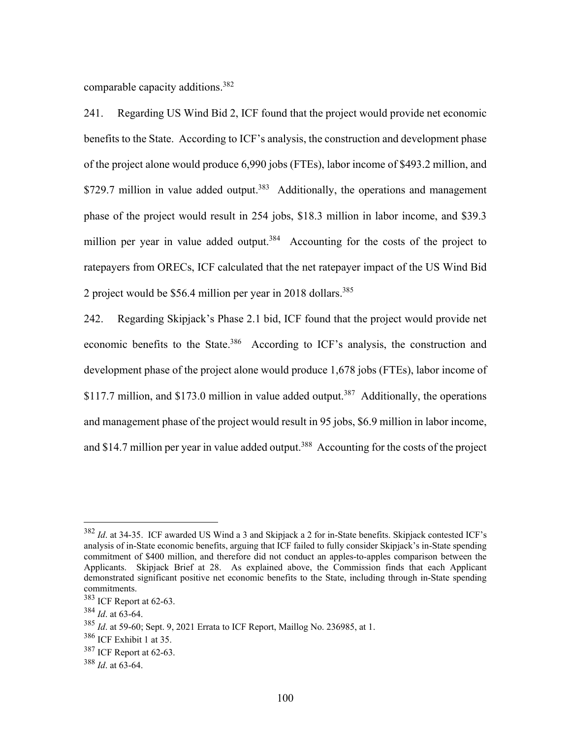comparable capacity additions.382

241. Regarding US Wind Bid 2, ICF found that the project would provide net economic benefits to the State. According to ICF's analysis, the construction and development phase of the project alone would produce 6,990 jobs (FTEs), labor income of \$493.2 million, and \$729.7 million in value added output.<sup>383</sup> Additionally, the operations and management phase of the project would result in 254 jobs, \$18.3 million in labor income, and \$39.3 million per year in value added output.<sup>384</sup> Accounting for the costs of the project to ratepayers from ORECs, ICF calculated that the net ratepayer impact of the US Wind Bid 2 project would be \$56.4 million per year in 2018 dollars.<sup>385</sup>

242. Regarding Skipjack's Phase 2.1 bid, ICF found that the project would provide net economic benefits to the State.<sup>386</sup> According to ICF's analysis, the construction and development phase of the project alone would produce 1,678 jobs (FTEs), labor income of \$117.7 million, and \$173.0 million in value added output.<sup>387</sup> Additionally, the operations and management phase of the project would result in 95 jobs, \$6.9 million in labor income, and \$14.7 million per year in value added output.<sup>388</sup> Accounting for the costs of the project

<sup>382</sup> *Id*. at 34-35. ICF awarded US Wind a 3 and Skipjack a 2 for in-State benefits. Skipjack contested ICF's analysis of in-State economic benefits, arguing that ICF failed to fully consider Skipjack's in-State spending commitment of \$400 million, and therefore did not conduct an apples-to-apples comparison between the Applicants. Skipjack Brief at 28. As explained above, the Commission finds that each Applicant demonstrated significant positive net economic benefits to the State, including through in-State spending commitments.

<sup>383</sup> ICF Report at 62-63.

<sup>384</sup> *Id*. at 63-64.

<sup>385</sup> *Id*. at 59-60; Sept. 9, 2021 Errata to ICF Report, Maillog No. 236985, at 1.

<sup>386</sup> ICF Exhibit 1 at 35.

<sup>387</sup> ICF Report at 62-63.

<sup>388</sup> *Id*. at 63-64.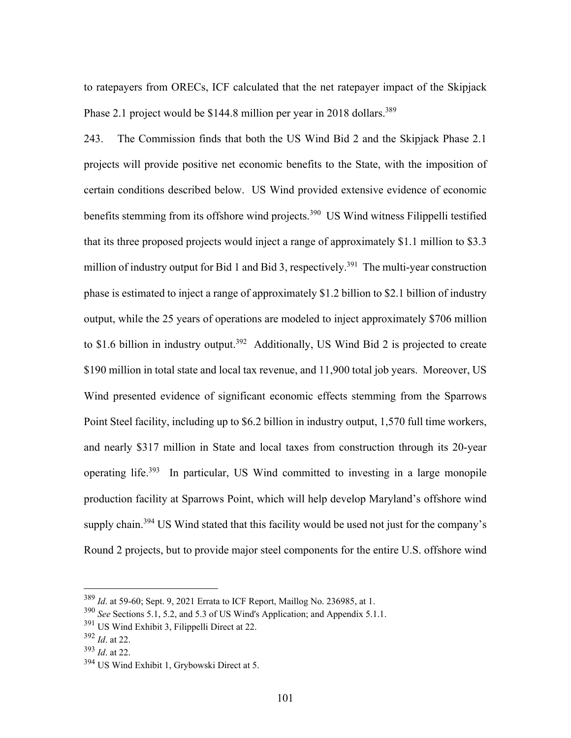to ratepayers from ORECs, ICF calculated that the net ratepayer impact of the Skipjack Phase 2.1 project would be \$144.8 million per year in 2018 dollars.<sup>389</sup>

243. The Commission finds that both the US Wind Bid 2 and the Skipjack Phase 2.1 projects will provide positive net economic benefits to the State, with the imposition of certain conditions described below. US Wind provided extensive evidence of economic benefits stemming from its offshore wind projects.<sup>390</sup> US Wind witness Filippelli testified that its three proposed projects would inject a range of approximately \$1.1 million to \$3.3 million of industry output for Bid 1 and Bid 3, respectively.<sup>391</sup> The multi-year construction phase is estimated to inject a range of approximately \$1.2 billion to \$2.1 billion of industry output, while the 25 years of operations are modeled to inject approximately \$706 million to \$1.6 billion in industry output.<sup>392</sup> Additionally, US Wind Bid 2 is projected to create \$190 million in total state and local tax revenue, and 11,900 total job years. Moreover, US Wind presented evidence of significant economic effects stemming from the Sparrows Point Steel facility, including up to \$6.2 billion in industry output, 1,570 full time workers, and nearly \$317 million in State and local taxes from construction through its 20-year operating life.393 In particular, US Wind committed to investing in a large monopile production facility at Sparrows Point, which will help develop Maryland's offshore wind supply chain.<sup>394</sup> US Wind stated that this facility would be used not just for the company's Round 2 projects, but to provide major steel components for the entire U.S. offshore wind

<sup>389</sup> *Id*. at 59-60; Sept. 9, 2021 Errata to ICF Report, Maillog No. 236985, at 1.

<sup>390</sup> *See* Sections 5.1, 5.2, and 5.3 of US Wind's Application; and Appendix 5.1.1.

<sup>391</sup> US Wind Exhibit 3, Filippelli Direct at 22.

<sup>392</sup> *Id*. at 22.

<sup>393</sup> *Id*. at 22.

<sup>394</sup> US Wind Exhibit 1, Grybowski Direct at 5.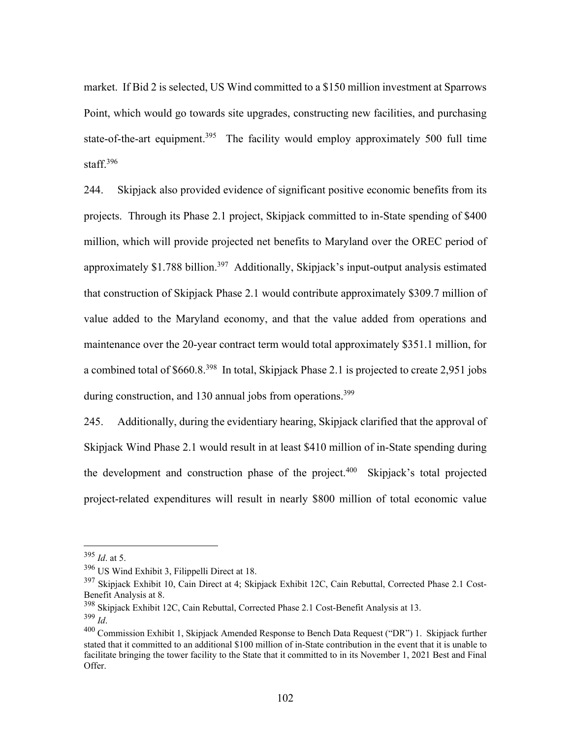market. If Bid 2 is selected, US Wind committed to a \$150 million investment at Sparrows Point, which would go towards site upgrades, constructing new facilities, and purchasing state-of-the-art equipment.<sup>395</sup> The facility would employ approximately 500 full time staff.<sup>396</sup>

244. Skipjack also provided evidence of significant positive economic benefits from its projects. Through its Phase 2.1 project, Skipjack committed to in-State spending of \$400 million, which will provide projected net benefits to Maryland over the OREC period of approximately \$1.788 billion.<sup>397</sup> Additionally, Skipjack's input-output analysis estimated that construction of Skipjack Phase 2.1 would contribute approximately \$309.7 million of value added to the Maryland economy, and that the value added from operations and maintenance over the 20-year contract term would total approximately \$351.1 million, for a combined total of \$660.8.398 In total, Skipjack Phase 2.1 is projected to create 2,951 jobs during construction, and 130 annual jobs from operations.<sup>399</sup>

245. Additionally, during the evidentiary hearing, Skipjack clarified that the approval of Skipjack Wind Phase 2.1 would result in at least \$410 million of in-State spending during the development and construction phase of the project.<sup>400</sup> Skipjack's total projected project-related expenditures will result in nearly \$800 million of total economic value

<sup>395</sup> *Id*. at 5.

<sup>396</sup> US Wind Exhibit 3, Filippelli Direct at 18.

<sup>&</sup>lt;sup>397</sup> Skipjack Exhibit 10, Cain Direct at 4; Skipjack Exhibit 12C, Cain Rebuttal, Corrected Phase 2.1 Cost-Benefit Analysis at 8.

 $398$  Skipjack Exhibit 12C, Cain Rebuttal, Corrected Phase 2.1 Cost-Benefit Analysis at 13.<br> $399$   $_{I}$ 

<sup>&</sup>lt;sup>400</sup> Commission Exhibit 1, Skipjack Amended Response to Bench Data Request ("DR") 1. Skipjack further stated that it committed to an additional \$100 million of in-State contribution in the event that it is unable to facilitate bringing the tower facility to the State that it committed to in its November 1, 2021 Best and Final Offer.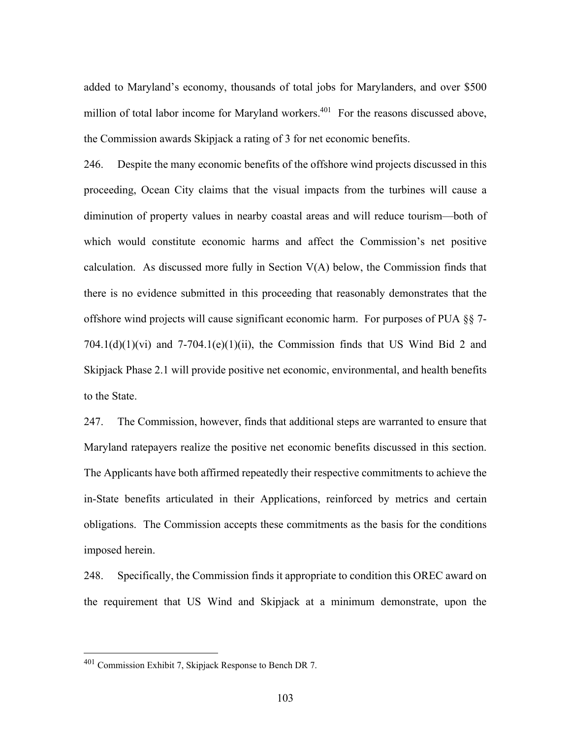added to Maryland's economy, thousands of total jobs for Marylanders, and over \$500 million of total labor income for Maryland workers.<sup>401</sup> For the reasons discussed above, the Commission awards Skipjack a rating of 3 for net economic benefits.

246. Despite the many economic benefits of the offshore wind projects discussed in this proceeding, Ocean City claims that the visual impacts from the turbines will cause a diminution of property values in nearby coastal areas and will reduce tourism—both of which would constitute economic harms and affect the Commission's net positive calculation. As discussed more fully in Section  $V(A)$  below, the Commission finds that there is no evidence submitted in this proceeding that reasonably demonstrates that the offshore wind projects will cause significant economic harm. For purposes of PUA §§ 7-  $704.1(d)(1)(vi)$  and  $7-704.1(e)(1)(ii)$ , the Commission finds that US Wind Bid 2 and Skipjack Phase 2.1 will provide positive net economic, environmental, and health benefits to the State.

247. The Commission, however, finds that additional steps are warranted to ensure that Maryland ratepayers realize the positive net economic benefits discussed in this section. The Applicants have both affirmed repeatedly their respective commitments to achieve the in-State benefits articulated in their Applications, reinforced by metrics and certain obligations. The Commission accepts these commitments as the basis for the conditions imposed herein.

248. Specifically, the Commission finds it appropriate to condition this OREC award on the requirement that US Wind and Skipjack at a minimum demonstrate, upon the

<sup>401</sup> Commission Exhibit 7, Skipjack Response to Bench DR 7.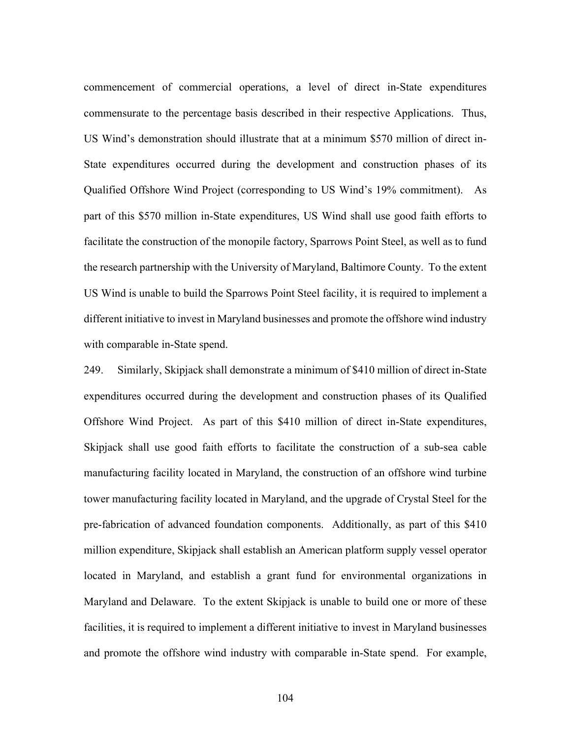commencement of commercial operations, a level of direct in-State expenditures commensurate to the percentage basis described in their respective Applications. Thus, US Wind's demonstration should illustrate that at a minimum \$570 million of direct in-State expenditures occurred during the development and construction phases of its Qualified Offshore Wind Project (corresponding to US Wind's 19% commitment). As part of this \$570 million in-State expenditures, US Wind shall use good faith efforts to facilitate the construction of the monopile factory, Sparrows Point Steel, as well as to fund the research partnership with the University of Maryland, Baltimore County. To the extent US Wind is unable to build the Sparrows Point Steel facility, it is required to implement a different initiative to invest in Maryland businesses and promote the offshore wind industry with comparable in-State spend.

249. Similarly, Skipjack shall demonstrate a minimum of \$410 million of direct in-State expenditures occurred during the development and construction phases of its Qualified Offshore Wind Project. As part of this \$410 million of direct in-State expenditures, Skipjack shall use good faith efforts to facilitate the construction of a sub-sea cable manufacturing facility located in Maryland, the construction of an offshore wind turbine tower manufacturing facility located in Maryland, and the upgrade of Crystal Steel for the pre-fabrication of advanced foundation components. Additionally, as part of this \$410 million expenditure, Skipjack shall establish an American platform supply vessel operator located in Maryland, and establish a grant fund for environmental organizations in Maryland and Delaware. To the extent Skipjack is unable to build one or more of these facilities, it is required to implement a different initiative to invest in Maryland businesses and promote the offshore wind industry with comparable in-State spend. For example,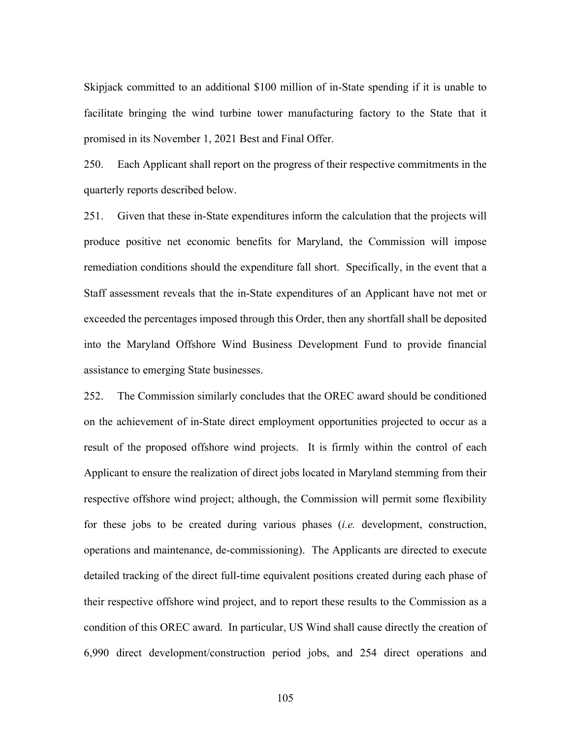Skipjack committed to an additional \$100 million of in-State spending if it is unable to facilitate bringing the wind turbine tower manufacturing factory to the State that it promised in its November 1, 2021 Best and Final Offer.

250. Each Applicant shall report on the progress of their respective commitments in the quarterly reports described below.

251. Given that these in-State expenditures inform the calculation that the projects will produce positive net economic benefits for Maryland, the Commission will impose remediation conditions should the expenditure fall short. Specifically, in the event that a Staff assessment reveals that the in-State expenditures of an Applicant have not met or exceeded the percentages imposed through this Order, then any shortfall shall be deposited into the Maryland Offshore Wind Business Development Fund to provide financial assistance to emerging State businesses.

252. The Commission similarly concludes that the OREC award should be conditioned on the achievement of in-State direct employment opportunities projected to occur as a result of the proposed offshore wind projects. It is firmly within the control of each Applicant to ensure the realization of direct jobs located in Maryland stemming from their respective offshore wind project; although, the Commission will permit some flexibility for these jobs to be created during various phases (*i.e.* development, construction, operations and maintenance, de-commissioning). The Applicants are directed to execute detailed tracking of the direct full-time equivalent positions created during each phase of their respective offshore wind project, and to report these results to the Commission as a condition of this OREC award. In particular, US Wind shall cause directly the creation of 6,990 direct development/construction period jobs, and 254 direct operations and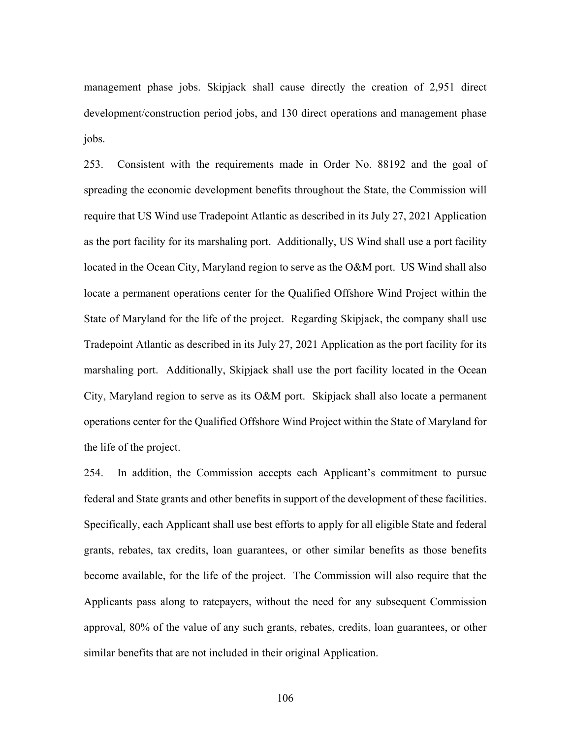management phase jobs. Skipjack shall cause directly the creation of 2,951 direct development/construction period jobs, and 130 direct operations and management phase jobs.

253. Consistent with the requirements made in Order No. 88192 and the goal of spreading the economic development benefits throughout the State, the Commission will require that US Wind use Tradepoint Atlantic as described in its July 27, 2021 Application as the port facility for its marshaling port. Additionally, US Wind shall use a port facility located in the Ocean City, Maryland region to serve as the O&M port. US Wind shall also locate a permanent operations center for the Qualified Offshore Wind Project within the State of Maryland for the life of the project. Regarding Skipjack, the company shall use Tradepoint Atlantic as described in its July 27, 2021 Application as the port facility for its marshaling port. Additionally, Skipjack shall use the port facility located in the Ocean City, Maryland region to serve as its O&M port. Skipjack shall also locate a permanent operations center for the Qualified Offshore Wind Project within the State of Maryland for the life of the project.

254. In addition, the Commission accepts each Applicant's commitment to pursue federal and State grants and other benefits in support of the development of these facilities. Specifically, each Applicant shall use best efforts to apply for all eligible State and federal grants, rebates, tax credits, loan guarantees, or other similar benefits as those benefits become available, for the life of the project. The Commission will also require that the Applicants pass along to ratepayers, without the need for any subsequent Commission approval, 80% of the value of any such grants, rebates, credits, loan guarantees, or other similar benefits that are not included in their original Application.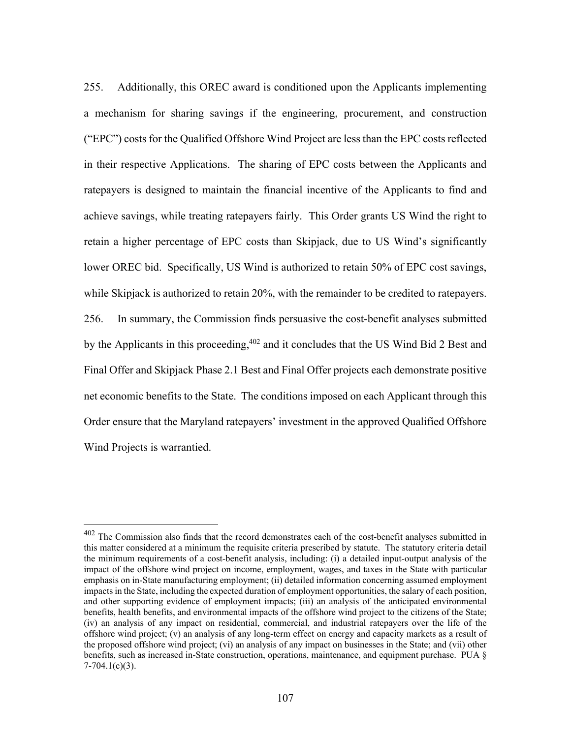255. Additionally, this OREC award is conditioned upon the Applicants implementing a mechanism for sharing savings if the engineering, procurement, and construction ("EPC") costs for the Qualified Offshore Wind Project are less than the EPC costs reflected in their respective Applications. The sharing of EPC costs between the Applicants and ratepayers is designed to maintain the financial incentive of the Applicants to find and achieve savings, while treating ratepayers fairly. This Order grants US Wind the right to retain a higher percentage of EPC costs than Skipjack, due to US Wind's significantly lower OREC bid. Specifically, US Wind is authorized to retain 50% of EPC cost savings, while Skipjack is authorized to retain 20%, with the remainder to be credited to ratepayers. 256. In summary, the Commission finds persuasive the cost-benefit analyses submitted by the Applicants in this proceeding,<sup>402</sup> and it concludes that the US Wind Bid 2 Best and Final Offer and Skipjack Phase 2.1 Best and Final Offer projects each demonstrate positive net economic benefits to the State. The conditions imposed on each Applicant through this Order ensure that the Maryland ratepayers' investment in the approved Qualified Offshore Wind Projects is warrantied.

 $402$  The Commission also finds that the record demonstrates each of the cost-benefit analyses submitted in this matter considered at a minimum the requisite criteria prescribed by statute. The statutory criteria detail the minimum requirements of a cost-benefit analysis, including: (i) a detailed input-output analysis of the impact of the offshore wind project on income, employment, wages, and taxes in the State with particular emphasis on in-State manufacturing employment; (ii) detailed information concerning assumed employment impacts in the State, including the expected duration of employment opportunities, the salary of each position, and other supporting evidence of employment impacts; (iii) an analysis of the anticipated environmental benefits, health benefits, and environmental impacts of the offshore wind project to the citizens of the State; (iv) an analysis of any impact on residential, commercial, and industrial ratepayers over the life of the offshore wind project; (v) an analysis of any long-term effect on energy and capacity markets as a result of the proposed offshore wind project; (vi) an analysis of any impact on businesses in the State; and (vii) other benefits, such as increased in-State construction, operations, maintenance, and equipment purchase. PUA §  $7-704.1(c)(3)$ .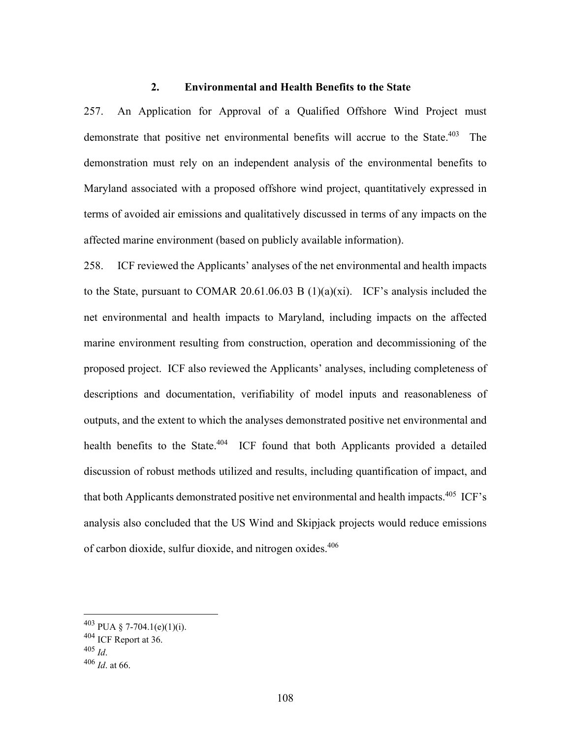## **2. Environmental and Health Benefits to the State**

257. An Application for Approval of a Qualified Offshore Wind Project must demonstrate that positive net environmental benefits will accrue to the State.<sup>403</sup> The demonstration must rely on an independent analysis of the environmental benefits to Maryland associated with a proposed offshore wind project, quantitatively expressed in terms of avoided air emissions and qualitatively discussed in terms of any impacts on the affected marine environment (based on publicly available information).

258. ICF reviewed the Applicants' analyses of the net environmental and health impacts to the State, pursuant to COMAR 20.61.06.03 B (1)(a)(xi). ICF's analysis included the net environmental and health impacts to Maryland, including impacts on the affected marine environment resulting from construction, operation and decommissioning of the proposed project. ICF also reviewed the Applicants' analyses, including completeness of descriptions and documentation, verifiability of model inputs and reasonableness of outputs, and the extent to which the analyses demonstrated positive net environmental and health benefits to the State.<sup>404</sup> ICF found that both Applicants provided a detailed discussion of robust methods utilized and results, including quantification of impact, and that both Applicants demonstrated positive net environmental and health impacts.<sup>405</sup> ICF's analysis also concluded that the US Wind and Skipjack projects would reduce emissions of carbon dioxide, sulfur dioxide, and nitrogen oxides.<sup>406</sup>

 $403$  PUA § 7-704.1(e)(1)(i).

 $^{404}$  ICF Report at 36.<br> $^{405}$  *Id.* 

<sup>405</sup> *Id*. 406 *Id*. at 66.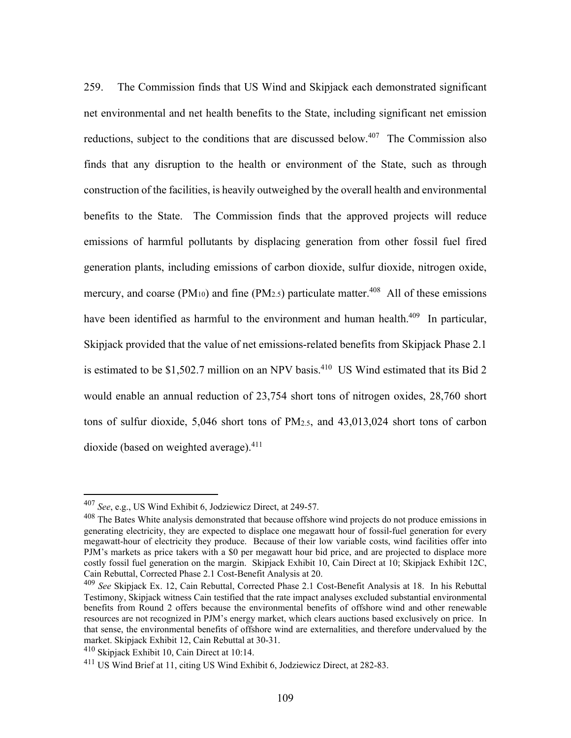259. The Commission finds that US Wind and Skipjack each demonstrated significant net environmental and net health benefits to the State, including significant net emission reductions, subject to the conditions that are discussed below.<sup>407</sup> The Commission also finds that any disruption to the health or environment of the State, such as through construction of the facilities, is heavily outweighed by the overall health and environmental benefits to the State. The Commission finds that the approved projects will reduce emissions of harmful pollutants by displacing generation from other fossil fuel fired generation plants, including emissions of carbon dioxide, sulfur dioxide, nitrogen oxide, mercury, and coarse (PM<sub>10</sub>) and fine (PM<sub>2.5</sub>) particulate matter.<sup>408</sup> All of these emissions have been identified as harmful to the environment and human health.<sup>409</sup> In particular, Skipjack provided that the value of net emissions-related benefits from Skipjack Phase 2.1 is estimated to be \$1,502.7 million on an NPV basis.<sup>410</sup> US Wind estimated that its Bid 2 would enable an annual reduction of 23,754 short tons of nitrogen oxides, 28,760 short tons of sulfur dioxide, 5,046 short tons of PM2.5, and 43,013,024 short tons of carbon dioxide (based on weighted average). $411$ 

<sup>407</sup> *See*, e.g., US Wind Exhibit 6, Jodziewicz Direct, at 249-57.

<sup>&</sup>lt;sup>408</sup> The Bates White analysis demonstrated that because offshore wind projects do not produce emissions in generating electricity, they are expected to displace one megawatt hour of fossil-fuel generation for every megawatt-hour of electricity they produce. Because of their low variable costs, wind facilities offer into PJM's markets as price takers with a \$0 per megawatt hour bid price, and are projected to displace more costly fossil fuel generation on the margin. Skipjack Exhibit 10, Cain Direct at 10; Skipjack Exhibit 12C, Cain Rebuttal, Corrected Phase 2.1 Cost-Benefit Analysis at 20.

<sup>409</sup> *See* Skipjack Ex. 12, Cain Rebuttal, Corrected Phase 2.1 Cost-Benefit Analysis at 18. In his Rebuttal Testimony, Skipjack witness Cain testified that the rate impact analyses excluded substantial environmental benefits from Round 2 offers because the environmental benefits of offshore wind and other renewable resources are not recognized in PJM's energy market, which clears auctions based exclusively on price. In that sense, the environmental benefits of offshore wind are externalities, and therefore undervalued by the market. Skipjack Exhibit 12, Cain Rebuttal at 30-31.

<sup>410</sup> Skipjack Exhibit 10, Cain Direct at 10:14.

<sup>&</sup>lt;sup>411</sup> US Wind Brief at 11, citing US Wind Exhibit 6, Jodziewicz Direct, at 282-83.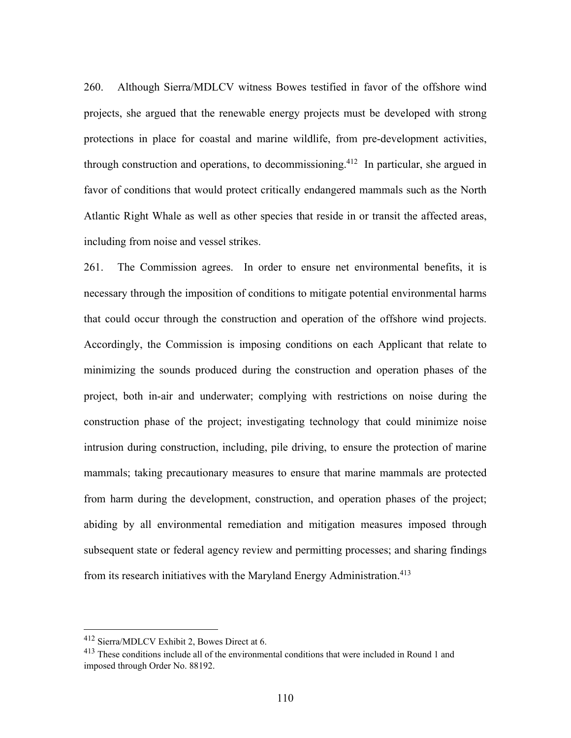260. Although Sierra/MDLCV witness Bowes testified in favor of the offshore wind projects, she argued that the renewable energy projects must be developed with strong protections in place for coastal and marine wildlife, from pre-development activities, through construction and operations, to decommissioning.<sup>412</sup> In particular, she argued in favor of conditions that would protect critically endangered mammals such as the North Atlantic Right Whale as well as other species that reside in or transit the affected areas, including from noise and vessel strikes.

261. The Commission agrees. In order to ensure net environmental benefits, it is necessary through the imposition of conditions to mitigate potential environmental harms that could occur through the construction and operation of the offshore wind projects. Accordingly, the Commission is imposing conditions on each Applicant that relate to minimizing the sounds produced during the construction and operation phases of the project, both in-air and underwater; complying with restrictions on noise during the construction phase of the project; investigating technology that could minimize noise intrusion during construction, including, pile driving, to ensure the protection of marine mammals; taking precautionary measures to ensure that marine mammals are protected from harm during the development, construction, and operation phases of the project; abiding by all environmental remediation and mitigation measures imposed through subsequent state or federal agency review and permitting processes; and sharing findings from its research initiatives with the Maryland Energy Administration.<sup>413</sup>

<sup>412</sup> Sierra/MDLCV Exhibit 2, Bowes Direct at 6.

<sup>413</sup> These conditions include all of the environmental conditions that were included in Round 1 and imposed through Order No. 88192.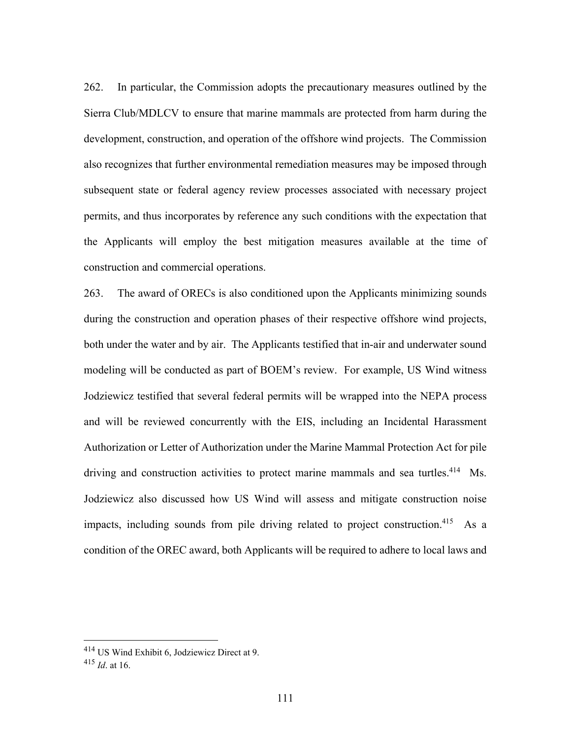262. In particular, the Commission adopts the precautionary measures outlined by the Sierra Club/MDLCV to ensure that marine mammals are protected from harm during the development, construction, and operation of the offshore wind projects. The Commission also recognizes that further environmental remediation measures may be imposed through subsequent state or federal agency review processes associated with necessary project permits, and thus incorporates by reference any such conditions with the expectation that the Applicants will employ the best mitigation measures available at the time of construction and commercial operations.

263. The award of ORECs is also conditioned upon the Applicants minimizing sounds during the construction and operation phases of their respective offshore wind projects, both under the water and by air. The Applicants testified that in-air and underwater sound modeling will be conducted as part of BOEM's review. For example, US Wind witness Jodziewicz testified that several federal permits will be wrapped into the NEPA process and will be reviewed concurrently with the EIS, including an Incidental Harassment Authorization or Letter of Authorization under the Marine Mammal Protection Act for pile driving and construction activities to protect marine mammals and sea turtles.<sup>414</sup> Ms. Jodziewicz also discussed how US Wind will assess and mitigate construction noise impacts, including sounds from pile driving related to project construction.<sup>415</sup> As a condition of the OREC award, both Applicants will be required to adhere to local laws and

<sup>414</sup> US Wind Exhibit 6, Jodziewicz Direct at 9.

<sup>415</sup> *Id*. at 16.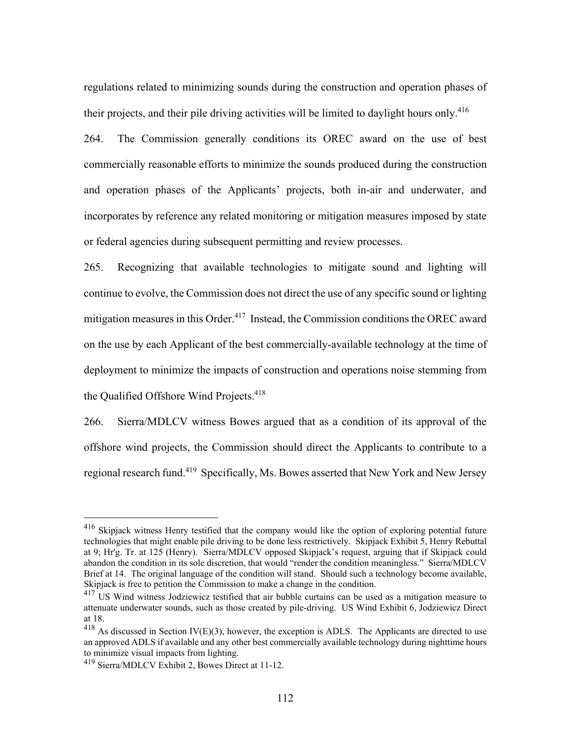regulations related to minimizing sounds during the construction and operation phases of their projects, and their pile driving activities will be limited to daylight hours only.<sup>416</sup>

264. The Commission generally conditions its OREC award on the use of best commercially reasonable efforts to minimize the sounds produced during the construction and operation phases of the Applicants' projects, both in-air and underwater, and incorporates by reference any related monitoring or mitigation measures imposed by state or federal agencies during subsequent permitting and review processes.

265. Recognizing that available technologies to mitigate sound and lighting will continue to evolve, the Commission does not direct the use of any specific sound or lighting mitigation measures in this Order.<sup>417</sup> Instead, the Commission conditions the OREC award on the use by each Applicant of the best commercially-available technology at the time of deployment to minimize the impacts of construction and operations noise stemming from the Qualified Offshore Wind Projects.<sup>418</sup>

266. Sierra/MDLCV witness Bowes argued that as a condition of its approval of the offshore wind projects, the Commission should direct the Applicants to contribute to a regional research fund.419 Specifically, Ms. Bowes asserted that New York and New Jersey

<sup>416</sup> Skipjack witness Henry testified that the company would like the option of exploring potential future technologies that might enable pile driving to be done less restrictively. Skipjack Exhibit 5, Henry Rebuttal at 9; Hr'g. Tr. at 125 (Henry). Sierra/MDLCV opposed Skipjack's request, arguing that if Skipjack could abandon the condition in its sole discretion, that would "render the condition meaningless." Sierra/MDLCV Brief at 14. The original language of the condition will stand. Should such a technology become available, Skipjack is free to petition the Commission to make a change in the condition.

<sup>&</sup>lt;sup>417</sup> US Wind witness Jodziewicz testified that air bubble curtains can be used as a mitigation measure to attenuate underwater sounds, such as those created by pile-driving. US Wind Exhibit 6, Jodziewicz Direct at 18.

 $418$  As discussed in Section IV(E)(3), however, the exception is ADLS. The Applicants are directed to use an approved ADLS if available and any other best commercially available technology during nighttime hours to minimize visual impacts from lighting.

<sup>419</sup> Sierra/MDLCV Exhibit 2, Bowes Direct at 11-12.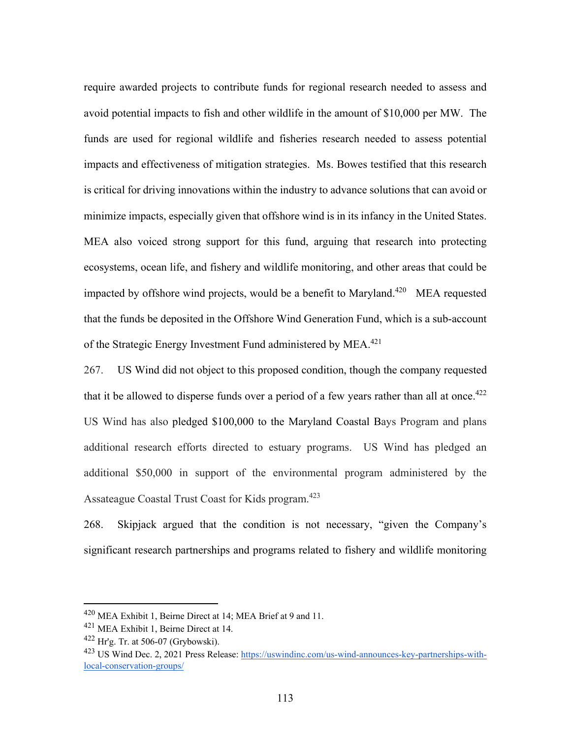require awarded projects to contribute funds for regional research needed to assess and avoid potential impacts to fish and other wildlife in the amount of \$10,000 per MW. The funds are used for regional wildlife and fisheries research needed to assess potential impacts and effectiveness of mitigation strategies. Ms. Bowes testified that this research is critical for driving innovations within the industry to advance solutions that can avoid or minimize impacts, especially given that offshore wind is in its infancy in the United States. MEA also voiced strong support for this fund, arguing that research into protecting ecosystems, ocean life, and fishery and wildlife monitoring, and other areas that could be impacted by offshore wind projects, would be a benefit to Maryland.<sup>420</sup> MEA requested that the funds be deposited in the Offshore Wind Generation Fund, which is a sub-account of the Strategic Energy Investment Fund administered by MEA.<sup>421</sup>

267. US Wind did not object to this proposed condition, though the company requested that it be allowed to disperse funds over a period of a few years rather than all at once.<sup>422</sup> US Wind has also pledged \$100,000 to the Maryland Coastal Bays Program and plans additional research efforts directed to estuary programs. US Wind has pledged an additional \$50,000 in support of the environmental program administered by the Assateague Coastal Trust Coast for Kids program.<sup>423</sup>

268. Skipjack argued that the condition is not necessary, "given the Company's significant research partnerships and programs related to fishery and wildlife monitoring

<sup>420</sup> MEA Exhibit 1, Beirne Direct at 14; MEA Brief at 9 and 11.

<sup>&</sup>lt;sup>421</sup> MEA Exhibit 1, Beirne Direct at 14.

 $422$  Hr'g. Tr. at 506-07 (Grybowski).

<sup>&</sup>lt;sup>423</sup> US Wind Dec. 2, 2021 Press Release: https://uswindinc.com/us-wind-announces-key-partnerships-withlocal-conservation-groups/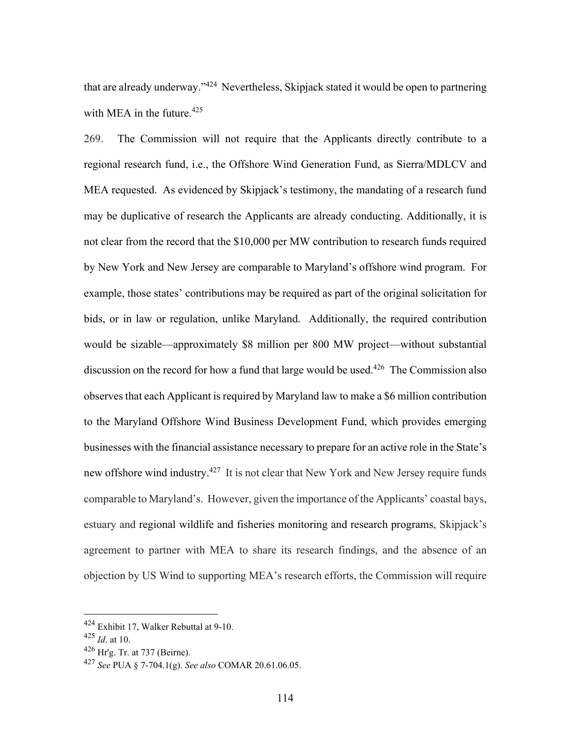that are already underway."<sup>424</sup> Nevertheless, Skipjack stated it would be open to partnering with MEA in the future. $425$ 

269. The Commission will not require that the Applicants directly contribute to a regional research fund, i.e., the Offshore Wind Generation Fund, as Sierra/MDLCV and MEA requested. As evidenced by Skipjack's testimony, the mandating of a research fund may be duplicative of research the Applicants are already conducting. Additionally, it is not clear from the record that the \$10,000 per MW contribution to research funds required by New York and New Jersey are comparable to Maryland's offshore wind program. For example, those states' contributions may be required as part of the original solicitation for bids, or in law or regulation, unlike Maryland. Additionally, the required contribution would be sizable—approximately \$8 million per 800 MW project—without substantial discussion on the record for how a fund that large would be used.<sup>426</sup> The Commission also observes that each Applicant is required by Maryland law to make a \$6 million contribution to the Maryland Offshore Wind Business Development Fund, which provides emerging businesses with the financial assistance necessary to prepare for an active role in the State's new offshore wind industry.<sup>427</sup> It is not clear that New York and New Jersey require funds comparable to Maryland's. However, given the importance of the Applicants' coastal bays, estuary and regional wildlife and fisheries monitoring and research programs, Skipjack's agreement to partner with MEA to share its research findings, and the absence of an objection by US Wind to supporting MEA's research efforts, the Commission will require

<sup>424</sup> Exhibit 17, Walker Rebuttal at 9-10.

<sup>425</sup> *Id*. at 10.

 $426$  Hr'g. Tr. at 737 (Beirne).

<sup>427</sup> *See* PUA § 7-704.1(g). *See also* COMAR 20.61.06.05.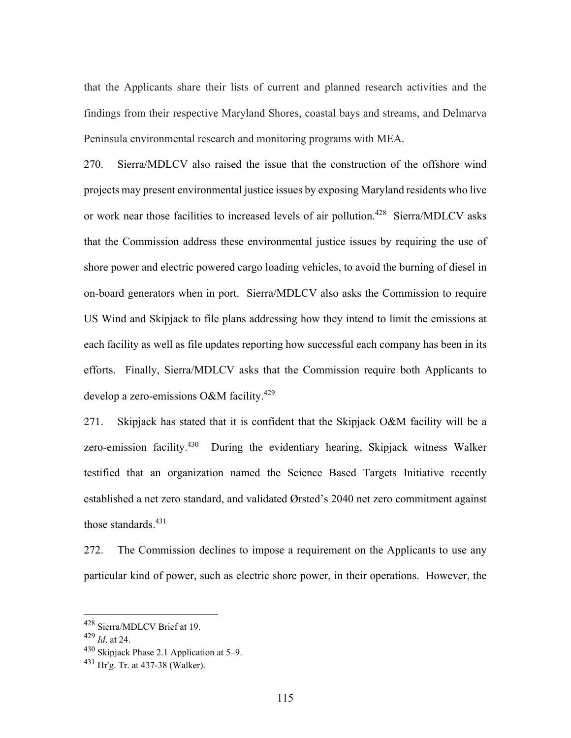that the Applicants share their lists of current and planned research activities and the findings from their respective Maryland Shores, coastal bays and streams, and Delmarva Peninsula environmental research and monitoring programs with MEA.

270. Sierra/MDLCV also raised the issue that the construction of the offshore wind projects may present environmental justice issues by exposing Maryland residents who live or work near those facilities to increased levels of air pollution.<sup>428</sup> Sierra/MDLCV asks that the Commission address these environmental justice issues by requiring the use of shore power and electric powered cargo loading vehicles, to avoid the burning of diesel in on-board generators when in port. Sierra/MDLCV also asks the Commission to require US Wind and Skipjack to file plans addressing how they intend to limit the emissions at each facility as well as file updates reporting how successful each company has been in its efforts. Finally, Sierra/MDLCV asks that the Commission require both Applicants to develop a zero-emissions O&M facility.<sup>429</sup>

271. Skipjack has stated that it is confident that the Skipjack O&M facility will be a zero-emission facility.<sup>430</sup> During the evidentiary hearing, Skipjack witness Walker testified that an organization named the Science Based Targets Initiative recently established a net zero standard, and validated Ørsted's 2040 net zero commitment against those standards. $431$ 

272. The Commission declines to impose a requirement on the Applicants to use any particular kind of power, such as electric shore power, in their operations. However, the

<sup>428</sup> Sierra/MDLCV Brief at 19.

<sup>429</sup> *Id*. at 24.

<sup>430</sup> Skipjack Phase 2.1 Application at 5–9.

<sup>431</sup> Hr'g. Tr. at 437-38 (Walker).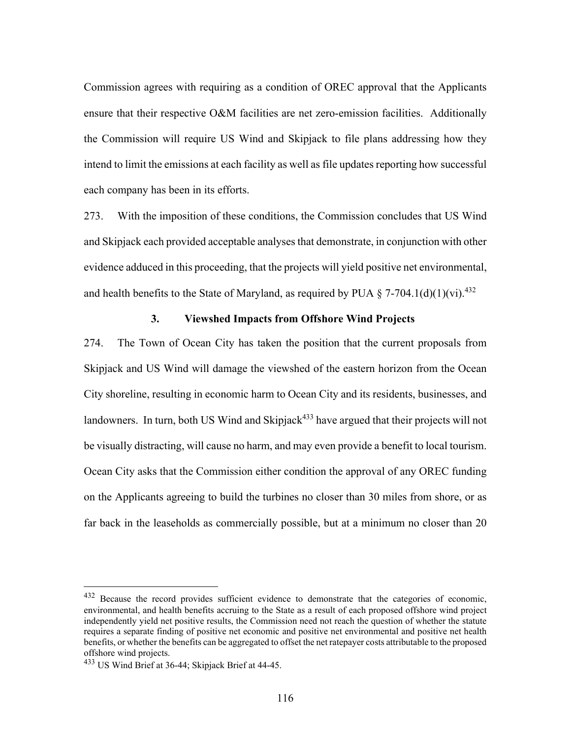Commission agrees with requiring as a condition of OREC approval that the Applicants ensure that their respective O&M facilities are net zero-emission facilities. Additionally the Commission will require US Wind and Skipjack to file plans addressing how they intend to limit the emissions at each facility as well as file updates reporting how successful each company has been in its efforts.

273. With the imposition of these conditions, the Commission concludes that US Wind and Skipjack each provided acceptable analyses that demonstrate, in conjunction with other evidence adduced in this proceeding, that the projects will yield positive net environmental, and health benefits to the State of Maryland, as required by PUA  $\S$  7-704.1(d)(1)(vi).<sup>432</sup>

## **3. Viewshed Impacts from Offshore Wind Projects**

274. The Town of Ocean City has taken the position that the current proposals from Skipjack and US Wind will damage the viewshed of the eastern horizon from the Ocean City shoreline, resulting in economic harm to Ocean City and its residents, businesses, and landowners. In turn, both US Wind and Skipjack<sup>433</sup> have argued that their projects will not be visually distracting, will cause no harm, and may even provide a benefit to local tourism. Ocean City asks that the Commission either condition the approval of any OREC funding on the Applicants agreeing to build the turbines no closer than 30 miles from shore, or as far back in the leaseholds as commercially possible, but at a minimum no closer than 20

<sup>432</sup> Because the record provides sufficient evidence to demonstrate that the categories of economic, environmental, and health benefits accruing to the State as a result of each proposed offshore wind project independently yield net positive results, the Commission need not reach the question of whether the statute requires a separate finding of positive net economic and positive net environmental and positive net health benefits, or whether the benefits can be aggregated to offset the net ratepayer costs attributable to the proposed offshore wind projects.

<sup>433</sup> US Wind Brief at 36-44; Skipjack Brief at 44-45.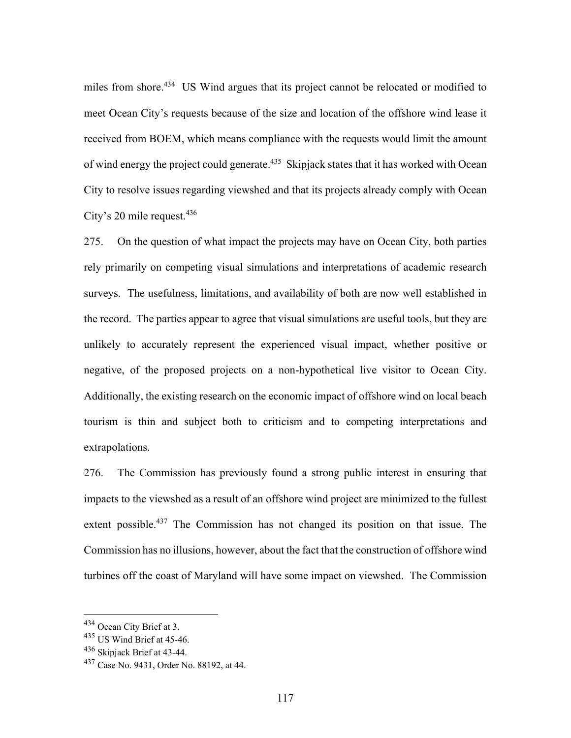miles from shore.<sup>434</sup> US Wind argues that its project cannot be relocated or modified to meet Ocean City's requests because of the size and location of the offshore wind lease it received from BOEM, which means compliance with the requests would limit the amount of wind energy the project could generate.<sup>435</sup> Skipjack states that it has worked with Ocean City to resolve issues regarding viewshed and that its projects already comply with Ocean City's 20 mile request.  $436$ 

275. On the question of what impact the projects may have on Ocean City, both parties rely primarily on competing visual simulations and interpretations of academic research surveys. The usefulness, limitations, and availability of both are now well established in the record. The parties appear to agree that visual simulations are useful tools, but they are unlikely to accurately represent the experienced visual impact, whether positive or negative, of the proposed projects on a non-hypothetical live visitor to Ocean City. Additionally, the existing research on the economic impact of offshore wind on local beach tourism is thin and subject both to criticism and to competing interpretations and extrapolations.

276. The Commission has previously found a strong public interest in ensuring that impacts to the viewshed as a result of an offshore wind project are minimized to the fullest extent possible.<sup>437</sup> The Commission has not changed its position on that issue. The Commission has no illusions, however, about the fact that the construction of offshore wind turbines off the coast of Maryland will have some impact on viewshed. The Commission

<sup>434</sup> Ocean City Brief at 3.

 $435$  US Wind Brief at 45-46.

<sup>436</sup> Skipjack Brief at 43-44.

<sup>437</sup> Case No. 9431, Order No. 88192, at 44.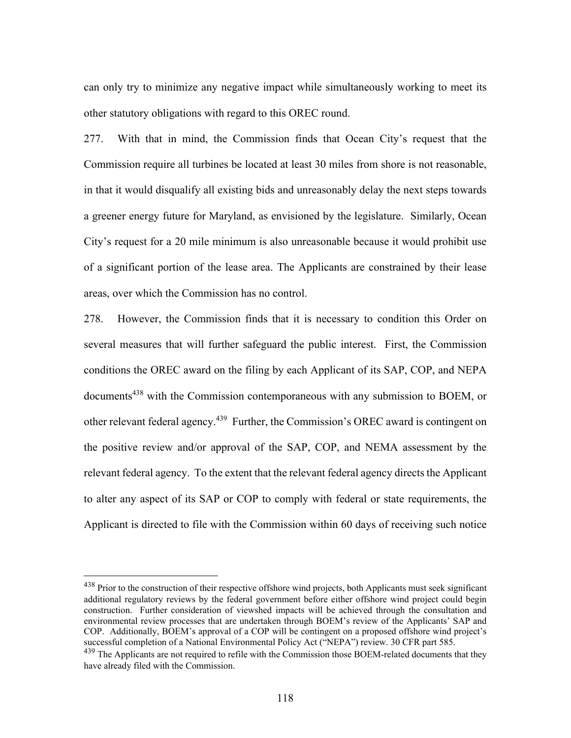can only try to minimize any negative impact while simultaneously working to meet its other statutory obligations with regard to this OREC round.

277. With that in mind, the Commission finds that Ocean City's request that the Commission require all turbines be located at least 30 miles from shore is not reasonable, in that it would disqualify all existing bids and unreasonably delay the next steps towards a greener energy future for Maryland, as envisioned by the legislature. Similarly, Ocean City's request for a 20 mile minimum is also unreasonable because it would prohibit use of a significant portion of the lease area. The Applicants are constrained by their lease areas, over which the Commission has no control.

278. However, the Commission finds that it is necessary to condition this Order on several measures that will further safeguard the public interest. First, the Commission conditions the OREC award on the filing by each Applicant of its SAP, COP, and NEPA documents<sup>438</sup> with the Commission contemporaneous with any submission to BOEM, or other relevant federal agency.<sup>439</sup> Further, the Commission's OREC award is contingent on the positive review and/or approval of the SAP, COP, and NEMA assessment by the relevant federal agency. To the extent that the relevant federal agency directs the Applicant to alter any aspect of its SAP or COP to comply with federal or state requirements, the Applicant is directed to file with the Commission within 60 days of receiving such notice

<sup>&</sup>lt;sup>438</sup> Prior to the construction of their respective offshore wind projects, both Applicants must seek significant additional regulatory reviews by the federal government before either offshore wind project could begin construction. Further consideration of viewshed impacts will be achieved through the consultation and environmental review processes that are undertaken through BOEM's review of the Applicants' SAP and COP. Additionally, BOEM's approval of a COP will be contingent on a proposed offshore wind project's successful completion of a National Environmental Policy Act ("NEPA") review. 30 CFR part 585.

 $439$  The Applicants are not required to refile with the Commission those BOEM-related documents that they have already filed with the Commission.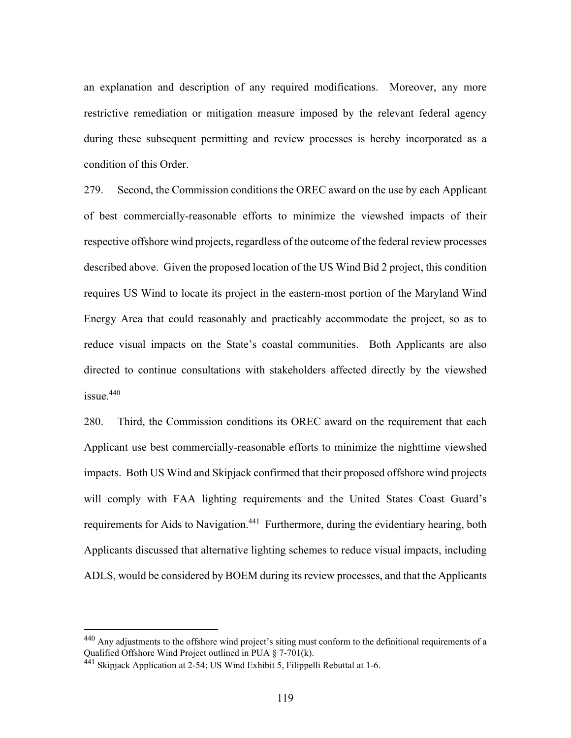an explanation and description of any required modifications. Moreover, any more restrictive remediation or mitigation measure imposed by the relevant federal agency during these subsequent permitting and review processes is hereby incorporated as a condition of this Order.

279. Second, the Commission conditions the OREC award on the use by each Applicant of best commercially-reasonable efforts to minimize the viewshed impacts of their respective offshore wind projects, regardless of the outcome of the federal review processes described above. Given the proposed location of the US Wind Bid 2 project, this condition requires US Wind to locate its project in the eastern-most portion of the Maryland Wind Energy Area that could reasonably and practicably accommodate the project, so as to reduce visual impacts on the State's coastal communities. Both Applicants are also directed to continue consultations with stakeholders affected directly by the viewshed  $i$ ssue.  $440$ 

280. Third, the Commission conditions its OREC award on the requirement that each Applicant use best commercially-reasonable efforts to minimize the nighttime viewshed impacts. Both US Wind and Skipjack confirmed that their proposed offshore wind projects will comply with FAA lighting requirements and the United States Coast Guard's requirements for Aids to Navigation.<sup>441</sup> Furthermore, during the evidentiary hearing, both Applicants discussed that alternative lighting schemes to reduce visual impacts, including ADLS, would be considered by BOEM during its review processes, and that the Applicants

<sup>440</sup> Any adjustments to the offshore wind project's siting must conform to the definitional requirements of a Qualified Offshore Wind Project outlined in PUA § 7-701(k).

 $441$  Skipjack Application at 2-54; US Wind Exhibit 5, Filippelli Rebuttal at 1-6.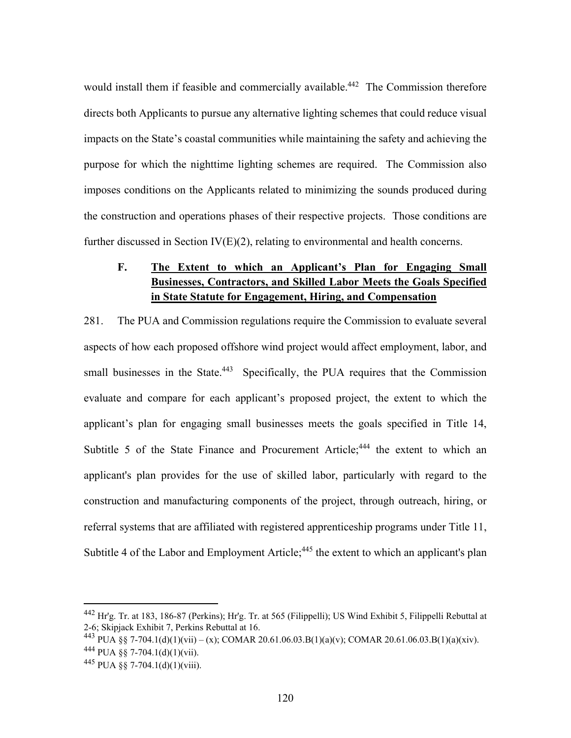would install them if feasible and commercially available.<sup>442</sup> The Commission therefore directs both Applicants to pursue any alternative lighting schemes that could reduce visual impacts on the State's coastal communities while maintaining the safety and achieving the purpose for which the nighttime lighting schemes are required. The Commission also imposes conditions on the Applicants related to minimizing the sounds produced during the construction and operations phases of their respective projects. Those conditions are further discussed in Section  $IV(E)(2)$ , relating to environmental and health concerns.

# **F. The Extent to which an Applicant's Plan for Engaging Small Businesses, Contractors, and Skilled Labor Meets the Goals Specified in State Statute for Engagement, Hiring, and Compensation**

281. The PUA and Commission regulations require the Commission to evaluate several aspects of how each proposed offshore wind project would affect employment, labor, and small businesses in the State.<sup>443</sup> Specifically, the PUA requires that the Commission evaluate and compare for each applicant's proposed project, the extent to which the applicant's plan for engaging small businesses meets the goals specified in Title 14, Subtitle 5 of the State Finance and Procurement Article;<sup>444</sup> the extent to which an applicant's plan provides for the use of skilled labor, particularly with regard to the construction and manufacturing components of the project, through outreach, hiring, or referral systems that are affiliated with registered apprenticeship programs under Title 11, Subtitle 4 of the Labor and Employment Article;<sup>445</sup> the extent to which an applicant's plan

<sup>442</sup> Hr'g. Tr. at 183, 186-87 (Perkins); Hr'g. Tr. at 565 (Filippelli); US Wind Exhibit 5, Filippelli Rebuttal at 2-6; Skipjack Exhibit 7, Perkins Rebuttal at 16.

<sup>&</sup>lt;sup>443</sup> PUA §§ 7-704.1(d)(1)(vii) – (x); COMAR 20.61.06.03.B(1)(a)(v); COMAR 20.61.06.03.B(1)(a)(xiv).  $^{444}$  PUA §§ 7-704.1(d)(1)(vii).

<sup>445</sup> PUA §§ 7-704.1(d)(1)(viii).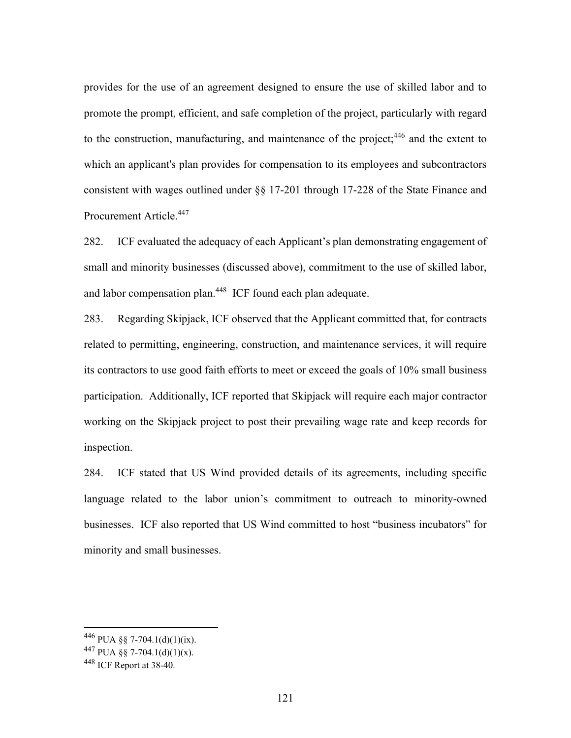provides for the use of an agreement designed to ensure the use of skilled labor and to promote the prompt, efficient, and safe completion of the project, particularly with regard to the construction, manufacturing, and maintenance of the project;  $446$  and the extent to which an applicant's plan provides for compensation to its employees and subcontractors consistent with wages outlined under §§ 17-201 through 17-228 of the State Finance and Procurement Article.447

282. ICF evaluated the adequacy of each Applicant's plan demonstrating engagement of small and minority businesses (discussed above), commitment to the use of skilled labor, and labor compensation plan.<sup>448</sup> ICF found each plan adequate.

283. Regarding Skipjack, ICF observed that the Applicant committed that, for contracts related to permitting, engineering, construction, and maintenance services, it will require its contractors to use good faith efforts to meet or exceed the goals of 10% small business participation. Additionally, ICF reported that Skipjack will require each major contractor working on the Skipjack project to post their prevailing wage rate and keep records for inspection.

284. ICF stated that US Wind provided details of its agreements, including specific language related to the labor union's commitment to outreach to minority-owned businesses. ICF also reported that US Wind committed to host "business incubators" for minority and small businesses.

<sup>446</sup> PUA §§ 7-704.1(d)(1)(ix).

<sup>447</sup> PUA §§ 7-704.1(d)(1)(x).

 $448$  ICF Report at 38-40.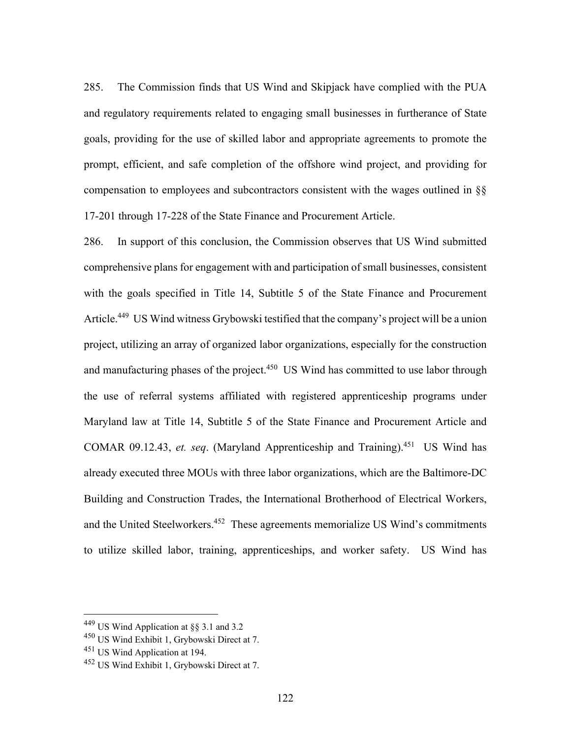285. The Commission finds that US Wind and Skipjack have complied with the PUA and regulatory requirements related to engaging small businesses in furtherance of State goals, providing for the use of skilled labor and appropriate agreements to promote the prompt, efficient, and safe completion of the offshore wind project, and providing for compensation to employees and subcontractors consistent with the wages outlined in §§ 17-201 through 17-228 of the State Finance and Procurement Article.

286. In support of this conclusion, the Commission observes that US Wind submitted comprehensive plans for engagement with and participation of small businesses, consistent with the goals specified in Title 14, Subtitle 5 of the State Finance and Procurement Article.<sup>449</sup> US Wind witness Grybowski testified that the company's project will be a union project, utilizing an array of organized labor organizations, especially for the construction and manufacturing phases of the project.<sup>450</sup> US Wind has committed to use labor through the use of referral systems affiliated with registered apprenticeship programs under Maryland law at Title 14, Subtitle 5 of the State Finance and Procurement Article and COMAR 09.12.43, *et. seq*. (Maryland Apprenticeship and Training).451 US Wind has already executed three MOUs with three labor organizations, which are the Baltimore-DC Building and Construction Trades, the International Brotherhood of Electrical Workers, and the United Steelworkers.452 These agreements memorialize US Wind's commitments to utilize skilled labor, training, apprenticeships, and worker safety. US Wind has

<sup>449</sup> US Wind Application at §§ 3.1 and 3.2

<sup>450</sup> US Wind Exhibit 1, Grybowski Direct at 7.

<sup>451</sup> US Wind Application at 194.

<sup>&</sup>lt;sup>452</sup> US Wind Exhibit 1, Grybowski Direct at 7.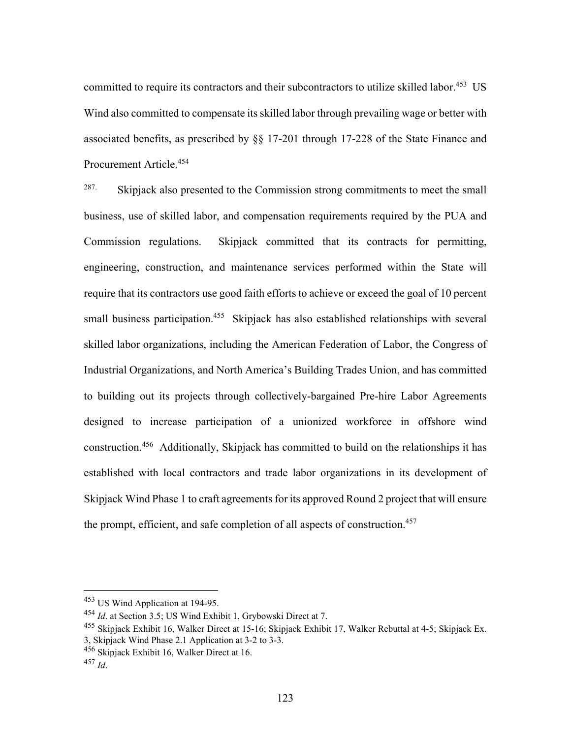committed to require its contractors and their subcontractors to utilize skilled labor.<sup>453</sup> US Wind also committed to compensate its skilled labor through prevailing wage or better with associated benefits, as prescribed by §§ 17-201 through 17-228 of the State Finance and Procurement Article.454

<sup>287.</sup> Skipjack also presented to the Commission strong commitments to meet the small business, use of skilled labor, and compensation requirements required by the PUA and Commission regulations. Skipjack committed that its contracts for permitting, engineering, construction, and maintenance services performed within the State will require that its contractors use good faith efforts to achieve or exceed the goal of 10 percent small business participation.<sup>455</sup> Skipjack has also established relationships with several skilled labor organizations, including the American Federation of Labor, the Congress of Industrial Organizations, and North America's Building Trades Union, and has committed to building out its projects through collectively-bargained Pre-hire Labor Agreements designed to increase participation of a unionized workforce in offshore wind construction.456 Additionally, Skipjack has committed to build on the relationships it has established with local contractors and trade labor organizations in its development of Skipjack Wind Phase 1 to craft agreements for its approved Round 2 project that will ensure the prompt, efficient, and safe completion of all aspects of construction.<sup>457</sup>

<sup>453</sup> US Wind Application at 194-95.

<sup>454</sup> *Id*. at Section 3.5; US Wind Exhibit 1, Grybowski Direct at 7.

<sup>&</sup>lt;sup>455</sup> Skipjack Exhibit 16, Walker Direct at 15-16; Skipjack Exhibit 17, Walker Rebuttal at 4-5; Skipjack Ex. 3, Skipjack Wind Phase 2.1 Application at 3-2 to 3-3.

<sup>456</sup> Skipjack Exhibit 16, Walker Direct at 16.

 $^{457}$  *Id.*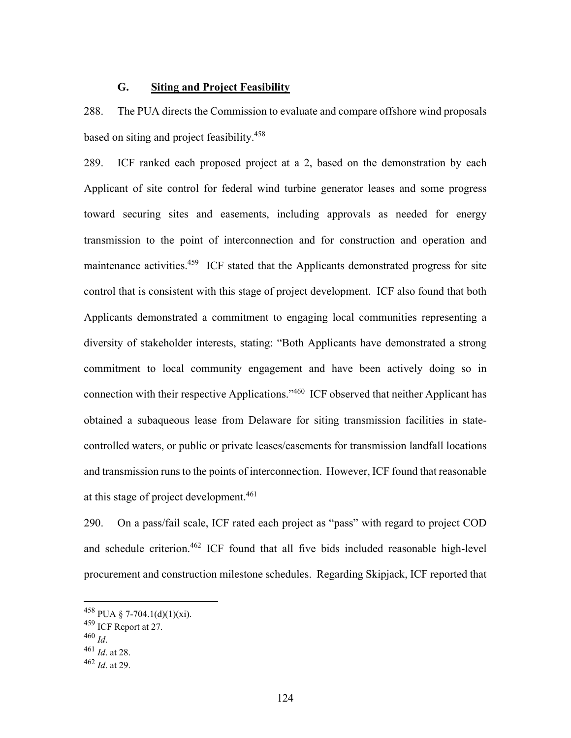# **G. Siting and Project Feasibility**

288. The PUA directs the Commission to evaluate and compare offshore wind proposals based on siting and project feasibility.458

289. ICF ranked each proposed project at a 2, based on the demonstration by each Applicant of site control for federal wind turbine generator leases and some progress toward securing sites and easements, including approvals as needed for energy transmission to the point of interconnection and for construction and operation and maintenance activities.<sup>459</sup> ICF stated that the Applicants demonstrated progress for site control that is consistent with this stage of project development. ICF also found that both Applicants demonstrated a commitment to engaging local communities representing a diversity of stakeholder interests, stating: "Both Applicants have demonstrated a strong commitment to local community engagement and have been actively doing so in connection with their respective Applications."460 ICF observed that neither Applicant has obtained a subaqueous lease from Delaware for siting transmission facilities in statecontrolled waters, or public or private leases/easements for transmission landfall locations and transmission runs to the points of interconnection. However, ICF found that reasonable at this stage of project development.<sup>461</sup>

290. On a pass/fail scale, ICF rated each project as "pass" with regard to project COD and schedule criterion.462 ICF found that all five bids included reasonable high-level procurement and construction milestone schedules. Regarding Skipjack, ICF reported that

 $^{458}$  PUA § 7-704.1(d)(1)(xi).

 $^{459}$  ICF Report at 27.<br> $^{460}$  *M* 

<sup>460</sup> *Id*. 461 *Id*. at 28.

<sup>462</sup> *Id*. at 29.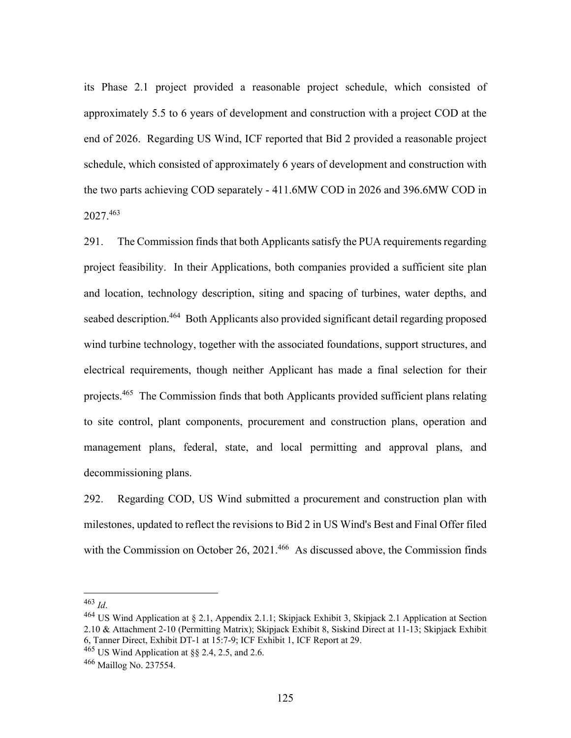its Phase 2.1 project provided a reasonable project schedule, which consisted of approximately 5.5 to 6 years of development and construction with a project COD at the end of 2026. Regarding US Wind, ICF reported that Bid 2 provided a reasonable project schedule, which consisted of approximately 6 years of development and construction with the two parts achieving COD separately - 411.6MW COD in 2026 and 396.6MW COD in 2027.463

291. The Commission finds that both Applicants satisfy the PUA requirements regarding project feasibility. In their Applications, both companies provided a sufficient site plan and location, technology description, siting and spacing of turbines, water depths, and seabed description.<sup>464</sup> Both Applicants also provided significant detail regarding proposed wind turbine technology, together with the associated foundations, support structures, and electrical requirements, though neither Applicant has made a final selection for their projects.<sup>465</sup> The Commission finds that both Applicants provided sufficient plans relating to site control, plant components, procurement and construction plans, operation and management plans, federal, state, and local permitting and approval plans, and decommissioning plans.

292. Regarding COD, US Wind submitted a procurement and construction plan with milestones, updated to reflect the revisions to Bid 2 in US Wind's Best and Final Offer filed with the Commission on October 26, 2021.<sup>466</sup> As discussed above, the Commission finds

<sup>463</sup> *Id.*<br><sup>464</sup> US Wind Application at § 2.1, Appendix 2.1.1; Skipjack Exhibit 3, Skipjack 2.1 Application at Section 2.10 & Attachment 2-10 (Permitting Matrix); Skipjack Exhibit 8, Siskind Direct at 11-13; Skipjack Exhibit 6, Tanner Direct, Exhibit DT-1 at 15:7-9; ICF Exhibit 1, ICF Report at 29.

 $465$  US Wind Application at  $88$  2.4, 2.5, and 2.6.

<sup>466</sup> Maillog No. 237554.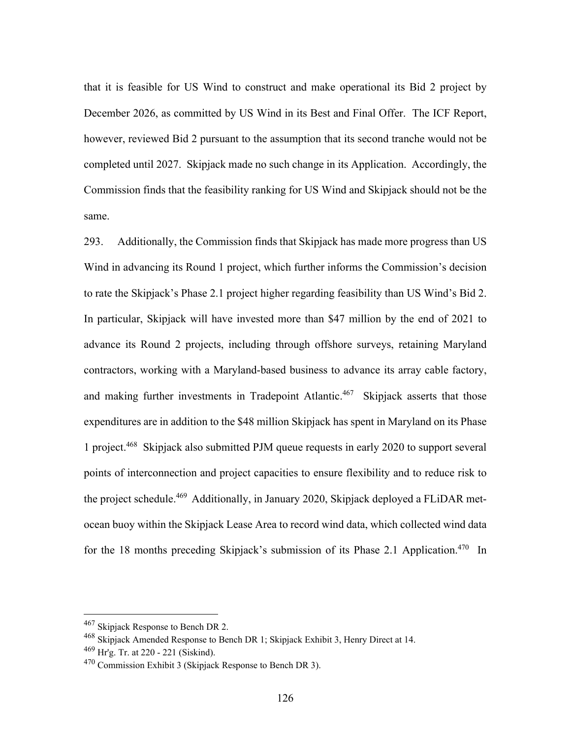that it is feasible for US Wind to construct and make operational its Bid 2 project by December 2026, as committed by US Wind in its Best and Final Offer. The ICF Report, however, reviewed Bid 2 pursuant to the assumption that its second tranche would not be completed until 2027. Skipjack made no such change in its Application. Accordingly, the Commission finds that the feasibility ranking for US Wind and Skipjack should not be the same.

293. Additionally, the Commission finds that Skipjack has made more progress than US Wind in advancing its Round 1 project, which further informs the Commission's decision to rate the Skipjack's Phase 2.1 project higher regarding feasibility than US Wind's Bid 2. In particular, Skipjack will have invested more than \$47 million by the end of 2021 to advance its Round 2 projects, including through offshore surveys, retaining Maryland contractors, working with a Maryland-based business to advance its array cable factory, and making further investments in Tradepoint Atlantic.<sup>467</sup> Skipjack asserts that those expenditures are in addition to the \$48 million Skipjack has spent in Maryland on its Phase 1 project.468 Skipjack also submitted PJM queue requests in early 2020 to support several points of interconnection and project capacities to ensure flexibility and to reduce risk to the project schedule.<sup>469</sup> Additionally, in January 2020, Skipjack deployed a FLiDAR metocean buoy within the Skipjack Lease Area to record wind data, which collected wind data for the 18 months preceding Skipjack's submission of its Phase 2.1 Application.<sup>470</sup> In

<sup>467</sup> Skipjack Response to Bench DR 2.

<sup>468</sup> Skipjack Amended Response to Bench DR 1; Skipjack Exhibit 3, Henry Direct at 14. 469 Hr'g. Tr. at 220 - 221 (Siskind).

 $470$  Commission Exhibit 3 (Skipjack Response to Bench DR 3).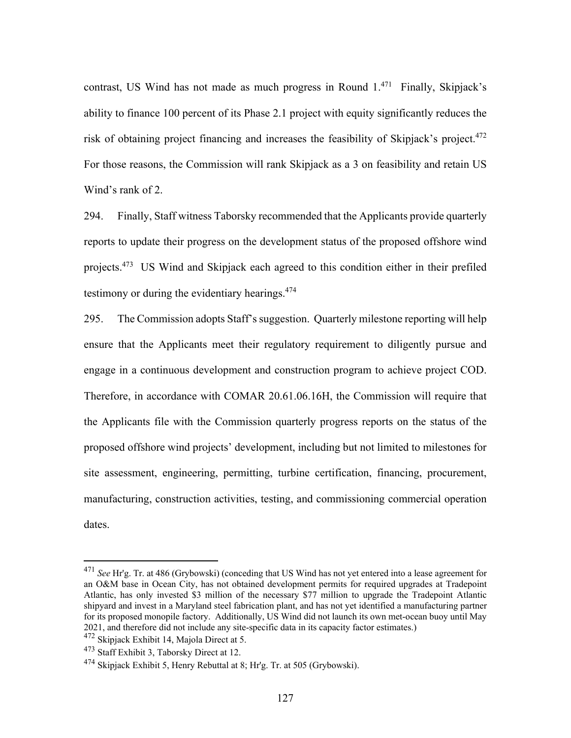contrast, US Wind has not made as much progress in Round  $1.^{471}$  Finally, Skipjack's ability to finance 100 percent of its Phase 2.1 project with equity significantly reduces the risk of obtaining project financing and increases the feasibility of Skipjack's project.<sup>472</sup> For those reasons, the Commission will rank Skipjack as a 3 on feasibility and retain US Wind's rank of 2.

294. Finally, Staff witness Taborsky recommended that the Applicants provide quarterly reports to update their progress on the development status of the proposed offshore wind projects.473 US Wind and Skipjack each agreed to this condition either in their prefiled testimony or during the evidentiary hearings. $474$ 

295. The Commission adopts Staff's suggestion. Quarterly milestone reporting will help ensure that the Applicants meet their regulatory requirement to diligently pursue and engage in a continuous development and construction program to achieve project COD. Therefore, in accordance with COMAR 20.61.06.16H, the Commission will require that the Applicants file with the Commission quarterly progress reports on the status of the proposed offshore wind projects' development, including but not limited to milestones for site assessment, engineering, permitting, turbine certification, financing, procurement, manufacturing, construction activities, testing, and commissioning commercial operation dates.

<sup>471</sup> *See* Hr'g. Tr. at 486 (Grybowski) (conceding that US Wind has not yet entered into a lease agreement for an O&M base in Ocean City, has not obtained development permits for required upgrades at Tradepoint Atlantic, has only invested \$3 million of the necessary \$77 million to upgrade the Tradepoint Atlantic shipyard and invest in a Maryland steel fabrication plant, and has not yet identified a manufacturing partner for its proposed monopile factory. Additionally, US Wind did not launch its own met-ocean buoy until May 2021, and therefore did not include any site-specific data in its capacity factor estimates.)

<sup>472</sup> Skipjack Exhibit 14, Majola Direct at 5.

<sup>&</sup>lt;sup>473</sup> Staff Exhibit 3, Taborsky Direct at 12.

 $474$  Skipjack Exhibit 5, Henry Rebuttal at 8; Hr'g. Tr. at 505 (Grybowski).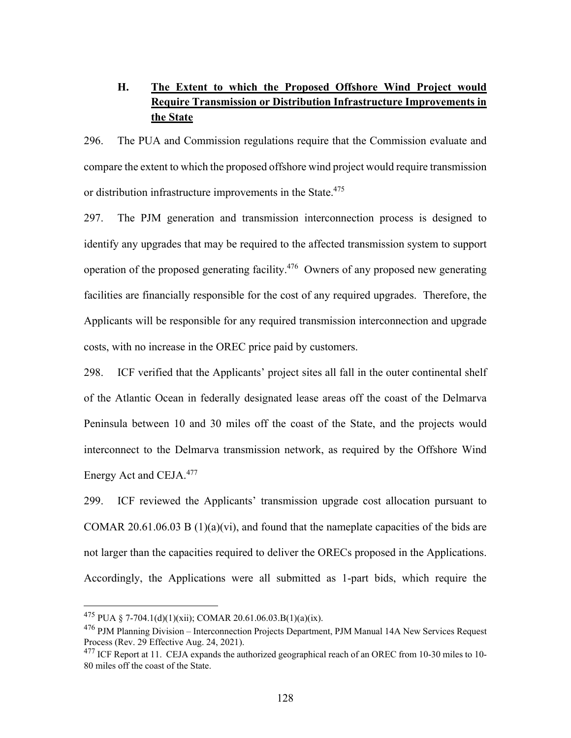# **H. The Extent to which the Proposed Offshore Wind Project would Require Transmission or Distribution Infrastructure Improvements in the State**

296. The PUA and Commission regulations require that the Commission evaluate and compare the extent to which the proposed offshore wind project would require transmission or distribution infrastructure improvements in the State.<sup>475</sup>

297. The PJM generation and transmission interconnection process is designed to identify any upgrades that may be required to the affected transmission system to support operation of the proposed generating facility.<sup>476</sup> Owners of any proposed new generating facilities are financially responsible for the cost of any required upgrades. Therefore, the Applicants will be responsible for any required transmission interconnection and upgrade costs, with no increase in the OREC price paid by customers.

298. ICF verified that the Applicants' project sites all fall in the outer continental shelf of the Atlantic Ocean in federally designated lease areas off the coast of the Delmarva Peninsula between 10 and 30 miles off the coast of the State, and the projects would interconnect to the Delmarva transmission network, as required by the Offshore Wind Energy Act and CEJA.477

299. ICF reviewed the Applicants' transmission upgrade cost allocation pursuant to COMAR 20.61.06.03 B  $(1)(a)(vi)$ , and found that the nameplate capacities of the bids are not larger than the capacities required to deliver the ORECs proposed in the Applications. Accordingly, the Applications were all submitted as 1-part bids, which require the

<sup>&</sup>lt;sup>475</sup> PUA § 7-704.1(d)(1)(xii); COMAR 20.61.06.03.B(1)(a)(ix).

<sup>&</sup>lt;sup>476</sup> PJM Planning Division – Interconnection Projects Department, PJM Manual 14A New Services Request Process (Rev. 29 Effective Aug. 24, 2021).

 $^{477}$  ICF Report at 11. CEJA expands the authorized geographical reach of an OREC from 10-30 miles to 10-80 miles off the coast of the State.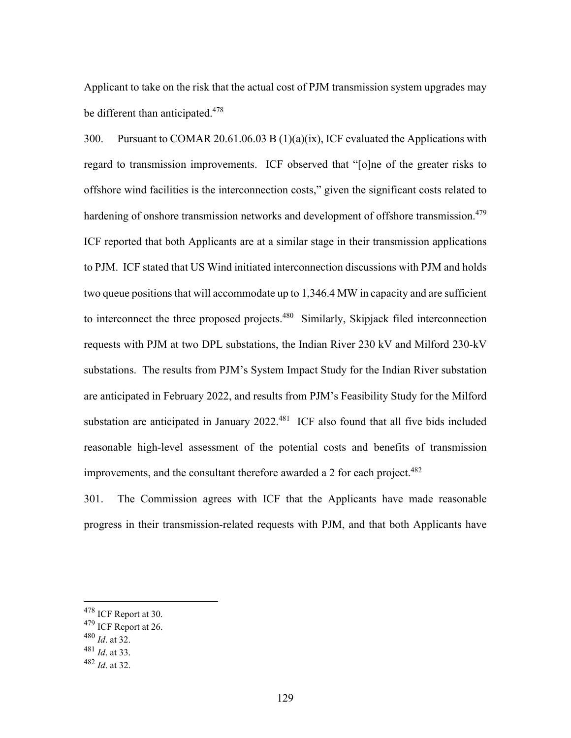Applicant to take on the risk that the actual cost of PJM transmission system upgrades may be different than anticipated.<sup>478</sup>

300. Pursuant to COMAR 20.61.06.03 B (1)(a)(ix), ICF evaluated the Applications with regard to transmission improvements. ICF observed that "[o]ne of the greater risks to offshore wind facilities is the interconnection costs," given the significant costs related to hardening of onshore transmission networks and development of offshore transmission.<sup>479</sup> ICF reported that both Applicants are at a similar stage in their transmission applications to PJM. ICF stated that US Wind initiated interconnection discussions with PJM and holds two queue positions that will accommodate up to 1,346.4 MW in capacity and are sufficient to interconnect the three proposed projects.<sup>480</sup> Similarly, Skipjack filed interconnection requests with PJM at two DPL substations, the Indian River 230 kV and Milford 230-kV substations. The results from PJM's System Impact Study for the Indian River substation are anticipated in February 2022, and results from PJM's Feasibility Study for the Milford substation are anticipated in January 2022.<sup>481</sup> ICF also found that all five bids included reasonable high-level assessment of the potential costs and benefits of transmission improvements, and the consultant therefore awarded a 2 for each project.<sup>482</sup>

301. The Commission agrees with ICF that the Applicants have made reasonable progress in their transmission-related requests with PJM, and that both Applicants have

<sup>480</sup> *Id*. at 32.

<sup>478</sup> ICF Report at 30.

<sup>479</sup> ICF Report at 26.

<sup>481</sup> *Id*. at 33.

<sup>482</sup> *Id*. at 32.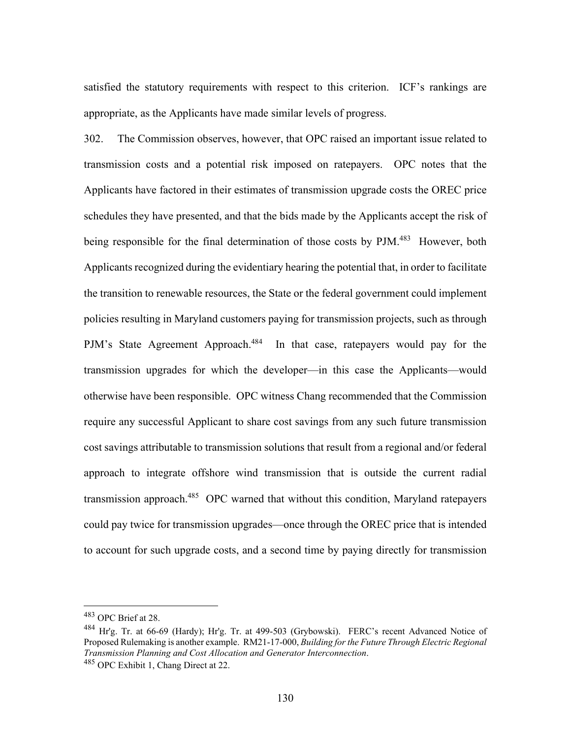satisfied the statutory requirements with respect to this criterion. ICF's rankings are appropriate, as the Applicants have made similar levels of progress.

302. The Commission observes, however, that OPC raised an important issue related to transmission costs and a potential risk imposed on ratepayers. OPC notes that the Applicants have factored in their estimates of transmission upgrade costs the OREC price schedules they have presented, and that the bids made by the Applicants accept the risk of being responsible for the final determination of those costs by PJM.<sup>483</sup> However, both Applicants recognized during the evidentiary hearing the potential that, in order to facilitate the transition to renewable resources, the State or the federal government could implement policies resulting in Maryland customers paying for transmission projects, such as through PJM's State Agreement Approach.<sup>484</sup> In that case, ratepayers would pay for the transmission upgrades for which the developer—in this case the Applicants—would otherwise have been responsible. OPC witness Chang recommended that the Commission require any successful Applicant to share cost savings from any such future transmission cost savings attributable to transmission solutions that result from a regional and/or federal approach to integrate offshore wind transmission that is outside the current radial transmission approach.<sup>485</sup> OPC warned that without this condition, Maryland ratepayers could pay twice for transmission upgrades—once through the OREC price that is intended to account for such upgrade costs, and a second time by paying directly for transmission

<sup>483</sup> OPC Brief at 28.

<sup>484</sup> Hr'g. Tr. at 66-69 (Hardy); Hr'g. Tr. at 499-503 (Grybowski). FERC's recent Advanced Notice of Proposed Rulemaking is another example. RM21-17-000, *Building for the Future Through Electric Regional Transmission Planning and Cost Allocation and Generator Interconnection*. 485 OPC Exhibit 1, Chang Direct at 22.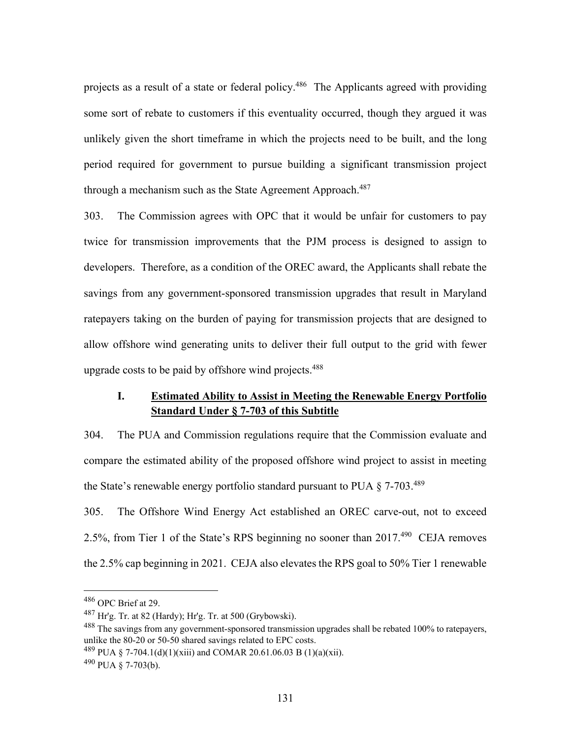projects as a result of a state or federal policy.<sup>486</sup> The Applicants agreed with providing some sort of rebate to customers if this eventuality occurred, though they argued it was unlikely given the short timeframe in which the projects need to be built, and the long period required for government to pursue building a significant transmission project through a mechanism such as the State Agreement Approach.<sup>487</sup>

303. The Commission agrees with OPC that it would be unfair for customers to pay twice for transmission improvements that the PJM process is designed to assign to developers. Therefore, as a condition of the OREC award, the Applicants shall rebate the savings from any government-sponsored transmission upgrades that result in Maryland ratepayers taking on the burden of paying for transmission projects that are designed to allow offshore wind generating units to deliver their full output to the grid with fewer upgrade costs to be paid by offshore wind projects.<sup>488</sup>

# **I. Estimated Ability to Assist in Meeting the Renewable Energy Portfolio Standard Under § 7-703 of this Subtitle**

304. The PUA and Commission regulations require that the Commission evaluate and compare the estimated ability of the proposed offshore wind project to assist in meeting the State's renewable energy portfolio standard pursuant to PUA  $\S$  7-703.<sup>489</sup>

305. The Offshore Wind Energy Act established an OREC carve-out, not to exceed 2.5%, from Tier 1 of the State's RPS beginning no sooner than 2017.490 CEJA removes the 2.5% cap beginning in 2021. CEJA also elevates the RPS goal to 50% Tier 1 renewable

<sup>486</sup> OPC Brief at 29.

 $^{487}$  Hr'g. Tr. at 82 (Hardy); Hr'g. Tr. at 500 (Grybowski).

<sup>&</sup>lt;sup>488</sup> The savings from any government-sponsored transmission upgrades shall be rebated 100% to ratepayers, unlike the 80-20 or 50-50 shared savings related to EPC costs.

 $^{489}$  PUA § 7-704.1(d)(1)(xiii) and COMAR 20.61.06.03 B (1)(a)(xii).

 $490$  PUA  $\S$  7-703(b).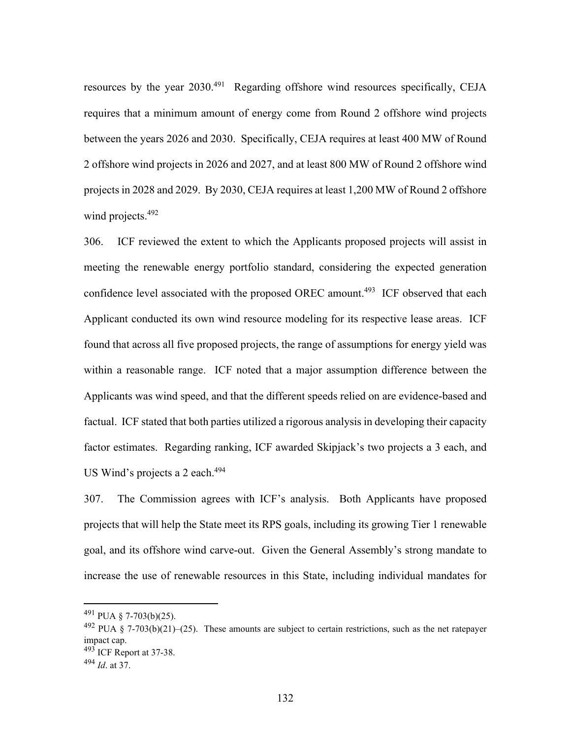resources by the year 2030.<sup>491</sup> Regarding offshore wind resources specifically, CEJA requires that a minimum amount of energy come from Round 2 offshore wind projects between the years 2026 and 2030. Specifically, CEJA requires at least 400 MW of Round 2 offshore wind projects in 2026 and 2027, and at least 800 MW of Round 2 offshore wind projects in 2028 and 2029. By 2030, CEJA requires at least 1,200 MW of Round 2 offshore wind projects.<sup>492</sup>

306. ICF reviewed the extent to which the Applicants proposed projects will assist in meeting the renewable energy portfolio standard, considering the expected generation confidence level associated with the proposed OREC amount.<sup>493</sup> ICF observed that each Applicant conducted its own wind resource modeling for its respective lease areas. ICF found that across all five proposed projects, the range of assumptions for energy yield was within a reasonable range. ICF noted that a major assumption difference between the Applicants was wind speed, and that the different speeds relied on are evidence-based and factual. ICF stated that both parties utilized a rigorous analysis in developing their capacity factor estimates. Regarding ranking, ICF awarded Skipjack's two projects a 3 each, and US Wind's projects a 2 each.<sup>494</sup>

307. The Commission agrees with ICF's analysis. Both Applicants have proposed projects that will help the State meet its RPS goals, including its growing Tier 1 renewable goal, and its offshore wind carve-out. Given the General Assembly's strong mandate to increase the use of renewable resources in this State, including individual mandates for

 $^{491}$  PUA § 7-703(b)(25).

 $492$  PUA § 7-703(b)(21)–(25). These amounts are subject to certain restrictions, such as the net ratepayer impact cap.  $493$  ICF Report at 37-38.

<sup>494</sup> *Id*. at 37.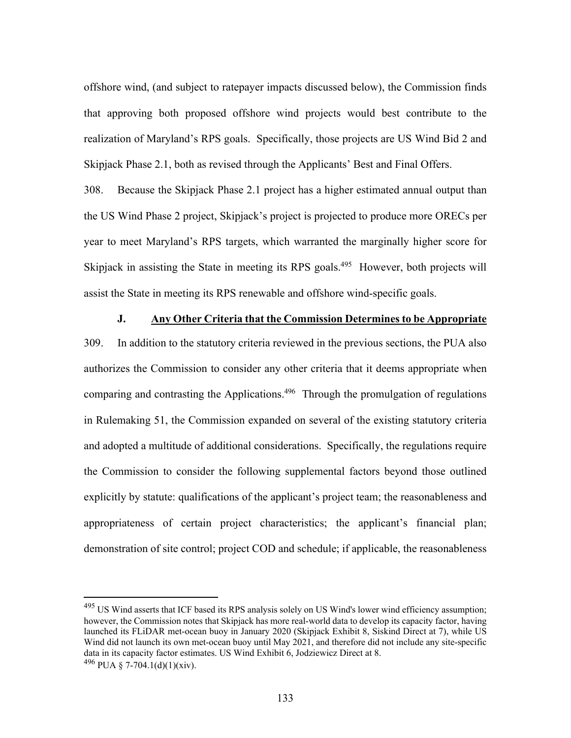offshore wind, (and subject to ratepayer impacts discussed below), the Commission finds that approving both proposed offshore wind projects would best contribute to the realization of Maryland's RPS goals. Specifically, those projects are US Wind Bid 2 and Skipjack Phase 2.1, both as revised through the Applicants' Best and Final Offers.

308. Because the Skipjack Phase 2.1 project has a higher estimated annual output than the US Wind Phase 2 project, Skipjack's project is projected to produce more ORECs per year to meet Maryland's RPS targets, which warranted the marginally higher score for Skipjack in assisting the State in meeting its RPS goals.<sup>495</sup> However, both projects will assist the State in meeting its RPS renewable and offshore wind-specific goals.

### **J. Any Other Criteria that the Commission Determines to be Appropriate**

309. In addition to the statutory criteria reviewed in the previous sections, the PUA also authorizes the Commission to consider any other criteria that it deems appropriate when comparing and contrasting the Applications.<sup>496</sup> Through the promulgation of regulations in Rulemaking 51, the Commission expanded on several of the existing statutory criteria and adopted a multitude of additional considerations. Specifically, the regulations require the Commission to consider the following supplemental factors beyond those outlined explicitly by statute: qualifications of the applicant's project team; the reasonableness and appropriateness of certain project characteristics; the applicant's financial plan; demonstration of site control; project COD and schedule; if applicable, the reasonableness

<sup>&</sup>lt;sup>495</sup> US Wind asserts that ICF based its RPS analysis solely on US Wind's lower wind efficiency assumption; however, the Commission notes that Skipjack has more real-world data to develop its capacity factor, having launched its FLiDAR met-ocean buoy in January 2020 (Skipjack Exhibit 8, Siskind Direct at 7), while US Wind did not launch its own met-ocean buoy until May 2021, and therefore did not include any site-specific data in its capacity factor estimates. US Wind Exhibit 6, Jodziewicz Direct at 8.

 $496$  PUA § 7-704.1(d)(1)(xiv).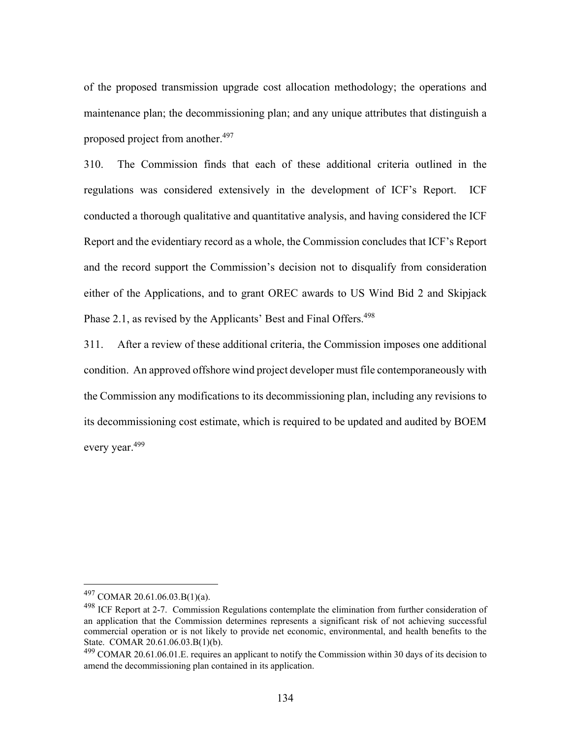of the proposed transmission upgrade cost allocation methodology; the operations and maintenance plan; the decommissioning plan; and any unique attributes that distinguish a proposed project from another.<sup>497</sup>

310. The Commission finds that each of these additional criteria outlined in the regulations was considered extensively in the development of ICF's Report. ICF conducted a thorough qualitative and quantitative analysis, and having considered the ICF Report and the evidentiary record as a whole, the Commission concludes that ICF's Report and the record support the Commission's decision not to disqualify from consideration either of the Applications, and to grant OREC awards to US Wind Bid 2 and Skipjack Phase 2.1, as revised by the Applicants' Best and Final Offers.<sup>498</sup>

311. After a review of these additional criteria, the Commission imposes one additional condition. An approved offshore wind project developer must file contemporaneously with the Commission any modifications to its decommissioning plan, including any revisions to its decommissioning cost estimate, which is required to be updated and audited by BOEM every year.499

<sup>497</sup> COMAR 20.61.06.03.B(1)(a).

<sup>&</sup>lt;sup>498</sup> ICF Report at 2-7. Commission Regulations contemplate the elimination from further consideration of an application that the Commission determines represents a significant risk of not achieving successful commercial operation or is not likely to provide net economic, environmental, and health benefits to the State. COMAR 20.61.06.03.B(1)(b).

<sup>&</sup>lt;sup>499</sup> COMAR 20.61.06.01.E. requires an applicant to notify the Commission within 30 days of its decision to amend the decommissioning plan contained in its application.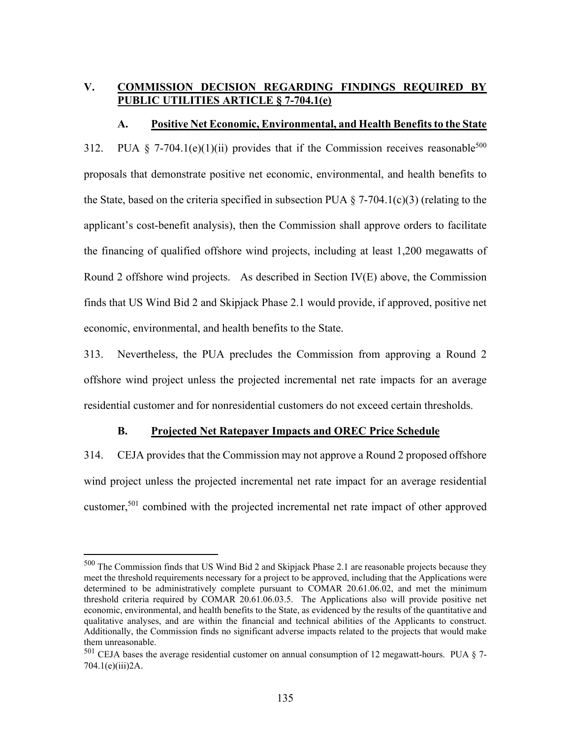# **V. COMMISSION DECISION REGARDING FINDINGS REQUIRED BY PUBLIC UTILITIES ARTICLE § 7-704.1(e)**

#### **A. Positive Net Economic, Environmental, and Health Benefits to the State**

312. PUA § 7-704.1(e)(1)(ii) provides that if the Commission receives reasonable<sup>500</sup> proposals that demonstrate positive net economic, environmental, and health benefits to the State, based on the criteria specified in subsection PUA  $\S$  7-704.1(c)(3) (relating to the applicant's cost-benefit analysis), then the Commission shall approve orders to facilitate the financing of qualified offshore wind projects, including at least 1,200 megawatts of Round 2 offshore wind projects. As described in Section IV(E) above, the Commission finds that US Wind Bid 2 and Skipjack Phase 2.1 would provide, if approved, positive net economic, environmental, and health benefits to the State.

313. Nevertheless, the PUA precludes the Commission from approving a Round 2 offshore wind project unless the projected incremental net rate impacts for an average residential customer and for nonresidential customers do not exceed certain thresholds.

### **B. Projected Net Ratepayer Impacts and OREC Price Schedule**

314. CEJA provides that the Commission may not approve a Round 2 proposed offshore wind project unless the projected incremental net rate impact for an average residential customer,<sup>501</sup> combined with the projected incremental net rate impact of other approved

<sup>500</sup> The Commission finds that US Wind Bid 2 and Skipjack Phase 2.1 are reasonable projects because they meet the threshold requirements necessary for a project to be approved, including that the Applications were determined to be administratively complete pursuant to COMAR 20.61.06.02, and met the minimum threshold criteria required by COMAR 20.61.06.03.5. The Applications also will provide positive net economic, environmental, and health benefits to the State, as evidenced by the results of the quantitative and qualitative analyses, and are within the financial and technical abilities of the Applicants to construct. Additionally, the Commission finds no significant adverse impacts related to the projects that would make them unreasonable.

 $501$  CEJA bases the average residential customer on annual consumption of 12 megawatt-hours. PUA  $\S$  7-704.1(e)(iii)2A.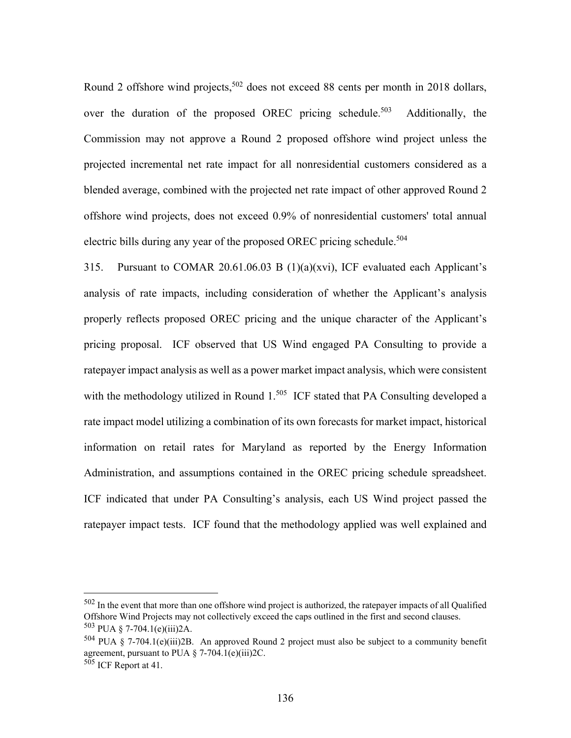Round 2 offshore wind projects,<sup>502</sup> does not exceed 88 cents per month in 2018 dollars, over the duration of the proposed OREC pricing schedule.<sup>503</sup> Additionally, the Commission may not approve a Round 2 proposed offshore wind project unless the projected incremental net rate impact for all nonresidential customers considered as a blended average, combined with the projected net rate impact of other approved Round 2 offshore wind projects, does not exceed 0.9% of nonresidential customers' total annual electric bills during any year of the proposed OREC pricing schedule.<sup>504</sup>

315. Pursuant to COMAR 20.61.06.03 B (1)(a)(xvi), ICF evaluated each Applicant's analysis of rate impacts, including consideration of whether the Applicant's analysis properly reflects proposed OREC pricing and the unique character of the Applicant's pricing proposal. ICF observed that US Wind engaged PA Consulting to provide a ratepayer impact analysis as well as a power market impact analysis, which were consistent with the methodology utilized in Round 1.<sup>505</sup> ICF stated that PA Consulting developed a rate impact model utilizing a combination of its own forecasts for market impact, historical information on retail rates for Maryland as reported by the Energy Information Administration, and assumptions contained in the OREC pricing schedule spreadsheet. ICF indicated that under PA Consulting's analysis, each US Wind project passed the ratepayer impact tests. ICF found that the methodology applied was well explained and

<sup>502</sup> In the event that more than one offshore wind project is authorized, the ratepayer impacts of all Qualified Offshore Wind Projects may not collectively exceed the caps outlined in the first and second clauses.  $503$  PUA § 7-704.1(e)(iii)2A.

 $504$  PUA § 7-704.1(e)(iii)2B. An approved Round 2 project must also be subject to a community benefit agreement, pursuant to PUA  $\S$  7-704.1(e)(iii)2C.

<sup>&</sup>lt;sup>505</sup> ICF Report at 41.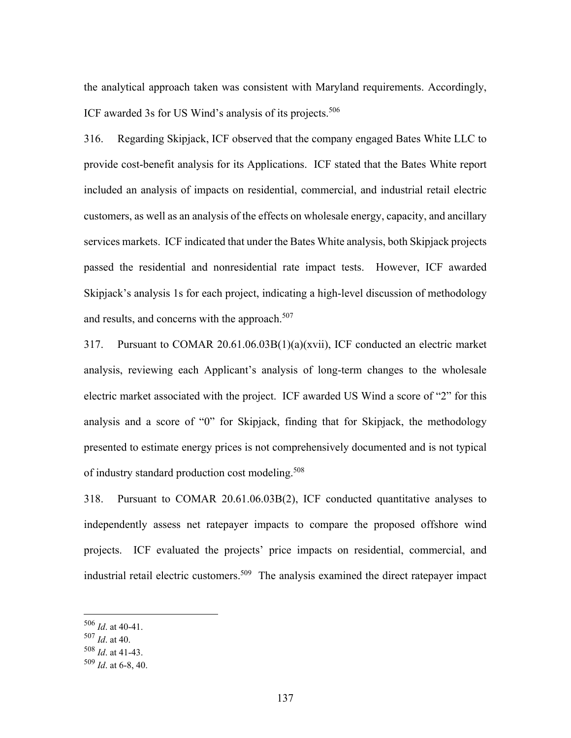the analytical approach taken was consistent with Maryland requirements. Accordingly, ICF awarded 3s for US Wind's analysis of its projects.<sup>506</sup>

316. Regarding Skipjack, ICF observed that the company engaged Bates White LLC to provide cost-benefit analysis for its Applications. ICF stated that the Bates White report included an analysis of impacts on residential, commercial, and industrial retail electric customers, as well as an analysis of the effects on wholesale energy, capacity, and ancillary services markets. ICF indicated that under the Bates White analysis, both Skipjack projects passed the residential and nonresidential rate impact tests. However, ICF awarded Skipjack's analysis 1s for each project, indicating a high-level discussion of methodology and results, and concerns with the approach.<sup>507</sup>

317. Pursuant to COMAR 20.61.06.03B(1)(a)(xvii), ICF conducted an electric market analysis, reviewing each Applicant's analysis of long-term changes to the wholesale electric market associated with the project. ICF awarded US Wind a score of "2" for this analysis and a score of "0" for Skipjack, finding that for Skipjack, the methodology presented to estimate energy prices is not comprehensively documented and is not typical of industry standard production cost modeling.<sup>508</sup>

318. Pursuant to COMAR 20.61.06.03B(2), ICF conducted quantitative analyses to independently assess net ratepayer impacts to compare the proposed offshore wind projects. ICF evaluated the projects' price impacts on residential, commercial, and industrial retail electric customers.<sup>509</sup> The analysis examined the direct ratepayer impact

<sup>506</sup> *Id*. at 40-41.

<sup>507</sup> *Id*. at 40.

<sup>508</sup> *Id*. at 41-43.

<sup>509</sup> *Id*. at 6-8, 40.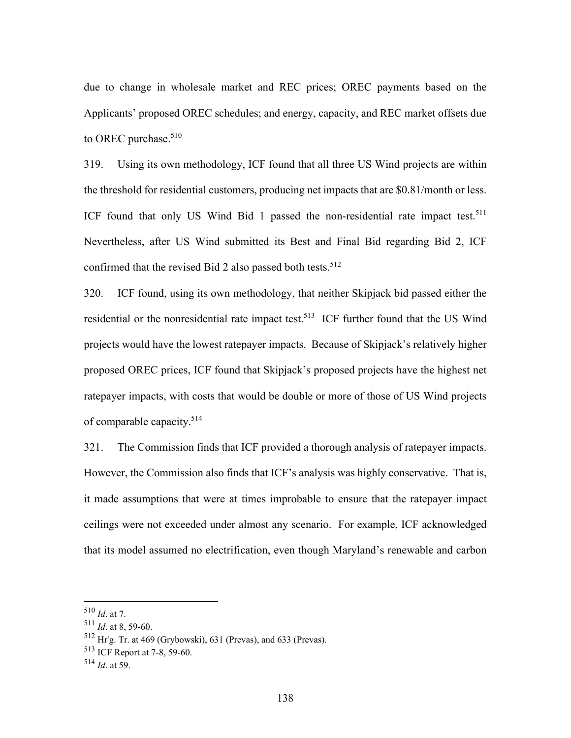due to change in wholesale market and REC prices; OREC payments based on the Applicants' proposed OREC schedules; and energy, capacity, and REC market offsets due to OREC purchase.<sup>510</sup>

319. Using its own methodology, ICF found that all three US Wind projects are within the threshold for residential customers, producing net impacts that are \$0.81/month or less. ICF found that only US Wind Bid 1 passed the non-residential rate impact test.<sup>511</sup> Nevertheless, after US Wind submitted its Best and Final Bid regarding Bid 2, ICF confirmed that the revised Bid 2 also passed both tests.<sup>512</sup>

320. ICF found, using its own methodology, that neither Skipjack bid passed either the residential or the nonresidential rate impact test.<sup>513</sup> ICF further found that the US Wind projects would have the lowest ratepayer impacts. Because of Skipjack's relatively higher proposed OREC prices, ICF found that Skipjack's proposed projects have the highest net ratepayer impacts, with costs that would be double or more of those of US Wind projects of comparable capacity.514

321. The Commission finds that ICF provided a thorough analysis of ratepayer impacts. However, the Commission also finds that ICF's analysis was highly conservative. That is, it made assumptions that were at times improbable to ensure that the ratepayer impact ceilings were not exceeded under almost any scenario. For example, ICF acknowledged that its model assumed no electrification, even though Maryland's renewable and carbon

<sup>510</sup> *Id*. at 7.

<sup>511</sup> *Id*. at 8, 59-60.

<sup>512</sup> Hr'g. Tr. at 469 (Grybowski), 631 (Prevas), and 633 (Prevas).

<sup>513</sup> ICF Report at 7-8, 59-60.

<sup>514</sup> *Id*. at 59.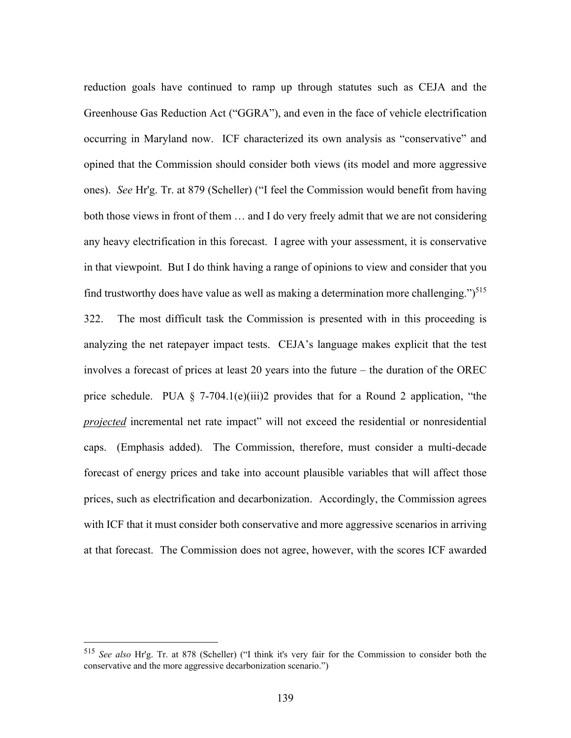reduction goals have continued to ramp up through statutes such as CEJA and the Greenhouse Gas Reduction Act ("GGRA"), and even in the face of vehicle electrification occurring in Maryland now. ICF characterized its own analysis as "conservative" and opined that the Commission should consider both views (its model and more aggressive ones). *See* Hr'g. Tr. at 879 (Scheller) ("I feel the Commission would benefit from having both those views in front of them … and I do very freely admit that we are not considering any heavy electrification in this forecast. I agree with your assessment, it is conservative in that viewpoint. But I do think having a range of opinions to view and consider that you find trustworthy does have value as well as making a determination more challenging." $5^{15}$ 322. The most difficult task the Commission is presented with in this proceeding is analyzing the net ratepayer impact tests. CEJA's language makes explicit that the test involves a forecast of prices at least 20 years into the future – the duration of the OREC price schedule. PUA  $\S$  7-704.1(e)(iii)2 provides that for a Round 2 application, "the *projected* incremental net rate impact" will not exceed the residential or nonresidential caps. (Emphasis added). The Commission, therefore, must consider a multi-decade forecast of energy prices and take into account plausible variables that will affect those prices, such as electrification and decarbonization. Accordingly, the Commission agrees with ICF that it must consider both conservative and more aggressive scenarios in arriving at that forecast. The Commission does not agree, however, with the scores ICF awarded

<sup>515</sup> *See also* Hr'g. Tr. at 878 (Scheller) ("I think it's very fair for the Commission to consider both the conservative and the more aggressive decarbonization scenario.")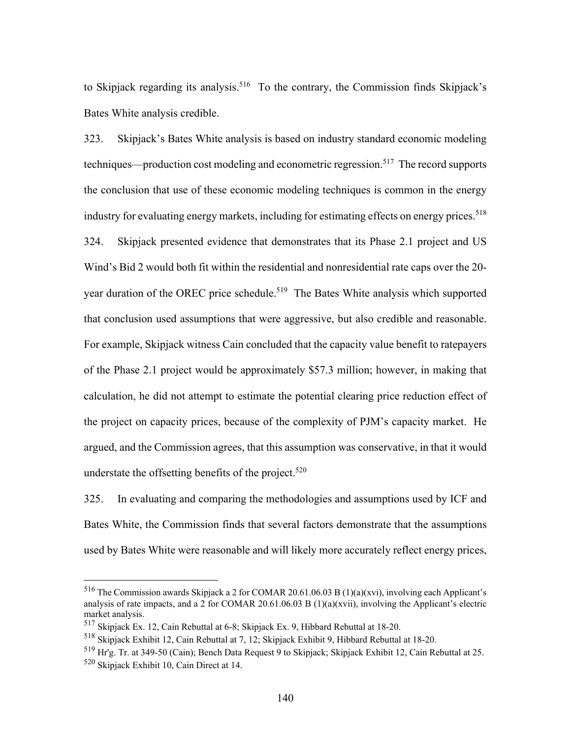to Skipjack regarding its analysis.<sup>516</sup> To the contrary, the Commission finds Skipjack's Bates White analysis credible.

323. Skipjack's Bates White analysis is based on industry standard economic modeling techniques—production cost modeling and econometric regression.<sup>517</sup> The record supports the conclusion that use of these economic modeling techniques is common in the energy industry for evaluating energy markets, including for estimating effects on energy prices.<sup>518</sup> 324. Skipjack presented evidence that demonstrates that its Phase 2.1 project and US Wind's Bid 2 would both fit within the residential and nonresidential rate caps over the 20 year duration of the OREC price schedule.<sup>519</sup> The Bates White analysis which supported that conclusion used assumptions that were aggressive, but also credible and reasonable. For example, Skipjack witness Cain concluded that the capacity value benefit to ratepayers of the Phase 2.1 project would be approximately \$57.3 million; however, in making that calculation, he did not attempt to estimate the potential clearing price reduction effect of the project on capacity prices, because of the complexity of PJM's capacity market. He argued, and the Commission agrees, that this assumption was conservative, in that it would understate the offsetting benefits of the project.<sup>520</sup>

325. In evaluating and comparing the methodologies and assumptions used by ICF and Bates White, the Commission finds that several factors demonstrate that the assumptions used by Bates White were reasonable and will likely more accurately reflect energy prices,

<sup>516</sup> The Commission awards Skipjack a 2 for COMAR 20.61.06.03 B (1)(a)(xvi), involving each Applicant's analysis of rate impacts, and a 2 for COMAR 20.61.06.03 B  $(1)(a)(xvii)$ , involving the Applicant's electric market analysis.

<sup>517</sup> Skipjack Ex. 12, Cain Rebuttal at 6-8; Skipjack Ex. 9, Hibbard Rebuttal at 18-20.

<sup>518</sup> Skipjack Exhibit 12, Cain Rebuttal at 7, 12; Skipjack Exhibit 9, Hibbard Rebuttal at 18-20.

<sup>519</sup> Hr'g. Tr. at 349-50 (Cain); Bench Data Request 9 to Skipjack; Skipjack Exhibit 12, Cain Rebuttal at 25. <sup>520</sup> Skipjack Exhibit 10, Cain Direct at 14.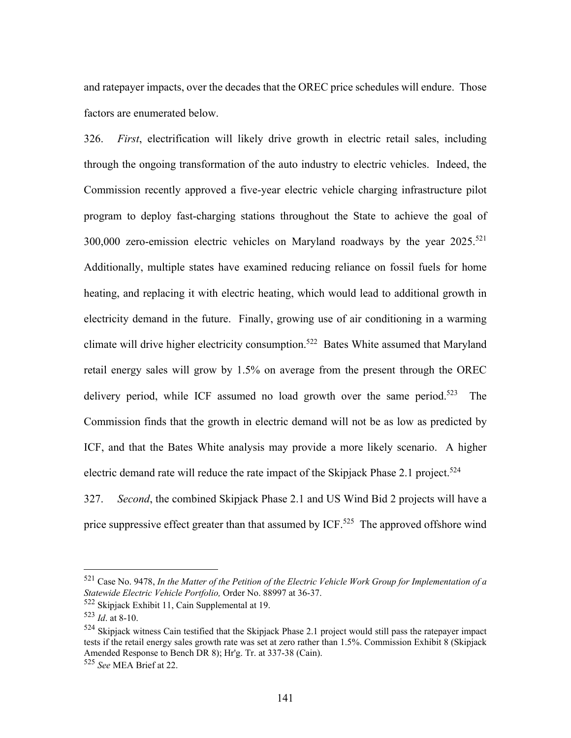and ratepayer impacts, over the decades that the OREC price schedules will endure. Those factors are enumerated below.

326. *First*, electrification will likely drive growth in electric retail sales, including through the ongoing transformation of the auto industry to electric vehicles. Indeed, the Commission recently approved a five-year electric vehicle charging infrastructure pilot program to deploy fast-charging stations throughout the State to achieve the goal of 300,000 zero-emission electric vehicles on Maryland roadways by the year  $2025$ <sup>521</sup> Additionally, multiple states have examined reducing reliance on fossil fuels for home heating, and replacing it with electric heating, which would lead to additional growth in electricity demand in the future. Finally, growing use of air conditioning in a warming climate will drive higher electricity consumption.<sup>522</sup> Bates White assumed that Maryland retail energy sales will grow by 1.5% on average from the present through the OREC delivery period, while ICF assumed no load growth over the same period.<sup>523</sup> The Commission finds that the growth in electric demand will not be as low as predicted by ICF, and that the Bates White analysis may provide a more likely scenario. A higher electric demand rate will reduce the rate impact of the Skipjack Phase 2.1 project.<sup>524</sup> 327. *Second*, the combined Skipjack Phase 2.1 and US Wind Bid 2 projects will have a

price suppressive effect greater than that assumed by ICF.<sup>525</sup> The approved offshore wind

<sup>521</sup> Case No. 9478, *In the Matter of the Petition of the Electric Vehicle Work Group for Implementation of a Statewide Electric Vehicle Portfolio,* Order No. 88997 at 36-37.

<sup>522</sup> Skipjack Exhibit 11, Cain Supplemental at 19.

<sup>523</sup> *Id*. at 8-10.

<sup>&</sup>lt;sup>524</sup> Skipjack witness Cain testified that the Skipjack Phase 2.1 project would still pass the ratepayer impact tests if the retail energy sales growth rate was set at zero rather than 1.5%. Commission Exhibit 8 (Skipjack Amended Response to Bench DR 8); Hr'g. Tr. at 337-38 (Cain).

<sup>525</sup> *See* MEA Brief at 22.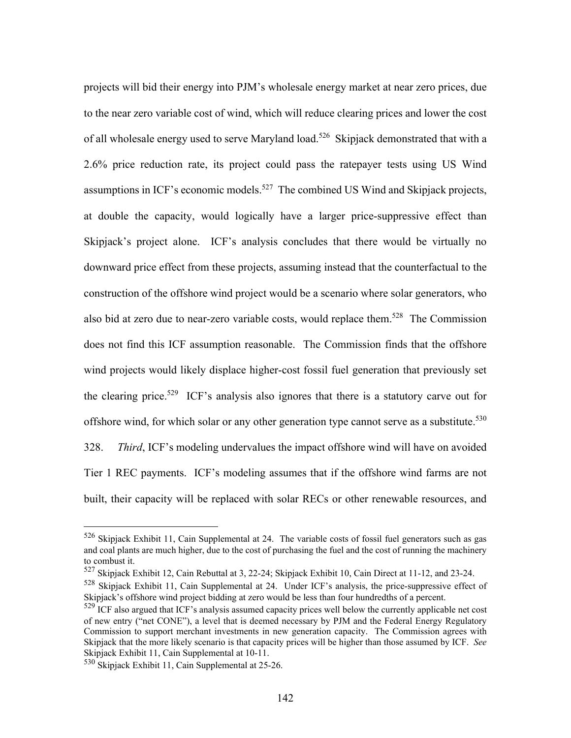projects will bid their energy into PJM's wholesale energy market at near zero prices, due to the near zero variable cost of wind, which will reduce clearing prices and lower the cost of all wholesale energy used to serve Maryland load.<sup>526</sup> Skipjack demonstrated that with a 2.6% price reduction rate, its project could pass the ratepayer tests using US Wind assumptions in ICF's economic models.<sup>527</sup> The combined US Wind and Skipjack projects, at double the capacity, would logically have a larger price-suppressive effect than Skipjack's project alone. ICF's analysis concludes that there would be virtually no downward price effect from these projects, assuming instead that the counterfactual to the construction of the offshore wind project would be a scenario where solar generators, who also bid at zero due to near-zero variable costs, would replace them.<sup>528</sup> The Commission does not find this ICF assumption reasonable. The Commission finds that the offshore wind projects would likely displace higher-cost fossil fuel generation that previously set the clearing price.<sup>529</sup> ICF's analysis also ignores that there is a statutory carve out for offshore wind, for which solar or any other generation type cannot serve as a substitute.<sup>530</sup> 328. *Third*, ICF's modeling undervalues the impact offshore wind will have on avoided Tier 1 REC payments. ICF's modeling assumes that if the offshore wind farms are not built, their capacity will be replaced with solar RECs or other renewable resources, and

 $526$  Skipjack Exhibit 11, Cain Supplemental at 24. The variable costs of fossil fuel generators such as gas and coal plants are much higher, due to the cost of purchasing the fuel and the cost of running the machinery to combust it.

<sup>&</sup>lt;sup>527</sup> Skipjack Exhibit 12, Cain Rebuttal at 3, 22-24; Skipjack Exhibit 10, Cain Direct at 11-12, and 23-24.

<sup>528</sup> Skipjack Exhibit 11, Cain Supplemental at 24. Under ICF's analysis, the price-suppressive effect of Skipjack's offshore wind project bidding at zero would be less than four hundredths of a percent.

<sup>&</sup>lt;sup>529</sup> ICF also argued that ICF's analysis assumed capacity prices well below the currently applicable net cost of new entry ("net CONE"), a level that is deemed necessary by PJM and the Federal Energy Regulatory Commission to support merchant investments in new generation capacity. The Commission agrees with Skipjack that the more likely scenario is that capacity prices will be higher than those assumed by ICF. *See* Skipjack Exhibit 11, Cain Supplemental at 10-11.

<sup>530</sup> Skipjack Exhibit 11, Cain Supplemental at 25-26.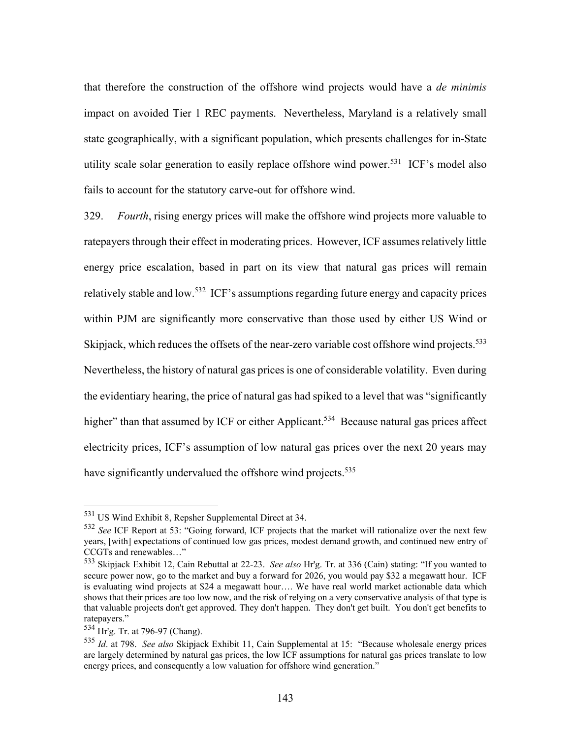that therefore the construction of the offshore wind projects would have a *de minimis* impact on avoided Tier 1 REC payments. Nevertheless, Maryland is a relatively small state geographically, with a significant population, which presents challenges for in-State utility scale solar generation to easily replace offshore wind power.<sup>531</sup> ICF's model also fails to account for the statutory carve-out for offshore wind.

329. *Fourth*, rising energy prices will make the offshore wind projects more valuable to ratepayers through their effect in moderating prices. However, ICF assumes relatively little energy price escalation, based in part on its view that natural gas prices will remain relatively stable and low.<sup>532</sup> ICF's assumptions regarding future energy and capacity prices within PJM are significantly more conservative than those used by either US Wind or Skipjack, which reduces the offsets of the near-zero variable cost offshore wind projects.<sup>533</sup> Nevertheless, the history of natural gas prices is one of considerable volatility. Even during the evidentiary hearing, the price of natural gas had spiked to a level that was "significantly higher" than that assumed by ICF or either Applicant.<sup>534</sup> Because natural gas prices affect electricity prices, ICF's assumption of low natural gas prices over the next 20 years may have significantly undervalued the offshore wind projects.<sup>535</sup>

<sup>531</sup> US Wind Exhibit 8, Repsher Supplemental Direct at 34.

<sup>532</sup> *See* ICF Report at 53: "Going forward, ICF projects that the market will rationalize over the next few years, [with] expectations of continued low gas prices, modest demand growth, and continued new entry of CCGTs and renewables…"

<sup>533</sup> Skipjack Exhibit 12, Cain Rebuttal at 22-23. *See also* Hr'g. Tr. at 336 (Cain) stating: "If you wanted to secure power now, go to the market and buy a forward for 2026, you would pay \$32 a megawatt hour. ICF is evaluating wind projects at \$24 a megawatt hour…. We have real world market actionable data which shows that their prices are too low now, and the risk of relying on a very conservative analysis of that type is that valuable projects don't get approved. They don't happen. They don't get built. You don't get benefits to ratepayers."

<sup>534</sup> Hr'g. Tr. at 796-97 (Chang).

<sup>535</sup> *Id*. at 798. *See also* Skipjack Exhibit 11, Cain Supplemental at 15: "Because wholesale energy prices are largely determined by natural gas prices, the low ICF assumptions for natural gas prices translate to low energy prices, and consequently a low valuation for offshore wind generation."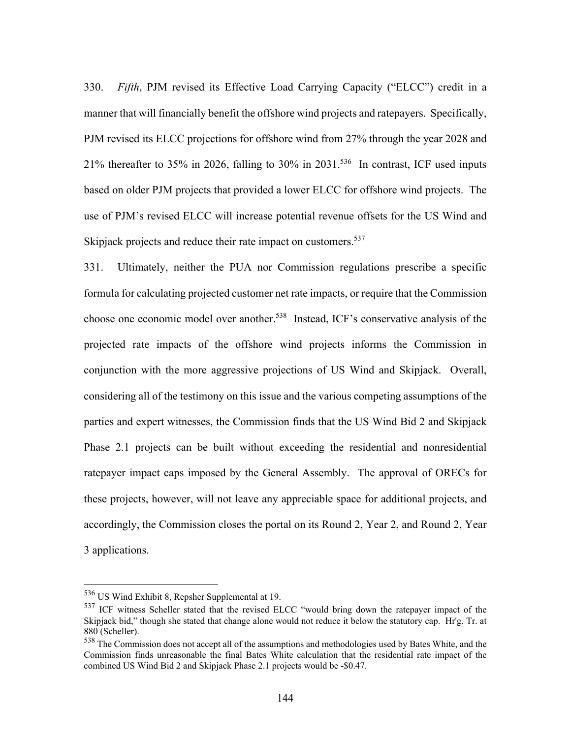330. *Fifth*, PJM revised its Effective Load Carrying Capacity ("ELCC") credit in a manner that will financially benefit the offshore wind projects and ratepayers. Specifically, PJM revised its ELCC projections for offshore wind from 27% through the year 2028 and 21% thereafter to 35% in 2026, falling to 30% in 2031.<sup>536</sup> In contrast, ICF used inputs based on older PJM projects that provided a lower ELCC for offshore wind projects. The use of PJM's revised ELCC will increase potential revenue offsets for the US Wind and Skipjack projects and reduce their rate impact on customers.<sup>537</sup>

331. Ultimately, neither the PUA nor Commission regulations prescribe a specific formula for calculating projected customer net rate impacts, or require that the Commission choose one economic model over another.<sup>538</sup> Instead, ICF's conservative analysis of the projected rate impacts of the offshore wind projects informs the Commission in conjunction with the more aggressive projections of US Wind and Skipjack. Overall, considering all of the testimony on this issue and the various competing assumptions of the parties and expert witnesses, the Commission finds that the US Wind Bid 2 and Skipjack Phase 2.1 projects can be built without exceeding the residential and nonresidential ratepayer impact caps imposed by the General Assembly. The approval of ORECs for these projects, however, will not leave any appreciable space for additional projects, and accordingly, the Commission closes the portal on its Round 2, Year 2, and Round 2, Year 3 applications.

<sup>536</sup> US Wind Exhibit 8, Repsher Supplemental at 19.

<sup>&</sup>lt;sup>537</sup> ICF witness Scheller stated that the revised ELCC "would bring down the ratepayer impact of the Skipjack bid," though she stated that change alone would not reduce it below the statutory cap. Hr'g. Tr. at 880 (Scheller).

<sup>538</sup> The Commission does not accept all of the assumptions and methodologies used by Bates White, and the Commission finds unreasonable the final Bates White calculation that the residential rate impact of the combined US Wind Bid 2 and Skipjack Phase 2.1 projects would be -\$0.47.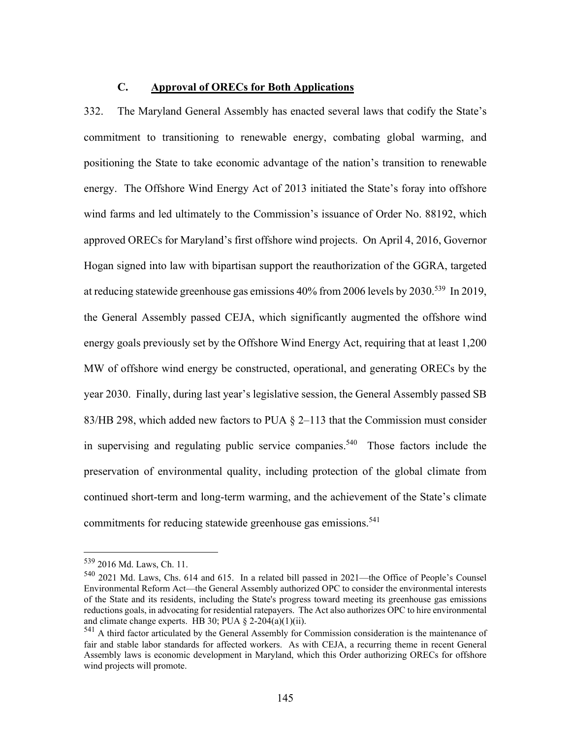#### **C. Approval of ORECs for Both Applications**

332. The Maryland General Assembly has enacted several laws that codify the State's commitment to transitioning to renewable energy, combating global warming, and positioning the State to take economic advantage of the nation's transition to renewable energy. The Offshore Wind Energy Act of 2013 initiated the State's foray into offshore wind farms and led ultimately to the Commission's issuance of Order No. 88192, which approved ORECs for Maryland's first offshore wind projects. On April 4, 2016, Governor Hogan signed into law with bipartisan support the reauthorization of the GGRA, targeted at reducing statewide greenhouse gas emissions 40% from 2006 levels by 2030.539 In 2019, the General Assembly passed CEJA, which significantly augmented the offshore wind energy goals previously set by the Offshore Wind Energy Act, requiring that at least 1,200 MW of offshore wind energy be constructed, operational, and generating ORECs by the year 2030. Finally, during last year's legislative session, the General Assembly passed SB 83/HB 298, which added new factors to PUA  $\S$  2–113 that the Commission must consider in supervising and regulating public service companies.<sup>540</sup> Those factors include the preservation of environmental quality, including protection of the global climate from continued short-term and long-term warming, and the achievement of the State's climate commitments for reducing statewide greenhouse gas emissions.<sup>541</sup>

<sup>539 2016</sup> Md. Laws, Ch. 11.

<sup>540 2021</sup> Md. Laws, Chs. 614 and 615. In a related bill passed in 2021—the Office of People's Counsel Environmental Reform Act—the General Assembly authorized OPC to consider the environmental interests of the State and its residents, including the State's progress toward meeting its greenhouse gas emissions reductions goals, in advocating for residential ratepayers. The Act also authorizes OPC to hire environmental and climate change experts. HB 30; PUA  $\S$  2-204(a)(1)(ii).

 $<sup>541</sup>$  A third factor articulated by the General Assembly for Commission consideration is the maintenance of</sup> fair and stable labor standards for affected workers. As with CEJA, a recurring theme in recent General Assembly laws is economic development in Maryland, which this Order authorizing ORECs for offshore wind projects will promote.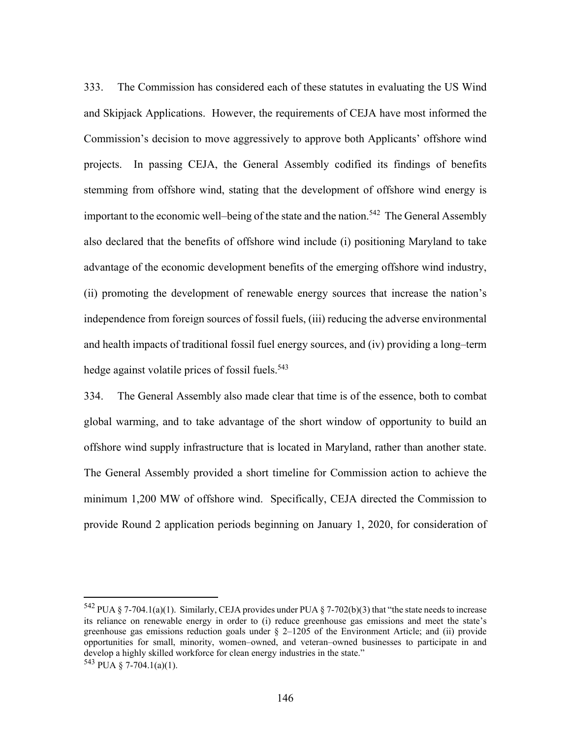333. The Commission has considered each of these statutes in evaluating the US Wind and Skipjack Applications. However, the requirements of CEJA have most informed the Commission's decision to move aggressively to approve both Applicants' offshore wind projects. In passing CEJA, the General Assembly codified its findings of benefits stemming from offshore wind, stating that the development of offshore wind energy is important to the economic well–being of the state and the nation.<sup>542</sup> The General Assembly also declared that the benefits of offshore wind include (i) positioning Maryland to take advantage of the economic development benefits of the emerging offshore wind industry, (ii) promoting the development of renewable energy sources that increase the nation's independence from foreign sources of fossil fuels, (iii) reducing the adverse environmental and health impacts of traditional fossil fuel energy sources, and (iv) providing a long–term hedge against volatile prices of fossil fuels.<sup>543</sup>

334. The General Assembly also made clear that time is of the essence, both to combat global warming, and to take advantage of the short window of opportunity to build an offshore wind supply infrastructure that is located in Maryland, rather than another state. The General Assembly provided a short timeline for Commission action to achieve the minimum 1,200 MW of offshore wind. Specifically, CEJA directed the Commission to provide Round 2 application periods beginning on January 1, 2020, for consideration of

<sup>&</sup>lt;sup>542</sup> PUA § 7-704.1(a)(1). Similarly, CEJA provides under PUA § 7-702(b)(3) that "the state needs to increase its reliance on renewable energy in order to (i) reduce greenhouse gas emissions and meet the state's greenhouse gas emissions reduction goals under  $\S$  2–1205 of the Environment Article; and (ii) provide opportunities for small, minority, women–owned, and veteran–owned businesses to participate in and develop a highly skilled workforce for clean energy industries in the state."  $543$  PUA § 7-704.1(a)(1).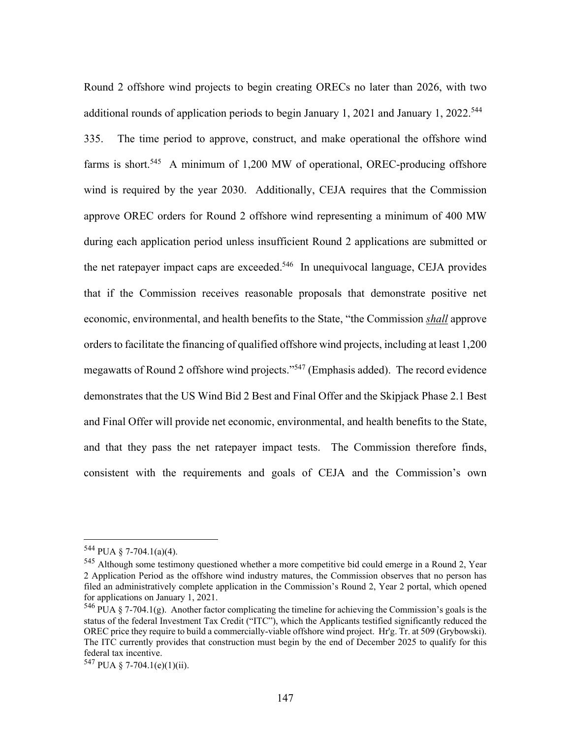Round 2 offshore wind projects to begin creating ORECs no later than 2026, with two additional rounds of application periods to begin January 1, 2021 and January 1, 2022.<sup>544</sup> 335. The time period to approve, construct, and make operational the offshore wind farms is short.<sup>545</sup> A minimum of 1,200 MW of operational, OREC-producing offshore wind is required by the year 2030. Additionally, CEJA requires that the Commission approve OREC orders for Round 2 offshore wind representing a minimum of 400 MW during each application period unless insufficient Round 2 applications are submitted or the net ratepayer impact caps are exceeded.<sup>546</sup> In unequivocal language, CEJA provides that if the Commission receives reasonable proposals that demonstrate positive net economic, environmental, and health benefits to the State, "the Commission *shall* approve orders to facilitate the financing of qualified offshore wind projects, including at least 1,200 megawatts of Round 2 offshore wind projects."547 (Emphasis added). The record evidence demonstrates that the US Wind Bid 2 Best and Final Offer and the Skipjack Phase 2.1 Best and Final Offer will provide net economic, environmental, and health benefits to the State, and that they pass the net ratepayer impact tests. The Commission therefore finds, consistent with the requirements and goals of CEJA and the Commission's own

 $544$  PUA § 7-704.1(a)(4).

<sup>545</sup> Although some testimony questioned whether a more competitive bid could emerge in a Round 2, Year 2 Application Period as the offshore wind industry matures, the Commission observes that no person has filed an administratively complete application in the Commission's Round 2, Year 2 portal, which opened for applications on January 1, 2021.

<sup>&</sup>lt;sup>546</sup> PUA § 7-704.1(g). Another factor complicating the timeline for achieving the Commission's goals is the status of the federal Investment Tax Credit ("ITC"), which the Applicants testified significantly reduced the OREC price they require to build a commercially-viable offshore wind project. Hr'g. Tr. at 509 (Grybowski). The ITC currently provides that construction must begin by the end of December 2025 to qualify for this federal tax incentive.

<sup>547</sup> PUA § 7-704.1(e)(1)(ii).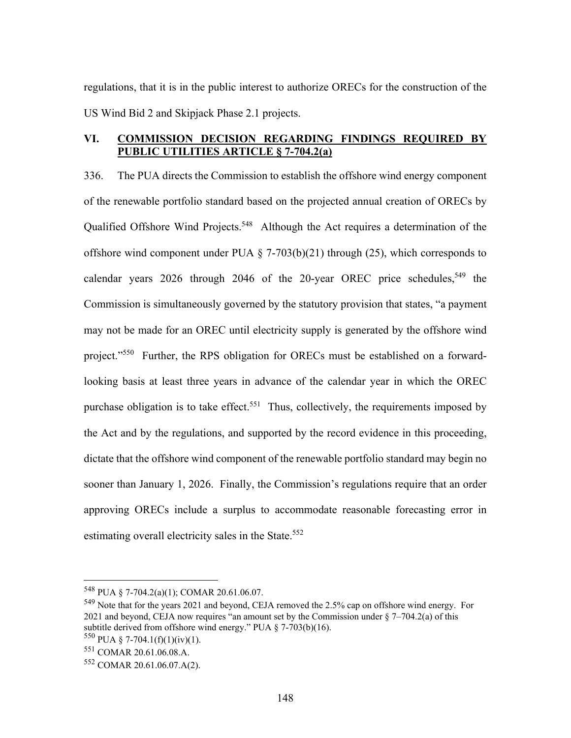regulations, that it is in the public interest to authorize ORECs for the construction of the US Wind Bid 2 and Skipjack Phase 2.1 projects.

#### **VI. COMMISSION DECISION REGARDING FINDINGS REQUIRED BY PUBLIC UTILITIES ARTICLE § 7-704.2(a)**

336. The PUA directs the Commission to establish the offshore wind energy component of the renewable portfolio standard based on the projected annual creation of ORECs by Qualified Offshore Wind Projects.<sup>548</sup> Although the Act requires a determination of the offshore wind component under PUA  $\S$  7-703(b)(21) through (25), which corresponds to calendar years 2026 through 2046 of the 20-year OREC price schedules,<sup>549</sup> the Commission is simultaneously governed by the statutory provision that states, "a payment may not be made for an OREC until electricity supply is generated by the offshore wind project."<sup>550</sup> Further, the RPS obligation for ORECs must be established on a forwardlooking basis at least three years in advance of the calendar year in which the OREC purchase obligation is to take effect.<sup>551</sup> Thus, collectively, the requirements imposed by the Act and by the regulations, and supported by the record evidence in this proceeding, dictate that the offshore wind component of the renewable portfolio standard may begin no sooner than January 1, 2026. Finally, the Commission's regulations require that an order approving ORECs include a surplus to accommodate reasonable forecasting error in estimating overall electricity sales in the State.<sup>552</sup>

<sup>548</sup> PUA § 7-704.2(a)(1); COMAR 20.61.06.07.

<sup>&</sup>lt;sup>549</sup> Note that for the years 2021 and beyond, CEJA removed the 2.5% cap on offshore wind energy. For 2021 and beyond, CEJA now requires "an amount set by the Commission under  $\S$  7–704.2(a) of this subtitle derived from offshore wind energy." PUA  $\S$  7-703(b)(16).

 $550$  PUA § 7-704.1(f)(1)(iv)(1).

<sup>551</sup> COMAR 20.61.06.08.A.

<sup>552</sup> COMAR 20.61.06.07.A(2).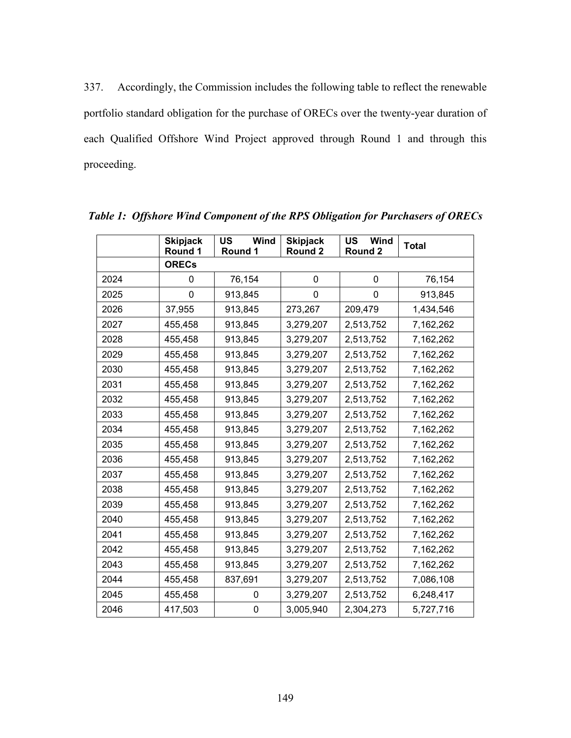337. Accordingly, the Commission includes the following table to reflect the renewable portfolio standard obligation for the purchase of ORECs over the twenty-year duration of each Qualified Offshore Wind Project approved through Round 1 and through this proceeding.

|      | <b>Skipjack</b><br>Round 1 | <b>US</b><br>Wind<br>Round 1 | <b>Skipjack</b><br>Round 2 | US<br>Wind<br>Round 2 | <b>Total</b> |
|------|----------------------------|------------------------------|----------------------------|-----------------------|--------------|
|      | <b>ORECs</b>               |                              |                            |                       |              |
| 2024 | 0                          | 76,154                       | 0                          | 0                     | 76,154       |
| 2025 | 0                          | 913,845                      | 0                          | 0                     | 913,845      |
| 2026 | 37,955                     | 913,845                      | 273,267                    | 209,479               | 1,434,546    |
| 2027 | 455,458                    | 913,845                      | 3,279,207                  | 2,513,752             | 7,162,262    |
| 2028 | 455,458                    | 913,845                      | 3,279,207                  | 2,513,752             | 7,162,262    |
| 2029 | 455,458                    | 913,845                      | 3,279,207                  | 2,513,752             | 7,162,262    |
| 2030 | 455,458                    | 913,845                      | 3,279,207                  | 2,513,752             | 7,162,262    |
| 2031 | 455,458                    | 913,845                      | 3,279,207                  | 2,513,752             | 7,162,262    |
| 2032 | 455,458                    | 913,845                      | 3,279,207                  | 2,513,752             | 7,162,262    |
| 2033 | 455,458                    | 913,845                      | 3,279,207                  | 2,513,752             | 7,162,262    |
| 2034 | 455,458                    | 913,845                      | 3,279,207                  | 2,513,752             | 7,162,262    |
| 2035 | 455,458                    | 913,845                      | 3,279,207                  | 2,513,752             | 7,162,262    |
| 2036 | 455,458                    | 913,845                      | 3,279,207                  | 2,513,752             | 7,162,262    |
| 2037 | 455,458                    | 913,845                      | 3,279,207                  | 2,513,752             | 7,162,262    |
| 2038 | 455,458                    | 913,845                      | 3,279,207                  | 2,513,752             | 7,162,262    |
| 2039 | 455,458                    | 913,845                      | 3,279,207                  | 2,513,752             | 7,162,262    |
| 2040 | 455,458                    | 913,845                      | 3,279,207                  | 2,513,752             | 7,162,262    |
| 2041 | 455,458                    | 913,845                      | 3,279,207                  | 2,513,752             | 7,162,262    |
| 2042 | 455,458                    | 913,845                      | 3,279,207                  | 2,513,752             | 7,162,262    |
| 2043 | 455,458                    | 913,845                      | 3,279,207                  | 2,513,752             | 7,162,262    |
| 2044 | 455,458                    | 837,691                      | 3,279,207                  | 2,513,752             | 7,086,108    |
| 2045 | 455,458                    | 0                            | 3,279,207                  | 2,513,752             | 6,248,417    |
| 2046 | 417,503                    | 0                            | 3,005,940                  | 2,304,273             | 5,727,716    |

*Table 1: Offshore Wind Component of the RPS Obligation for Purchasers of ORECs*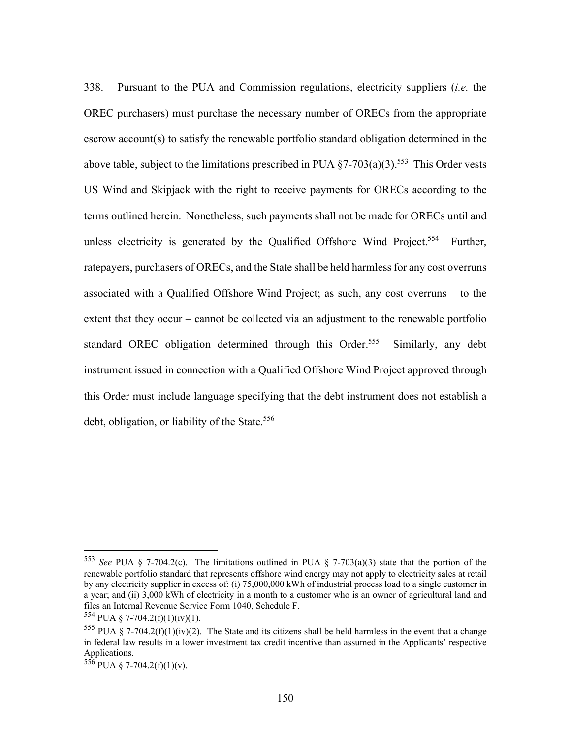338. Pursuant to the PUA and Commission regulations, electricity suppliers (*i.e.* the OREC purchasers) must purchase the necessary number of ORECs from the appropriate escrow account(s) to satisfy the renewable portfolio standard obligation determined in the above table, subject to the limitations prescribed in PUA  $\S$ 7-703(a)(3).<sup>553</sup> This Order vests US Wind and Skipjack with the right to receive payments for ORECs according to the terms outlined herein. Nonetheless, such payments shall not be made for ORECs until and unless electricity is generated by the Qualified Offshore Wind Project.<sup>554</sup> Further, ratepayers, purchasers of ORECs, and the State shall be held harmless for any cost overruns associated with a Qualified Offshore Wind Project; as such, any cost overruns – to the extent that they occur – cannot be collected via an adjustment to the renewable portfolio standard OREC obligation determined through this Order.<sup>555</sup> Similarly, any debt instrument issued in connection with a Qualified Offshore Wind Project approved through this Order must include language specifying that the debt instrument does not establish a debt, obligation, or liability of the State.<sup>556</sup>

<sup>553</sup> *See* PUA § 7-704.2(c). The limitations outlined in PUA § 7-703(a)(3) state that the portion of the renewable portfolio standard that represents offshore wind energy may not apply to electricity sales at retail by any electricity supplier in excess of: (i) 75,000,000 kWh of industrial process load to a single customer in a year; and (ii) 3,000 kWh of electricity in a month to a customer who is an owner of agricultural land and files an Internal Revenue Service Form 1040, Schedule F.

 $554$  PUA § 7-704.2(f)(1)(iv)(1).

<sup>&</sup>lt;sup>555</sup> PUA § 7-704.2(f)(1)(iv)(2). The State and its citizens shall be held harmless in the event that a change in federal law results in a lower investment tax credit incentive than assumed in the Applicants' respective Applications.

 $556$  PUA § 7-704.2(f)(1)(v).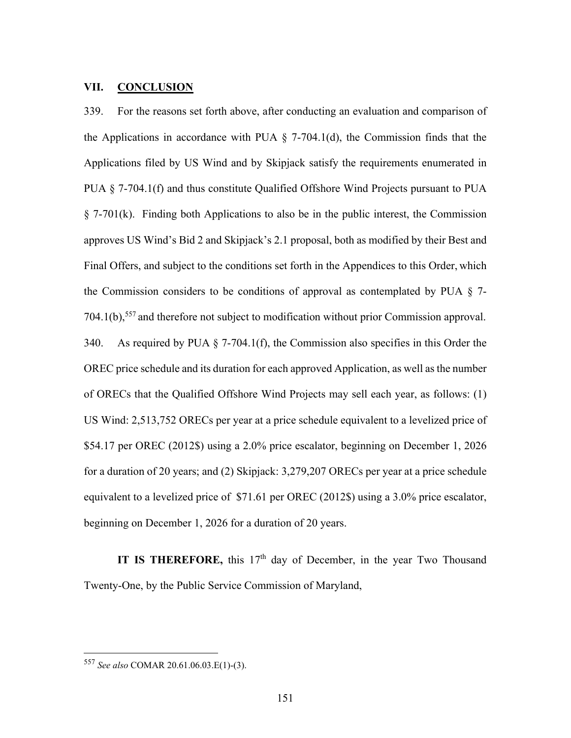#### **VII. CONCLUSION**

339. For the reasons set forth above, after conducting an evaluation and comparison of the Applications in accordance with PUA  $\S$  7-704.1(d), the Commission finds that the Applications filed by US Wind and by Skipjack satisfy the requirements enumerated in PUA § 7-704.1(f) and thus constitute Qualified Offshore Wind Projects pursuant to PUA § 7-701(k). Finding both Applications to also be in the public interest, the Commission approves US Wind's Bid 2 and Skipjack's 2.1 proposal, both as modified by their Best and Final Offers, and subject to the conditions set forth in the Appendices to this Order, which the Commission considers to be conditions of approval as contemplated by PUA  $\S$  7- $704.1(b)$ ,<sup>557</sup> and therefore not subject to modification without prior Commission approval. 340. As required by PUA § 7-704.1(f), the Commission also specifies in this Order the OREC price schedule and its duration for each approved Application, as well as the number of ORECs that the Qualified Offshore Wind Projects may sell each year, as follows: (1) US Wind: 2,513,752 ORECs per year at a price schedule equivalent to a levelized price of \$54.17 per OREC (2012\$) using a 2.0% price escalator, beginning on December 1, 2026 for a duration of 20 years; and (2) Skipjack: 3,279,207 ORECs per year at a price schedule equivalent to a levelized price of \$71.61 per OREC (2012\$) using a 3.0% price escalator, beginning on December 1, 2026 for a duration of 20 years.

**IT IS THEREFORE,** this 17<sup>th</sup> day of December, in the year Two Thousand Twenty-One, by the Public Service Commission of Maryland,

<sup>557</sup> *See also* COMAR 20.61.06.03.E(1)-(3).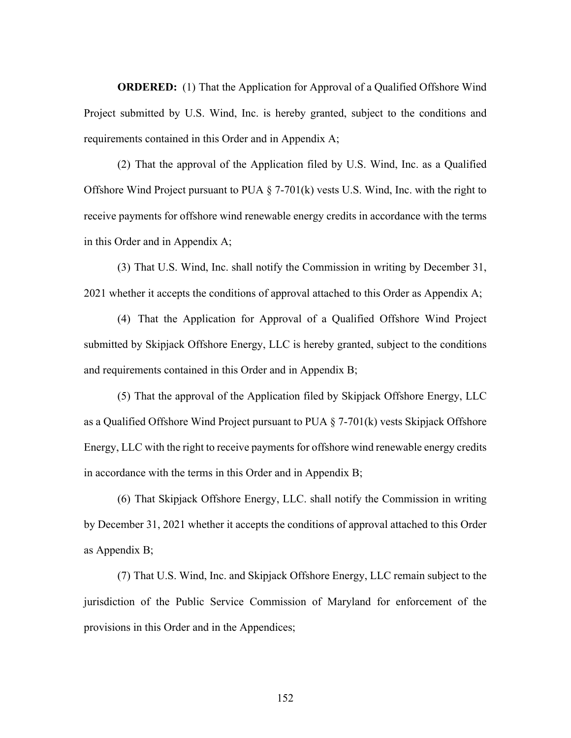**ORDERED:** (1) That the Application for Approval of a Qualified Offshore Wind Project submitted by U.S. Wind, Inc. is hereby granted, subject to the conditions and requirements contained in this Order and in Appendix A;

(2) That the approval of the Application filed by U.S. Wind, Inc. as a Qualified Offshore Wind Project pursuant to PUA  $\S$  7-701(k) vests U.S. Wind, Inc. with the right to receive payments for offshore wind renewable energy credits in accordance with the terms in this Order and in Appendix A;

(3) That U.S. Wind, Inc. shall notify the Commission in writing by December 31, 2021 whether it accepts the conditions of approval attached to this Order as Appendix A;

(4) That the Application for Approval of a Qualified Offshore Wind Project submitted by Skipjack Offshore Energy, LLC is hereby granted, subject to the conditions and requirements contained in this Order and in Appendix B;

(5) That the approval of the Application filed by Skipjack Offshore Energy, LLC as a Qualified Offshore Wind Project pursuant to PUA § 7-701(k) vests Skipjack Offshore Energy, LLC with the right to receive payments for offshore wind renewable energy credits in accordance with the terms in this Order and in Appendix B;

(6) That Skipjack Offshore Energy, LLC. shall notify the Commission in writing by December 31, 2021 whether it accepts the conditions of approval attached to this Order as Appendix B;

(7) That U.S. Wind, Inc. and Skipjack Offshore Energy, LLC remain subject to the jurisdiction of the Public Service Commission of Maryland for enforcement of the provisions in this Order and in the Appendices;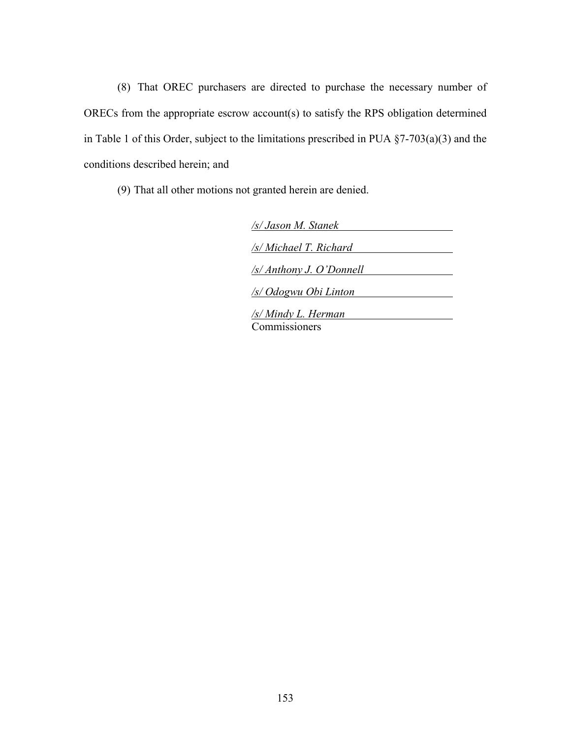(8) That OREC purchasers are directed to purchase the necessary number of ORECs from the appropriate escrow account(s) to satisfy the RPS obligation determined in Table 1 of this Order, subject to the limitations prescribed in PUA §7-703(a)(3) and the conditions described herein; and

(9) That all other motions not granted herein are denied.

| /s/ Jason M. Stanek                |
|------------------------------------|
| /s/ Michael T. Richard             |
| $\sqrt{s}/\pi$ hthony J. O'Donnell |
| /s/ Odogwu Obi Linton              |
| <u>/s/ Mindy L. Herman</u>         |
| 'ommissioners                      |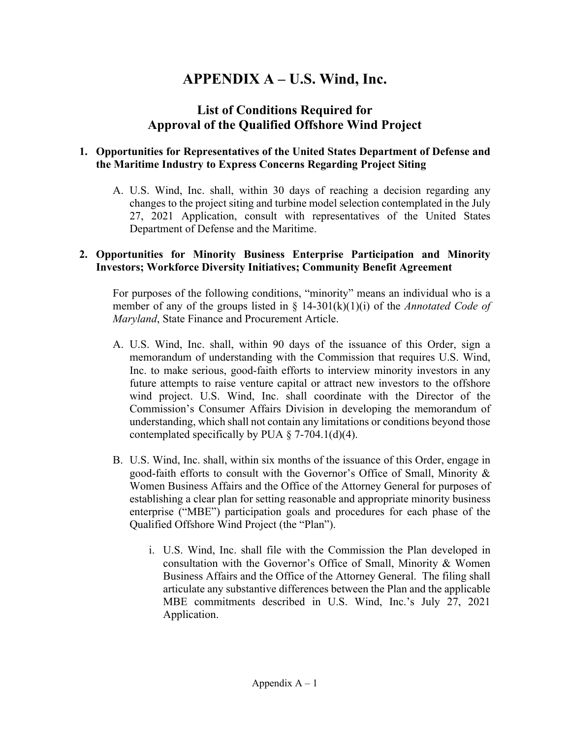# **APPENDIX A – U.S. Wind, Inc.**

## **List of Conditions Required for Approval of the Qualified Offshore Wind Project**

#### **1. Opportunities for Representatives of the United States Department of Defense and the Maritime Industry to Express Concerns Regarding Project Siting**

A. U.S. Wind, Inc. shall, within 30 days of reaching a decision regarding any changes to the project siting and turbine model selection contemplated in the July 27, 2021 Application, consult with representatives of the United States Department of Defense and the Maritime.

#### **2. Opportunities for Minority Business Enterprise Participation and Minority Investors; Workforce Diversity Initiatives; Community Benefit Agreement**

For purposes of the following conditions, "minority" means an individual who is a member of any of the groups listed in § 14-301(k)(1)(i) of the *Annotated Code of Maryland*, State Finance and Procurement Article.

- A. U.S. Wind, Inc. shall, within 90 days of the issuance of this Order, sign a memorandum of understanding with the Commission that requires U.S. Wind, Inc. to make serious, good-faith efforts to interview minority investors in any future attempts to raise venture capital or attract new investors to the offshore wind project. U.S. Wind, Inc. shall coordinate with the Director of the Commission's Consumer Affairs Division in developing the memorandum of understanding, which shall not contain any limitations or conditions beyond those contemplated specifically by PUA  $\S$  7-704.1(d)(4).
- B. U.S. Wind, Inc. shall, within six months of the issuance of this Order, engage in good-faith efforts to consult with the Governor's Office of Small, Minority & Women Business Affairs and the Office of the Attorney General for purposes of establishing a clear plan for setting reasonable and appropriate minority business enterprise ("MBE") participation goals and procedures for each phase of the Qualified Offshore Wind Project (the "Plan").
	- i. U.S. Wind, Inc. shall file with the Commission the Plan developed in consultation with the Governor's Office of Small, Minority & Women Business Affairs and the Office of the Attorney General. The filing shall articulate any substantive differences between the Plan and the applicable MBE commitments described in U.S. Wind, Inc.'s July 27, 2021 Application.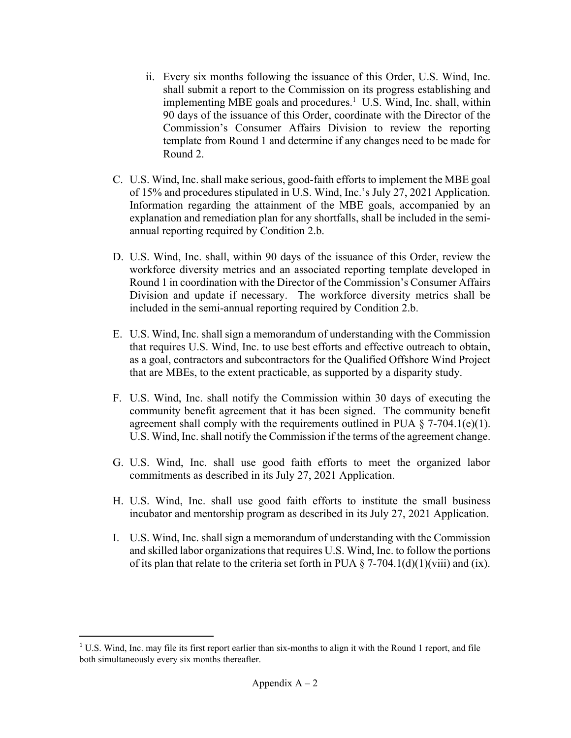- ii. Every six months following the issuance of this Order, U.S. Wind, Inc. shall submit a report to the Commission on its progress establishing and implementing MBE goals and procedures.<sup>1</sup> U.S. Wind, Inc. shall, within 90 days of the issuance of this Order, coordinate with the Director of the Commission's Consumer Affairs Division to review the reporting template from Round 1 and determine if any changes need to be made for Round 2.
- C. U.S. Wind, Inc. shall make serious, good-faith efforts to implement the MBE goal of 15% and procedures stipulated in U.S. Wind, Inc.'s July 27, 2021 Application. Information regarding the attainment of the MBE goals, accompanied by an explanation and remediation plan for any shortfalls, shall be included in the semiannual reporting required by Condition 2.b.
- D. U.S. Wind, Inc. shall, within 90 days of the issuance of this Order, review the workforce diversity metrics and an associated reporting template developed in Round 1 in coordination with the Director of the Commission's Consumer Affairs Division and update if necessary. The workforce diversity metrics shall be included in the semi-annual reporting required by Condition 2.b.
- E. U.S. Wind, Inc. shall sign a memorandum of understanding with the Commission that requires U.S. Wind, Inc. to use best efforts and effective outreach to obtain, as a goal, contractors and subcontractors for the Qualified Offshore Wind Project that are MBEs, to the extent practicable, as supported by a disparity study.
- F. U.S. Wind, Inc. shall notify the Commission within 30 days of executing the community benefit agreement that it has been signed. The community benefit agreement shall comply with the requirements outlined in PUA  $\S$  7-704.1(e)(1). U.S. Wind, Inc. shall notify the Commission if the terms of the agreement change.
- G. U.S. Wind, Inc. shall use good faith efforts to meet the organized labor commitments as described in its July 27, 2021 Application.
- H. U.S. Wind, Inc. shall use good faith efforts to institute the small business incubator and mentorship program as described in its July 27, 2021 Application.
- I. U.S. Wind, Inc. shall sign a memorandum of understanding with the Commission and skilled labor organizations that requires U.S. Wind, Inc. to follow the portions of its plan that relate to the criteria set forth in PUA  $\S$  7-704.1(d)(1)(viii) and (ix).

<sup>&</sup>lt;sup>1</sup> U.S. Wind, Inc. may file its first report earlier than six-months to align it with the Round 1 report, and file both simultaneously every six months thereafter.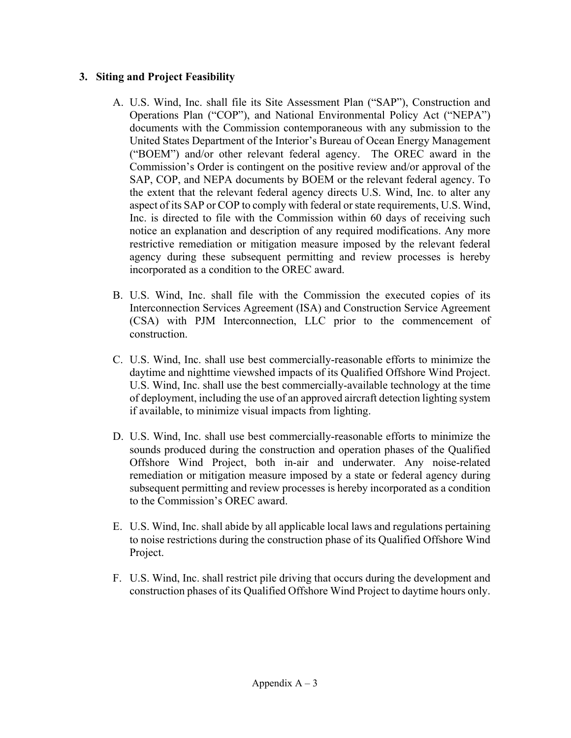#### **3. Siting and Project Feasibility**

- A. U.S. Wind, Inc. shall file its Site Assessment Plan ("SAP"), Construction and Operations Plan ("COP"), and National Environmental Policy Act ("NEPA") documents with the Commission contemporaneous with any submission to the United States Department of the Interior's Bureau of Ocean Energy Management ("BOEM") and/or other relevant federal agency. The OREC award in the Commission's Order is contingent on the positive review and/or approval of the SAP, COP, and NEPA documents by BOEM or the relevant federal agency. To the extent that the relevant federal agency directs U.S. Wind, Inc. to alter any aspect of its SAP or COP to comply with federal or state requirements, U.S. Wind, Inc. is directed to file with the Commission within 60 days of receiving such notice an explanation and description of any required modifications. Any more restrictive remediation or mitigation measure imposed by the relevant federal agency during these subsequent permitting and review processes is hereby incorporated as a condition to the OREC award.
- B. U.S. Wind, Inc. shall file with the Commission the executed copies of its Interconnection Services Agreement (ISA) and Construction Service Agreement (CSA) with PJM Interconnection, LLC prior to the commencement of construction.
- C. U.S. Wind, Inc. shall use best commercially-reasonable efforts to minimize the daytime and nighttime viewshed impacts of its Qualified Offshore Wind Project. U.S. Wind, Inc. shall use the best commercially-available technology at the time of deployment, including the use of an approved aircraft detection lighting system if available, to minimize visual impacts from lighting.
- D. U.S. Wind, Inc. shall use best commercially-reasonable efforts to minimize the sounds produced during the construction and operation phases of the Qualified Offshore Wind Project, both in-air and underwater. Any noise-related remediation or mitigation measure imposed by a state or federal agency during subsequent permitting and review processes is hereby incorporated as a condition to the Commission's OREC award.
- E. U.S. Wind, Inc. shall abide by all applicable local laws and regulations pertaining to noise restrictions during the construction phase of its Qualified Offshore Wind Project.
- F. U.S. Wind, Inc. shall restrict pile driving that occurs during the development and construction phases of its Qualified Offshore Wind Project to daytime hours only.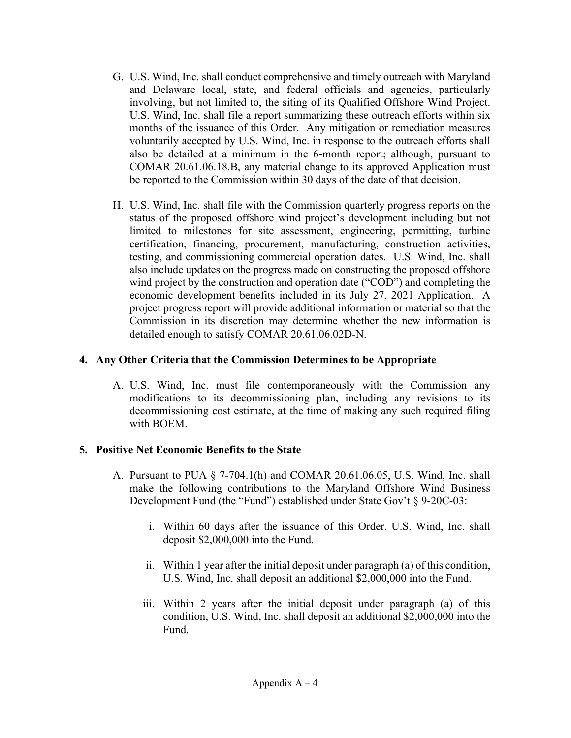- G. U.S. Wind, Inc. shall conduct comprehensive and timely outreach with Maryland and Delaware local, state, and federal officials and agencies, particularly involving, but not limited to, the siting of its Qualified Offshore Wind Project. U.S. Wind, Inc. shall file a report summarizing these outreach efforts within six months of the issuance of this Order. Any mitigation or remediation measures voluntarily accepted by U.S. Wind, Inc. in response to the outreach efforts shall also be detailed at a minimum in the 6-month report; although, pursuant to COMAR 20.61.06.18.B, any material change to its approved Application must be reported to the Commission within 30 days of the date of that decision.
- H. U.S. Wind, Inc. shall file with the Commission quarterly progress reports on the status of the proposed offshore wind project's development including but not limited to milestones for site assessment, engineering, permitting, turbine certification, financing, procurement, manufacturing, construction activities, testing, and commissioning commercial operation dates. U.S. Wind, Inc. shall also include updates on the progress made on constructing the proposed offshore wind project by the construction and operation date ("COD") and completing the economic development benefits included in its July 27, 2021 Application. A project progress report will provide additional information or material so that the Commission in its discretion may determine whether the new information is detailed enough to satisfy COMAR 20.61.06.02D-N.

#### **4. Any Other Criteria that the Commission Determines to be Appropriate**

A. U.S. Wind, Inc. must file contemporaneously with the Commission any modifications to its decommissioning plan, including any revisions to its decommissioning cost estimate, at the time of making any such required filing with BOEM.

#### **5. Positive Net Economic Benefits to the State**

- A. Pursuant to PUA § 7-704.1(h) and COMAR 20.61.06.05, U.S. Wind, Inc. shall make the following contributions to the Maryland Offshore Wind Business Development Fund (the "Fund") established under State Gov't § 9-20C-03:
	- i. Within 60 days after the issuance of this Order, U.S. Wind, Inc. shall deposit \$2,000,000 into the Fund.
	- ii. Within 1 year after the initial deposit under paragraph (a) of this condition, U.S. Wind, Inc. shall deposit an additional \$2,000,000 into the Fund.
	- iii. Within 2 years after the initial deposit under paragraph (a) of this condition, U.S. Wind, Inc. shall deposit an additional \$2,000,000 into the Fund.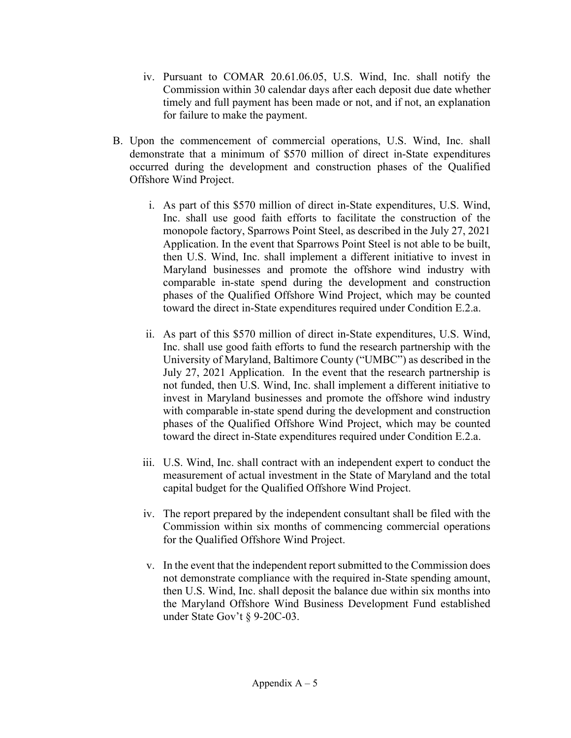- iv. Pursuant to COMAR 20.61.06.05, U.S. Wind, Inc. shall notify the Commission within 30 calendar days after each deposit due date whether timely and full payment has been made or not, and if not, an explanation for failure to make the payment.
- B. Upon the commencement of commercial operations, U.S. Wind, Inc. shall demonstrate that a minimum of \$570 million of direct in-State expenditures occurred during the development and construction phases of the Qualified Offshore Wind Project.
	- i. As part of this \$570 million of direct in-State expenditures, U.S. Wind, Inc. shall use good faith efforts to facilitate the construction of the monopole factory, Sparrows Point Steel, as described in the July 27, 2021 Application. In the event that Sparrows Point Steel is not able to be built, then U.S. Wind, Inc. shall implement a different initiative to invest in Maryland businesses and promote the offshore wind industry with comparable in-state spend during the development and construction phases of the Qualified Offshore Wind Project, which may be counted toward the direct in-State expenditures required under Condition E.2.a.
	- ii. As part of this \$570 million of direct in-State expenditures, U.S. Wind, Inc. shall use good faith efforts to fund the research partnership with the University of Maryland, Baltimore County ("UMBC") as described in the July 27, 2021 Application. In the event that the research partnership is not funded, then U.S. Wind, Inc. shall implement a different initiative to invest in Maryland businesses and promote the offshore wind industry with comparable in-state spend during the development and construction phases of the Qualified Offshore Wind Project, which may be counted toward the direct in-State expenditures required under Condition E.2.a.
	- iii. U.S. Wind, Inc. shall contract with an independent expert to conduct the measurement of actual investment in the State of Maryland and the total capital budget for the Qualified Offshore Wind Project.
	- iv. The report prepared by the independent consultant shall be filed with the Commission within six months of commencing commercial operations for the Qualified Offshore Wind Project.
	- v. In the event that the independent report submitted to the Commission does not demonstrate compliance with the required in-State spending amount, then U.S. Wind, Inc. shall deposit the balance due within six months into the Maryland Offshore Wind Business Development Fund established under State Gov't § 9-20C-03.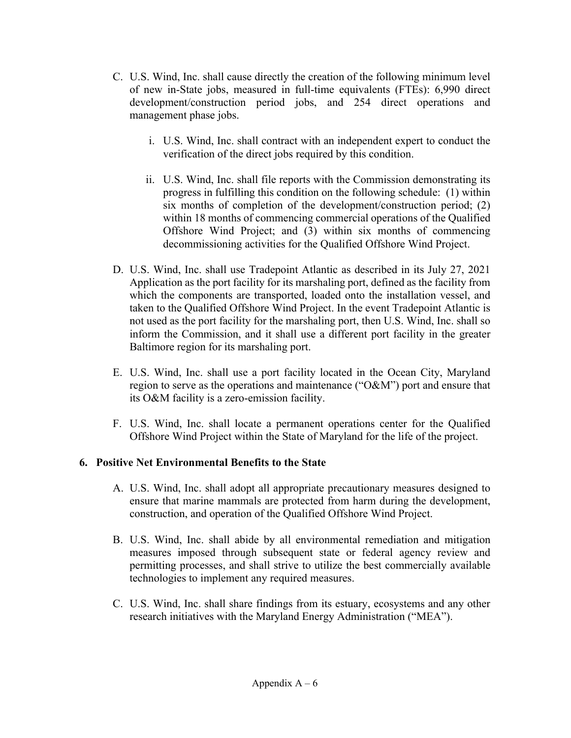- C. U.S. Wind, Inc. shall cause directly the creation of the following minimum level of new in-State jobs, measured in full-time equivalents (FTEs): 6,990 direct development/construction period jobs, and 254 direct operations and management phase jobs.
	- i. U.S. Wind, Inc. shall contract with an independent expert to conduct the verification of the direct jobs required by this condition.
	- ii. U.S. Wind, Inc. shall file reports with the Commission demonstrating its progress in fulfilling this condition on the following schedule: (1) within six months of completion of the development/construction period; (2) within 18 months of commencing commercial operations of the Qualified Offshore Wind Project; and (3) within six months of commencing decommissioning activities for the Qualified Offshore Wind Project.
- D. U.S. Wind, Inc. shall use Tradepoint Atlantic as described in its July 27, 2021 Application as the port facility for its marshaling port, defined as the facility from which the components are transported, loaded onto the installation vessel, and taken to the Qualified Offshore Wind Project. In the event Tradepoint Atlantic is not used as the port facility for the marshaling port, then U.S. Wind, Inc. shall so inform the Commission, and it shall use a different port facility in the greater Baltimore region for its marshaling port.
- E. U.S. Wind, Inc. shall use a port facility located in the Ocean City, Maryland region to serve as the operations and maintenance ("O&M") port and ensure that its O&M facility is a zero-emission facility.
- F. U.S. Wind, Inc. shall locate a permanent operations center for the Qualified Offshore Wind Project within the State of Maryland for the life of the project.

#### **6. Positive Net Environmental Benefits to the State**

- A. U.S. Wind, Inc. shall adopt all appropriate precautionary measures designed to ensure that marine mammals are protected from harm during the development, construction, and operation of the Qualified Offshore Wind Project.
- B. U.S. Wind, Inc. shall abide by all environmental remediation and mitigation measures imposed through subsequent state or federal agency review and permitting processes, and shall strive to utilize the best commercially available technologies to implement any required measures.
- C. U.S. Wind, Inc. shall share findings from its estuary, ecosystems and any other research initiatives with the Maryland Energy Administration ("MEA").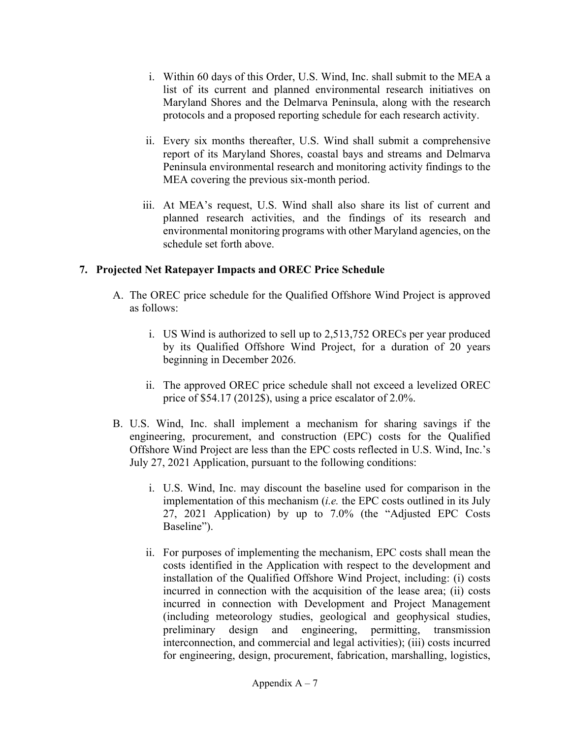- i. Within 60 days of this Order, U.S. Wind, Inc. shall submit to the MEA a list of its current and planned environmental research initiatives on Maryland Shores and the Delmarva Peninsula, along with the research protocols and a proposed reporting schedule for each research activity.
- ii. Every six months thereafter, U.S. Wind shall submit a comprehensive report of its Maryland Shores, coastal bays and streams and Delmarva Peninsula environmental research and monitoring activity findings to the MEA covering the previous six-month period.
- iii. At MEA's request, U.S. Wind shall also share its list of current and planned research activities, and the findings of its research and environmental monitoring programs with other Maryland agencies, on the schedule set forth above.

#### **7. Projected Net Ratepayer Impacts and OREC Price Schedule**

- A. The OREC price schedule for the Qualified Offshore Wind Project is approved as follows:
	- i. US Wind is authorized to sell up to 2,513,752 ORECs per year produced by its Qualified Offshore Wind Project, for a duration of 20 years beginning in December 2026.
	- ii. The approved OREC price schedule shall not exceed a levelized OREC price of \$54.17 (2012\$), using a price escalator of 2.0%.
- B. U.S. Wind, Inc. shall implement a mechanism for sharing savings if the engineering, procurement, and construction (EPC) costs for the Qualified Offshore Wind Project are less than the EPC costs reflected in U.S. Wind, Inc.'s July 27, 2021 Application, pursuant to the following conditions:
	- i. U.S. Wind, Inc. may discount the baseline used for comparison in the implementation of this mechanism (*i.e.* the EPC costs outlined in its July 27, 2021 Application) by up to 7.0% (the "Adjusted EPC Costs Baseline").
	- ii. For purposes of implementing the mechanism, EPC costs shall mean the costs identified in the Application with respect to the development and installation of the Qualified Offshore Wind Project, including: (i) costs incurred in connection with the acquisition of the lease area; (ii) costs incurred in connection with Development and Project Management (including meteorology studies, geological and geophysical studies, preliminary design and engineering, permitting, transmission interconnection, and commercial and legal activities); (iii) costs incurred for engineering, design, procurement, fabrication, marshalling, logistics,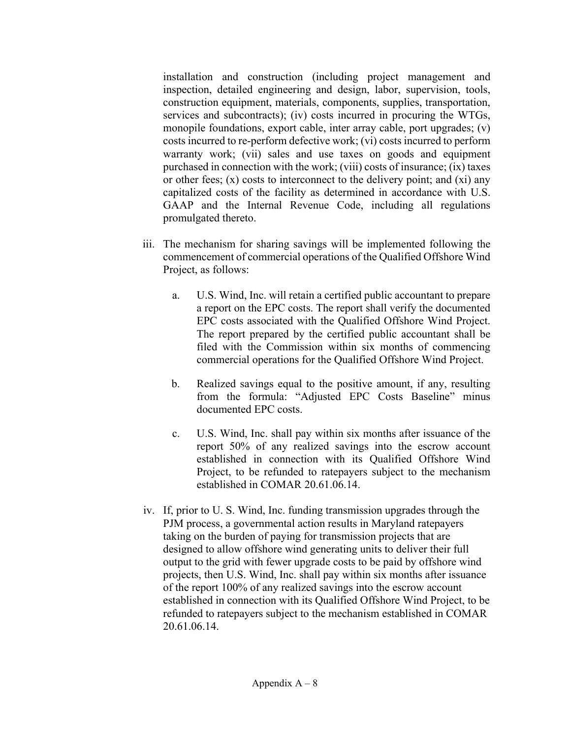installation and construction (including project management and inspection, detailed engineering and design, labor, supervision, tools, construction equipment, materials, components, supplies, transportation, services and subcontracts); (iv) costs incurred in procuring the WTGs, monopile foundations, export cable, inter array cable, port upgrades; (v) costs incurred to re-perform defective work; (vi) costs incurred to perform warranty work; (vii) sales and use taxes on goods and equipment purchased in connection with the work; (viii) costs of insurance; (ix) taxes or other fees;  $(x)$  costs to interconnect to the delivery point; and  $(xi)$  any capitalized costs of the facility as determined in accordance with U.S. GAAP and the Internal Revenue Code, including all regulations promulgated thereto.

- iii. The mechanism for sharing savings will be implemented following the commencement of commercial operations of the Qualified Offshore Wind Project, as follows:
	- a. U.S. Wind, Inc. will retain a certified public accountant to prepare a report on the EPC costs. The report shall verify the documented EPC costs associated with the Qualified Offshore Wind Project. The report prepared by the certified public accountant shall be filed with the Commission within six months of commencing commercial operations for the Qualified Offshore Wind Project.
	- b. Realized savings equal to the positive amount, if any, resulting from the formula: "Adjusted EPC Costs Baseline" minus documented EPC costs.
	- c. U.S. Wind, Inc. shall pay within six months after issuance of the report 50% of any realized savings into the escrow account established in connection with its Qualified Offshore Wind Project, to be refunded to ratepayers subject to the mechanism established in COMAR 20.61.06.14.
- iv. If, prior to U. S. Wind, Inc. funding transmission upgrades through the PJM process, a governmental action results in Maryland ratepayers taking on the burden of paying for transmission projects that are designed to allow offshore wind generating units to deliver their full output to the grid with fewer upgrade costs to be paid by offshore wind projects, then U.S. Wind, Inc. shall pay within six months after issuance of the report 100% of any realized savings into the escrow account established in connection with its Qualified Offshore Wind Project, to be refunded to ratepayers subject to the mechanism established in COMAR 20.61.06.14.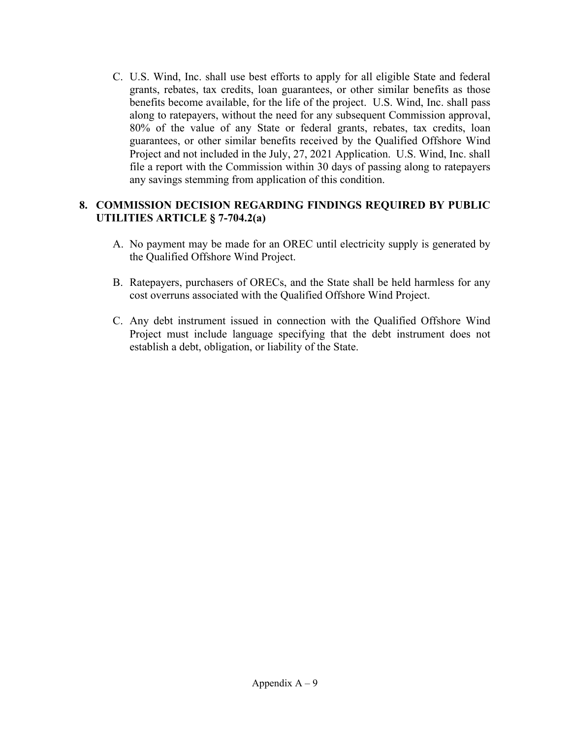C. U.S. Wind, Inc. shall use best efforts to apply for all eligible State and federal grants, rebates, tax credits, loan guarantees, or other similar benefits as those benefits become available, for the life of the project. U.S. Wind, Inc. shall pass along to ratepayers, without the need for any subsequent Commission approval, 80% of the value of any State or federal grants, rebates, tax credits, loan guarantees, or other similar benefits received by the Qualified Offshore Wind Project and not included in the July, 27, 2021 Application. U.S. Wind, Inc. shall file a report with the Commission within 30 days of passing along to ratepayers any savings stemming from application of this condition.

#### **8. COMMISSION DECISION REGARDING FINDINGS REQUIRED BY PUBLIC UTILITIES ARTICLE § 7-704.2(a)**

- A. No payment may be made for an OREC until electricity supply is generated by the Qualified Offshore Wind Project.
- B. Ratepayers, purchasers of ORECs, and the State shall be held harmless for any cost overruns associated with the Qualified Offshore Wind Project.
- C. Any debt instrument issued in connection with the Qualified Offshore Wind Project must include language specifying that the debt instrument does not establish a debt, obligation, or liability of the State.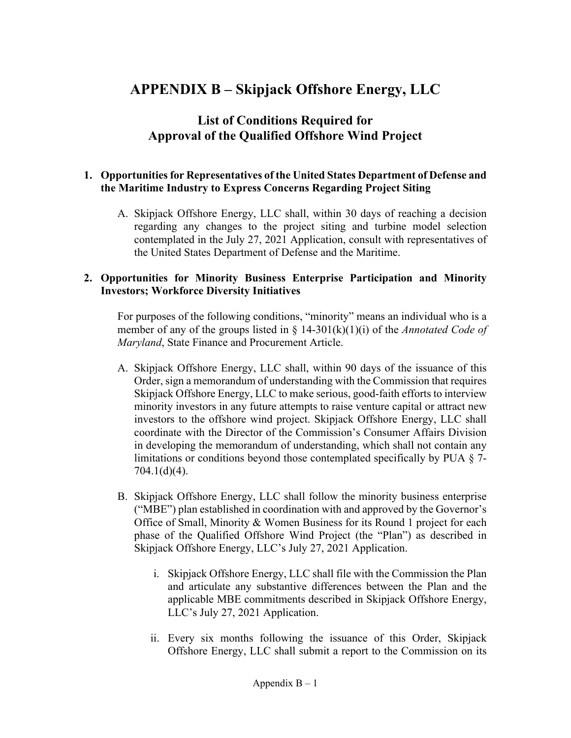# **APPENDIX B – Skipjack Offshore Energy, LLC**

# **List of Conditions Required for Approval of the Qualified Offshore Wind Project**

#### **1. Opportunities for Representatives of the United States Department of Defense and the Maritime Industry to Express Concerns Regarding Project Siting**

A. Skipjack Offshore Energy, LLC shall, within 30 days of reaching a decision regarding any changes to the project siting and turbine model selection contemplated in the July 27, 2021 Application, consult with representatives of the United States Department of Defense and the Maritime.

#### **2. Opportunities for Minority Business Enterprise Participation and Minority Investors; Workforce Diversity Initiatives**

For purposes of the following conditions, "minority" means an individual who is a member of any of the groups listed in § 14-301(k)(1)(i) of the *Annotated Code of Maryland*, State Finance and Procurement Article.

- A. Skipjack Offshore Energy, LLC shall, within 90 days of the issuance of this Order, sign a memorandum of understanding with the Commission that requires Skipjack Offshore Energy, LLC to make serious, good-faith efforts to interview minority investors in any future attempts to raise venture capital or attract new investors to the offshore wind project. Skipjack Offshore Energy, LLC shall coordinate with the Director of the Commission's Consumer Affairs Division in developing the memorandum of understanding, which shall not contain any limitations or conditions beyond those contemplated specifically by PUA § 7- 704.1(d)(4).
- B. Skipjack Offshore Energy, LLC shall follow the minority business enterprise ("MBE") plan established in coordination with and approved by the Governor's Office of Small, Minority & Women Business for its Round 1 project for each phase of the Qualified Offshore Wind Project (the "Plan") as described in Skipjack Offshore Energy, LLC's July 27, 2021 Application.
	- i. Skipjack Offshore Energy, LLC shall file with the Commission the Plan and articulate any substantive differences between the Plan and the applicable MBE commitments described in Skipjack Offshore Energy, LLC's July 27, 2021 Application.
	- ii. Every six months following the issuance of this Order, Skipjack Offshore Energy, LLC shall submit a report to the Commission on its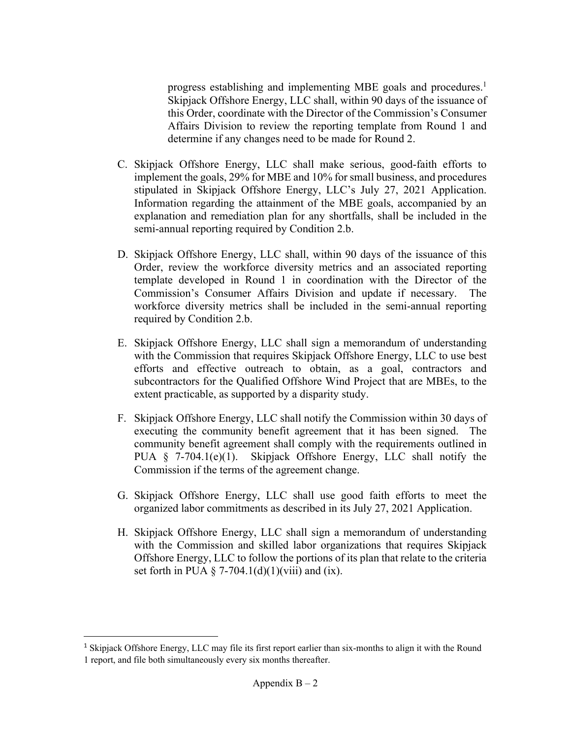progress establishing and implementing MBE goals and procedures.<sup>1</sup> Skipjack Offshore Energy, LLC shall, within 90 days of the issuance of this Order, coordinate with the Director of the Commission's Consumer Affairs Division to review the reporting template from Round 1 and determine if any changes need to be made for Round 2.

- C. Skipjack Offshore Energy, LLC shall make serious, good-faith efforts to implement the goals, 29% for MBE and 10% for small business, and procedures stipulated in Skipjack Offshore Energy, LLC's July 27, 2021 Application. Information regarding the attainment of the MBE goals, accompanied by an explanation and remediation plan for any shortfalls, shall be included in the semi-annual reporting required by Condition 2.b.
- D. Skipjack Offshore Energy, LLC shall, within 90 days of the issuance of this Order, review the workforce diversity metrics and an associated reporting template developed in Round 1 in coordination with the Director of the Commission's Consumer Affairs Division and update if necessary. The workforce diversity metrics shall be included in the semi-annual reporting required by Condition 2.b.
- E. Skipjack Offshore Energy, LLC shall sign a memorandum of understanding with the Commission that requires Skipjack Offshore Energy, LLC to use best efforts and effective outreach to obtain, as a goal, contractors and subcontractors for the Qualified Offshore Wind Project that are MBEs, to the extent practicable, as supported by a disparity study.
- F. Skipjack Offshore Energy, LLC shall notify the Commission within 30 days of executing the community benefit agreement that it has been signed. The community benefit agreement shall comply with the requirements outlined in PUA § 7-704.1(e)(1). Skipjack Offshore Energy, LLC shall notify the Commission if the terms of the agreement change.
- G. Skipjack Offshore Energy, LLC shall use good faith efforts to meet the organized labor commitments as described in its July 27, 2021 Application.
- H. Skipjack Offshore Energy, LLC shall sign a memorandum of understanding with the Commission and skilled labor organizations that requires Skipjack Offshore Energy, LLC to follow the portions of its plan that relate to the criteria set forth in PUA § 7-704.1(d)(1)(viii) and (ix).

<sup>&</sup>lt;sup>1</sup> Skipjack Offshore Energy, LLC may file its first report earlier than six-months to align it with the Round 1 report, and file both simultaneously every six months thereafter.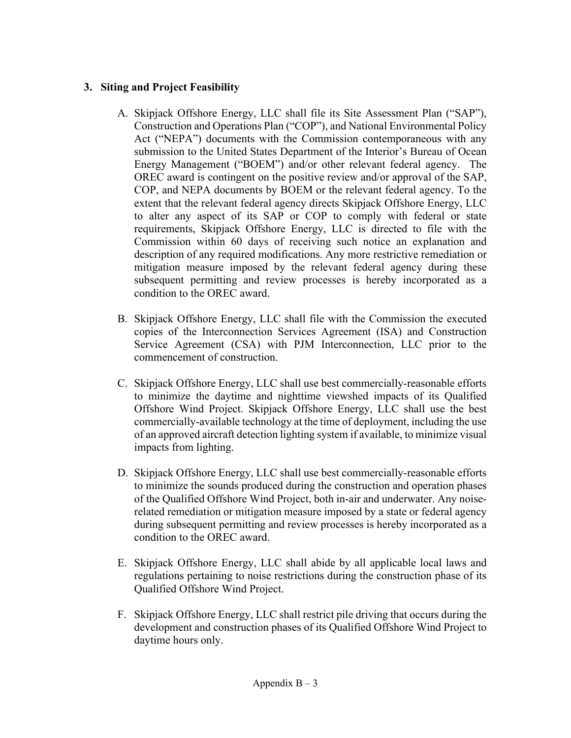## **3. Siting and Project Feasibility**

- A. Skipjack Offshore Energy, LLC shall file its Site Assessment Plan ("SAP"), Construction and Operations Plan ("COP"), and National Environmental Policy Act ("NEPA") documents with the Commission contemporaneous with any submission to the United States Department of the Interior's Bureau of Ocean Energy Management ("BOEM") and/or other relevant federal agency. The OREC award is contingent on the positive review and/or approval of the SAP, COP, and NEPA documents by BOEM or the relevant federal agency. To the extent that the relevant federal agency directs Skipjack Offshore Energy, LLC to alter any aspect of its SAP or COP to comply with federal or state requirements, Skipjack Offshore Energy, LLC is directed to file with the Commission within 60 days of receiving such notice an explanation and description of any required modifications. Any more restrictive remediation or mitigation measure imposed by the relevant federal agency during these subsequent permitting and review processes is hereby incorporated as a condition to the OREC award.
- B. Skipjack Offshore Energy, LLC shall file with the Commission the executed copies of the Interconnection Services Agreement (ISA) and Construction Service Agreement (CSA) with PJM Interconnection, LLC prior to the commencement of construction.
- C. Skipjack Offshore Energy, LLC shall use best commercially-reasonable efforts to minimize the daytime and nighttime viewshed impacts of its Qualified Offshore Wind Project. Skipjack Offshore Energy, LLC shall use the best commercially-available technology at the time of deployment, including the use of an approved aircraft detection lighting system if available, to minimize visual impacts from lighting.
- D. Skipjack Offshore Energy, LLC shall use best commercially-reasonable efforts to minimize the sounds produced during the construction and operation phases of the Qualified Offshore Wind Project, both in-air and underwater. Any noiserelated remediation or mitigation measure imposed by a state or federal agency during subsequent permitting and review processes is hereby incorporated as a condition to the OREC award.
- E. Skipjack Offshore Energy, LLC shall abide by all applicable local laws and regulations pertaining to noise restrictions during the construction phase of its Qualified Offshore Wind Project.
- F. Skipjack Offshore Energy, LLC shall restrict pile driving that occurs during the development and construction phases of its Qualified Offshore Wind Project to daytime hours only.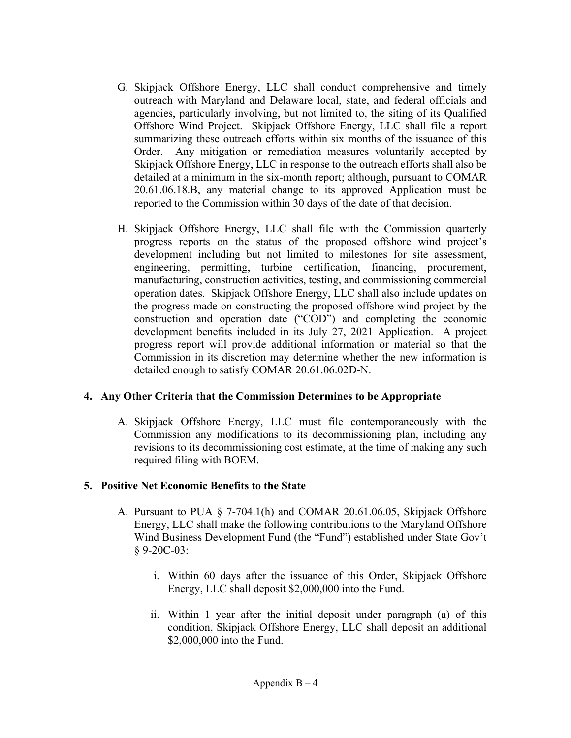- G. Skipjack Offshore Energy, LLC shall conduct comprehensive and timely outreach with Maryland and Delaware local, state, and federal officials and agencies, particularly involving, but not limited to, the siting of its Qualified Offshore Wind Project. Skipjack Offshore Energy, LLC shall file a report summarizing these outreach efforts within six months of the issuance of this Order. Any mitigation or remediation measures voluntarily accepted by Skipjack Offshore Energy, LLC in response to the outreach efforts shall also be detailed at a minimum in the six-month report; although, pursuant to COMAR 20.61.06.18.B, any material change to its approved Application must be reported to the Commission within 30 days of the date of that decision.
- H. Skipjack Offshore Energy, LLC shall file with the Commission quarterly progress reports on the status of the proposed offshore wind project's development including but not limited to milestones for site assessment, engineering, permitting, turbine certification, financing, procurement, manufacturing, construction activities, testing, and commissioning commercial operation dates. Skipjack Offshore Energy, LLC shall also include updates on the progress made on constructing the proposed offshore wind project by the construction and operation date ("COD") and completing the economic development benefits included in its July 27, 2021 Application. A project progress report will provide additional information or material so that the Commission in its discretion may determine whether the new information is detailed enough to satisfy COMAR 20.61.06.02D-N.

#### **4. Any Other Criteria that the Commission Determines to be Appropriate**

A. Skipjack Offshore Energy, LLC must file contemporaneously with the Commission any modifications to its decommissioning plan, including any revisions to its decommissioning cost estimate, at the time of making any such required filing with BOEM.

#### **5. Positive Net Economic Benefits to the State**

- A. Pursuant to PUA § 7-704.1(h) and COMAR 20.61.06.05, Skipjack Offshore Energy, LLC shall make the following contributions to the Maryland Offshore Wind Business Development Fund (the "Fund") established under State Gov't § 9-20C-03:
	- i. Within 60 days after the issuance of this Order, Skipjack Offshore Energy, LLC shall deposit \$2,000,000 into the Fund.
	- ii. Within 1 year after the initial deposit under paragraph (a) of this condition, Skipjack Offshore Energy, LLC shall deposit an additional \$2,000,000 into the Fund.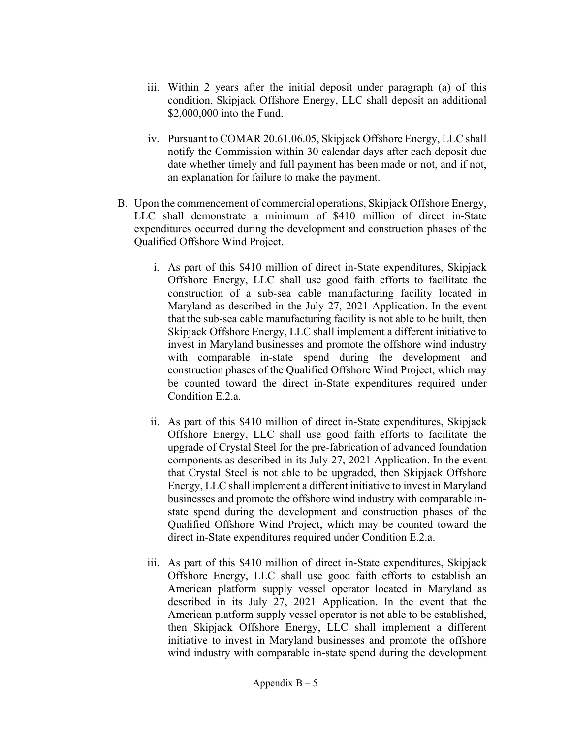- iii. Within 2 years after the initial deposit under paragraph (a) of this condition, Skipjack Offshore Energy, LLC shall deposit an additional \$2,000,000 into the Fund.
- iv. Pursuant to COMAR 20.61.06.05, Skipjack Offshore Energy, LLC shall notify the Commission within 30 calendar days after each deposit due date whether timely and full payment has been made or not, and if not, an explanation for failure to make the payment.
- B. Upon the commencement of commercial operations, Skipjack Offshore Energy, LLC shall demonstrate a minimum of \$410 million of direct in-State expenditures occurred during the development and construction phases of the Qualified Offshore Wind Project.
	- i. As part of this \$410 million of direct in-State expenditures, Skipjack Offshore Energy, LLC shall use good faith efforts to facilitate the construction of a sub-sea cable manufacturing facility located in Maryland as described in the July 27, 2021 Application. In the event that the sub-sea cable manufacturing facility is not able to be built, then Skipjack Offshore Energy, LLC shall implement a different initiative to invest in Maryland businesses and promote the offshore wind industry with comparable in-state spend during the development and construction phases of the Qualified Offshore Wind Project, which may be counted toward the direct in-State expenditures required under Condition E.2.a.
	- ii. As part of this \$410 million of direct in-State expenditures, Skipjack Offshore Energy, LLC shall use good faith efforts to facilitate the upgrade of Crystal Steel for the pre-fabrication of advanced foundation components as described in its July 27, 2021 Application. In the event that Crystal Steel is not able to be upgraded, then Skipjack Offshore Energy, LLC shall implement a different initiative to invest in Maryland businesses and promote the offshore wind industry with comparable instate spend during the development and construction phases of the Qualified Offshore Wind Project, which may be counted toward the direct in-State expenditures required under Condition E.2.a.
	- iii. As part of this \$410 million of direct in-State expenditures, Skipjack Offshore Energy, LLC shall use good faith efforts to establish an American platform supply vessel operator located in Maryland as described in its July 27, 2021 Application. In the event that the American platform supply vessel operator is not able to be established, then Skipjack Offshore Energy, LLC shall implement a different initiative to invest in Maryland businesses and promote the offshore wind industry with comparable in-state spend during the development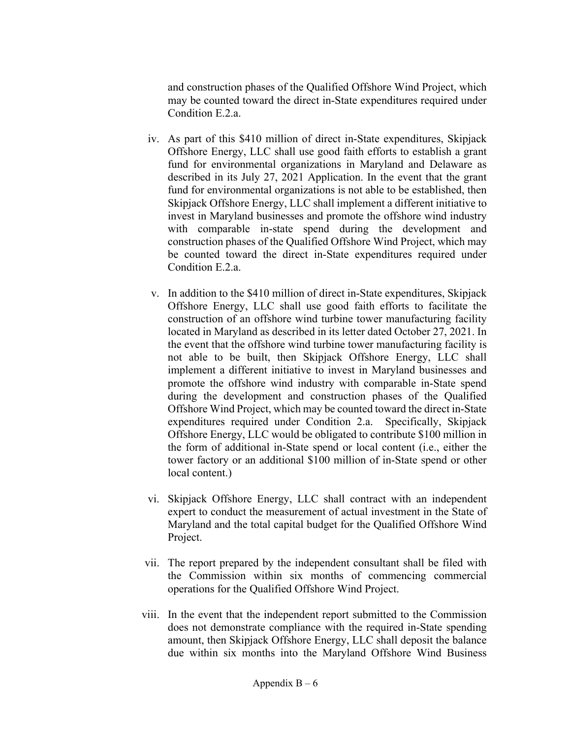and construction phases of the Qualified Offshore Wind Project, which may be counted toward the direct in-State expenditures required under Condition E.2.a.

- iv. As part of this \$410 million of direct in-State expenditures, Skipjack Offshore Energy, LLC shall use good faith efforts to establish a grant fund for environmental organizations in Maryland and Delaware as described in its July 27, 2021 Application. In the event that the grant fund for environmental organizations is not able to be established, then Skipjack Offshore Energy, LLC shall implement a different initiative to invest in Maryland businesses and promote the offshore wind industry with comparable in-state spend during the development and construction phases of the Qualified Offshore Wind Project, which may be counted toward the direct in-State expenditures required under Condition E.2.a.
- v. In addition to the \$410 million of direct in-State expenditures, Skipjack Offshore Energy, LLC shall use good faith efforts to facilitate the construction of an offshore wind turbine tower manufacturing facility located in Maryland as described in its letter dated October 27, 2021. In the event that the offshore wind turbine tower manufacturing facility is not able to be built, then Skipjack Offshore Energy, LLC shall implement a different initiative to invest in Maryland businesses and promote the offshore wind industry with comparable in-State spend during the development and construction phases of the Qualified Offshore Wind Project, which may be counted toward the direct in-State expenditures required under Condition 2.a. Specifically, Skipjack Offshore Energy, LLC would be obligated to contribute \$100 million in the form of additional in-State spend or local content (i.e., either the tower factory or an additional \$100 million of in-State spend or other local content.)
- vi. Skipjack Offshore Energy, LLC shall contract with an independent expert to conduct the measurement of actual investment in the State of Maryland and the total capital budget for the Qualified Offshore Wind Project.
- vii. The report prepared by the independent consultant shall be filed with the Commission within six months of commencing commercial operations for the Qualified Offshore Wind Project.
- viii. In the event that the independent report submitted to the Commission does not demonstrate compliance with the required in-State spending amount, then Skipjack Offshore Energy, LLC shall deposit the balance due within six months into the Maryland Offshore Wind Business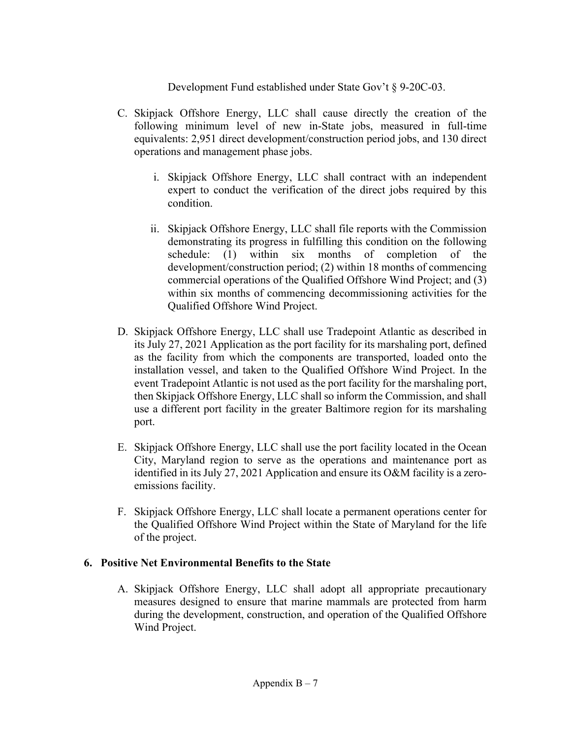Development Fund established under State Gov't § 9-20C-03.

- C. Skipjack Offshore Energy, LLC shall cause directly the creation of the following minimum level of new in-State jobs, measured in full-time equivalents: 2,951 direct development/construction period jobs, and 130 direct operations and management phase jobs.
	- i. Skipjack Offshore Energy, LLC shall contract with an independent expert to conduct the verification of the direct jobs required by this condition.
	- ii. Skipjack Offshore Energy, LLC shall file reports with the Commission demonstrating its progress in fulfilling this condition on the following schedule: (1) within six months of completion of the development/construction period; (2) within 18 months of commencing commercial operations of the Qualified Offshore Wind Project; and (3) within six months of commencing decommissioning activities for the Qualified Offshore Wind Project.
- D. Skipjack Offshore Energy, LLC shall use Tradepoint Atlantic as described in its July 27, 2021 Application as the port facility for its marshaling port, defined as the facility from which the components are transported, loaded onto the installation vessel, and taken to the Qualified Offshore Wind Project. In the event Tradepoint Atlantic is not used as the port facility for the marshaling port, then Skipjack Offshore Energy, LLC shall so inform the Commission, and shall use a different port facility in the greater Baltimore region for its marshaling port.
- E. Skipjack Offshore Energy, LLC shall use the port facility located in the Ocean City, Maryland region to serve as the operations and maintenance port as identified in its July 27, 2021 Application and ensure its O&M facility is a zeroemissions facility.
- F. Skipjack Offshore Energy, LLC shall locate a permanent operations center for the Qualified Offshore Wind Project within the State of Maryland for the life of the project.

## **6. Positive Net Environmental Benefits to the State**

A. Skipjack Offshore Energy, LLC shall adopt all appropriate precautionary measures designed to ensure that marine mammals are protected from harm during the development, construction, and operation of the Qualified Offshore Wind Project.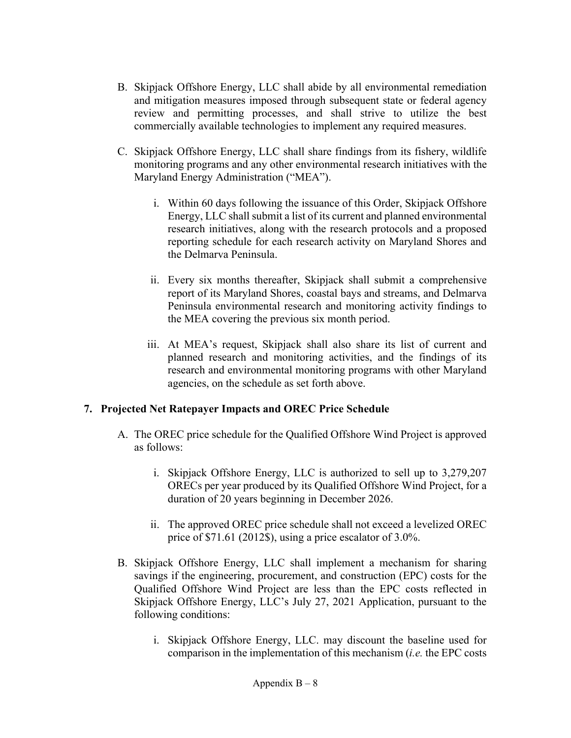- B. Skipjack Offshore Energy, LLC shall abide by all environmental remediation and mitigation measures imposed through subsequent state or federal agency review and permitting processes, and shall strive to utilize the best commercially available technologies to implement any required measures.
- C. Skipjack Offshore Energy, LLC shall share findings from its fishery, wildlife monitoring programs and any other environmental research initiatives with the Maryland Energy Administration ("MEA").
	- i. Within 60 days following the issuance of this Order, Skipjack Offshore Energy, LLC shall submit a list of its current and planned environmental research initiatives, along with the research protocols and a proposed reporting schedule for each research activity on Maryland Shores and the Delmarva Peninsula.
	- ii. Every six months thereafter, Skipjack shall submit a comprehensive report of its Maryland Shores, coastal bays and streams, and Delmarva Peninsula environmental research and monitoring activity findings to the MEA covering the previous six month period.
	- iii. At MEA's request, Skipjack shall also share its list of current and planned research and monitoring activities, and the findings of its research and environmental monitoring programs with other Maryland agencies, on the schedule as set forth above.

## **7. Projected Net Ratepayer Impacts and OREC Price Schedule**

- A. The OREC price schedule for the Qualified Offshore Wind Project is approved as follows:
	- i. Skipjack Offshore Energy, LLC is authorized to sell up to 3,279,207 ORECs per year produced by its Qualified Offshore Wind Project, for a duration of 20 years beginning in December 2026.
	- ii. The approved OREC price schedule shall not exceed a levelized OREC price of \$71.61 (2012\$), using a price escalator of 3.0%.
- B. Skipjack Offshore Energy, LLC shall implement a mechanism for sharing savings if the engineering, procurement, and construction (EPC) costs for the Qualified Offshore Wind Project are less than the EPC costs reflected in Skipjack Offshore Energy, LLC's July 27, 2021 Application, pursuant to the following conditions:
	- i. Skipjack Offshore Energy, LLC. may discount the baseline used for comparison in the implementation of this mechanism (*i.e.* the EPC costs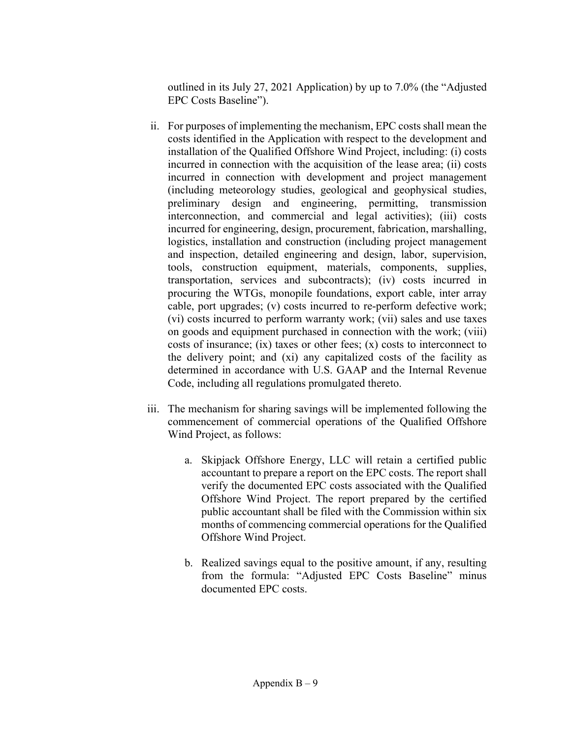outlined in its July 27, 2021 Application) by up to 7.0% (the "Adjusted EPC Costs Baseline").

- ii. For purposes of implementing the mechanism, EPC costs shall mean the costs identified in the Application with respect to the development and installation of the Qualified Offshore Wind Project, including: (i) costs incurred in connection with the acquisition of the lease area; (ii) costs incurred in connection with development and project management (including meteorology studies, geological and geophysical studies, preliminary design and engineering, permitting, transmission interconnection, and commercial and legal activities); (iii) costs incurred for engineering, design, procurement, fabrication, marshalling, logistics, installation and construction (including project management and inspection, detailed engineering and design, labor, supervision, tools, construction equipment, materials, components, supplies, transportation, services and subcontracts); (iv) costs incurred in procuring the WTGs, monopile foundations, export cable, inter array cable, port upgrades; (v) costs incurred to re-perform defective work; (vi) costs incurred to perform warranty work; (vii) sales and use taxes on goods and equipment purchased in connection with the work; (viii) costs of insurance; (ix) taxes or other fees; (x) costs to interconnect to the delivery point; and (xi) any capitalized costs of the facility as determined in accordance with U.S. GAAP and the Internal Revenue Code, including all regulations promulgated thereto.
- iii. The mechanism for sharing savings will be implemented following the commencement of commercial operations of the Qualified Offshore Wind Project, as follows:
	- a. Skipjack Offshore Energy, LLC will retain a certified public accountant to prepare a report on the EPC costs. The report shall verify the documented EPC costs associated with the Qualified Offshore Wind Project. The report prepared by the certified public accountant shall be filed with the Commission within six months of commencing commercial operations for the Qualified Offshore Wind Project.
	- b. Realized savings equal to the positive amount, if any, resulting from the formula: "Adjusted EPC Costs Baseline" minus documented EPC costs.